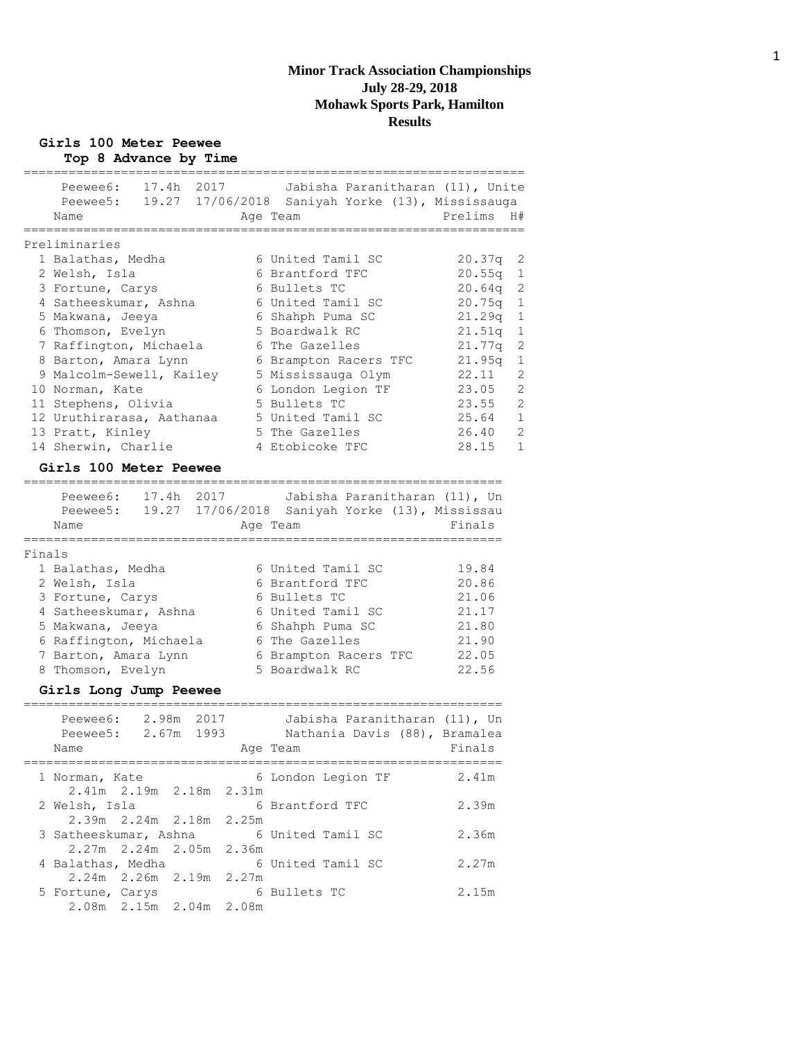#### **Girls 100 Meter Peewee Top 8 Advance by Time**

|        | 17.4h<br>Peewee6:         | 2017  | Jabisha Paranitharan (11), Unite                 |                          |
|--------|---------------------------|-------|--------------------------------------------------|--------------------------|
|        | Peewee5:                  |       | 19.27 17/06/2018 Saniyah Yorke (13), Mississauga |                          |
|        | Name                      |       | Age Team                                         | H#<br>Prelims            |
|        | Preliminaries             |       |                                                  |                          |
|        | 1 Balathas, Medha         |       | 6 United Tamil SC                                | 20.37q<br>$\overline{c}$ |
|        | 2 Welsh, Isla             |       | 6 Brantford TFC                                  | 20.55q<br>1              |
|        | 3 Fortune, Carys          |       | 6 Bullets TC                                     | $\overline{2}$<br>20.64q |
|        | 4 Satheeskumar, Ashna     |       | 6 United Tamil SC                                | 1<br>20.75q              |
|        | 5 Makwana, Jeeya          |       | 6 Shahph Puma SC                                 | $\mathbf{1}$<br>21.29q   |
|        | 6 Thomson, Evelyn         |       | 5 Boardwalk RC                                   | 21.51q<br>$1\,$          |
|        | 7 Raffington, Michaela    |       | 6 The Gazelles                                   | $\overline{c}$<br>21.77q |
|        | 8 Barton, Amara Lynn      |       | 6 Brampton Racers TFC                            | 21.95q<br>$1\,$          |
|        | 9 Malcolm-Sewell, Kailey  |       | 5 Mississauga Olym                               | $\overline{c}$<br>22.11  |
|        | 10 Norman, Kate           |       | 6 London Legion TF                               | $\overline{2}$<br>23.05  |
|        | 11 Stephens, Olivia       |       | 5 Bullets TC                                     | $\overline{2}$<br>23.55  |
|        | 12 Uruthirarasa, Aathanaa |       | 5 United Tamil SC                                | 1<br>25.64               |
|        | 13 Pratt, Kinley          |       | 5 The Gazelles                                   | 26.40<br>2               |
|        | 14 Sherwin, Charlie       |       | 4 Etobicoke TFC                                  | 1<br>28.15               |
|        | Girls 100 Meter Peewee    |       |                                                  |                          |
|        |                           |       |                                                  |                          |
|        | Peewee6:<br>17.4h 2017    |       | Jabisha Paranitharan (11), Un                    |                          |
|        | Peewee5:                  |       | 19.27 17/06/2018 Saniyah Yorke (13), Mississau   |                          |
|        | Name                      |       | Age Team                                         | Finals                   |
|        |                           |       |                                                  |                          |
| Finals |                           |       |                                                  |                          |
|        | 1 Balathas, Medha         |       | 6 United Tamil SC                                | 19.84                    |
|        | 2 Welsh, Isla             |       | 6 Brantford TFC                                  | 20.86                    |
|        | 3 Fortune, Carys          |       | 6 Bullets TC                                     | 21.06                    |
|        | 4 Satheeskumar, Ashna     |       | 6 United Tamil SC                                | 21.17                    |
|        | 5 Makwana, Jeeya          |       | 6 Shahph Puma SC                                 | 21.80                    |
|        | 6 Raffington, Michaela    |       | 6 The Gazelles                                   | 21.90                    |
|        | 7 Barton, Amara Lynn      |       | 6 Brampton Racers TFC                            | 22.05                    |
|        | 8 Thomson, Evelyn         |       | 5 Boardwalk RC                                   | 22.56                    |
|        | Girls Long Jump Peewee    |       |                                                  |                          |
|        |                           |       |                                                  |                          |
|        | 2.98m<br>Peewee6:         | 2017  | Jabisha Paranitharan (11), Un                    |                          |
|        | 2.67m<br>Peewee5:         | 1993  | Nathania Davis (88), Bramalea                    |                          |
|        | Name                      |       | Age Team                                         | Finals                   |
|        | 1 Norman, Kate            |       | 6 London Legion TF                               | 2.41m                    |
|        | 2.41m 2.19m 2.18m 2.31m   |       |                                                  |                          |
|        | 2 Welsh, Isla             |       | 6 Brantford TFC                                  | 2.39m                    |
|        |                           | 2.25m |                                                  |                          |
|        | 3 Satheeskumar, Ashna     |       | 6 United Tamil SC                                | 2.36m                    |
|        | 2.27m 2.24m 2.05m         | 2.36m |                                                  |                          |
|        | 4 Balathas, Medha         |       | 6 United Tamil SC                                | 2.27m                    |
|        | $2.24m$ $2.26m$<br>2.19m  | 2.27m |                                                  |                          |
|        | 5 Fortune, Carys          |       | 6 Bullets TC                                     | 2.15m                    |
|        | 2.08m 2.15m 2.04m 2.08m   |       |                                                  |                          |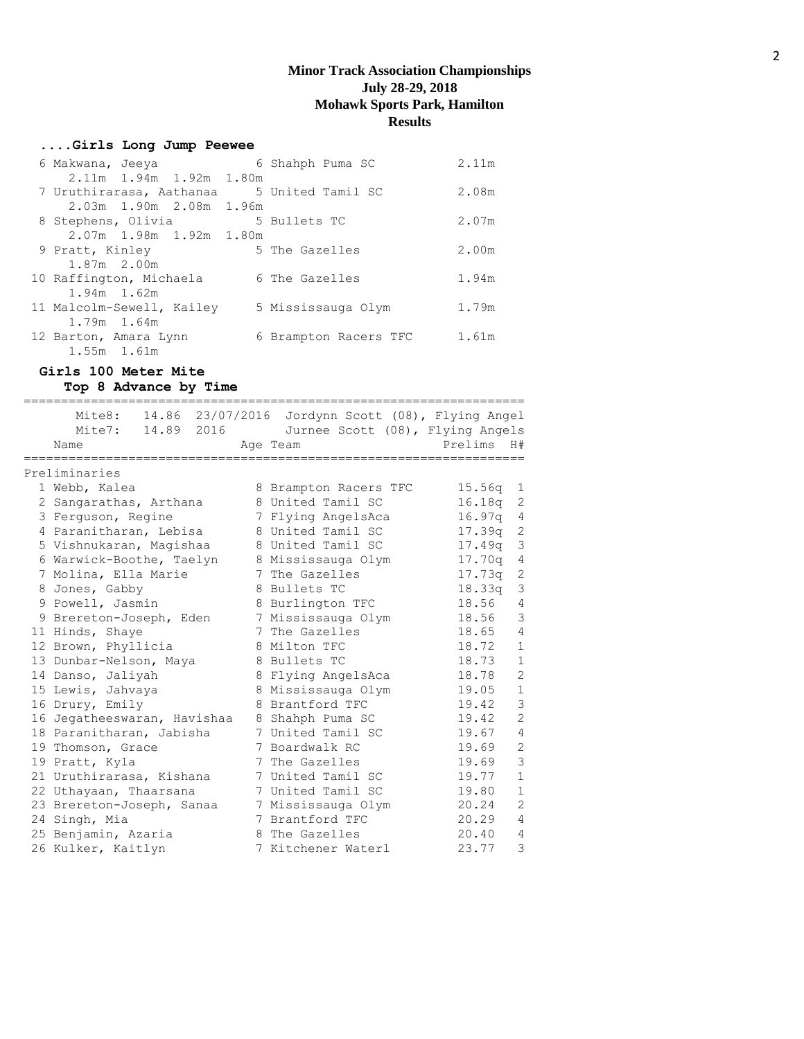## **....Girls Long Jump Peewee**

| 6 Makwana, Jeeya                           | 6 Shahph Puma SC      | 2.11m |
|--------------------------------------------|-----------------------|-------|
| 2.11m 1.94m 1.92m 1.80m                    |                       |       |
| 7 Uruthirarasa, Aathanaa 5 United Tamil SC |                       | 2.08m |
| 2.03m 1.90m 2.08m 1.96m                    |                       |       |
| 8 Stephens, Olivia 5 Bullets TC            |                       | 2.07m |
| 2.07m 1.98m 1.92m 1.80m                    |                       |       |
| 9 Pratt, Kinley                            | 5 The Gazelles        | 2.00m |
| 1.87m 2.00m                                |                       |       |
| 10 Raffington, Michaela                    | 6 The Gazelles        | 1.94m |
| $1.94m$ 1.62m                              |                       |       |
| 11 Malcolm-Sewell, Kailey                  | 5 Mississauga Olym    | 1.79m |
| 1.79m 1.64m                                |                       |       |
| 12 Barton, Amara Lynn                      | 6 Brampton Racers TFC | 1.61m |
| 1.55m 1.61m                                |                       |       |

# **Girls 100 Meter Mite**

**Top 8 Advance by Time**

| Mite8: $14.86$ 23/07/2016 Jordynn Scott (08), Flying Angel<br>Mite7: 14.89 2016 |   | Jurnee Scott (08), Flying Angels |         |                |
|---------------------------------------------------------------------------------|---|----------------------------------|---------|----------------|
| Name                                                                            |   | Age Team                         | Prelims | H#             |
| Preliminaries                                                                   |   |                                  |         |                |
| 1 Webb, Kalea                                                                   |   | 8 Brampton Racers TFC            | 15.56q  | 1              |
| 2 Sangarathas, Arthana                                                          |   | 8 United Tamil SC                | 16.18q  | -2             |
| 3 Ferquson, Regine                                                              |   | 7 Flying AngelsAca               | 16.97a  | $\overline{4}$ |
| 4 Paranitharan, Lebisa                                                          |   | 8 United Tamil SC                | 17.39q  | 2              |
| 5 Vishnukaran, Maqishaa                                                         |   | 8 United Tamil SC                | 17.49q  | 3              |
| 6 Warwick-Boothe, Taelyn                                                        |   | 8 Mississauga Olym               | 17.70q  | 4              |
| 7 Molina, Ella Marie                                                            |   | 7 The Gazelles                   | 17.73q  | 2              |
| 8 Jones, Gabby                                                                  |   | 8 Bullets TC                     | 18.33q  | 3              |
| 9 Powell, Jasmin                                                                |   | 8 Burlington TFC                 | 18.56   | 4              |
| 9 Brereton-Joseph, Eden                                                         |   | 7 Mississauga Olym               | 18.56   | $\mathsf 3$    |
| 11 Hinds, Shaye                                                                 | 7 | The Gazelles                     | 18.65   | $\overline{4}$ |
| 12 Brown, Phyllicia                                                             |   | 8 Milton TFC                     | 18.72   | $\mathbf{1}$   |
| 13 Dunbar-Nelson, Maya                                                          |   | 8 Bullets TC                     | 18.73   | $\mathbf{1}$   |
| 14 Danso, Jaliyah                                                               |   | 8 Flying AngelsAca               | 18.78   | $\overline{2}$ |
| 15 Lewis, Jahvaya                                                               |   | 8 Mississauga Olym               | 19.05   | $\mathbf{1}$   |
| 16 Drury, Emily                                                                 |   | 8 Brantford TFC                  | 19.42   | 3              |
| 16 Jegatheeswaran, Havishaa                                                     |   | 8 Shahph Puma SC                 | 19.42   | $\overline{2}$ |
| 18 Paranitharan, Jabisha                                                        |   | 7 United Tamil SC                | 19.67   | $\overline{4}$ |
| 19 Thomson, Grace                                                               |   | 7 Boardwalk RC                   | 19.69   | $\overline{2}$ |
| 19 Pratt, Kyla                                                                  |   | 7 The Gazelles                   | 19.69   | 3              |
| 21 Uruthirarasa, Kishana                                                        |   | 7 United Tamil SC                | 19.77   | $\mathbf{1}$   |
| 22 Uthayaan, Thaarsana                                                          |   | 7 United Tamil SC                | 19.80   | $\mathbf 1$    |
| 23 Brereton-Joseph, Sanaa                                                       |   | 7 Mississauga Olym               | 20.24   | $\overline{2}$ |
| 24 Singh, Mia                                                                   |   | 7 Brantford TFC                  | 20.29   | $\overline{4}$ |
| 25 Benjamin, Azaria                                                             |   | 8 The Gazelles                   | 20.40   | 4              |
| 26 Kulker, Kaitlyn                                                              |   | 7 Kitchener Waterl               | 23.77   | 3              |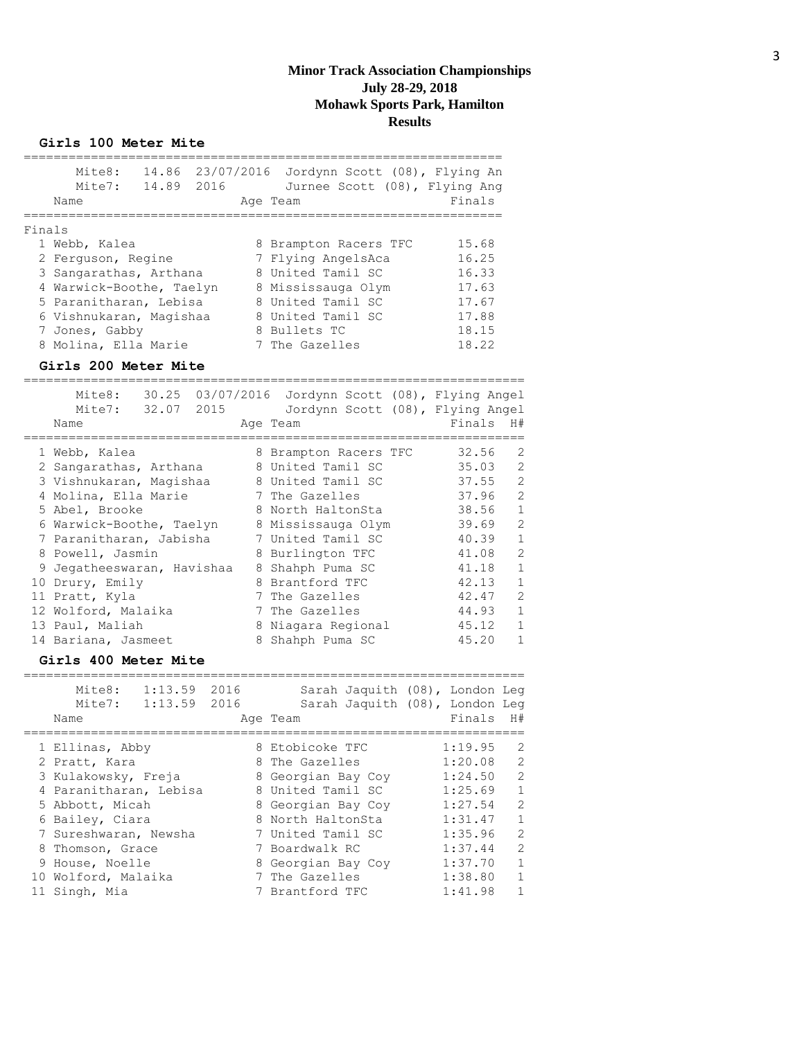#### **Girls 100 Meter Mite**

|        | Mite8: 14.86 23/07/2016 Jordynn Scott (08), Flying An<br>Mite7: 14.89 2016<br>Name                                                                                                                                                                                                                                          | Jurnee Scott (08), Flying Ang<br>Age Team                                                                                                                                                                                                                                                  | ;================<br>Finals                                                                                                                                                                                                                                                                                                               |
|--------|-----------------------------------------------------------------------------------------------------------------------------------------------------------------------------------------------------------------------------------------------------------------------------------------------------------------------------|--------------------------------------------------------------------------------------------------------------------------------------------------------------------------------------------------------------------------------------------------------------------------------------------|-------------------------------------------------------------------------------------------------------------------------------------------------------------------------------------------------------------------------------------------------------------------------------------------------------------------------------------------|
| Finals | ==========<br>==============================<br>1 Webb, Kalea<br>2 Ferguson, Regine<br>3 Sangarathas, Arthana<br>4 Warwick-Boothe, Taelyn<br>5 Paranitharan, Lebisa<br>6 Vishnukaran, Magishaa<br>7 Jones, Gabby<br>8 Molina, Ella Marie                                                                                    | 8 Brampton Racers TFC<br>7 Flying AngelsAca<br>8 United Tamil SC<br>8 Mississauga Olym<br>8 United Tamil SC<br>8 United Tamil SC<br>8 Bullets TC<br>7 The Gazelles                                                                                                                         | 15.68<br>16.25<br>16.33<br>17.63<br>17.67<br>17.88<br>18.15<br>18.22                                                                                                                                                                                                                                                                      |
|        | Girls 200 Meter Mite<br>Mite8: 30.25 03/07/2016 Jordynn Scott (08), Flying Angel<br>Mite7: 32.07 2015<br>Name                                                                                                                                                                                                               | Jordynn Scott (08), Flying Angel<br>Age Team                                                                                                                                                                                                                                               | Finals<br>H#                                                                                                                                                                                                                                                                                                                              |
|        | 1 Webb, Kalea<br>2 Sangarathas, Arthana<br>3 Vishnukaran, Magishaa<br>4 Molina, Ella Marie<br>5 Abel, Brooke<br>6 Warwick-Boothe, Taelyn<br>7 Paranitharan, Jabisha<br>8 Powell, Jasmin<br>9 Jegatheeswaran, Havishaa<br>10 Drury, Emily<br>11 Pratt, Kyla<br>12 Wolford, Malaika<br>13 Paul, Maliah<br>14 Bariana, Jasmeet | 8 Brampton Racers TFC<br>8 United Tamil SC<br>8 United Tamil SC<br>7 The Gazelles<br>8 North HaltonSta<br>8 Mississauga Olym<br>7 United Tamil SC<br>8 Burlington TFC<br>8 Shahph Puma SC<br>8 Brantford TFC<br>7 The Gazelles<br>7 The Gazelles<br>8 Niagara Regional<br>8 Shahph Puma SC | $\overline{2}$<br>32.56<br>$\overline{c}$<br>35.03<br>$\overline{c}$<br>37.55<br>$\overline{c}$<br>37.96<br>$1\,$<br>38.56<br>$\overline{c}$<br>39.69<br>$1\,$<br>40.39<br>$\overline{c}$<br>41.08<br>$1\,$<br>41.18<br>$1\,$<br>42.13<br>$\overline{c}$<br>42.47<br>$\mathbf 1$<br>44.93<br>$\mathbf 1$<br>45.12<br>45.20<br>$\mathbf 1$ |

=================================================================== Mite8: 1:13.59 2016 Sarah Jaquith (08), London Leg Mite7: 1:13.59 2016 Sarah Jaquith (08), London Leg Name **Age Team** Age Team Finals H# =================================================================== 1 Ellinas, Abby 8 Etobicoke TFC 1:19.95 2 2 Pratt, Kara  $\begin{array}{ccc} 8 \text{ The Gazelles} & 1:20.08 & 2 \end{array}$  3 Kulakowsky, Freja 8 Georgian Bay Coy 1:24.50 2 4 Paranitharan, Lebisa a 8 United Tamil SC and 1:25.69 1 5 Abbott, Micah 8 Georgian Bay Coy 1:27.54 2 6 Bailey, Ciara 8 North HaltonSta 1:31.47 1 7 Sureshwaran, Newsha 7 United Tamil SC 1:35.96 2 8 Thomson, Grace  $\begin{array}{ccc} 7 & \text{Boardwalk RC} & 1:37.44 & 2 \end{array}$ 9 House, Noelle 8 Georgian Bay Coy 1:37.70 1 10 Wolford, Malaika 7 The Gazelles 1:38.80 1 11 Singh, Mia 7 Brantford TFC 1:41.98 1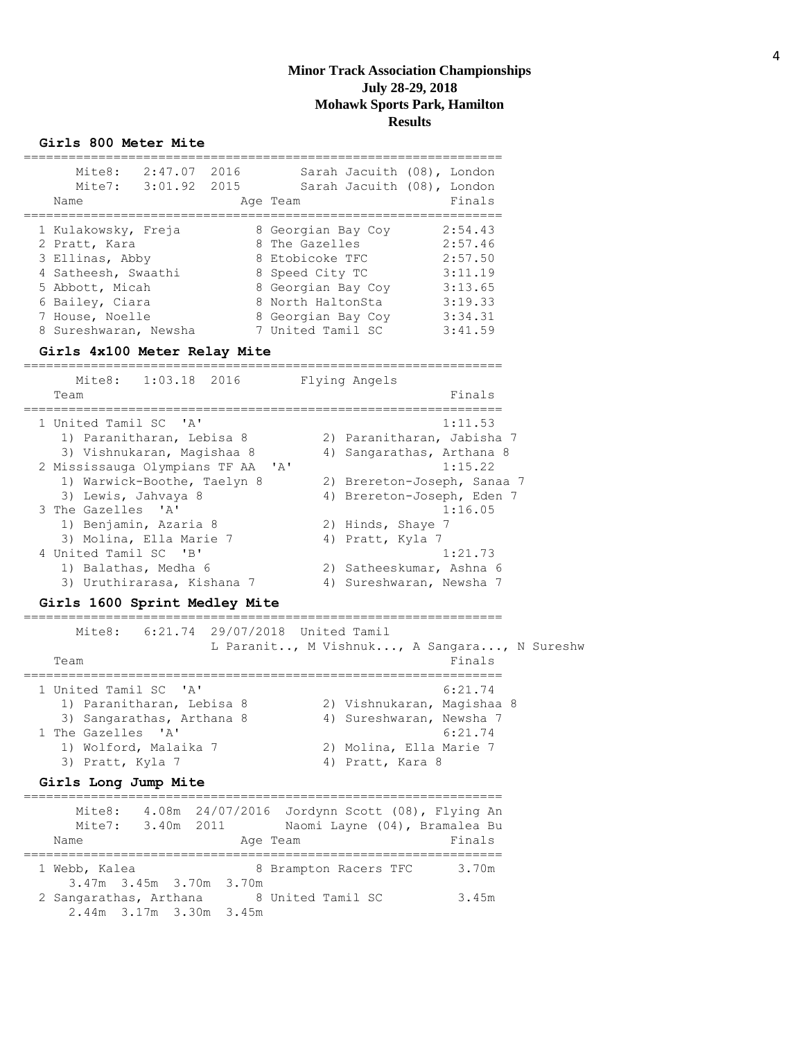#### **Girls 800 Meter Mite**

| Mite8:<br>2:47.07<br>3:01.92<br>Mite7:<br>Name | 2016<br>2015 | Sarah Jacuith (08), London<br>Sarah Jacuith (08), London<br>Age Team | Finals  |
|------------------------------------------------|--------------|----------------------------------------------------------------------|---------|
|                                                |              |                                                                      |         |
| 1 Kulakowsky, Freja                            |              | 8 Georgian Bay Coy                                                   | 2:54.43 |
| 2 Pratt, Kara                                  |              | 8 The Gazelles                                                       | 2:57.46 |
| 3 Ellinas, Abby                                |              | 8 Etobicoke TFC                                                      | 2:57.50 |
| 4 Satheesh, Swaathi                            |              | 8 Speed City TC                                                      | 3:11.19 |
| 5 Abbott, Micah                                |              | 8 Georgian Bay Coy                                                   | 3:13.65 |
| 6 Bailey, Ciara                                |              | 8 North HaltonSta                                                    | 3:19.33 |
| 7 House, Noelle                                |              | 8 Georgian Bay Coy                                                   | 3:34.31 |
| 8 Sureshwaran, Newsha                          |              | 7 United Tamil SC                                                    | 3:41.59 |

#### **Girls 4x100 Meter Relay Mite**

| $1:03.18$ 2016<br>Mite8:<br>Team                                                        | Flying Angels<br>Finals                                              |
|-----------------------------------------------------------------------------------------|----------------------------------------------------------------------|
| 1 United Tamil SC 'A'<br>1) Paranitharan, Lebisa 8<br>3) Vishnukaran, Maqishaa 8        | 1:11.53<br>2) Paranitharan, Jabisha 7<br>4) Sangarathas, Arthana 8   |
| 2 Mississauga Olympians TF AA 'A'<br>1) Warwick-Boothe, Taelyn 8<br>3) Lewis, Jahvaya 8 | 1:15.22<br>2) Brereton-Joseph, Sanaa 7<br>4) Brereton-Joseph, Eden 7 |
| 3 The Gazelles 'A'<br>1) Benjamin, Azaria 8<br>3) Molina, Ella Marie 7                  | 1:16.05<br>2) Hinds, Shaye 7<br>4) Pratt, Kyla 7                     |
| 4 United Tamil SC 'B'<br>1) Balathas, Medha 6<br>3) Uruthirarasa, Kishana 7             | 1:21.73<br>2) Satheeskumar, Ashna 6<br>4) Sureshwaran, Newsha 7      |

#### **Girls 1600 Sprint Medley Mite**

================================================================ -----<br>Mite8: 6:21.74 29/07/2018 United Tamil

| MILEO: 0:21.74 2970772010 UNILEQ IdMII | L Paranit, M Vishnuk, A Sangara, N Sureshw |
|----------------------------------------|--------------------------------------------|
| Team                                   | Finals                                     |
| 1 United Tamil SC 'A'                  | 6:21.74                                    |
| 1) Paranitharan, Lebisa 8              | 2) Vishnukaran, Maqishaa 8                 |
| 3) Sangarathas, Arthana 8              | 4) Sureshwaran, Newsha 7                   |
| 1 The Gazelles 'A'                     | 6:21.74                                    |
| 1) Wolford, Malaika 7                  | 2) Molina, Ella Marie 7                    |
| 3) Pratt, Kyla 7                       | 4) Pratt, Kara 8                           |

#### **Girls Long Jump Mite**

| Mite8:                  | Mite7: 3.40m 2011 |  |                       | 4.08m 24/07/2016 Jordynn Scott (08), Flying An<br>Naomi Layne (04), Bramalea Bu |
|-------------------------|-------------------|--|-----------------------|---------------------------------------------------------------------------------|
| Name                    |                   |  | Age Team              | Finals                                                                          |
|                         |                   |  |                       |                                                                                 |
| 1 Webb, Kalea           |                   |  | 8 Brampton Racers TFC | 3.70m                                                                           |
| 3.47m 3.45m 3.70m 3.70m |                   |  |                       |                                                                                 |
| 2 Sangarathas, Arthana  |                   |  | 8 United Tamil SC     | 3.45m                                                                           |
| 2.44m 3.17m 3.30m 3.45m |                   |  |                       |                                                                                 |
|                         |                   |  |                       |                                                                                 |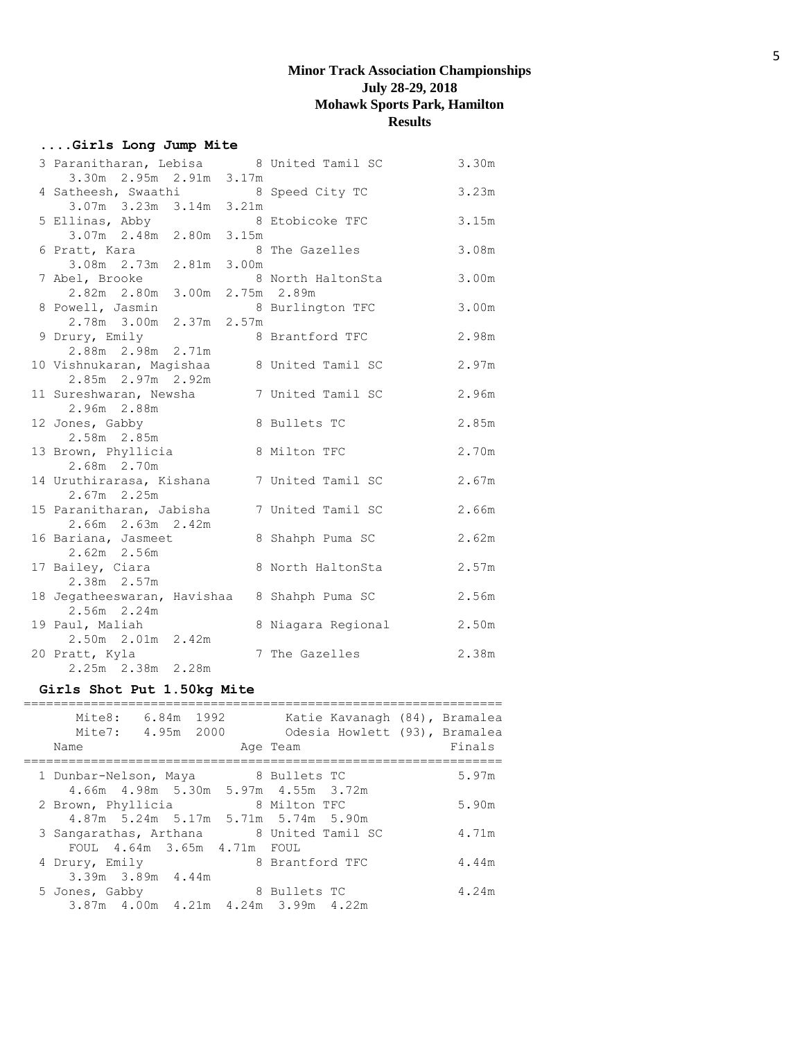## **....Girls Long Jump Mite**

| 3 Paranitharan, Lebisa 8 United Tamil SC |                    | 3.30m |
|------------------------------------------|--------------------|-------|
| 3.30m 2.95m 2.91m 3.17m                  |                    |       |
| 4 Satheesh, Swaathi                      | 8 Speed City TC    | 3.23m |
| 3.07m 3.23m 3.14m 3.21m                  |                    |       |
| 5 Ellinas, Abby                          | 8 Etobicoke TFC    | 3.15m |
| 3.07m 2.48m 2.80m 3.15m                  |                    |       |
| 6 Pratt, Kara<br>3.08m 2.73m 2.81m 3.00m | 8 The Gazelles     | 3.08m |
| 7 Abel, Brooke                           | 8 North HaltonSta  | 3.00m |
| 2.82m 2.80m 3.00m 2.75m 2.89m            |                    |       |
| 8 Powell, Jasmin                         | 8 Burlington TFC   | 3.00m |
| 2.78m 3.00m 2.37m 2.57m                  |                    |       |
| 9 Drury, Emily                           | 8 Brantford TFC    | 2.98m |
| 2.88m 2.98m 2.71m                        |                    |       |
| 10 Vishnukaran, Magishaa                 | 8 United Tamil SC  | 2.97m |
| 2.85m 2.97m 2.92m                        |                    |       |
| 11 Sureshwaran, Newsha<br>2.96m 2.88m    | 7 United Tamil SC  | 2.96m |
| 12 Jones, Gabby                          | 8 Bullets TC       | 2.85m |
| 2.58m 2.85m                              |                    |       |
| 13 Brown, Phyllicia                      | 8 Milton TFC       | 2.70m |
| 2.68m 2.70m                              |                    |       |
| 14 Uruthirarasa, Kishana                 | 7 United Tamil SC  | 2.67m |
| $2.67m$ 2.25m                            |                    |       |
| 15 Paranitharan, Jabisha                 | 7 United Tamil SC  | 2.66m |
| 2.66m 2.63m 2.42m                        |                    |       |
| 16 Bariana, Jasmeet                      | 8 Shahph Puma SC   | 2.62m |
| $2.62m$ $2.56m$<br>17 Bailey, Ciara      | 8 North HaltonSta  | 2.57m |
| $2.38m$ $2.57m$                          |                    |       |
| 18 Jegatheeswaran, Havishaa              | 8 Shahph Puma SC   | 2.56m |
| 2.56m 2.24m                              |                    |       |
| 19 Paul, Maliah                          | 8 Niagara Regional | 2.50m |
| 2.50m 2.01m 2.42m                        |                    |       |
| 20 Pratt, Kyla                           | 7 The Gazelles     | 2.38m |
| 2.25m 2.38m 2.28m                        |                    |       |

## **Girls Shot Put 1.50kg Mite**

| Mite8:<br>6.84m 1992<br>Mite7:<br>4.95m 2000<br>Name                    | Katie Kavanagh (84), Bramalea<br>Odesia Howlett (93), Bramalea<br>Age Team | Finals |
|-------------------------------------------------------------------------|----------------------------------------------------------------------------|--------|
| 1 Dunbar-Nelson, Maya<br>4.66m  4.98m  5.30m  5.97m  4.55m  3.72m       | 8 Bullets TC                                                               | 5.97m  |
| 2 Brown, Phyllicia<br>4.87m 5.24m 5.17m 5.71m 5.74m 5.90m               | 8 Milton TFC                                                               | 5.90m  |
| 3 Sangarathas, Arthana 8 United Tamil SC<br>FOUL 4.64m 3.65m 4.71m FOUL |                                                                            | 4.71m  |
| 4 Drury, Emily<br>3.39m 3.89m 4.44m                                     | 8 Brantford TFC                                                            | 4.44m  |
| 5 Jones, Gabby<br>3.87m 4.00m 4.21m 4.24m 3.99m 4.22m                   | 8 Bullets TC                                                               | 4.24m  |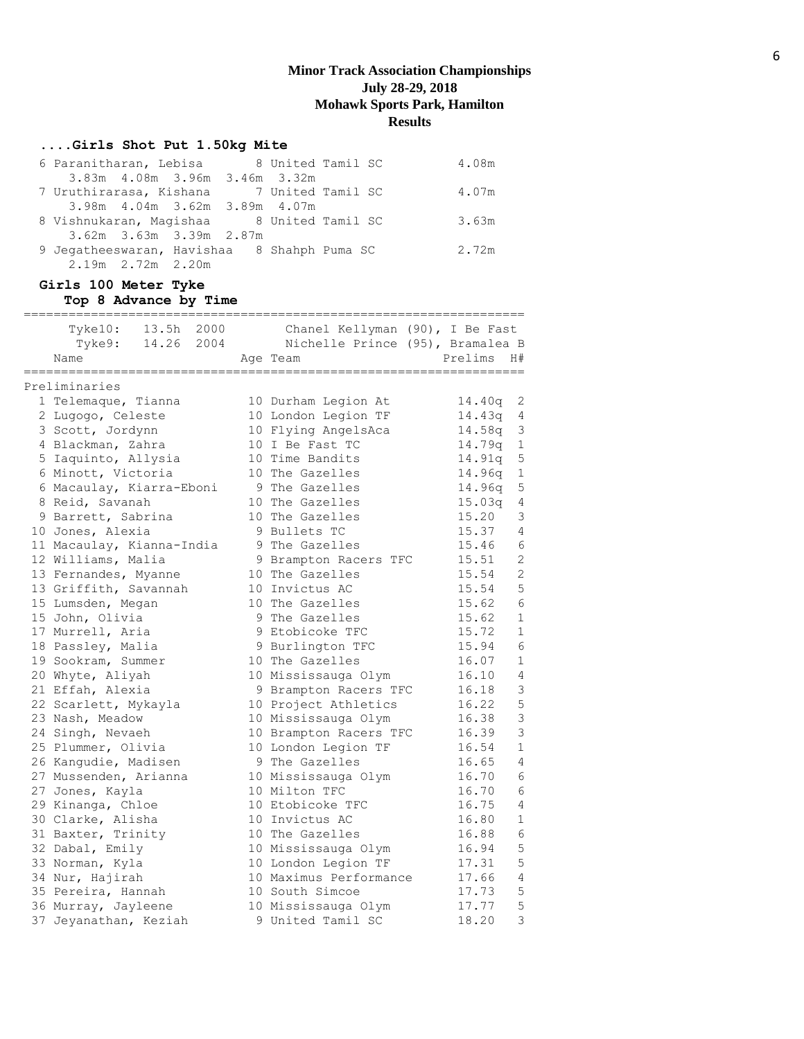# **....Girls Shot Put 1.50kg Mite**

| 6 Paranitharan, Lebisa and 8 United Tamil SC |                                 |  |  | 4.08m |
|----------------------------------------------|---------------------------------|--|--|-------|
|                                              | 3.83m 4.08m 3.96m 3.46m 3.32m   |  |  |       |
| 7 Uruthirarasa, Kishana 7 United Tamil SC    |                                 |  |  | 4.07m |
|                                              | 3.98m 4.04m 3.62m 3.89m 4.07m   |  |  |       |
| 8 Vishnukaran, Magishaa 8 United Tamil SC    |                                 |  |  | 3.63m |
|                                              | $3.62m$ $3.63m$ $3.39m$ $2.87m$ |  |  |       |
| 9 Jegatheeswaran, Havishaa 8 Shahph Puma SC  |                                 |  |  | 2.72m |
|                                              | $2.19m$ $2.72m$ $2.20m$         |  |  |       |

## **Girls 100 Meter Tyke Top 8 Advance by Time**

| 13.5h<br>2000<br>Tyke10:              |                                                                                            |                     |                      |
|---------------------------------------|--------------------------------------------------------------------------------------------|---------------------|----------------------|
| Tyke9:<br>Name                        | Chanel Kellyman (90), I Be Fast<br>14.26 2004 Nichelle Prince (95), Bramalea B<br>Age Team | Prelims             | H#                   |
| ========================              |                                                                                            | ------------------- |                      |
| Preliminaries                         |                                                                                            |                     |                      |
| 1 Telemaque, Tianna                   | 10 Durham Legion At                                                                        | 14.40q              | 2                    |
| 2 Lugogo, Celeste                     | 10 London Legion TF                                                                        | 14.43q              | 4                    |
| 3 Scott, Jordynn<br>4 Blackman, Zahra | 10 Flying AngelsAca<br>10 I Be Fast TC                                                     | 14.58q<br>14.79q    | $\mathsf 3$<br>$1\,$ |
| 5 Iaquinto, Allysia                   | 10 Time Bandits                                                                            | 14.91q              | 5                    |
| 6 Minott, Victoria                    | 10 The Gazelles                                                                            | 14.96q              | $\mathbf 1$          |
| 6 Macaulay, Kiarra-Eboni              | 9 The Gazelles                                                                             | 14.96q              | 5                    |
| 8 Reid, Savanah                       | 10 The Gazelles                                                                            | 15.03q              | 4                    |
| 9 Barrett, Sabrina                    | 10 The Gazelles                                                                            | 15.20               | 3                    |
| 10 Jones, Alexia                      | 9 Bullets TC                                                                               | 15.37               | $\overline{4}$       |
| 11 Macaulay, Kianna-India             | 9 The Gazelles                                                                             | 15.46               | 6                    |
| 12 Williams, Malia                    | 9 Brampton Racers TFC                                                                      | 15.51               | $\overline{c}$       |
| 13 Fernandes, Myanne                  | 10 The Gazelles                                                                            | 15.54               | $\overline{c}$       |
| 13 Griffith, Savannah                 | 10 Invictus AC                                                                             | 15.54               | 5                    |
| 15 Lumsden, Megan                     | 10 The Gazelles                                                                            | 15.62               | $\epsilon$           |
| 15 John, Olivia                       | 9 The Gazelles                                                                             | 15.62               | $\mathbf{1}$         |
| 17 Murrell, Aria                      | 9 Etobicoke TFC                                                                            | 15.72               | $1\,$                |
| 18 Passley, Malia                     | 9 Burlington TFC                                                                           | 15.94               | $\sqrt{6}$           |
| 19 Sookram, Summer                    | 10 The Gazelles                                                                            | 16.07               | $1\,$                |
| 20 Whyte, Aliyah                      | 10 Mississauga Olym                                                                        | 16.10               | $\overline{4}$       |
| 21 Effah, Alexia                      | 9 Brampton Racers TFC                                                                      | 16.18               | $\mathcal{S}$        |
| 22 Scarlett, Mykayla                  | 10 Project Athletics                                                                       | 16.22               | 5                    |
| 23 Nash, Meadow                       | 10 Mississauga Olym                                                                        | 16.38               | 3                    |
| 24 Singh, Nevaeh                      | 10 Brampton Racers TFC                                                                     | 16.39               | 3                    |
| 25 Plummer, Olivia                    | 10 London Legion TF                                                                        | 16.54               | $\mathbf 1$          |
| 26 Kangudie, Madisen                  | 9 The Gazelles                                                                             | 16.65               | 4                    |
| 27 Mussenden, Arianna                 | 10 Mississauga Olym                                                                        | 16.70               | 6                    |
| 27 Jones, Kayla                       | 10 Milton TFC                                                                              | 16.70               | $6\phantom{1}6$      |
| 29 Kinanga, Chloe                     | 10 Etobicoke TFC                                                                           | 16.75               | 4                    |
| 30 Clarke, Alisha                     | 10 Invictus AC                                                                             | 16.80               | $\mathbf 1$          |
| 31 Baxter, Trinity                    | 10 The Gazelles                                                                            | 16.88               | $\epsilon$           |
| 32 Dabal, Emily                       | 10 Mississauga Olym                                                                        | 16.94               | 5                    |
| 33 Norman, Kyla                       | 10 London Legion TF                                                                        | 17.31               | 5                    |
| 34 Nur, Hajirah                       | 10 Maximus Performance                                                                     | 17.66               | $\overline{4}$       |
| 35 Pereira, Hannah                    | 10 South Simcoe                                                                            | 17.73               | 5                    |
| 36 Murray, Jayleene                   | 10 Mississauga Olym                                                                        | 17.77               | 5                    |
| 37 Jeyanathan, Keziah                 | 9 United Tamil SC                                                                          | 18.20               | 3                    |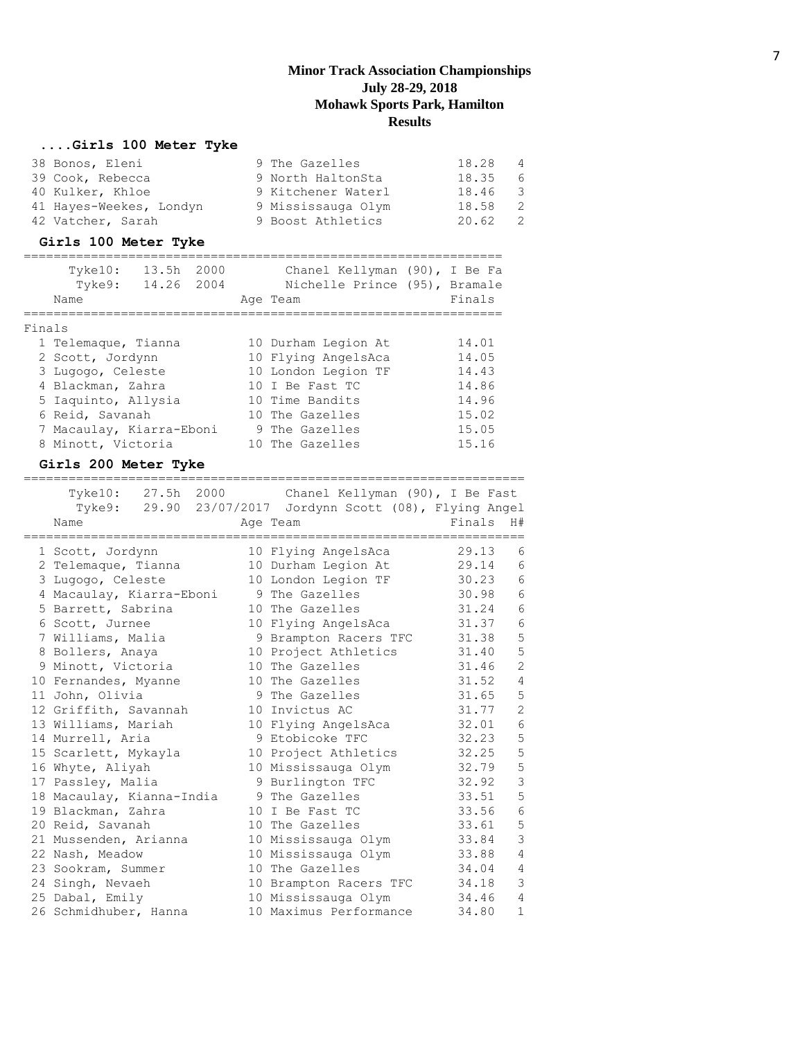# **....Girls 100 Meter Tyke**

| 38 Bonos, Eleni         | 9 The Gazelles     | 18.28 4 |                |
|-------------------------|--------------------|---------|----------------|
| 39 Cook, Rebecca        | 9 North HaltonSta  | 18.35 6 |                |
| 40 Kulker, Khloe        | 9 Kitchener Waterl | 18.46 3 |                |
| 41 Hayes-Weekes, Londyn | 9 Mississauga Olym | 18.58   | $\overline{2}$ |
| 42 Vatcher, Sarah       | 9 Boost Athletics  | 20.62   | 2              |

# **Girls 100 Meter Tyke**

|        | Tyke10:<br>13.5h<br>Tyke9:<br>14.26 2004<br>Name | 2000 | Chanel Kellyman (90), I Be Fa<br>Nichelle Prince (95), Bramale<br>Age Team | Finals |
|--------|--------------------------------------------------|------|----------------------------------------------------------------------------|--------|
| Finals |                                                  |      |                                                                            |        |
|        | 1 Telemaque, Tianna                              |      | 10 Durham Legion At                                                        | 14.01  |
|        | 2 Scott, Jordynn                                 |      | 10 Flying AngelsAca                                                        | 14.05  |
|        | 3 Lugogo, Celeste                                |      | 10 London Legion TF                                                        | 14.43  |
|        | 4 Blackman, Zahra                                |      | 10 I Be Fast TC                                                            | 14.86  |
|        | 5 Iaquinto, Allysia                              |      | 10 Time Bandits                                                            | 14.96  |
|        | 6 Reid, Savanah                                  |      | 10 The Gazelles                                                            | 15.02  |
|        | 7 Macaulay, Kiarra-Eboni                         |      | 9 The Gazelles                                                             | 15.05  |
|        | 8 Minott, Victoria                               |      | 10 The Gazelles                                                            | 15.16  |
|        |                                                  |      |                                                                            |        |

# **Girls 200 Meter Tyke**

|                           |    | Tyke10: 27.5h 2000 Chanel Kellyman (90), I Be Fast       |        |                |
|---------------------------|----|----------------------------------------------------------|--------|----------------|
|                           |    | Tyke9: 29.90 23/07/2017 Jordynn Scott (08), Flying Angel |        |                |
| Name                      |    | Age Team                                                 | Finals | H#             |
| 1 Scott, Jordynn          |    | 10 Flying AngelsAca                                      | 29.13  | 6              |
| 2 Telemaque, Tianna       |    | 10 Durham Legion At                                      | 29.14  | 6              |
| 3 Lugogo, Celeste         |    | 10 London Legion TF                                      | 30.23  | 6              |
| 4 Macaulay, Kiarra-Eboni  |    | 9 The Gazelles                                           | 30.98  | 6              |
| 5 Barrett, Sabrina        |    | 10 The Gazelles                                          | 31.24  | $\epsilon$     |
| 6 Scott, Jurnee           |    | 10 Flying AngelsAca                                      | 31.37  | 6              |
| 7 Williams, Malia         |    | 9 Brampton Racers TFC                                    | 31.38  | 5              |
| 8 Bollers, Anaya          |    | 10 Project Athletics                                     | 31.40  | 5              |
| 9 Minott, Victoria        |    | 10 The Gazelles                                          | 31.46  | $\overline{2}$ |
| 10 Fernandes, Myanne      |    | 10 The Gazelles                                          | 31.52  | 4              |
| 11 John, Olivia           |    | 9 The Gazelles                                           | 31.65  | 5              |
| 12 Griffith, Savannah     |    | 10 Invictus AC                                           | 31.77  | $\overline{2}$ |
| 13 Williams, Mariah       |    | 10 Flying AngelsAca                                      | 32.01  | 6              |
| 14 Murrell, Aria          |    | 9 Etobicoke TFC                                          | 32.23  | 5              |
| 15 Scarlett, Mykayla      |    | 10 Project Athletics                                     | 32.25  | 5              |
| 16 Whyte, Aliyah          |    | 10 Mississauga Olym                                      | 32.79  | 5              |
| 17 Passley, Malia         |    | 9 Burlington TFC                                         | 32.92  | $\overline{3}$ |
| 18 Macaulay, Kianna-India |    | 9 The Gazelles                                           | 33.51  | 5              |
| 19 Blackman, Zahra        | 10 | I Be Fast TC                                             | 33.56  | 6              |
| 20 Reid, Savanah          |    | 10 The Gazelles                                          | 33.61  | 5              |
| 21 Mussenden, Arianna     |    | 10 Mississauga Olym                                      | 33.84  | 3              |
| 22 Nash, Meadow           |    | 10 Mississauga Olym                                      | 33.88  | 4              |
| 23 Sookram, Summer        |    | 10 The Gazelles                                          | 34.04  | 4              |
| 24 Singh, Nevaeh          |    | 10 Brampton Racers TFC                                   | 34.18  | 3              |
| 25 Dabal, Emily           |    | 10 Mississauga Olym                                      | 34.46  | $\overline{4}$ |
| 26 Schmidhuber, Hanna     |    | 10 Maximus Performance                                   | 34.80  | $\mathbf{1}$   |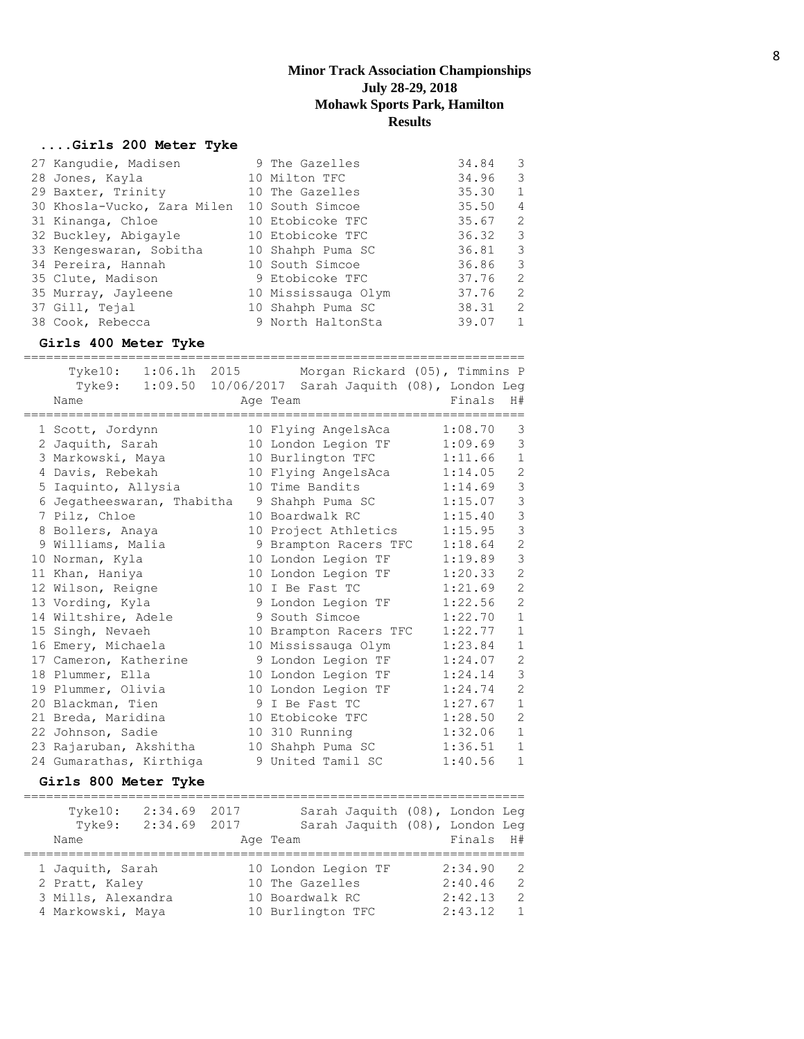#### **....Girls 200 Meter Tyke**

| 27 Kanqudie, Madisen                        | 9 The Gazelles      | 34.84 | 3 |
|---------------------------------------------|---------------------|-------|---|
| 28 Jones, Kayla                             | 10 Milton TFC       | 34.96 | 3 |
| 29 Baxter, Trinity                          | 10 The Gazelles     | 35.30 | 1 |
| 30 Khosla-Vucko, Zara Milen 10 South Simcoe |                     | 35.50 | 4 |
| 31 Kinanga, Chloe                           | 10 Etobicoke TFC    | 35.67 | 2 |
| 32 Buckley, Abigayle                        | 10 Etobicoke TFC    | 36.32 | 3 |
| 33 Kengeswaran, Sobitha                     | 10 Shahph Puma SC   | 36.81 | 3 |
| 34 Pereira, Hannah                          | 10 South Simcoe     | 36.86 | 3 |
| 35 Clute, Madison                           | 9 Etobicoke TFC     | 37.76 | 2 |
| 35 Murray, Jayleene                         | 10 Mississauga Olym | 37.76 | 2 |
| 37 Gill, Tejal                              | 10 Shahph Puma SC   | 38.31 | 2 |
| 38 Cook, Rebecca                            | 9 North HaltonSta   | 39.07 | 1 |

#### **Girls 400 Meter Tyke**

|                            |                 | Tyke10: 1:06.1h 2015 Morgan Rickard (05), Timmins P |         |                |
|----------------------------|-----------------|-----------------------------------------------------|---------|----------------|
| Tyke9: 1:09.50             |                 | 10/06/2017 Sarah Jaquith (08), London Leg           |         |                |
| Name                       |                 | Age Team                                            | Finals  | H#             |
| 1 Scott, Jordynn           |                 | 10 Flying AngelsAca                                 | 1:08.70 | 3              |
| 2 Jaquith, Sarah           |                 | 10 London Legion TF                                 | 1:09.69 | 3              |
| 3 Markowski, Maya          |                 | 10 Burlington TFC                                   | 1:11.66 | $\mathbf{1}$   |
| 4 Davis, Rebekah           |                 | 10 Flying AngelsAca                                 | 1:14.05 | $\overline{2}$ |
| 5 Iaquinto, Allysia        |                 | 10 Time Bandits                                     | 1:14.69 | 3              |
| 6 Jegatheeswaran, Thabitha |                 | 9 Shahph Puma SC                                    | 1:15.07 | 3              |
| 7 Pilz, Chloe              |                 | 10 Boardwalk RC                                     | 1:15.40 | 3              |
| 8 Bollers, Anaya           |                 | 10 Project Athletics                                | 1:15.95 | 3              |
| 9 Williams, Malia          |                 | 9 Brampton Racers TFC                               | 1:18.64 | $\overline{2}$ |
| 10 Norman, Kyla            |                 | 10 London Legion TF                                 | 1:19.89 | 3              |
| 11 Khan, Haniya            |                 | 10 London Legion TF                                 | 1:20.33 | $\overline{c}$ |
| 12 Wilson, Reigne          | 10 <sup>°</sup> | I Be Fast TC                                        | 1:21.69 | $\overline{2}$ |
| 13 Vording, Kyla           |                 | 9 London Legion TF                                  | 1:22.56 | $\overline{2}$ |
| 14 Wiltshire, Adele        |                 | 9 South Simcoe                                      | 1:22.70 | $\mathbf{1}$   |
| 15 Singh, Nevaeh           |                 | 10 Brampton Racers TFC                              | 1:22.77 | $\mathbf{1}$   |
| 16 Emery, Michaela         |                 | 10 Mississauga Olym                                 | 1:23.84 | $\mathbf{1}$   |
| 17 Cameron, Katherine      |                 | 9 London Legion TF                                  | 1:24.07 | $\overline{c}$ |
| 18 Plummer, Ella           |                 | 10 London Legion TF                                 | 1:24.14 | $\mathcal{S}$  |
| 19 Plummer, Olivia         |                 | 10 London Legion TF                                 | 1:24.74 | $\overline{2}$ |
| 20 Blackman, Tien          |                 | 9 I Be Fast TC                                      | 1:27.67 | $\mathbf{1}$   |
| 21 Breda, Maridina         |                 | 10 Etobicoke TFC                                    | 1:28.50 | $\overline{2}$ |
| 22 Johnson, Sadie          |                 | 10 310 Running                                      | 1:32.06 | $\mathbf{1}$   |
| 23 Rajaruban, Akshitha     |                 | 10 Shahph Puma SC                                   | 1:36.51 | $\mathbf{1}$   |
| 24 Gumarathas, Kirthiga    |                 | 9 United Tamil SC                                   | 1:40.56 | $\mathbf{1}$   |

#### **Girls 800 Meter Tyke**

=================================================================== Tyke10: 2:34.69 2017 Sarah Jaquith (08), London Leg Tyke9: 2:34.69 2017 Sarah Jaquith (08), London Leg Name **Age Team** Age Team Finals H# =================================================================== 1 Jaquith, Sarah 10 London Legion TF 2:34.90 2 2 Pratt, Kaley 10 The Gazelles 2:40.46 2 3 Mills, Alexandra 10 Boardwalk RC 2:42.13 2 4 Markowski, Maya 10 Burlington TFC 2:43.12 1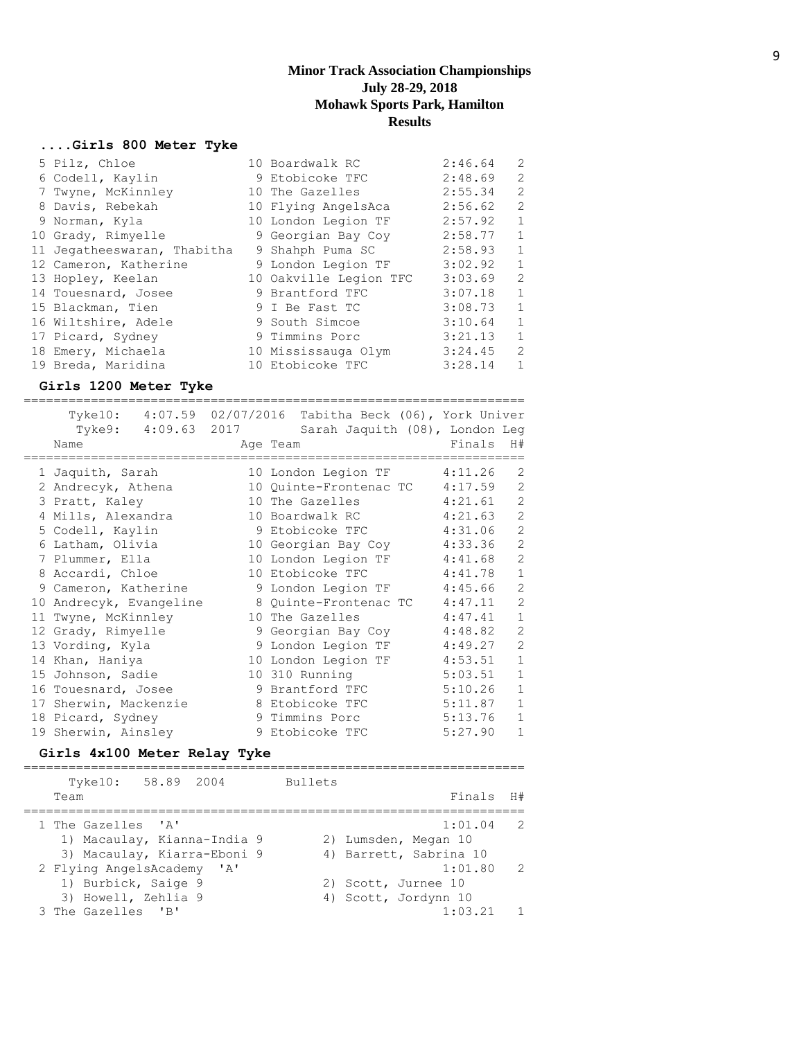#### **....Girls 800 Meter Tyke**

| 5 Pilz, Chloe               | 10 Boardwalk RC        | 2:46.64 | 2            |
|-----------------------------|------------------------|---------|--------------|
| 6 Codell, Kaylin            | 9 Etobicoke TFC        | 2:48.69 | 2            |
| 7 Twyne, McKinnley          | 10 The Gazelles        | 2:55.34 | 2            |
| 8 Davis, Rebekah            | 10 Flying AngelsAca    | 2:56.62 | 2            |
| 9 Norman, Kyla              | 10 London Legion TF    | 2:57.92 | $\mathbf{1}$ |
| 10 Grady, Rimyelle          | 9 Georgian Bay Coy     | 2:58.77 | 1            |
| 11 Jegatheeswaran, Thabitha | 9 Shahph Puma SC       | 2:58.93 | 1            |
| 12 Cameron, Katherine       | 9 London Legion TF     | 3:02.92 | 1            |
| 13 Hopley, Keelan           | 10 Oakville Legion TFC | 3:03.69 | 2            |
| 14 Touesnard, Josee         | 9 Brantford TFC        | 3:07.18 | $\mathbf{1}$ |
| 15 Blackman, Tien           | 9 I Be Fast TC         | 3:08.73 | $\mathbf{1}$ |
| 16 Wiltshire, Adele         | 9 South Simcoe         | 3:10.64 | $\mathbf{1}$ |
| 17 Picard, Sydney           | 9 Timmins Porc         | 3:21.13 | $\mathbf{1}$ |
| 18 Emery, Michaela          | 10 Mississauga Olym    | 3:24.45 | 2            |
| 19 Breda, Maridina          | 10 Etobicoke TFC       | 3:28.14 | $\mathbf{1}$ |

#### **Girls 1200 Meter Tyke**

=================================================================== Tyke10: 4:07.59 02/07/2016 Tabitha Beck (06), York Univer Tyke9: 4:09.63 2017 Sarah Jaquith (08), London Leg Name **Age Team** Age Team Finals H# =================================================================== 1 Jaquith, Sarah 10 London Legion TF 4:11.26 2 2 Andrecyk, Athena 10 Quinte-Frontenac TC 4:17.59 2 3 Pratt, Kaley 10 The Gazelles 4:21.61 2 4 Mills, Alexandra 10 Boardwalk RC 4:21.63 2 5 Codell, Kaylin 9 Etobicoke TFC 4:31.06 2 6 Latham, Olivia 10 Georgian Bay Coy 4:33.36 2 7 Plummer, Ella 10 London Legion TF 4:41.68 2 8 Accardi, Chloe 10 Etobicoke TFC 4:41.78 1 9 Cameron, Katherine 9 London Legion TF 4:45.66 2 10 Andrecyk, Evangeline 8 Quinte-Frontenac TC 4:47.11 2 11 Twyne, McKinnley 10 The Gazelles 4:47.41 1 12 Grady, Rimyelle 9 Georgian Bay Coy 4:48.82 2 13 Vording, Kyla 9 London Legion TF 4:49.27 2 14 Khan, Haniya 10 London Legion TF 4:53.51 1 15 Johnson, Sadie 10 310 Running 5:03.51 1 16 Touesnard, Josee 5:10.26 1 17 Sherwin, Mackenzie 8 Etobicoke TFC 5:11.87 1 18 Picard, Sydney 9 Timmins Porc 5:13.76 1 19 Sherwin, Ainsley 3 Brobicoke TFC 5:27.90 1

#### **Girls 4x100 Meter Relay Tyke**

=================================================================== Tyke10: 58.89 2004 Bullets Team Finals H# =================================================================== 1 The Gazelles 'A' 1:01.04 2 1) Macaulay, Kianna-India 9 320 29 Lumsden, Megan 3) Macaulay, Kiarra-Eboni 9 (4) Barrett, Sabrina 10 2 Flying AngelsAcademy 'A' 1:01.80 2 1) Burbick, Saige 9 2) Scott, Jurnee 10 3) Howell, Zehlia 9 4) Scott, Jordynn 10 3 The Gazelles 'B' 1:03.21 1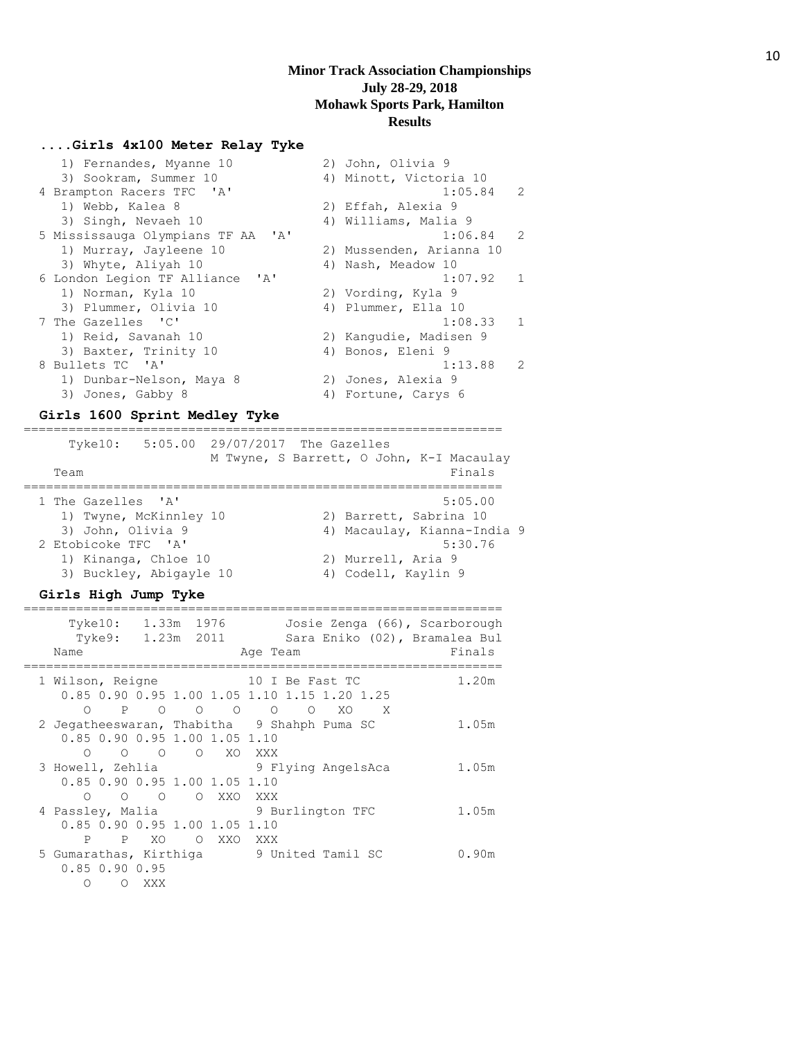================================================================

#### **....Girls 4x100 Meter Relay Tyke**

| 1) Fernandes, Myanne 10                                               | 2) John, Olivia 9        |                |
|-----------------------------------------------------------------------|--------------------------|----------------|
| 3) Sookram, Summer 10                                                 | 4) Minott, Victoria 10   |                |
| 4 Brampton Racers TFC 'A'                                             | $1:05.84$ 2              |                |
| 1) Webb, Kalea 8                                                      | 2) Effah, Alexia 9       |                |
| 3) Singh, Nevaeh 10                                                   | 4) Williams, Malia 9     |                |
| 5 Mississauga Olympians TF AA 'A'                                     | 1:06.84                  | 2              |
| 1) Murray, Jayleene 10                                                | 2) Mussenden, Arianna 10 |                |
| 3) Whyte, Aliyah 10                                                   | 4) Nash, Meadow 10       |                |
| 6 London Legion TF Alliance<br>$\mathsf{I}$ $\mathsf{A}$ $\mathsf{I}$ | 1:07.92                  | $\overline{1}$ |
| 1) Norman, Kyla 10                                                    | 2) Vording, Kyla 9       |                |
| 3) Plummer, Olivia 10                                                 | 4) Plummer, Ella 10      |                |
| 7 The Gazelles 'C'                                                    | 1:08.33                  | 1              |
| 1) Reid, Savanah 10                                                   | 2) Kangudie, Madisen 9   |                |
| 3) Baxter, Trinity 10                                                 | 4) Bonos, Eleni 9        |                |
| 8 Bullets TC 'A'                                                      | 1:13.88                  | $\mathcal{L}$  |
| 1) Dunbar-Nelson, Maya 8                                              | 2) Jones, Alexia 9       |                |
| 3) Jones, Gabby 8                                                     | 4) Fortune, Carys 6      |                |
|                                                                       |                          |                |

#### **Girls 1600 Sprint Medley Tyke**

================================================================ Tyke10: 5:05.00 29/07/2017 The Gazelles M Twyne, S Barrett, O John, K-I Macaulay Team Finals ================================================================ 1 The Gazelles 'A' 5:05.00 1) Twyne, McKinnley 10 2) Barrett, Sabrina 10 3) John, Olivia 9 4) Macaulay, Kianna-India 9 2 Etobicoke TFC 'A' 5:30.76 1) Kinanga, Chloe 10 2) Murrell, Aria 9 3) Buckley, Abigayle 10 4) Codell, Kaylin 9

#### **Girls High Jump Tyke**

| Tyke10:<br>Tyke9:<br>Name                                   | 1.33m 1976              |                | Josie Zenga (66), Scarborough<br>Sara Eniko (02), Bramalea Bul<br>Age Team          | Finals |
|-------------------------------------------------------------|-------------------------|----------------|-------------------------------------------------------------------------------------|--------|
| 1 Wilson, Reigne                                            |                         |                | 10 I Be Fast TC<br>0.85 0.90 0.95 1.00 1.05 1.10 1.15 1.20 1.25                     | 1.20m  |
| ∩<br>0.85 0.90 0.95 1.00 1.05 1.10                          | P 0 0 0                 |                | $\overline{O}$<br>$\circ$<br>XO<br>X<br>2 Jegatheeswaran, Thabitha 9 Shahph Puma SC | 1.05m  |
| ∩<br>0.85 0.90 0.95 1.00 1.05 1.10                          | $\circ$ $\circ$         | O XO XXX       | 3 Howell, Zehlia and 9 Flying AngelsAca                                             | 1.05m  |
| ∩<br>4 Passley, Malia<br>0.85 0.90 0.95 1.00 1.05 1.10<br>P | $\circ$ $\circ$<br>P XO | O XXO<br>O XXO | XXX<br>9 Burlington TFC<br>XXX                                                      | 1.05m  |
| $0.85$ $0.90$ $0.95$<br>∩<br>$\circ$                        | XXX                     |                | 5 Gumarathas, Kirthiqa (5) 9 United Tamil SC                                        | 0.90m  |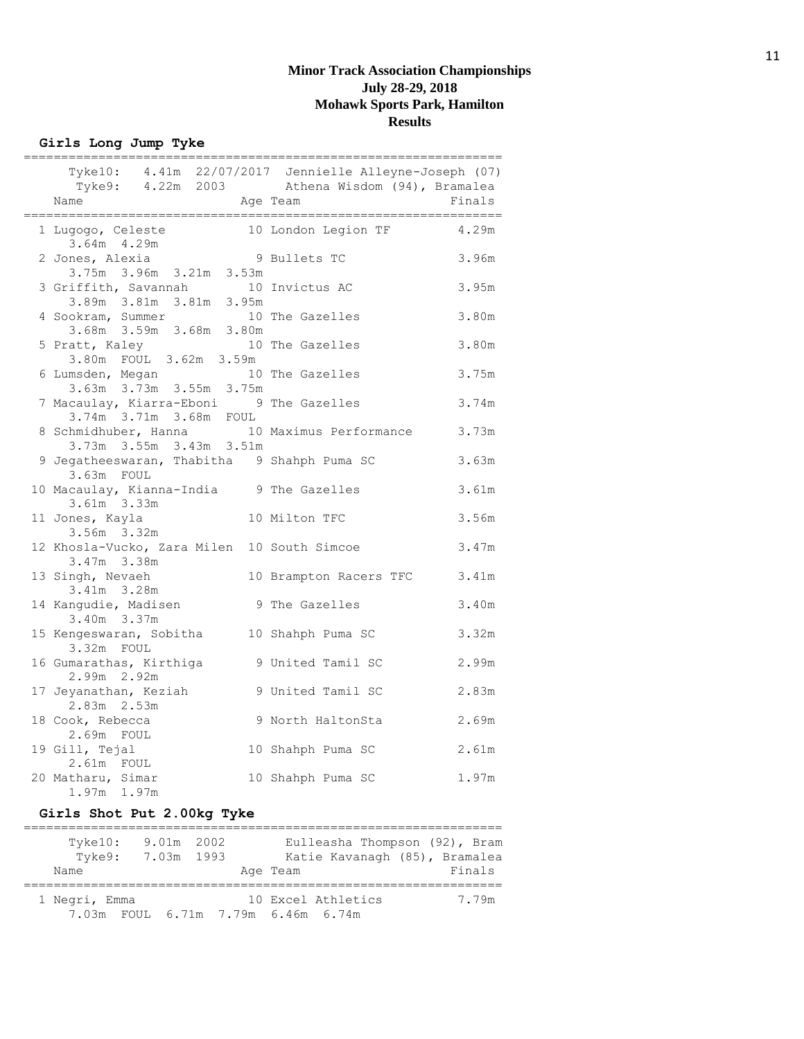**Girls Long Jump Tyke**

| ;============                                                                                            | æææ                    |        |
|----------------------------------------------------------------------------------------------------------|------------------------|--------|
| Tyke10: 4.41m 22/07/2017 Jennielle Alleyne-Joseph (07)<br>Tyke9: 4.22m 2003 Athena Wisdom (94), Bramalea |                        |        |
| Name                                                                                                     | Age Team               | Finals |
| 1 Lugogo, Celeste<br>$3.64m$ 4.29m                                                                       | 10 London Legion TF    | 4.29m  |
| nes, Alexia 9<br>3.75m 3.96m 3.21m 3.53m<br>2 Jones, Alexia                                              | 9 Bullets TC           | 3.96m  |
| 3 Griffith, Savannah<br>3.89m 3.81m 3.81m 3.95m                                                          | 10 Invictus AC         | 3.95m  |
| 4 Sookram, Summer<br>3.68m 3.59m 3.68m 3.80m                                                             | 10 The Gazelles        | 3.80m  |
| 5 Pratt, Kaley<br>3.80m FOUL 3.62m 3.59m                                                                 | 10 The Gazelles        | 3.80m  |
| 6 Lumsden, Megan<br>3.63m 3.73m 3.55m 3.75m                                                              | 10 The Gazelles        | 3.75m  |
| 7 Macaulay, Kiarra-Eboni 9 The Gazelles<br>3.74m 3.71m 3.68m FOUL                                        |                        | 3.74m  |
| 8 Schmidhuber, Hanna 10 Maximus Performance<br>3.73m 3.55m 3.43m 3.51m                                   |                        | 3.73m  |
| 9 Jegatheeswaran, Thabitha 9 Shahph Puma SC<br>3.63m FOUL                                                |                        | 3.63m  |
| 10 Macaulay, Kianna-India 9 The Gazelles<br>3.61m 3.33m                                                  |                        | 3.61m  |
| 11 Jones, Kayla<br>3.56m 3.32m                                                                           | 10 Milton TFC          | 3.56m  |
| 12 Khosla-Vucko, Zara Milen 10 South Simcoe<br>3.47m 3.38m                                               |                        | 3.47m  |
| 13 Singh, Nevaeh<br>3.41m 3.28m                                                                          | 10 Brampton Racers TFC | 3.41m  |
| 14 Kangudie, Madisen<br>3.40m 3.37m                                                                      | 9 The Gazelles         | 3.40m  |
| 15 Kengeswaran, Sobitha 10 Shahph Puma SC<br>3.32m FOUL                                                  |                        | 3.32m  |
| 16 Gumarathas, Kirthiga<br>2.99m 2.92m                                                                   | 9 United Tamil SC      | 2.99m  |
| 17 Jeyanathan, Keziah<br>2.83m 2.53m                                                                     | 9 United Tamil SC      | 2.83m  |
| 18 Cook, Rebecca<br>2.69m FOUL                                                                           | 9 North HaltonSta      | 2.69m  |
| 19 Gill, Tejal<br>2.61m FOUL                                                                             | 10 Shahph Puma SC      | 2.61m  |
| 20 Matharu, Simar<br>1.97m 1.97m                                                                         | 10 Shahph Puma SC      | 1.97m  |

# **Girls Shot Put 2.00kg Tyke**

| $T$ vke $10$ :<br>Tyke9:                            | 9.01m 2002<br>7.03m 1993 |  |                    | Eulleasha Thompson (92), Bram<br>Katie Kavanagh (85), Bramalea |        |
|-----------------------------------------------------|--------------------------|--|--------------------|----------------------------------------------------------------|--------|
| Name                                                |                          |  | Age Team           |                                                                | Finals |
|                                                     |                          |  |                    |                                                                |        |
| 1 Negri, Emma<br>7.03m FOUL 6.71m 7.79m 6.46m 6.74m |                          |  | 10 Excel Athletics |                                                                | 7.79m  |
|                                                     |                          |  |                    |                                                                |        |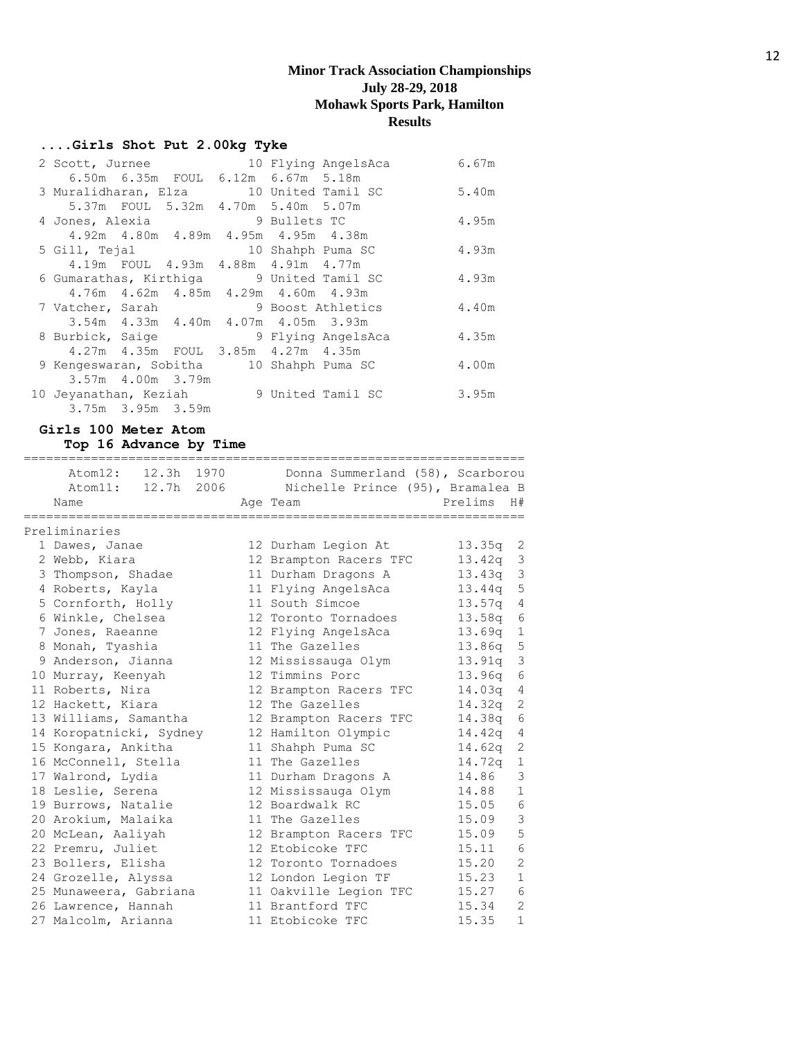#### **....Girls Shot Put 2.00kg Tyke**

|  | 2 Scott, Jurnee  |                         |  | 10 Flying AngelsAca                      | 6.67m |
|--|------------------|-------------------------|--|------------------------------------------|-------|
|  |                  |                         |  | 6.50m 6.35m FOUL 6.12m 6.67m 5.18m       |       |
|  |                  |                         |  | 3 Muralidharan, Elza 10 United Tamil SC  | 5.40m |
|  |                  |                         |  | 5.37m FOUL 5.32m 4.70m 5.40m 5.07m       |       |
|  | 4 Jones, Alexia  |                         |  | 9 Bullets TC                             | 4.95m |
|  |                  |                         |  | 4.92m  4.80m  4.89m  4.95m  4.95m  4.38m |       |
|  |                  |                         |  | 5 Gill, Tejal 10 Shahph Puma SC          | 4.93m |
|  |                  |                         |  | 4.19m FOUL 4.93m 4.88m 4.91m 4.77m       |       |
|  |                  |                         |  | 6 Gumarathas, Kirthiga 9 United Tamil SC | 4.93m |
|  |                  |                         |  | 4.76m  4.62m  4.85m  4.29m  4.60m  4.93m |       |
|  | 7 Vatcher, Sarah |                         |  | 9 Boost Athletics                        | 4.40m |
|  |                  |                         |  | 3.54m 4.33m 4.40m 4.07m 4.05m 3.93m      |       |
|  |                  |                         |  | 8 Burbick, Saige 3 9 Flying AngelsAca    | 4.35m |
|  |                  |                         |  | 4.27m  4.35m  FOUL  3.85m  4.27m  4.35m  |       |
|  |                  |                         |  | 9 Kengeswaran, Sobitha 10 Shahph Puma SC | 4.00m |
|  |                  | 3.57m 4.00m 3.79m       |  |                                          |       |
|  |                  |                         |  | 10 Jeyanathan, Keziah 9 United Tamil SC  | 3.95m |
|  |                  | $3.75m$ $3.95m$ $3.59m$ |  |                                          |       |

#### **Girls 100 Meter Atom**

**Top 16 Advance by Time**

=================================================================== Atom12: 12.3h 1970 Donna Summerland (58), Scarborou Atom11: 12.7h 2006 Nichelle Prince (95), Bramalea B Name **Age Team Prelims** H# =================================================================== Preliminaries 1 Dawes, Janae 12 Durham Legion At 13.35q 2 2 Webb, Kiara 12 Brampton Racers TFC 13.42q 3 3 Thompson, Shadae 11 Durham Dragons A 13.43q 3 4 Roberts, Kayla 11 Flying AngelsAca 13.44q 5 5 Cornforth, Holly 11 South Simcoe 13.57q 4 6 Winkle, Chelsea 12 Toronto Tornadoes 13.58q 6 7 Jones, Raeanne 12 Flying AngelsAca 13.69q 1 8 Monah, Tyashia 11 The Gazelles 13.86q 5 9 Anderson, Jianna 12 Mississauga Olym 13.91q 3 10 Murray, Keenyah 12 Timmins Porc 13.96q 6 11 Roberts, Nira 12 Brampton Racers TFC 14.03q 4 12 Hackett, Kiara 12 The Gazelles 14.32q 2 13 Williams, Samantha 12 Brampton Racers TFC 14.38q 6 14 Koropatnicki, Sydney 12 Hamilton Olympic 14.42q 4 15 Kongara, Ankitha 11 Shahph Puma SC 14.62q 2 16 McConnell, Stella 11 The Gazelles 14.72q 1 17 Walrond, Lydia 11 Durham Dragons A 14.86 3 18 Leslie, Serena 12 Mississauga Olym 14.88 1 19 Burrows, Natalie 12 Boardwalk RC 15.05 6 20 Arokium, Malaika 11 The Gazelles 15.09 3 20 McLean, Aaliyah 12 Brampton Racers TFC 15.09 5 22 Premru, Juliet 12 Etobicoke TFC 15.11 6 23 Bollers, Elisha 12 Toronto Tornadoes 15.20 2 24 Grozelle, Alyssa 12 London Legion TF 15.23 1 25 Munaweera, Gabriana 11 Oakville Legion TFC 15.27 6 26 Lawrence, Hannah 11 Brantford TFC 15.34 2 27 Malcolm, Arianna 11 Etobicoke TFC 15.35 1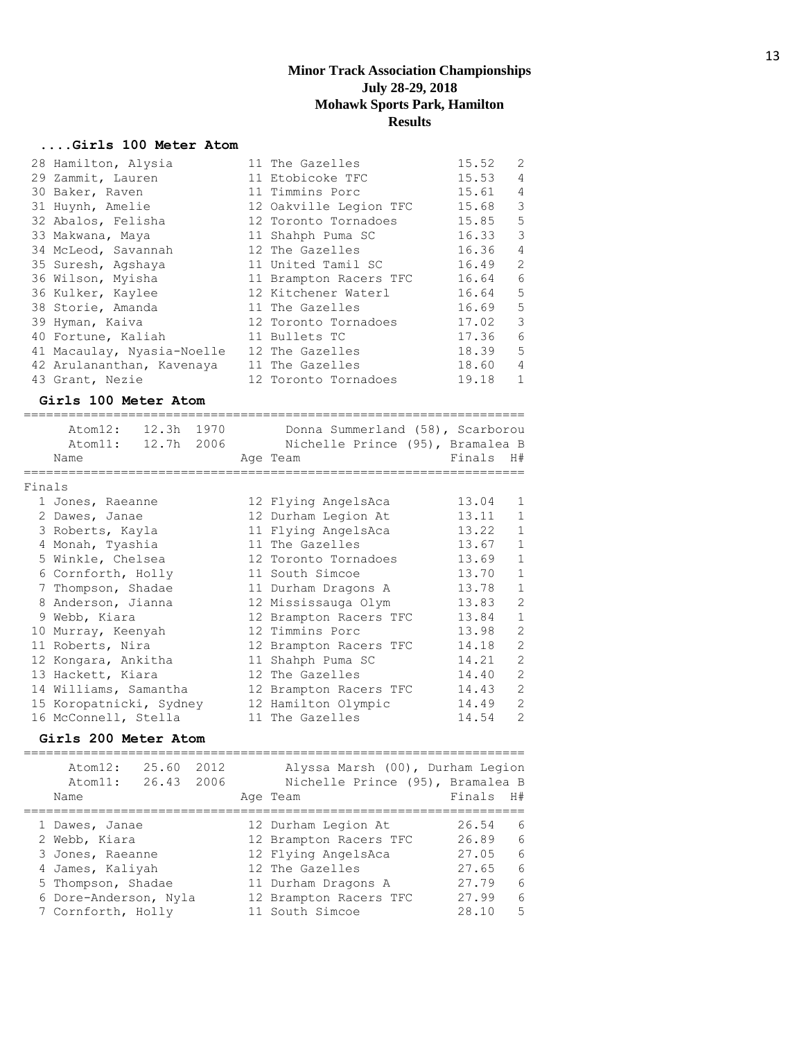## **....Girls 100 Meter Atom**

| 28 Hamilton, Alysia        | 11 The Gazelles        | 15.52 | 2                        |
|----------------------------|------------------------|-------|--------------------------|
| 29 Zammit, Lauren          | 11 Etobicoke TFC       | 15.53 | $\overline{4}$           |
| 30 Baker, Raven            | 11 Timmins Porc        | 15.61 | $\overline{4}$           |
| 31 Huynh, Amelie           | 12 Oakville Legion TFC | 15.68 | $\overline{\phantom{a}}$ |
| 32 Abalos, Felisha         | 12 Toronto Tornadoes   | 15.85 | 5                        |
| 33 Makwana, Maya           | 11 Shahph Puma SC      | 16.33 | $\overline{\mathbf{3}}$  |
| 34 McLeod, Savannah        | 12 The Gazelles        | 16.36 | $\overline{4}$           |
| 35 Suresh, Agshaya         | 11 United Tamil SC     | 16.49 | $\overline{2}$           |
| 36 Wilson, Myisha          | 11 Brampton Racers TFC | 16.64 | 6                        |
| 36 Kulker, Kaylee          | 12 Kitchener Waterl    | 16.64 | $-5$                     |
| 38 Storie, Amanda          | 11 The Gazelles        | 16.69 | $5^{\circ}$              |
| 39 Hyman, Kaiva            | 12 Toronto Tornadoes   | 17.02 | 3                        |
| 40 Fortune, Kaliah         | 11 Bullets TC          | 17.36 | - 6                      |
| 41 Macaulay, Nyasia-Noelle | 12 The Gazelles        | 18.39 | $-5$                     |
| 42 Arulananthan, Kavenaya  | 11 The Gazelles        | 18.60 | $\overline{4}$           |
| 43 Grant, Nezie            | 12 Toronto Tornadoes   | 19.18 | 1                        |

## **Girls 100 Meter Atom**

|        | Atom12:<br>Atom11: 12.7h 2006<br>Name | 12.3h 1970 |  | Donna Summerland (58), Scarborou<br>Nichelle Prince (95), Bramalea B<br>Age Team | Finals H# |                |
|--------|---------------------------------------|------------|--|----------------------------------------------------------------------------------|-----------|----------------|
| Finals |                                       |            |  |                                                                                  |           |                |
|        | 1 Jones, Raeanne                      |            |  | 12 Flying AngelsAca                                                              | 13.04     | 1              |
|        | 2 Dawes, Janae                        |            |  | 12 Durham Legion At                                                              | 13.11     | $\mathbf{1}$   |
|        | 3 Roberts, Kayla                      |            |  | 11 Flying AngelsAca                                                              | 13.22     | $\mathbf{1}$   |
|        | 4 Monah, Tyashia                      |            |  | 11 The Gazelles                                                                  | 13.67     | $\mathbf{1}$   |
|        | 5 Winkle, Chelsea                     |            |  | 12 Toronto Tornadoes                                                             | 13.69     | $\mathbf{1}$   |
|        | 6 Cornforth, Holly                    |            |  | 11 South Simcoe                                                                  | 13.70     | $\mathbf{1}$   |
|        | 7 Thompson, Shadae                    |            |  | 11 Durham Dragons A                                                              | 13.78     | $\mathbf{1}$   |
|        | 8 Anderson, Jianna                    |            |  | 12 Mississauga Olym                                                              | 13.83     | $\overline{2}$ |
|        | 9 Webb, Kiara                         |            |  | 12 Brampton Racers TFC                                                           | 13.84     | $\mathbf{1}$   |
|        | 10 Murray, Keenyah                    |            |  | 12 Timmins Porc                                                                  | 13.98     | $\overline{2}$ |
|        | 11 Roberts, Nira                      |            |  | 12 Brampton Racers TFC                                                           | 14.18     | $\overline{2}$ |
|        | 12 Kongara, Ankitha                   |            |  | 11 Shahph Puma SC                                                                | 14.21     | $\overline{c}$ |
|        | 13 Hackett, Kiara                     |            |  | 12 The Gazelles                                                                  | 14.40     | $\overline{2}$ |
|        | 14 Williams, Samantha                 |            |  | 12 Brampton Racers TFC                                                           | 14.43     | $\overline{2}$ |
|        | 15 Koropatnicki, Sydney               |            |  | 12 Hamilton Olympic                                                              | 14.49     | $\overline{2}$ |
|        | 16 McConnell, Stella                  |            |  | 11 The Gazelles                                                                  | 14.54     | $\overline{2}$ |

## **Girls 200 Meter Atom**

| 25.60<br>Atom12:<br>Atom11:<br>Name                                                                                    | 2012<br>26.43 2006 | Alyssa Marsh (00), Durham Legion<br>Nichelle Prince (95), Bramalea B<br>Age Team                                                         | Finals                                             | H#                         |
|------------------------------------------------------------------------------------------------------------------------|--------------------|------------------------------------------------------------------------------------------------------------------------------------------|----------------------------------------------------|----------------------------|
| 1 Dawes, Janae<br>2 Webb, Kiara<br>3 Jones, Raeanne<br>4 James, Kaliyah<br>5 Thompson, Shadae<br>6 Dore-Anderson, Nyla |                    | 12 Durham Legion At<br>12 Brampton Racers TFC<br>12 Flying AngelsAca<br>12 The Gazelles<br>11 Durham Dragons A<br>12 Brampton Racers TFC | 26.54<br>26.89<br>27.05<br>27.65<br>27.79<br>27.99 | 6<br>6<br>6<br>6<br>6<br>6 |
| 7 Cornforth, Holly                                                                                                     |                    | 11 South Simcoe                                                                                                                          | 28.10                                              | 5                          |
|                                                                                                                        |                    |                                                                                                                                          |                                                    |                            |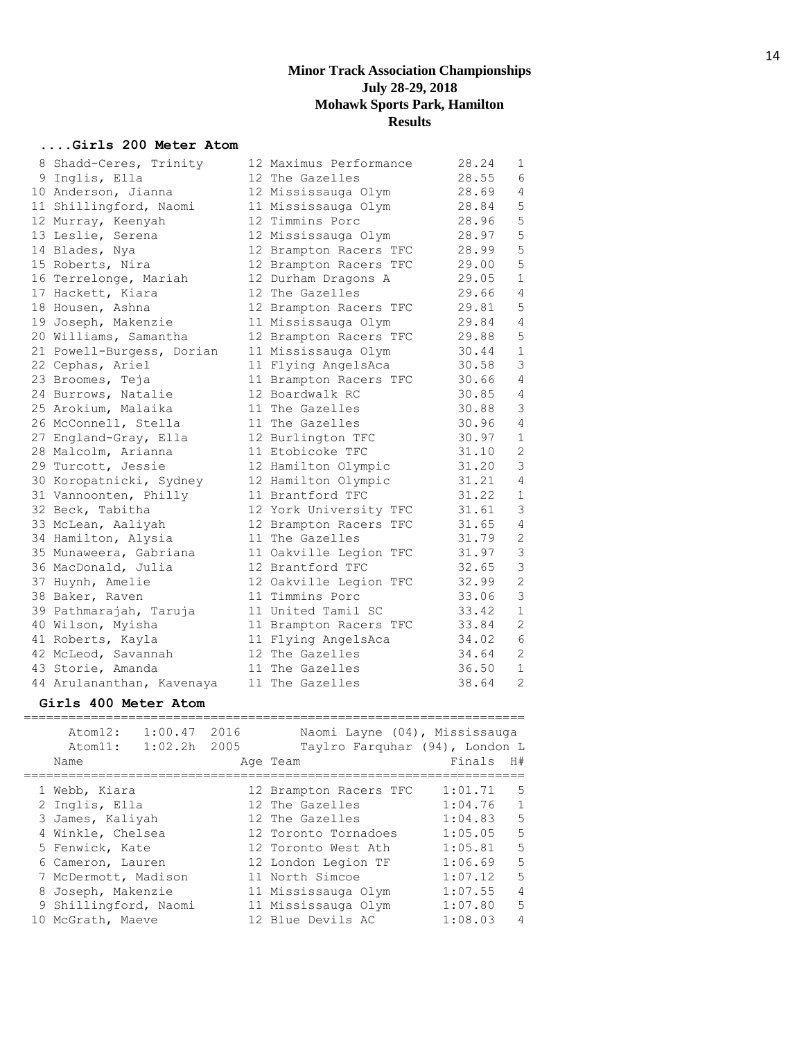## **....Girls 200 Meter Atom**

| 8 Shadd-Ceres, Trinity    | 12 Maximus Performance | 28.24 | 1              |
|---------------------------|------------------------|-------|----------------|
| 9 Inglis, Ella            | 12 The Gazelles        | 28.55 | 6              |
| 10 Anderson, Jianna       | 12 Mississauga Olym    | 28.69 | $\overline{4}$ |
| 11 Shillingford, Naomi    | 11 Mississauga Olym    | 28.84 | 5              |
| 12 Murray, Keenyah        | 12 Timmins Porc        | 28.96 | 5              |
| 13 Leslie, Serena         | 12 Mississauga Olym    | 28.97 | 5              |
| 14 Blades, Nya            | 12 Brampton Racers TFC | 28.99 | 5              |
| 15 Roberts, Nira          | 12 Brampton Racers TFC | 29.00 | 5              |
| 16 Terrelonge, Mariah     | 12 Durham Dragons A    | 29.05 | $1\,$          |
| 17 Hackett, Kiara         | 12 The Gazelles        | 29.66 | $\overline{4}$ |
| 18 Housen, Ashna          | 12 Brampton Racers TFC | 29.81 | 5              |
| 19 Joseph, Makenzie       | 11 Mississauga Olym    | 29.84 | $\overline{4}$ |
| 20 Williams, Samantha     | 12 Brampton Racers TFC | 29.88 | 5              |
| 21 Powell-Burgess, Dorian | 11 Mississauga Olym    | 30.44 | $\mathbf 1$    |
| 22 Cephas, Ariel          | 11 Flying AngelsAca    | 30.58 | 3              |
| 23 Broomes, Teja          | 11 Brampton Racers TFC | 30.66 | 4              |
| 24 Burrows, Natalie       | 12 Boardwalk RC        | 30.85 | 4              |
| 25 Arokium, Malaika       | 11 The Gazelles        | 30.88 | 3              |
| 26 McConnell, Stella      | 11 The Gazelles        | 30.96 | $\overline{4}$ |
| 27 England-Gray, Ella     | 12 Burlington TFC      | 30.97 | $\mathbf 1$    |
| 28 Malcolm, Arianna       | 11 Etobicoke TFC       | 31.10 | 2              |
| 29 Turcott, Jessie        | 12 Hamilton Olympic    | 31.20 | $\mathsf 3$    |
| 30 Koropatnicki, Sydney   | 12 Hamilton Olympic    | 31.21 | 4              |
| 31 Vannoonten, Philly     | 11 Brantford TFC       | 31.22 | $\mathbf 1$    |
| 32 Beck, Tabitha          | 12 York University TFC | 31.61 | $\mathsf 3$    |
| 33 McLean, Aaliyah        | 12 Brampton Racers TFC | 31.65 | $\overline{4}$ |
| 34 Hamilton, Alysia       | 11 The Gazelles        | 31.79 | $\sqrt{2}$     |
| 35 Munaweera, Gabriana    | 11 Oakville Legion TFC | 31.97 | $\mathsf 3$    |
| 36 MacDonald, Julia       | 12 Brantford TFC       | 32.65 | $\mathsf 3$    |
| 37 Huynh, Amelie          | 12 Oakville Legion TFC | 32.99 | $\sqrt{2}$     |
| 38 Baker, Raven           | 11 Timmins Porc        | 33.06 | 3              |
| 39 Pathmarajah, Taruja    | 11 United Tamil SC     | 33.42 | $1\,$          |
| 40 Wilson, Myisha         | 11 Brampton Racers TFC | 33.84 | $\sqrt{2}$     |
| 41 Roberts, Kayla         | 11 Flying AngelsAca    | 34.02 | $\epsilon$     |
| 42 McLeod, Savannah       | 12 The Gazelles        | 34.64 | $\mathbf{2}$   |
| 43 Storie, Amanda         | 11 The Gazelles        | 36.50 | $\mathbf 1$    |
| 44 Arulananthan, Kavenaya | 11 The Gazelles        | 38.64 | $\overline{c}$ |

#### **Girls 400 Meter Atom**

| 1:00.47<br>Atom12:<br>1:02.2h<br>Atom11:<br>Name | 2016<br>2005 | Naomi Layne (04), Mississauga<br>Taylro Farquhar (94), London L<br>Age Team | Finals  | H#             |
|--------------------------------------------------|--------------|-----------------------------------------------------------------------------|---------|----------------|
| 1 Webb, Kiara                                    |              | 12 Brampton Racers TFC                                                      | 1:01.71 | 5              |
| 2 Inglis, Ella                                   |              | 12 The Gazelles                                                             | 1:04.76 | $\mathbf 1$    |
| 3 James, Kaliyah                                 |              | 12 The Gazelles                                                             | 1:04.83 | 5              |
| 4 Winkle, Chelsea                                |              | 12 Toronto Tornadoes                                                        | 1:05.05 | 5              |
| 5 Fenwick, Kate                                  |              | 12 Toronto West Ath                                                         | 1:05.81 | 5              |
| 6 Cameron, Lauren                                |              | 12 London Legion TF                                                         | 1:06.69 | 5              |
| 7 McDermott, Madison                             |              | 11 North Simcoe                                                             | 1:07.12 | 5              |
| 8 Joseph, Makenzie                               |              | 11 Mississauga Olym                                                         | 1:07.55 | $\overline{4}$ |
| 9 Shillingford, Naomi                            |              | 11 Mississauga Olym                                                         | 1:07.80 | 5              |
| 10 McGrath, Maeve                                |              | 12 Blue Devils AC                                                           | 1:08.03 | $\overline{4}$ |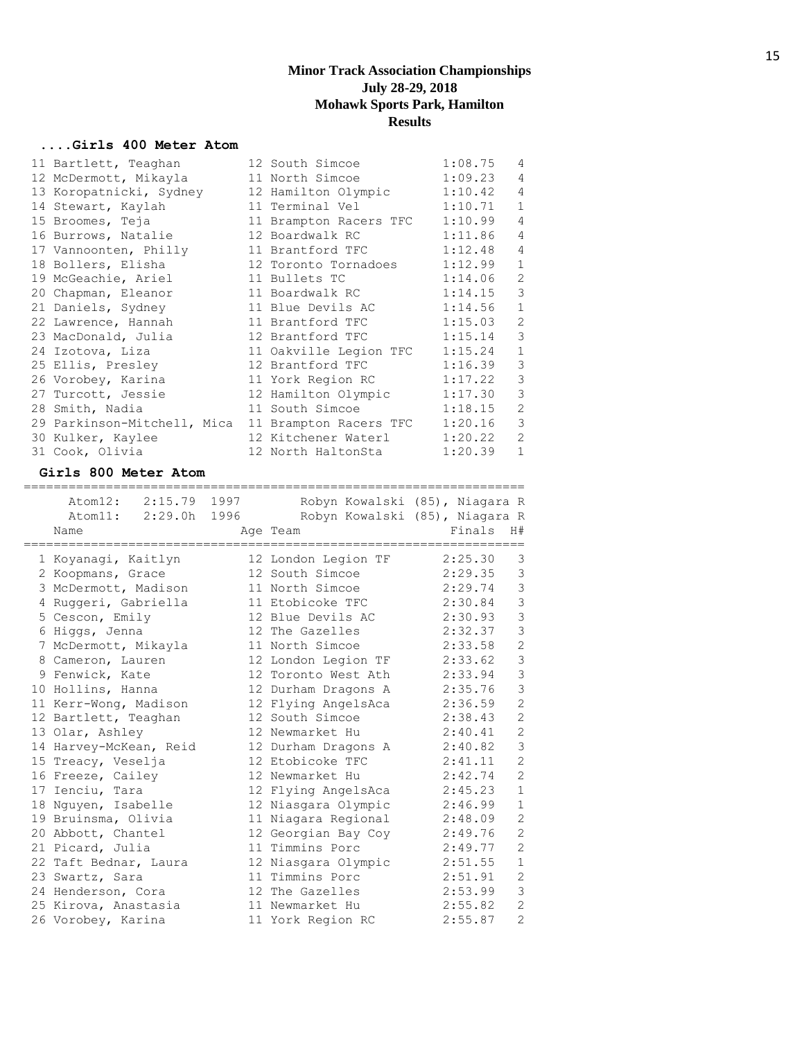## **....Girls 400 Meter Atom**

| 11 Bartlett, Teaghan                               | 12 South Simcoe        | 1:08.75 | 4              |
|----------------------------------------------------|------------------------|---------|----------------|
| 12 McDermott, Mikayla                              | 11 North Simcoe        | 1:09.23 | $\overline{4}$ |
| 13 Koropatnicki, Sydney                            | 12 Hamilton Olympic    | 1:10.42 | $\overline{4}$ |
| 14 Stewart, Kaylah                                 | 11 Terminal Vel        | 1:10.71 | $\mathbf{1}$   |
| 15 Broomes, Teja                                   | 11 Brampton Racers TFC | 1:10.99 | $\overline{4}$ |
| 16 Burrows, Natalie                                | 12 Boardwalk RC        | 1:11.86 | $\overline{4}$ |
| 17 Vannoonten, Philly                              | 11 Brantford TFC       | 1:12.48 | $\overline{4}$ |
| 18 Bollers, Elisha                                 | 12 Toronto Tornadoes   | 1:12.99 | $\mathbf{1}$   |
| 19 McGeachie, Ariel                                | 11 Bullets TC          | 1:14.06 | 2              |
| 20 Chapman, Eleanor                                | 11 Boardwalk RC        | 1:14.15 | 3              |
| 21 Daniels, Sydney                                 | 11 Blue Devils AC      | 1:14.56 | $\mathbf 1$    |
| 22 Lawrence, Hannah                                | 11 Brantford TFC       | 1:15.03 | $\overline{2}$ |
| 23 MacDonald, Julia                                | 12 Brantford TFC       | 1:15.14 | 3              |
| 24 Izotova, Liza                                   | 11 Oakville Legion TFC | 1:15.24 | $\mathbf{1}$   |
| 25 Ellis, Presley                                  | 12 Brantford TFC       | 1:16.39 | 3              |
| 26 Vorobey, Karina                                 | 11 York Region RC      | 1:17.22 | 3              |
| 27 Turcott, Jessie                                 | 12 Hamilton Olympic    | 1:17.30 | 3              |
| 28 Smith, Nadia                                    | 11 South Simcoe        | 1:18.15 | $\overline{2}$ |
| 29 Parkinson-Mitchell, Mica 11 Brampton Racers TFC |                        | 1:20.16 | 3              |
| 30 Kulker, Kaylee                                  | 12 Kitchener Waterl    | 1:20.22 | 2              |
| 31 Cook, Olivia                                    | 12 North HaltonSta     | 1:20.39 | $\mathbf{1}$   |

#### **Girls 800 Meter Atom**

| Atom12: 2:15.79 1997   |                     | Robyn Kowalski (85), Niagara R |  |
|------------------------|---------------------|--------------------------------|--|
| Atom11: 2:29.0h 1996   |                     | Robyn Kowalski (85), Niagara R |  |
| Name                   | Age Team            | Finals<br>H#                   |  |
|                        |                     |                                |  |
| 1 Koyanagi, Kaitlyn    | 12 London Legion TF | 3<br>2:25.30                   |  |
| 2 Koopmans, Grace      | 12 South Simcoe     | 3<br>2:29.35                   |  |
| 3 McDermott, Madison   | 11 North Simcoe     | 3<br>2:29.74                   |  |
| 4 Ruggeri, Gabriella   | 11 Etobicoke TFC    | 3<br>2:30.84                   |  |
| 5 Cescon, Emily        | 12 Blue Devils AC   | 3<br>2:30.93                   |  |
| 6 Higgs, Jenna         | 12 The Gazelles     | 3<br>2:32.37                   |  |
| 7 McDermott, Mikayla   | 11 North Simcoe     | $\mathbf{2}$<br>2:33.58        |  |
| 8 Cameron, Lauren      | 12 London Legion TF | 3<br>2:33.62                   |  |
| 9 Fenwick, Kate        | 12 Toronto West Ath | 3<br>2:33.94                   |  |
| 10 Hollins, Hanna      | 12 Durham Dragons A | 3<br>2:35.76                   |  |
| 11 Kerr-Wong, Madison  | 12 Flying AngelsAca | $\overline{2}$<br>2:36.59      |  |
| 12 Bartlett, Teaghan   | 12 South Simcoe     | $\overline{2}$<br>2:38.43      |  |
| 13 Olar, Ashley        | 12 Newmarket Hu     | $\overline{2}$<br>2:40.41      |  |
| 14 Harvey-McKean, Reid | 12 Durham Dragons A | 3<br>2:40.82                   |  |
| 15 Treacy, Veselja     | 12 Etobicoke TFC    | $\overline{2}$<br>2:41.11      |  |
| 16 Freeze, Cailey      | 12 Newmarket Hu     | $\overline{2}$<br>2:42.74      |  |
| 17 Ienciu, Tara        | 12 Flying AngelsAca | $\mathbf{1}$<br>2:45.23        |  |
| 18 Nguyen, Isabelle    | 12 Niasgara Olympic | $\mathbf{1}$<br>2:46.99        |  |
| 19 Bruinsma, Olivia    | 11 Niagara Regional | $\overline{2}$<br>2:48.09      |  |
| 20 Abbott, Chantel     | 12 Georgian Bay Coy | $\overline{2}$<br>2:49.76      |  |
| 21 Picard, Julia       | 11 Timmins Porc     | $\overline{2}$<br>2:49.77      |  |
| 22 Taft Bednar, Laura  | 12 Niasgara Olympic | $\mathbf{1}$<br>2:51.55        |  |
| 23 Swartz, Sara        | 11 Timmins Porc     | $\overline{2}$<br>2:51.91      |  |
| 24 Henderson, Cora     | 12 The Gazelles     | 3<br>2:53.99                   |  |
| 25 Kirova, Anastasia   | 11 Newmarket Hu     | $\overline{2}$<br>2:55.82      |  |
| 26 Vorobey, Karina     | 11 York Region RC   | $\overline{2}$<br>2:55.87      |  |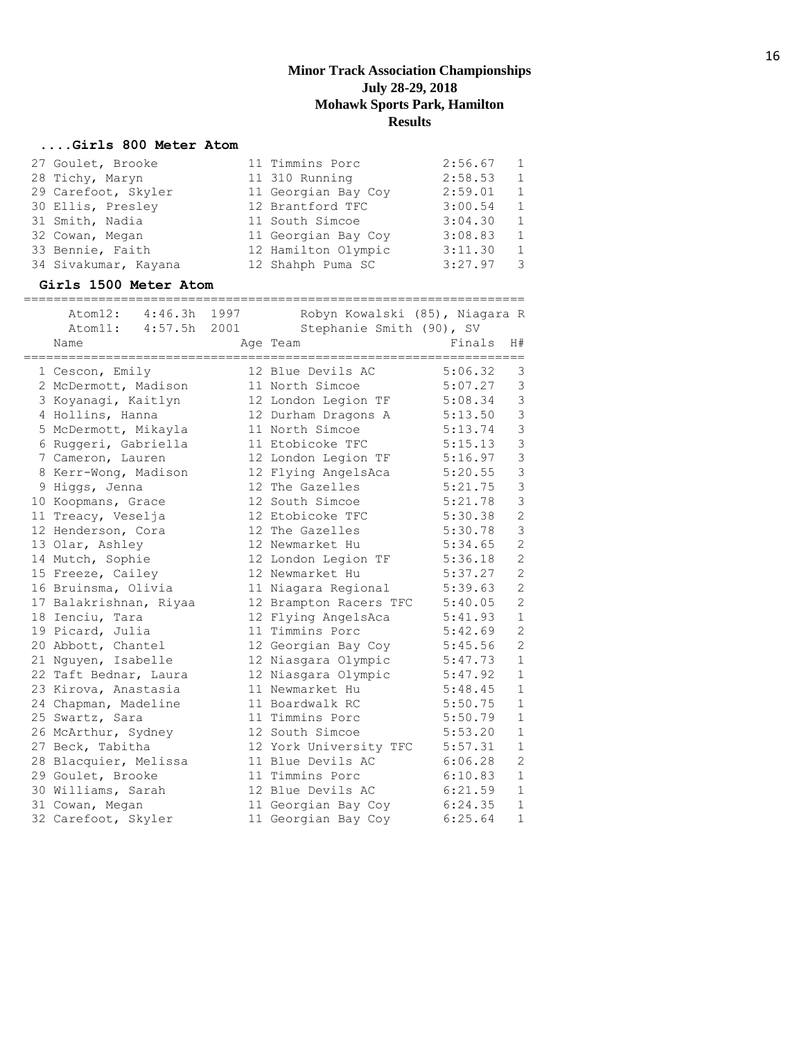## **....Girls 800 Meter Atom**

| 27 Goulet, Brooke    | 11 Timmins Porc     | 2:56.67 | $\overline{1}$ |
|----------------------|---------------------|---------|----------------|
| 28 Tichy, Maryn      | 11 310 Running      | 2:58.53 | $\mathbf{1}$   |
| 29 Carefoot, Skyler  | 11 Georgian Bay Coy | 2:59.01 | 1              |
| 30 Ellis, Presley    | 12 Brantford TFC    | 3:00.54 | $\overline{1}$ |
| 31 Smith, Nadia      | 11 South Simcoe     | 3:04.30 | 1              |
| 32 Cowan, Megan      | 11 Georgian Bay Coy | 3:08.83 | 1              |
| 33 Bennie, Faith     | 12 Hamilton Olympic | 3:11.30 | 1              |
| 34 Sivakumar, Kayana | 12 Shahph Puma SC   | 3:27.97 | -3             |

#### **Girls 1500 Meter Atom**

| Atom12: 4:46.3h 1997   | Robyn Kowalski (85), Niagara R |         |                |
|------------------------|--------------------------------|---------|----------------|
| Atom11: 4:57.5h 2001   | Stephanie Smith (90), SV       |         |                |
| Name                   | Age Team                       | Finals  | H#             |
| 1 Cescon, Emily        | 12 Blue Devils AC              | 5:06.32 | 3              |
| 2 McDermott, Madison   | 11 North Simcoe                | 5:07.27 | $\mathsf 3$    |
| 3 Koyanagi, Kaitlyn    | 12 London Legion TF            | 5:08.34 | 3              |
| 4 Hollins, Hanna       | 12 Durham Dragons A            | 5:13.50 | $\mathsf 3$    |
| 5 McDermott, Mikayla   | 11 North Simcoe                | 5:13.74 | $\mathsf 3$    |
| 6 Ruggeri, Gabriella   | 11 Etobicoke TFC               | 5:15.13 | 3              |
| 7 Cameron, Lauren      | 12 London Legion TF            | 5:16.97 | 3              |
| 8 Kerr-Wong, Madison   | 12 Flying AngelsAca            | 5:20.55 | 3              |
| 9 Higgs, Jenna         | 12 The Gazelles                | 5:21.75 | 3              |
| 10 Koopmans, Grace     | 12 South Simcoe                | 5:21.78 | 3              |
| 11 Treacy, Veselja     | 12 Etobicoke TFC               | 5:30.38 | $\overline{c}$ |
| 12 Henderson, Cora     | 12 The Gazelles                | 5:30.78 | $\mathfrak{Z}$ |
| 13 Olar, Ashley        | 12 Newmarket Hu                | 5:34.65 | $\overline{c}$ |
| 14 Mutch, Sophie       | 12 London Legion TF            | 5:36.18 | $\overline{c}$ |
| 15 Freeze, Cailey      | 12 Newmarket Hu                | 5:37.27 | $\overline{c}$ |
| 16 Bruinsma, Olivia    | 11 Niagara Regional            | 5:39.63 | $\overline{c}$ |
| 17 Balakrishnan, Riyaa | 12 Brampton Racers TFC         | 5:40.05 | $\overline{2}$ |
| 18 Ienciu, Tara        | 12 Flying AngelsAca            | 5:41.93 | $\mathbf 1$    |
| 19 Picard, Julia       | 11 Timmins Porc                | 5:42.69 | $\overline{2}$ |
| 20 Abbott, Chantel     | 12 Georgian Bay Coy            | 5:45.56 | $\overline{c}$ |
| 21 Nguyen, Isabelle    | 12 Niasgara Olympic            | 5:47.73 | $\mathbf 1$    |
| 22 Taft Bednar, Laura  | 12 Niasgara Olympic            | 5:47.92 | $\mathbf{1}$   |
| 23 Kirova, Anastasia   | 11 Newmarket Hu                | 5:48.45 | $\mathbf{1}$   |
| 24 Chapman, Madeline   | 11 Boardwalk RC                | 5:50.75 | $\mathbf 1$    |
| 25 Swartz, Sara        | 11 Timmins Porc                | 5:50.79 | $\mathbf 1$    |
| 26 McArthur, Sydney    | 12 South Simcoe                | 5:53.20 | $\mathbf 1$    |
| 27 Beck, Tabitha       | 12 York University TFC         | 5:57.31 | $\mathbf 1$    |
| 28 Blacquier, Melissa  | 11 Blue Devils AC              | 6:06.28 | 2              |
| 29 Goulet, Brooke      | 11 Timmins Porc                | 6:10.83 | $\mathbf{1}$   |
| 30 Williams, Sarah     | 12 Blue Devils AC              | 6:21.59 | $\mathbf{1}$   |
| 31 Cowan, Megan        | 11 Georgian Bay Coy            | 6:24.35 | $\mathbf 1$    |
| 32 Carefoot, Skyler    | 11 Georgian Bay Coy            | 6:25.64 | $\mathbf 1$    |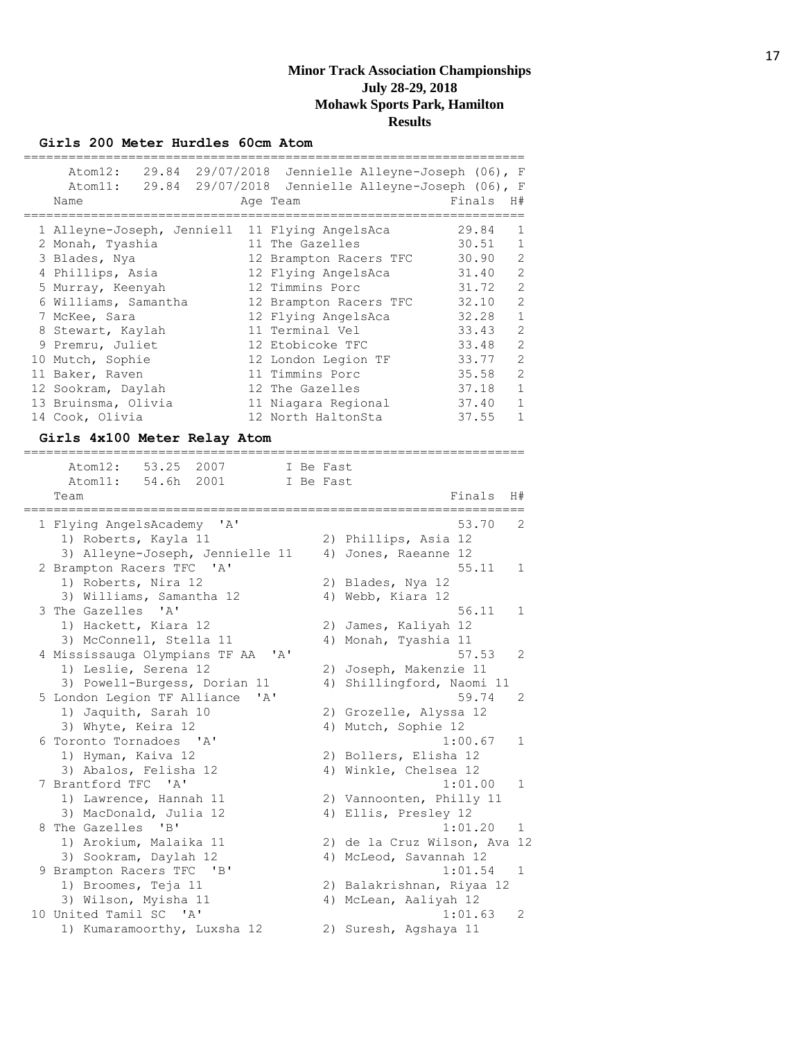#### **Girls 200 Meter Hurdles 60cm Atom**

| Atom12: 29.84 29/07/2018   | Jennielle Alleyne-Joseph (06), F |        |                |
|----------------------------|----------------------------------|--------|----------------|
| Atom11: 29.84 29/07/2018   | Jennielle Alleyne-Joseph (06), F |        |                |
| Name                       | Age Team                         | Finals | H#             |
|                            |                                  |        |                |
| 1 Alleyne-Joseph, Jenniell | 11 Flying AngelsAca              | 29.84  | 1              |
| 2 Monah, Tyashia           | 11 The Gazelles                  | 30.51  | 1              |
| 3 Blades, Nya              | 12 Brampton Racers TFC           | 30.90  | $\mathcal{L}$  |
| 4 Phillips, Asia           | 12 Flying AngelsAca              | 31.40  | $\overline{2}$ |
| 5 Murray, Keenyah          | 12 Timmins Porc                  | 31.72  | $\overline{2}$ |
| 6 Williams, Samantha       | 12 Brampton Racers TFC           | 32.10  | $\overline{2}$ |
| 7 McKee, Sara              | 12 Flying AngelsAca              | 32.28  | 1              |
| 8 Stewart, Kaylah          | 11 Terminal Vel                  | 33.43  | $\overline{2}$ |
| 9 Premru, Juliet           | 12 Etobicoke TFC                 | 33.48  | $\mathfrak{D}$ |
| 10 Mutch, Sophie           | 12 London Legion TF              | 33.77  | $\mathfrak{D}$ |
| 11 Baker, Raven            | 11 Timmins Porc                  | 35.58  | $\mathfrak{D}$ |
| 12 Sookram, Daylah         | 12 The Gazelles                  | 37.18  | 1              |
| 13 Bruinsma, Olivia        | 11 Niagara Regional              | 37.40  | 1              |
| 14 Cook, Olivia            | 12 North HaltonSta               | 37.55  |                |

#### **Girls 4x100 Meter Relay Atom**

=================================================================== Atom12: 53.25 2007 I Be Fast Atom11: 54.6h 2001 I Be Fast Team Finals H# =================================================================== 1 Flying AngelsAcademy 'A' 53.70 2 1) Roberts, Kayla 11 2) Phillips, Asia 12 3) Alleyne-Joseph, Jennielle 11 4) Jones, Raeanne 12 2 Brampton Racers TFC 'A' 55.11 1<br>1) Roberts, Nira 12 2) Blades, Nya 12 1) Roberts, Nira 12 2) Blades, Nya 12 3) Williams, Samantha 12 (4) Webb, Kiara 12 3 The Gazelles 'A' 56.11 1<br>1) Hackett, Kiara 12 2) James, Kaliyah 12 1) Hackett, Kiara 12 2) James, Kaliyah 12 3) McConnell, Stella 11 (4) Monah, Tyashia 11 4 Mississauga Olympians TF AA 'A' 57.53 2 1) Leslie, Serena 12 2) Joseph, Makenzie 11 3) Powell-Burgess, Dorian 11 4) Shillingford, Naomi 11 5 London Legion TF Alliance 'A' 59.74 2 1) Jaquith, Sarah 10 2) Grozelle, Alyssa 12 3) Whyte, Keira 12 4) Mutch, Sophie 12 6 Toronto Tornadoes 'A' 1:00.67 1 1) Hyman, Kaiva 12 2) Bollers, Elisha 12 3) Abalos, Felisha 12 4) Winkle, Chelsea 12 7 Brantford TFC 'A' 1:01.00 1 1) Lawrence, Hannah 11 2) Vannoonten, Philly 11 3) MacDonald, Julia 12 4) Ellis, Presley 12 8 The Gazelles 'B' 1:01.20 1 1) Arokium, Malaika 11 2) de la Cruz Wilson, Ava 12 3) Sookram, Daylah 12 4) McLeod, Savannah 12 9 Brampton Racers TFC 'B' 1:01.54 1 1) Broomes, Teja 11 2) Balakrishnan, Riyaa 12 3) Wilson, Myisha 11 4) McLean, Aaliyah 12 10 United Tamil SC 'A' 1:01.63 2 1) Kumaramoorthy, Luxsha 12 2) Suresh, Agshaya 11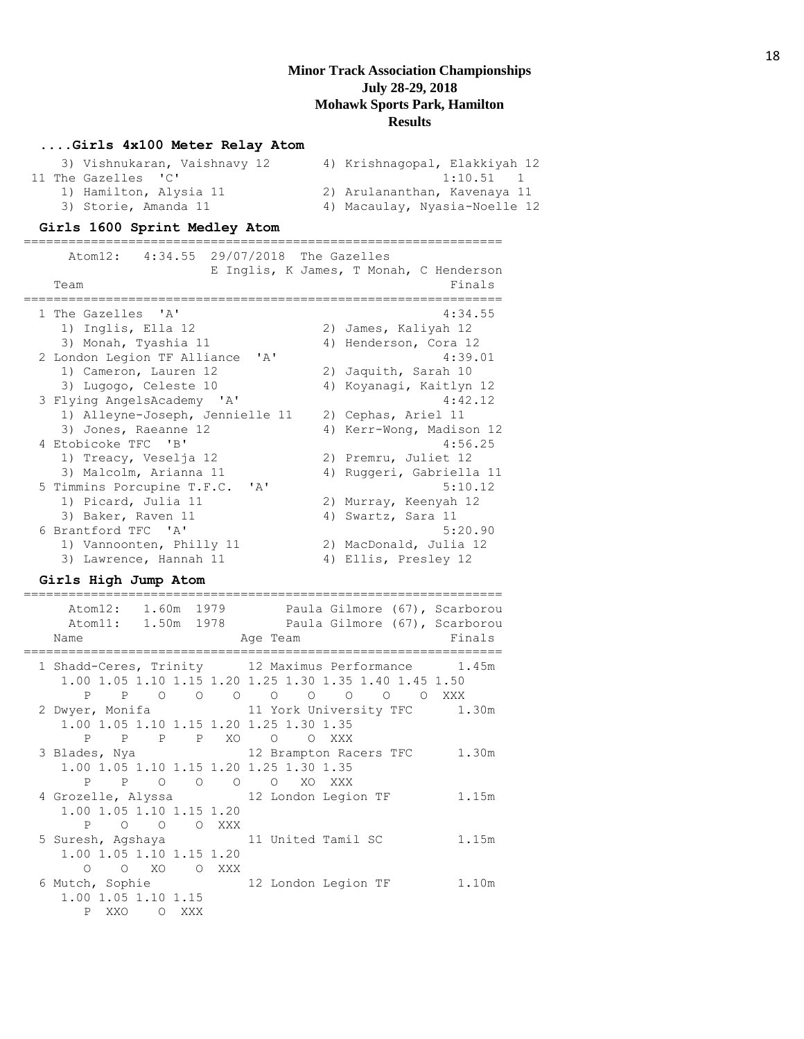#### **....Girls 4x100 Meter Relay Atom**

|  | 3) Vishnukaran, Vaishnavy 12 | 4) Krishnagopal, Elakkiyah 12 |
|--|------------------------------|-------------------------------|
|  | 11 The Gazelles 'C'          | $1:10.51$ 1                   |
|  | 1) Hamilton, Alysia 11       | 2) Arulananthan, Kavenaya 11  |
|  | 3) Storie, Amanda 11         | 4) Macaulay, Nyasia-Noelle 12 |

#### **Girls 1600 Sprint Medley Atom**

================================================================ Atom12: 4:34.55 29/07/2018 The Gazelles E Inglis, K James, T Monah, C Henderson Team Finals ================================================================ 1 The Gazelles 'A' 4:34.55 1) Inglis, Ella 12 2) James, Kaliyah 12 2) James, Kaliyan 12<br>3) Monah, Tyashia 11 4) Henderson, Cora 12 2 London Legion TF Alliance 'A' 4:39.01 1) Cameron, Lauren 12 2) Jaquith, Sarah 10 3) Lugogo, Celeste 10 4) Koyanagi, Kaitlyn 12 3 Flying AngelsAcademy 'A' 4:42.12 1) Alleyne-Joseph, Jennielle 11 2) Cephas, Ariel 11 3) Jones, Raeanne 12 4) Kerr-Wong, Madison 12 4 Etobicoke TFC 'B' 4:56.25 1) Treacy, Veselja 12 2) Premru, Juliet 12 3) Malcolm, Arianna 11 4) Ruggeri, Gabriella 11 5 Timmins Porcupine T.F.C. 'A' 5:10.12 1) Picard, Julia 11 2) Murray, Keenyah 12 3) Baker, Raven 11 4) Swartz, Sara 11 6 Brantford TFC 'A' 5:20.90 1) Vannoonten, Philly 11 2) MacDonald, Julia 12 3) Lawrence, Hannah 11 4) Ellis, Presley 12

#### **Girls High Jump Atom**

| Atom12: 1.60m 1979 Paula Gilmore (67), Scarborou<br>Atom11: 1.50m 1978 Paula Gilmore (67), Scarborou<br>Finals<br>Name<br>Age Team            |       |
|-----------------------------------------------------------------------------------------------------------------------------------------------|-------|
| 1 Shadd-Ceres, Trinity 12 Maximus Performance 1.45m<br>1.00 1.05 1.10 1.15 1.20 1.25 1.30 1.35 1.40 1.45 1.50<br>P P 0 0 0 0 0 0 0 0<br>O XXX |       |
| 2 Dwyer, Monifa 11 York University TFC 1.30m<br>1.00 1.05 1.10 1.15 1.20 1.25 1.30 1.35<br>P P P P XO O O XXX                                 |       |
| 3 Blades, Nya (12 Brampton Racers TFC 1.30m)<br>1.00 1.05 1.10 1.15 1.20 1.25 1.30 1.35<br>P P O O O O XO XXX                                 |       |
| 4 Grozelle, Alyssa 12 London Legion TF<br>1.00 1.05 1.10 1.15 1.20<br>P O O O XXX                                                             | 1.15m |
| 5 Suresh, Agshaya 11 United Tamil SC<br>1.00 1.05 1.10 1.15 1.20<br>O O XO O XXX                                                              | 1.15m |
| 6 Mutch, Sophie 32 London Legion TF 3.10m<br>1.00 1.05 1.10 1.15<br>P XXO O XXX                                                               |       |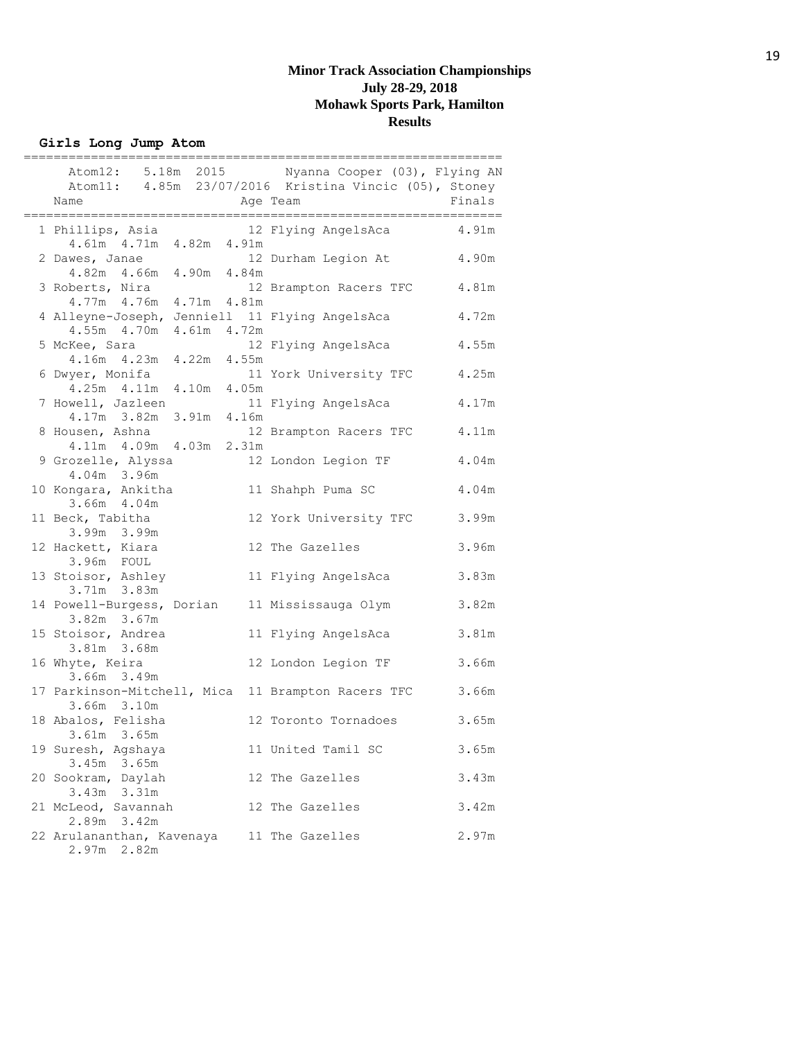**Girls Long Jump Atom**

| Name                                                                         |       | Atom12: 5.18m 2015 Nyanna Cooper (03), Flying AN<br>Atom11: 4.85m 23/07/2016 Kristina Vincic (05), Stoney<br>Age Team | Finals |
|------------------------------------------------------------------------------|-------|-----------------------------------------------------------------------------------------------------------------------|--------|
| 1 Phillips, Asia<br>4.61m  4.71m  4.82m  4.91m                               |       | 12 Flying AngelsAca                                                                                                   | 4.91m  |
| 2 Dawes, Janae<br>4.82m  4.66m  4.90m  4.84m                                 |       | 12 Durham Legion At                                                                                                   | 4.90m  |
| 3 Roberts, Nira<br>4.77m  4.76m  4.71m  4.81m                                |       | 12 Brampton Racers TFC                                                                                                | 4.81m  |
| 4 Alleyne-Joseph, Jenniell 11 Flying AngelsAca<br>4.55m  4.70m  4.61m  4.72m |       |                                                                                                                       | 4.72m  |
| 5 McKee, Sara<br>4.16m  4.23m  4.22m  4.55m                                  |       | 12 Flying AngelsAca                                                                                                   | 4.55m  |
| 6 Dwyer, Monifa<br>4.25m  4.11m  4.10m                                       | 4.05m | 11 York University TFC                                                                                                | 4.25m  |
| 7 Howell, Jazleen<br>4.17m 3.82m 3.91m 4.16m                                 |       | 11 Flying AngelsAca                                                                                                   | 4.17m  |
| 8 Housen, Ashna<br>4.11m  4.09m  4.03m  2.31m                                |       | 12 Brampton Racers TFC                                                                                                | 4.11m  |
| 9 Grozelle, Alyssa<br>4.04m 3.96m                                            |       | 12 London Legion TF                                                                                                   | 4.04m  |
| 10 Kongara, Ankitha<br>3.66m 4.04m                                           |       | 11 Shahph Puma SC                                                                                                     | 4.04m  |
| 11 Beck, Tabitha<br>3.99m 3.99m                                              |       | 12 York University TFC                                                                                                | 3.99m  |
| 12 Hackett, Kiara<br>3.96m FOUL                                              |       | 12 The Gazelles                                                                                                       | 3.96m  |
| 13 Stoisor, Ashley<br>3.71m 3.83m                                            |       | 11 Flying AngelsAca                                                                                                   | 3.83m  |
| 14 Powell-Burgess, Dorian<br>3.82m 3.67m                                     |       | 11 Mississauga Olym                                                                                                   | 3.82m  |
| 15 Stoisor, Andrea<br>3.81m 3.68m                                            |       | 11 Flying AngelsAca                                                                                                   | 3.81m  |
| 16 Whyte, Keira<br>3.66m 3.49m                                               |       | 12 London Legion TF                                                                                                   | 3.66m  |
| 17 Parkinson-Mitchell, Mica 11 Brampton Racers TFC<br>3.66m 3.10m            |       |                                                                                                                       | 3.66m  |
| 18 Abalos, Felisha<br>3.61m 3.65m                                            |       | 12 Toronto Tornadoes                                                                                                  | 3.65m  |
| 19 Suresh, Agshaya<br>3.45m 3.65m                                            |       | 11 United Tamil SC                                                                                                    | 3.65m  |
| 20 Sookram, Daylah<br>$3.43m$ $3.31m$                                        |       | 12 The Gazelles                                                                                                       | 3.43m  |
| 21 McLeod, Savannah<br>2.89m 3.42m                                           |       | 12 The Gazelles                                                                                                       | 3.42m  |
| 22 Arulananthan, Kavenaya<br>2.97m 2.82m                                     |       | 11 The Gazelles                                                                                                       | 2.97m  |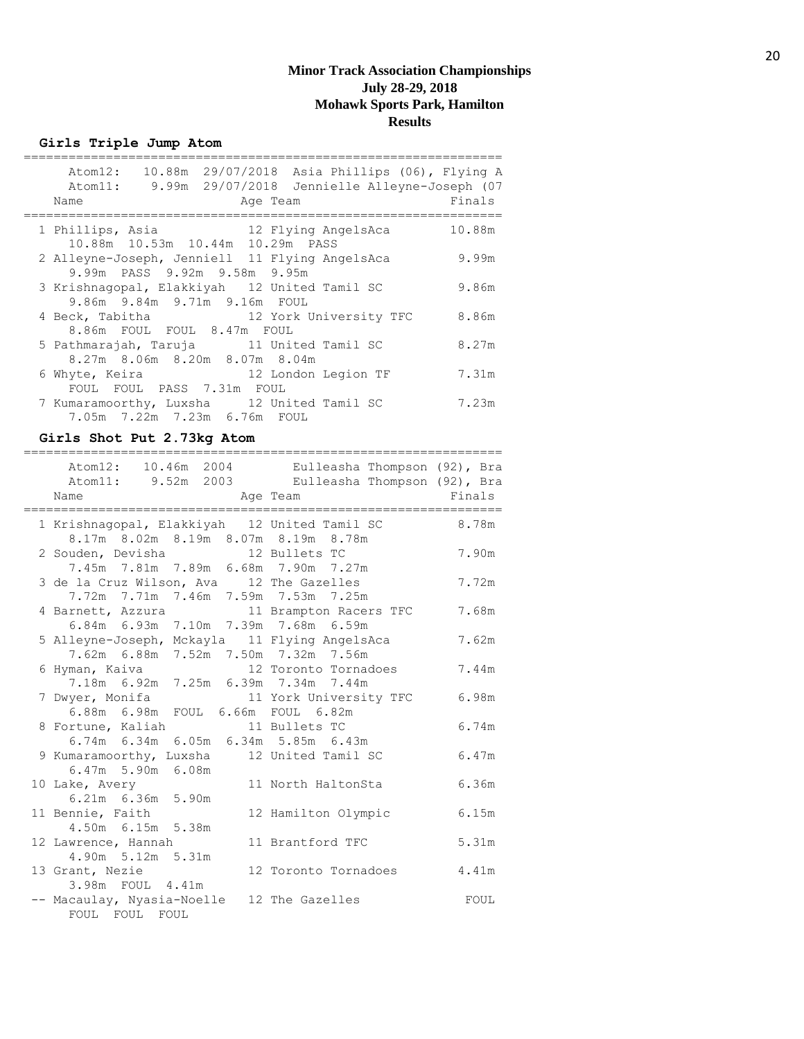## **Girls Triple Jump Atom**

| Name             |                                                                                | Age Team |                                        | Atom12: 10.88m 29/07/2018 Asia Phillips (06), Flying A<br>Atom11: 9.99m 29/07/2018 Jennielle Alleyne-Joseph (07<br>Finals |
|------------------|--------------------------------------------------------------------------------|----------|----------------------------------------|---------------------------------------------------------------------------------------------------------------------------|
| 1 Phillips, Asia | 10.88m  10.53m  10.44m  10.29m  PASS                                           |          | 12 Flying AngelsAca                    | 10.88m                                                                                                                    |
|                  | 2 Alleyne-Joseph, Jenniell 11 Flying AngelsAca<br>9.99m PASS 9.92m 9.58m 9.95m |          |                                        | 9.99m                                                                                                                     |
|                  | 3 Krishnagopal, Elakkiyah 12 United Tamil SC<br>9.86m 9.84m 9.71m 9.16m FOUL   |          |                                        | 9.86m                                                                                                                     |
|                  | 8.86m FOUL FOUL 8.47m FOUL                                                     |          | 4 Beck, Tabitha 12 York University TFC | 8.86m                                                                                                                     |
|                  | 5 Pathmarajah, Taruja 11 United Tamil SC<br>8.27m 8.06m 8.20m 8.07m 8.04m      |          |                                        | 8.27m                                                                                                                     |
| 6 Whyte, Keira   | FOUL FOUL PASS 7.31m FOUL                                                      |          | 12 London Legion TF                    | 7.31m                                                                                                                     |
|                  | 7 Kumaramoorthy, Luxsha 12 United Tamil SC<br>7.05m 7.22m 7.23m 6.76m FOUL     |          |                                        | 7.23m                                                                                                                     |

## **Girls Shot Put 2.73kg Atom**

| Atom12: 10.46m 2004 Eulleasha Thompson (92), Bra<br>Atom11: 9.52m 2003 Eulleasha Thompson (92), Bra<br>Name   | Age Team                     | <b>Einals</b> |
|---------------------------------------------------------------------------------------------------------------|------------------------------|---------------|
| 1 Krishnaqopal, Elakkiyah 12 United Tamil SC 8.78m                                                            |                              |               |
| 8.17m 8.02m 8.19m 8.07m 8.19m 8.78m<br>2 Souden, Devisha 12 Bullets TC<br>7.45m 7.81m 7.89m 6.68m 7.90m 7.27m |                              | 7.90m         |
| 3 de la Cruz Wilson, Ava 12 The Gazelles<br>7.72m 7.71m 7.46m 7.59m 7.53m 7.25m                               |                              | 7.72m         |
| 4 Barnett, Azzura 11 Brampton Racers TFC<br>6.84m 6.93m 7.10m 7.39m 7.68m 6.59m                               |                              | 7.68m         |
| 5 Alleyne-Joseph, Mckayla 11 Flying AngelsAca<br>7.62m 6.88m 7.52m 7.50m 7.32m 7.56m                          |                              | 7.62m         |
| 6 Hyman, Kaiva 12 Toronto Tornadoes<br>7.18m 6.92m 7.25m 6.39m 7.34m 7.44m                                    |                              | 7.44m         |
| 7 Dwyer, Monifa 11 York Univers<br>6.88m 6.98m FOUL 6.66m FOUL 6.82m                                          | 11 York University TFC 6.98m |               |
| 8 Fortune, Kaliah 11 Bullets TC<br>6.74m 6.34m 6.05m 6.34m 5.85m 6.43m                                        |                              | 6.74m         |
| 9 Kumaramoorthy, Luxsha 12 United Tamil SC<br>$6.47m$ 5.90m $6.08m$                                           |                              | 6.47m         |
| 10 Lake, Avery<br>6.21m 6.36m 5.90m                                                                           | 11 North HaltonSta           | 6.36m         |
| 11 Bennie, Faith<br>4.50m 6.15m 5.38m                                                                         | 12 Hamilton Olympic          | 6.15m         |
| 12 Lawrence, Hannah<br>4.90m 5.12m 5.31m                                                                      | 11 Brantford TFC             | 5.31m         |
| 13 Grant, Nezie<br>3.98m FOUL 4.41m                                                                           | 12 Toronto Tornadoes         | 4.41m         |
| -- Macaulay, Nyasia-Noelle 12 The Gazelles<br>FOUL FOUL FOUL                                                  |                              | FOUL          |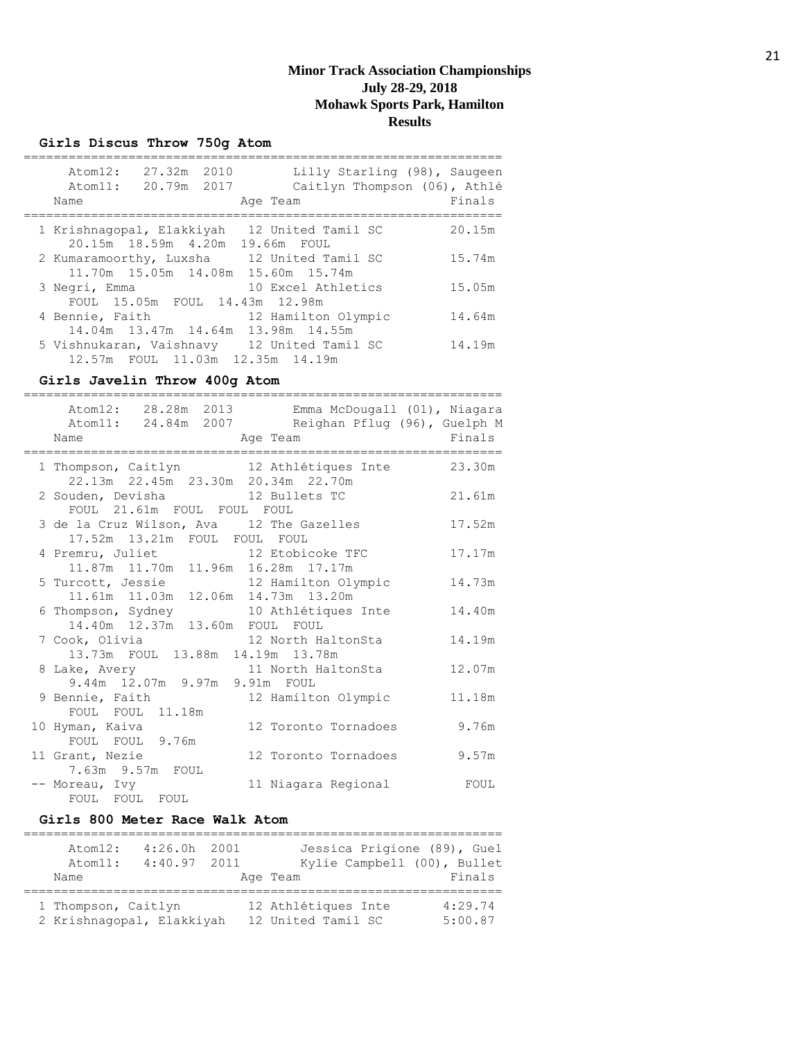## **Girls Discus Throw 750g Atom**

| At. cm12:<br>Atom11:<br>Name | 27.32m 2010<br>20.79m 2017 | Lilly Starling (98), Saugeen<br>Caitlyn Thompson (06), Athlé<br>Age Team         | Finals |
|------------------------------|----------------------------|----------------------------------------------------------------------------------|--------|
| 1 Krishnaqopal, Elakkiyah    |                            | 12 United Tamil SC<br>20.15m 18.59m 4.20m 19.66m FOUL                            | 20.15m |
|                              |                            | 2 Kumaramoorthy, Luxsha 12 United Tamil SC<br>11.70m 15.05m 14.08m 15.60m 15.74m | 15.74m |
| 3 Negri, Emma                |                            | 10 Excel Athletics<br>FOUL 15.05m FOUL 14.43m 12.98m                             | 15.05m |
| 4 Bennie, Faith              |                            | 12 Hamilton Olympic<br>14.04m 13.47m 14.64m 13.98m 14.55m                        | 14.64m |
|                              |                            | 5 Vishnukaran, Vaishnavy 12 United Tamil SC<br>12.57m FOUL 11.03m 12.35m 14.19m  | 14.19m |

## **Girls Javelin Throw 400g Atom**

| Name                                                                      | Atom12: 28.28m 2013 Emma McDougall (01), Niagara<br>Atom11: 24.84m 2007 Reighan Pflug (96), Guelph M<br>Age Team Finals |        |
|---------------------------------------------------------------------------|-------------------------------------------------------------------------------------------------------------------------|--------|
| ====================================                                      | =========================                                                                                               |        |
| 1 Thompson, Caitlyn 12 Athlétiques Inte                                   |                                                                                                                         | 23.30m |
| 22.13m  22.45m  23.30m  20.34m  22.70m<br>2 Souden, Devisha 12 Bullets TC |                                                                                                                         | 21.61m |
| FOUL 21.61m FOUL FOUL FOUL                                                |                                                                                                                         |        |
| 3 de la Cruz Wilson, Ava 12 The Gazelles                                  |                                                                                                                         | 17.52m |
| 17.52m 13.21m FOUL FOUL FOUL                                              |                                                                                                                         |        |
|                                                                           |                                                                                                                         | 17.17m |
| 4 Premru, Juliet 12 Etobicoke TFC<br>11.87m 11.70m 11.96m 16.28m 17.17m   |                                                                                                                         |        |
| 5 Turcott, Jessie 12 Hamilton Olympic                                     |                                                                                                                         | 14.73m |
| 11.61m  11.03m  12.06m  14.73m  13.20m                                    |                                                                                                                         |        |
| 6 Thompson, Sydney 10 Athlétiques Inte                                    |                                                                                                                         | 14.40m |
| 14.40m  12.37m  13.60m  FOUL  FOUL                                        |                                                                                                                         |        |
| 7 Cook, Olivia                         12 North HaltonSta                 |                                                                                                                         | 14.19m |
| 13.73m FOUL 13.88m 14.19m 13.78m                                          |                                                                                                                         |        |
| 8 Lake, Avery                                                             | 11 North HaltonSta                                                                                                      | 12.07m |
| 9.44m 12.07m 9.97m 9.91m FOUL                                             |                                                                                                                         |        |
| 9 Bennie, Faith                                                           | 12 Hamilton Olympic                                                                                                     | 11.18m |
| FOUL FOUL 11.18m                                                          |                                                                                                                         |        |
| 10 Hyman, Kaiva                                                           | 12 Toronto Tornadoes                                                                                                    | 9.76m  |
| FOUL FOUL 9.76m                                                           |                                                                                                                         |        |
| 11 Grant, Nezie                                                           | 12 Toronto Tornadoes                                                                                                    | 9.57m  |
| 7.63m 9.57m FOUL                                                          |                                                                                                                         |        |
| -- Moreau, Ivy                                                            | 11 Niagara Regional                                                                                                     | FOUL   |
| FOUL FOUL FOUL                                                            |                                                                                                                         |        |

#### **Girls 800 Meter Race Walk Atom**

| Atom12:             | $4:26.0h$ 2001            | Jessica Prigione (89), Guel |         |
|---------------------|---------------------------|-----------------------------|---------|
| Atom11:             | $4:40.97$ 2011            | Kylie Campbell (00), Bullet |         |
| Name                |                           | Age Team                    | Finals  |
|                     |                           |                             |         |
| 1 Thompson, Caitlyn |                           | 12 Athlétiques Inte         | 4:29.74 |
|                     | 2 Krishnagopal, Elakkiyah | 12 United Tamil SC          | 5:00.87 |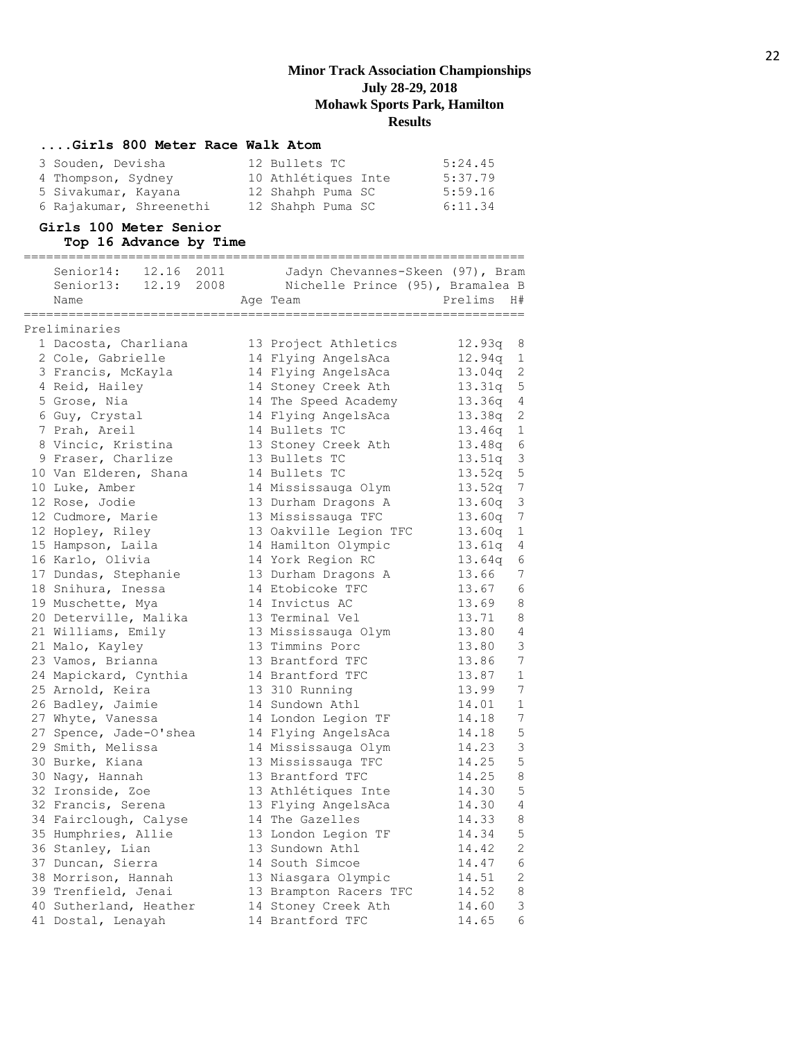#### **....Girls 800 Meter Race Walk Atom**

| 3 Souden, Devisha       | 12 Bullets TC       | 5:24.45 |
|-------------------------|---------------------|---------|
| 4 Thompson, Sydney      | 10 Athlétiques Inte | 5:37.79 |
| 5 Sivakumar, Kayana     | 12 Shahph Puma SC   | 5:59.16 |
| 6 Rajakumar, Shreenethi | 12 Shahph Puma SC   | 6:11.34 |

## **Girls 100 Meter Senior**

| Top 16 Advance by Time     |                                  |          |                 |
|----------------------------|----------------------------------|----------|-----------------|
| 12.16<br>Senior14:<br>2011 | Jadyn Chevannes-Skeen (97), Bram |          |                 |
| 12.19 2008<br>Senior13:    | Nichelle Prince (95), Bramalea B |          |                 |
| Name                       | Age Team                         | Prelims  | H#              |
| Preliminaries              |                                  |          |                 |
| 1 Dacosta, Charliana       | 13 Project Athletics             | 12.93q 8 |                 |
| 2 Cole, Gabrielle          | 14 Flying AngelsAca              | 12.94q   | $\mathbf{1}$    |
| 3 Francis, McKayla         | 14 Flying AngelsAca              | 13.04q   | 2               |
| 4 Reid, Hailey             | 14 Stoney Creek Ath              | 13.31q   | $5\phantom{.0}$ |
| 5 Grose, Nia               | 14 The Speed Academy             | 13.36q   | $\overline{4}$  |
| 6 Guy, Crystal             | 14 Flying AngelsAca              | 13.38q   | 2               |
| 7 Prah, Areil              | 14 Bullets TC                    | 13.46q   | $\mathbf{1}$    |
| 8 Vincic, Kristina         | 13 Stoney Creek Ath              | 13.48q   | 6               |
| 9 Fraser, Charlize         | 13 Bullets TC                    | 13.51q   | 3               |
| 10 Van Elderen, Shana      | 14 Bullets TC                    | 13.52q   | 5               |
| 10 Luke, Amber             | 14 Mississauga Olym              | 13.52q   | $7\phantom{.0}$ |
| 12 Rose, Jodie             | 13 Durham Dragons A              | 13.60q   | $\mathcal{S}$   |
| 12 Cudmore, Marie          | 13 Mississauga TFC               | 13.60q   | 7               |
| 12 Hopley, Riley           | 13 Oakville Legion TFC           | 13.60q   | $\mathbf{1}$    |
| 15 Hampson, Laila          | 14 Hamilton Olympic              | 13.61q   | 4               |
| 16 Karlo, Olivia           | 14 York Region RC                | 13.64q   | 6               |
| 17 Dundas, Stephanie       | 13 Durham Dragons A              | 13.66    | 7               |
| 18 Snihura, Inessa         | 14 Etobicoke TFC                 | 13.67    | 6               |
| 19 Muschette, Mya          | 14 Invictus AC                   | 13.69    | 8               |
| 20 Deterville, Malika      | 13 Terminal Vel                  | 13.71    | 8               |
| 21 Williams, Emily         | 13 Mississauga Olym              | 13.80    | 4               |
| 21 Malo, Kayley            | 13 Timmins Porc                  | 13.80    | 3               |
| 23 Vamos, Brianna          | 13 Brantford TFC                 | 13.86    | 7               |
| 24 Mapickard, Cynthia      | 14 Brantford TFC                 | 13.87    | $\mathbf 1$     |
| 25 Arnold, Keira           | 13 310 Running                   | 13.99    | 7               |
| 26 Badley, Jaimie          | 14 Sundown Athl                  | 14.01    | 1               |
| 27 Whyte, Vanessa          | 14 London Legion TF              | 14.18    | 7               |
| 27 Spence, Jade-O'shea     | 14 Flying AngelsAca              | 14.18    | 5               |
| 29 Smith, Melissa          | 14 Mississauga Olym              | 14.23    | $\mathsf 3$     |
| 30 Burke, Kiana            | 13 Mississauga TFC               | 14.25    | 5               |
| 30 Nagy, Hannah            | 13 Brantford TFC                 | 14.25    | 8               |
| 32 Ironside, Zoe           | 13 Athlétiques Inte              | 14.30    | 5               |
| 32 Francis, Serena         | 13 Flying AngelsAca              | 14.30    | $\overline{4}$  |
| 34 Fairclough, Calyse      | 14 The Gazelles                  | 14.33    | 8               |
| 35 Humphries, Allie        | 13 London Legion TF              | 14.34    | 5               |
| 36 Stanley, Lian           | 13 Sundown Athl                  | 14.42    | 2               |
| 37 Duncan, Sierra          | 14 South Simcoe                  | 14.47    | 6               |
| 38 Morrison, Hannah        | 13 Niasgara Olympic              | 14.51    | 2               |
| 39 Trenfield, Jenai        | 13 Brampton Racers TFC           | 14.52    | 8               |
| 40 Sutherland, Heather     | 14 Stoney Creek Ath              | 14.60    | $\mathsf 3$     |
| 41 Dostal, Lenayah         | 14 Brantford TFC                 | 14.65    | 6               |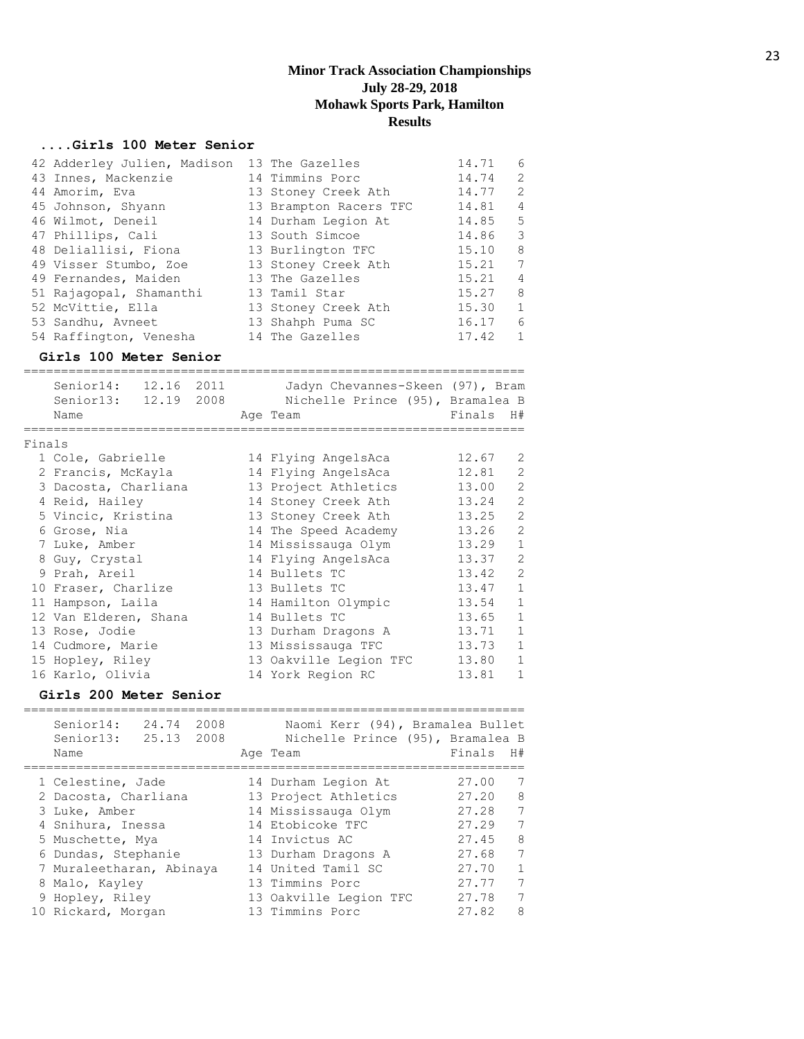#### **....Girls 100 Meter Senior**

| 42 Adderley Julien, Madison 13 The Gazelles |                        | 14.71 | 6              |
|---------------------------------------------|------------------------|-------|----------------|
| 43 Innes, Mackenzie                         | 14 Timmins Porc        | 14.74 | 2              |
| 44 Amorim, Eva                              | 13 Stoney Creek Ath    | 14.77 | 2              |
| 45 Johnson, Shyann                          | 13 Brampton Racers TFC | 14.81 | $\overline{4}$ |
| 46 Wilmot, Deneil                           | 14 Durham Legion At    | 14.85 | -5             |
| 47 Phillips, Cali                           | 13 South Simcoe        | 14.86 | 3              |
| 48 Deliallisi, Fiona                        | 13 Burlington TFC      | 15.10 | 8              |
| 49 Visser Stumbo, Zoe                       | 13 Stoney Creek Ath    | 15.21 | 7              |
| 49 Fernandes, Maiden                        | 13 The Gazelles        | 15.21 | $\overline{4}$ |
| 51 Rajagopal, Shamanthi                     | 13 Tamil Star          | 15.27 | 8              |
| 52 McVittie, Ella                           | 13 Stoney Creek Ath    | 15.30 | $\mathbf{1}$   |
| 53 Sandhu, Avneet                           | 13 Shahph Puma SC      | 16.17 | 6              |
| 54 Raffington, Venesha                      | 14 The Gazelles        | 17.42 | 1              |

#### **Girls 100 Meter Senior**

|        | Senior14:<br>Senior13: 12.19 2008<br>Name | 12.16 2011 |  | Jadyn Chevannes-Skeen (97), Bram<br>Nichelle Prince (95), Bramalea B<br>Age Team | Finals H# |                |
|--------|-------------------------------------------|------------|--|----------------------------------------------------------------------------------|-----------|----------------|
| Finals |                                           |            |  |                                                                                  |           |                |
|        | 1 Cole, Gabrielle                         |            |  | 14 Flying AngelsAca                                                              | 12.67     | 2              |
|        | 2 Francis, McKayla                        |            |  | 14 Flying AngelsAca                                                              | 12.81     | $\overline{2}$ |
|        | 3 Dacosta, Charliana                      |            |  | 13 Project Athletics                                                             | 13.00     | $\overline{2}$ |
|        | 4 Reid, Hailey                            |            |  | 14 Stoney Creek Ath                                                              | 13.24     | $\overline{2}$ |
|        | 5 Vincic, Kristina                        |            |  | 13 Stoney Creek Ath                                                              | 13.25     | $\overline{2}$ |
|        | 6 Grose, Nia                              |            |  | 14 The Speed Academy                                                             | 13.26     | $\overline{2}$ |
|        | 7 Luke, Amber                             |            |  | 14 Mississauga Olym                                                              | 13.29     | $\mathbf{1}$   |
|        | 8 Guy, Crystal                            |            |  | 14 Flying AngelsAca                                                              | 13.37     | $\overline{2}$ |
|        | 9 Prah, Areil                             |            |  | 14 Bullets TC                                                                    | 13.42     | $\overline{2}$ |
|        | 10 Fraser, Charlize                       |            |  | 13 Bullets TC                                                                    | 13.47     | $\mathbf{1}$   |
|        | 11 Hampson, Laila                         |            |  | 14 Hamilton Olympic                                                              | 13.54     | $\mathbf{1}$   |
|        | 12 Van Elderen, Shana                     |            |  | 14 Bullets TC                                                                    | 13.65     | $\mathbf{1}$   |
|        | 13 Rose, Jodie                            |            |  | 13 Durham Dragons A                                                              | 13.71     | $\mathbf{1}$   |
|        | 14 Cudmore, Marie                         |            |  | 13 Mississauga TFC                                                               | 13.73     | $\mathbf{1}$   |
|        | 15 Hopley, Riley                          |            |  | 13 Oakville Legion TFC                                                           | 13.80     | $\mathbf{1}$   |
|        | 16 Karlo, Olivia                          |            |  | 14 York Region RC                                                                | 13.81     | $\mathbf{1}$   |

## **Girls 200 Meter Senior**

| Senior14:<br>24.74<br>2008<br>Senior13: 25.13 2008<br>Name | Naomi Kerr (94), Bramalea Bullet<br>Nichelle Prince (95), Bramalea B<br>Age Team | Finals | H#              |
|------------------------------------------------------------|----------------------------------------------------------------------------------|--------|-----------------|
| 1 Celestine, Jade                                          | 14 Durham Legion At                                                              | 27.00  | 7               |
| 2 Dacosta, Charliana                                       | 13 Project Athletics                                                             | 27.20  | 8               |
| 3 Luke, Amber                                              | 14 Mississauga Olym                                                              | 27.28  | $7\overline{ }$ |
| 4 Snihura, Inessa                                          | 14 Etobicoke TFC                                                                 | 27.29  | 7               |
| 5 Muschette, Mya                                           | 14 Invictus AC                                                                   | 27.45  | 8               |
| 6 Dundas, Stephanie                                        | 13 Durham Dragons A                                                              | 27.68  | 7               |
| 7 Muraleetharan, Abinaya                                   | 14 United Tamil SC                                                               | 27.70  | 1               |
| 8 Malo, Kayley                                             | 13 Timmins Porc                                                                  | 27.77  | 7               |
| 9 Hopley, Riley                                            | 13 Oakville Legion TFC                                                           | 27.78  | $7\phantom{.0}$ |
| 10 Rickard, Morgan                                         | 13 Timmins Porc                                                                  | 27.82  | 8               |
|                                                            |                                                                                  |        |                 |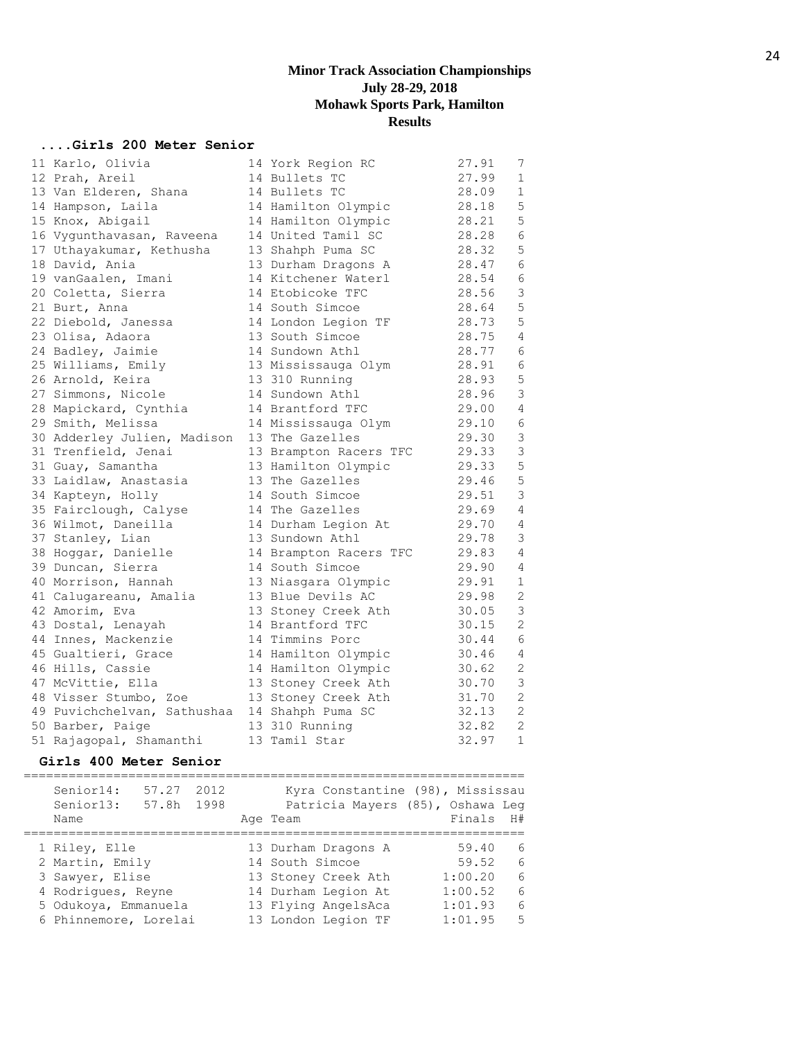## **....Girls 200 Meter Senior**

| 11 Karlo, Olivia            | 14 York Region RC      | 27.91 | 7              |
|-----------------------------|------------------------|-------|----------------|
| 12 Prah, Areil              | 14 Bullets TC          | 27.99 | $\mathbf 1$    |
| 13 Van Elderen, Shana       | 14 Bullets TC          | 28.09 | 1              |
| 14 Hampson, Laila           | 14 Hamilton Olympic    | 28.18 | 5              |
| 15 Knox, Abigail            | 14 Hamilton Olympic    | 28.21 | 5              |
| 16 Vygunthavasan, Raveena   | 14 United Tamil SC     | 28.28 | $\epsilon$     |
| 17 Uthayakumar, Kethusha    | 13 Shahph Puma SC      | 28.32 | 5              |
| 18 David, Ania              | 13 Durham Dragons A    | 28.47 | 6              |
| 19 vanGaalen, Imani         | 14 Kitchener Waterl    | 28.54 | 6              |
| 20 Coletta, Sierra          | 14 Etobicoke TFC       | 28.56 | $\mathsf 3$    |
| 21 Burt, Anna               | 14 South Simcoe        | 28.64 | 5              |
| 22 Diebold, Janessa         | 14 London Legion TF    | 28.73 | 5              |
| 23 Olisa, Adaora            | 13 South Simcoe        | 28.75 | $\overline{4}$ |
| 24 Badley, Jaimie           | 14 Sundown Athl        | 28.77 | 6              |
| 25 Williams, Emily          | 13 Mississauga Olym    | 28.91 | 6              |
| 26 Arnold, Keira            | 13 310 Running         | 28.93 | 5              |
| 27 Simmons, Nicole          | 14 Sundown Athl        | 28.96 | $\mathsf 3$    |
| 28 Mapickard, Cynthia       | 14 Brantford TFC       | 29.00 | $\sqrt{4}$     |
| 29 Smith, Melissa           | 14 Mississauga Olym    | 29.10 | 6              |
| 30 Adderley Julien, Madison | 13 The Gazelles        | 29.30 | $\mathsf 3$    |
| 31 Trenfield, Jenai         | 13 Brampton Racers TFC | 29.33 | $\mathsf 3$    |
| 31 Guay, Samantha           | 13 Hamilton Olympic    | 29.33 | 5              |
| 33 Laidlaw, Anastasia       | 13 The Gazelles        | 29.46 | 5              |
| 34 Kapteyn, Holly           | 14 South Simcoe        | 29.51 | 3              |
| 35 Fairclough, Calyse       | 14 The Gazelles        | 29.69 | $\overline{4}$ |
| 36 Wilmot, Daneilla         | 14 Durham Legion At    | 29.70 | 4              |
| 37 Stanley, Lian            | 13 Sundown Athl        | 29.78 | 3              |
| 38 Hoggar, Danielle         | 14 Brampton Racers TFC | 29.83 | 4              |
| 39 Duncan, Sierra           | 14 South Simcoe        | 29.90 | 4              |
| 40 Morrison, Hannah         | 13 Niasgara Olympic    | 29.91 | 1              |
| 41 Calugareanu, Amalia      | 13 Blue Devils AC      | 29.98 | $\sqrt{2}$     |
| 42 Amorim, Eva              | 13 Stoney Creek Ath    | 30.05 | 3              |
| 43 Dostal, Lenayah          | 14 Brantford TFC       | 30.15 | $\overline{2}$ |
| 44 Innes, Mackenzie         | 14 Timmins Porc        | 30.44 | $\epsilon$     |
| 45 Gualtieri, Grace         | 14 Hamilton Olympic    | 30.46 | 4              |
| 46 Hills, Cassie            | 14 Hamilton Olympic    | 30.62 | 2              |
| 47 McVittie, Ella           | 13 Stoney Creek Ath    | 30.70 | $\mathsf 3$    |
| 48 Visser Stumbo, Zoe       | 13 Stoney Creek Ath    | 31.70 | $\mathbf{2}$   |
| 49 Puvichchelvan, Sathushaa | 14 Shahph Puma SC      | 32.13 | $\mathbf{2}$   |
| 50 Barber, Paige            | 13 310 Running         | 32.82 | $\overline{2}$ |
| 51 Rajagopal, Shamanthi     | 13 Tamil Star          | 32.97 | $\mathbf{1}$   |

#### **Girls 400 Meter Senior**

===================================================================

| Senior14:<br>Senior13: | 57.27<br>57.8h | 2012<br>1998 | Kyra Constantine (98), Mississau<br>Patricia Mayers (85), Oshawa Leg |           |     |
|------------------------|----------------|--------------|----------------------------------------------------------------------|-----------|-----|
| Name                   |                |              | Age Team                                                             | Finals H# |     |
| 1 Riley, Elle          |                |              | 13 Durham Dragons A                                                  | 59.40     | 6   |
| 2 Martin, Emily        |                |              | 14 South Simcoe                                                      | 59.52     | - 6 |
| 3 Sawyer, Elise        |                |              | 13 Stoney Creek Ath                                                  | 1:00.20   | 6   |
| 4 Rodrigues, Reyne     |                |              | 14 Durham Legion At                                                  | 1:00.52   | 6   |
| 5 Odukoya, Emmanuela   |                |              | 13 Flying AngelsAca                                                  | 1:01.93   | 6   |
| 6 Phinnemore, Lorelai  |                |              | 13 London Legion TF                                                  | 1:01.95   | -5  |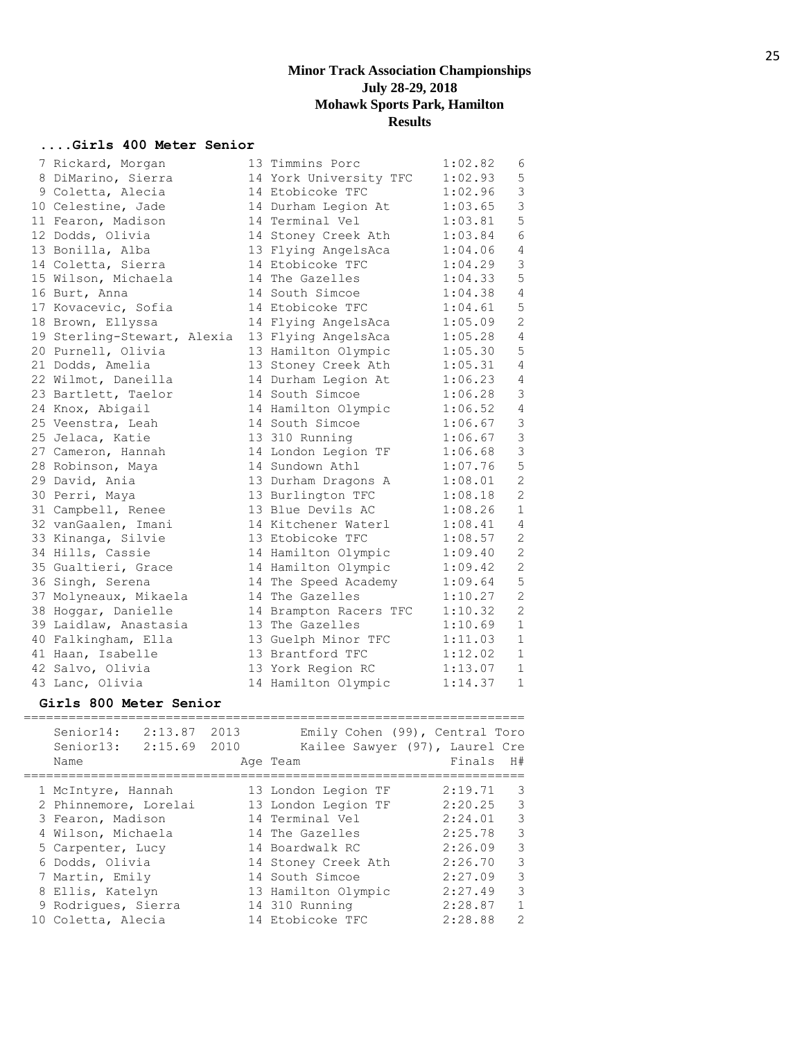## **....Girls 400 Meter Senior**

| 7 Rickard, Morgan           | 13 Timmins Porc        | 1:02.82 | 6              |
|-----------------------------|------------------------|---------|----------------|
| 8 DiMarino, Sierra          | 14 York University TFC | 1:02.93 | $\mathsf S$    |
| 9 Coletta, Alecia           | 14 Etobicoke TFC       | 1:02.96 | 3              |
| 10 Celestine, Jade          | 14 Durham Legion At    | 1:03.65 | 3              |
| 11 Fearon, Madison          | 14 Terminal Vel        | 1:03.81 | $\mathsf S$    |
| 12 Dodds, Olivia            | 14 Stoney Creek Ath    | 1:03.84 | $\sqrt{6}$     |
| 13 Bonilla, Alba            | 13 Flying AngelsAca    | 1:04.06 | $\sqrt{4}$     |
| 14 Coletta, Sierra          | 14 Etobicoke TFC       | 1:04.29 | $\mathsf 3$    |
| 15 Wilson, Michaela         | 14 The Gazelles        | 1:04.33 | 5              |
| 16 Burt, Anna               | 14 South Simcoe        | 1:04.38 | $\overline{4}$ |
| 17 Kovacevic, Sofia         | 14 Etobicoke TFC       | 1:04.61 | $\mathsf S$    |
| 18 Brown, Ellyssa           | 14 Flying AngelsAca    | 1:05.09 | $\sqrt{2}$     |
| 19 Sterling-Stewart, Alexia | 13 Flying AngelsAca    | 1:05.28 | $\overline{4}$ |
| 20 Purnell, Olivia          | 13 Hamilton Olympic    | 1:05.30 | 5              |
| 21 Dodds, Amelia            | 13 Stoney Creek Ath    | 1:05.31 | $\overline{4}$ |
| 22 Wilmot, Daneilla         | 14 Durham Legion At    | 1:06.23 | $\overline{4}$ |
| 23 Bartlett, Taelor         | 14 South Simcoe        | 1:06.28 | $\mathfrak{Z}$ |
| 24 Knox, Abigail            | 14 Hamilton Olympic    | 1:06.52 | $\overline{4}$ |
| 25 Veenstra, Leah           | 14 South Simcoe        | 1:06.67 | $\mathsf 3$    |
| 25 Jelaca, Katie            | 13 310 Running         | 1:06.67 | $\mathfrak{Z}$ |
| 27 Cameron, Hannah          | 14 London Legion TF    | 1:06.68 | $\mathfrak{Z}$ |
| 28 Robinson, Maya           | 14 Sundown Athl        | 1:07.76 | 5              |
| 29 David, Ania              | 13 Durham Dragons A    | 1:08.01 | $\overline{c}$ |
| 30 Perri, Maya              | 13 Burlington TFC      | 1:08.18 | $\overline{c}$ |
| 31 Campbell, Renee          | 13 Blue Devils AC      | 1:08.26 | $1\,$          |
| 32 vanGaalen, Imani         | 14 Kitchener Waterl    | 1:08.41 | $\overline{4}$ |
| 33 Kinanga, Silvie          | 13 Etobicoke TFC       | 1:08.57 | $\mathbf{2}$   |
| 34 Hills, Cassie            | 14 Hamilton Olympic    | 1:09.40 | $\overline{c}$ |
| 35 Gualtieri, Grace         | 14 Hamilton Olympic    | 1:09.42 | $\overline{c}$ |
| 36 Singh, Serena            | 14 The Speed Academy   | 1:09.64 | $\mathsf S$    |
| 37 Molyneaux, Mikaela       | 14 The Gazelles        | 1:10.27 | $\sqrt{2}$     |
| 38 Hoggar, Danielle         | 14 Brampton Racers TFC | 1:10.32 | $\mathbf{2}$   |
| 39 Laidlaw, Anastasia       | 13 The Gazelles        | 1:10.69 | $1\,$          |
| 40 Falkingham, Ella         | 13 Guelph Minor TFC    | 1:11.03 | $1\,$          |
| 41 Haan, Isabelle           | 13 Brantford TFC       | 1:12.02 | $1\,$          |
| 42 Salvo, Olivia            | 13 York Region RC      | 1:13.07 | $\mathbf{1}$   |
| 43 Lanc, Olivia             | 14 Hamilton Olympic    | 1:14.37 | $\mathbf 1$    |

## **Girls 800 Meter Senior**

| Senior14:<br>2:13.87<br>Senior13:<br>2:15.69<br>Name | 2013<br>2010 | Emily Cohen (99), Central Toro<br>Kailee Sawyer (97), Laurel Cre<br>Age Team | Finals  | H#            |
|------------------------------------------------------|--------------|------------------------------------------------------------------------------|---------|---------------|
| 1 McIntyre, Hannah                                   |              | 13 London Legion TF                                                          | 2:19.71 | 3             |
| 2 Phinnemore, Lorelai                                |              | 13 London Legion TF                                                          | 2:20.25 | 3             |
| 3 Fearon, Madison                                    |              | 14 Terminal Vel                                                              | 2:24.01 | 3             |
| 4 Wilson, Michaela                                   |              | 14 The Gazelles                                                              | 2:25.78 | $\mathcal{E}$ |
| 5 Carpenter, Lucy                                    |              | 14 Boardwalk RC                                                              | 2:26.09 | 3             |
| 6 Dodds, Olivia                                      |              | 14 Stoney Creek Ath                                                          | 2:26.70 | 3             |
| 7 Martin, Emily                                      |              | 14 South Simcoe                                                              | 2:27.09 | 3             |
| 8 Ellis, Katelyn                                     |              | 13 Hamilton Olympic                                                          | 2:27.49 | 3             |
| 9 Rodriques, Sierra                                  |              | 14 310 Running                                                               | 2:28.87 | $\mathbf{1}$  |
| 10 Coletta, Alecia                                   |              | 14 Etobicoke TFC                                                             | 2:28.88 | $\mathcal{L}$ |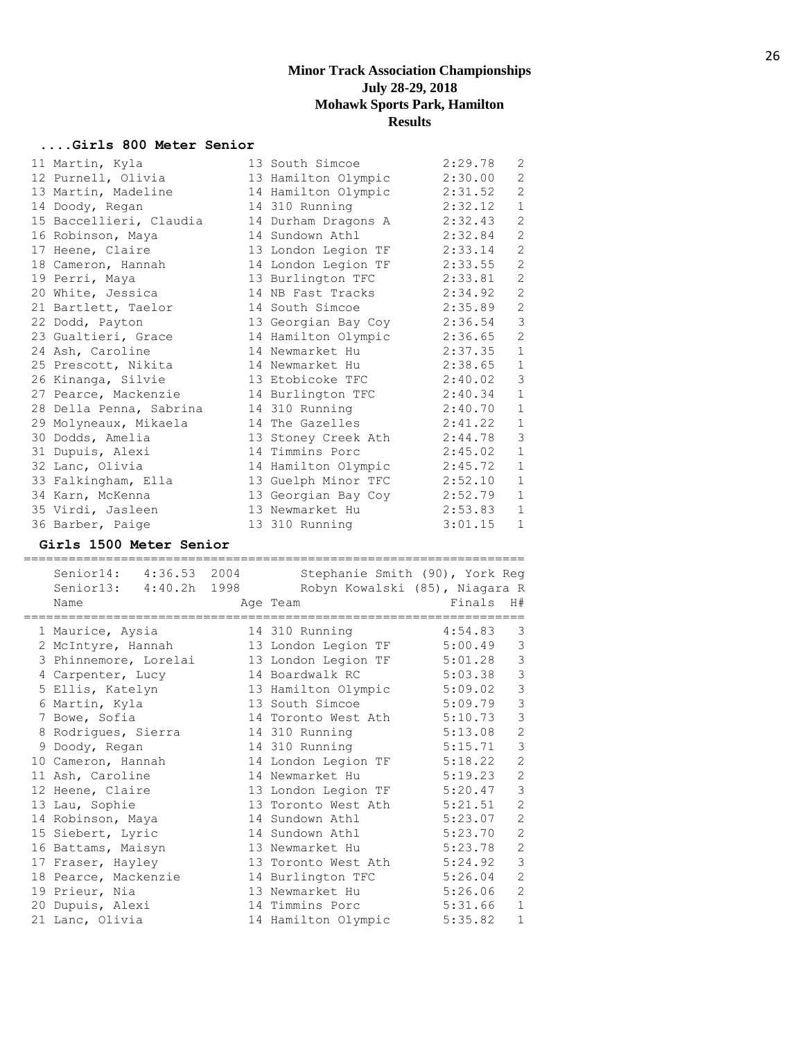## **....Girls 800 Meter Senior**

| 11 Martin, Kyla         | 13 South Simcoe     | 2:29.78 | 2              |
|-------------------------|---------------------|---------|----------------|
| 12 Purnell, Olivia      | 13 Hamilton Olympic | 2:30.00 | 2              |
| 13 Martin, Madeline     | 14 Hamilton Olympic | 2:31.52 | 2              |
| 14 Doody, Regan         | 14 310 Running      | 2:32.12 | $1\,$          |
| 15 Baccellieri, Claudia | 14 Durham Dragons A | 2:32.43 | 2              |
| 16 Robinson, Maya       | 14 Sundown Athl     | 2:32.84 | $\mathbf{2}$   |
| 17 Heene, Claire        | 13 London Legion TF | 2:33.14 | $\mathbf{2}$   |
| 18 Cameron, Hannah      | 14 London Legion TF | 2:33.55 | $\mathbf{2}$   |
| 19 Perri, Maya          | 13 Burlington TFC   | 2:33.81 | 2              |
| 20 White, Jessica       | 14 NB Fast Tracks   | 2:34.92 | 2              |
| 21 Bartlett, Taelor     | 14 South Simcoe     | 2:35.89 | 2              |
| 22 Dodd, Payton         | 13 Georgian Bay Coy | 2:36.54 | $\mathcal{S}$  |
| 23 Gualtieri, Grace     | 14 Hamilton Olympic | 2:36.65 | $\mathbf{2}$   |
| 24 Ash, Caroline        | 14 Newmarket Hu     | 2:37.35 | $1\,$          |
| 25 Prescott, Nikita     | 14 Newmarket Hu     | 2:38.65 | $\mathbf{1}$   |
| 26 Kinanga, Silvie      | 13 Etobicoke TFC    | 2:40.02 | $\mathfrak{Z}$ |
| 27 Pearce, Mackenzie    | 14 Burlington TFC   | 2:40.34 | $\mathbf 1$    |
| 28 Della Penna, Sabrina | 14 310 Running      | 2:40.70 | $\mathbf 1$    |
| 29 Molyneaux, Mikaela   | 14 The Gazelles     | 2:41.22 | $\mathbf{1}$   |
| 30 Dodds, Amelia        | 13 Stoney Creek Ath | 2:44.78 | $\mathfrak{Z}$ |
| 31 Dupuis, Alexi        | 14 Timmins Porc     | 2:45.02 | $\mathbf{1}$   |
| 32 Lanc, Olivia         | 14 Hamilton Olympic | 2:45.72 | $\mathbf 1$    |
| 33 Falkingham, Ella     | 13 Guelph Minor TFC | 2:52.10 | $1\,$          |
| 34 Karn, McKenna        | 13 Georgian Bay Coy | 2:52.79 | $\mathbf{1}$   |
| 35 Virdi, Jasleen       | 13 Newmarket Hu     | 2:53.83 | $\mathbf{1}$   |
| 36 Barber, Paige        | 13 310 Running      | 3:01.15 | $\mathbf 1$    |

## **Girls 1500 Meter Senior**

| Senior14: 4:36.53 2004<br>Senior13: 4:40.2h 1998<br>Name | Stephanie Smith (90), York Req<br>Robyn Kowalski (85), Niagara R<br>Age Team | Finals  | H#             |
|----------------------------------------------------------|------------------------------------------------------------------------------|---------|----------------|
|                                                          |                                                                              |         |                |
| 1 Maurice, Aysia                                         | 14 310 Running                                                               | 4:54.83 | 3              |
| 2 McIntyre, Hannah                                       | 13 London Legion TF                                                          | 5:00.49 | 3              |
| 3 Phinnemore, Lorelai                                    | 13 London Legion TF                                                          | 5:01.28 | $\mathfrak{Z}$ |
| 4 Carpenter, Lucy                                        | 14 Boardwalk RC                                                              | 5:03.38 | 3              |
| 5 Ellis, Katelyn                                         | 13 Hamilton Olympic                                                          | 5:09.02 | 3              |
| 6 Martin, Kyla                                           | 13 South Simcoe                                                              | 5:09.79 | 3              |
| 7 Bowe, Sofia                                            | 14 Toronto West Ath                                                          | 5:10.73 | 3              |
| 8 Rodrigues, Sierra                                      | 14 310 Running                                                               | 5:13.08 | $\mathbf{2}$   |
| 9 Doody, Regan                                           | 14 310 Running                                                               | 5:15.71 | 3              |
| 10 Cameron, Hannah                                       | 14 London Legion TF                                                          | 5:18.22 | $\overline{2}$ |
| 11 Ash, Caroline                                         | 14 Newmarket Hu                                                              | 5:19.23 | $\overline{2}$ |
| 12 Heene, Claire                                         | 13 London Legion TF                                                          | 5:20.47 | 3              |
| 13 Lau, Sophie                                           | 13 Toronto West Ath                                                          | 5:21.51 | $\overline{2}$ |
| 14 Robinson, Maya                                        | 14 Sundown Athl                                                              | 5:23.07 | $\overline{2}$ |
| 15 Siebert, Lyric                                        | 14 Sundown Athl                                                              | 5:23.70 | $\overline{2}$ |
| 16 Battams, Maisyn                                       | 13 Newmarket Hu                                                              | 5:23.78 | $\mathbf{2}$   |
| 17 Fraser, Hayley                                        | 13 Toronto West Ath                                                          | 5:24.92 | 3              |
| 18 Pearce, Mackenzie                                     | 14 Burlington TFC                                                            | 5:26.04 | $\overline{2}$ |
| 19 Prieur, Nia                                           | 13 Newmarket Hu                                                              | 5:26.06 | $\overline{2}$ |
| 20 Dupuis, Alexi                                         | 14 Timmins Porc                                                              | 5:31.66 | $\mathbf{1}$   |
| 21 Lanc, Olivia                                          | 14 Hamilton Olympic                                                          | 5:35.82 | $\mathbf 1$    |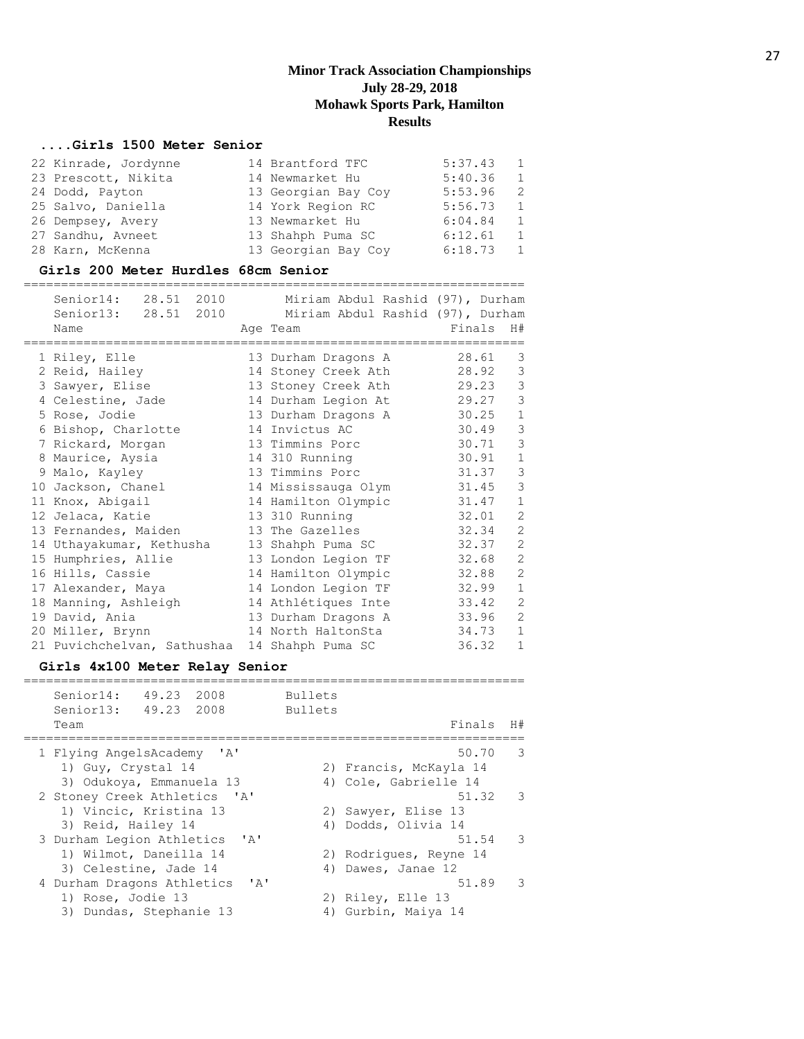## **....Girls 1500 Meter Senior**

| 22 Kinrade, Jordynne | 14 Brantford TFC    | 5:37.43 | $\overline{1}$ |
|----------------------|---------------------|---------|----------------|
| 23 Prescott, Nikita  | 14 Newmarket Hu     | 5:40.36 | 1              |
| 24 Dodd, Payton      | 13 Georgian Bay Coy | 5:53.96 | - 2            |
| 25 Salvo, Daniella   | 14 York Region RC   | 5:56.73 | $\overline{1}$ |
| 26 Dempsey, Avery    | 13 Newmarket Hu     | 6:04.84 | $\mathbf{1}$   |
| 27 Sandhu, Avneet    | 13 Shahph Puma SC   | 6:12.61 | 1              |
| 28 Karn, McKenna     | 13 Georgian Bay Coy | 6:18.73 | $\mathbf{1}$   |

#### **Girls 200 Meter Hurdles 68cm Senior**

| Senior14: 28.51 2010<br>Senior13: 28.51 2010<br>Name | Miriam Abdul Rashid (97), Durham<br>Miriam Abdul Rashid (97), Durham<br>Age Team | Finals | H#             |
|------------------------------------------------------|----------------------------------------------------------------------------------|--------|----------------|
| 1 Riley, Elle                                        | 13 Durham Dragons A                                                              | 28.61  | 3              |
| 2 Reid, Hailey                                       | 14 Stoney Creek Ath                                                              | 28.92  | 3              |
| 3 Sawyer, Elise                                      | 13 Stoney Creek Ath                                                              | 29.23  | 3              |
| 4 Celestine, Jade                                    | 14 Durham Legion At                                                              | 29.27  | 3              |
| 5 Rose, Jodie                                        | 13 Durham Dragons A                                                              | 30.25  | $\mathbf{1}$   |
| 6 Bishop, Charlotte                                  | 14 Invictus AC                                                                   | 30.49  | 3              |
| 7 Rickard, Morgan                                    | 13 Timmins Porc                                                                  | 30.71  | 3              |
| 8 Maurice, Aysia                                     | 14 310 Running                                                                   | 30.91  | $\mathbf{1}$   |
| 9 Malo, Kayley                                       | 13 Timmins Porc                                                                  | 31.37  | 3              |
| 10 Jackson, Chanel                                   | 14 Mississauga Olym                                                              | 31.45  | 3              |
| 11 Knox, Abigail                                     | 14 Hamilton Olympic                                                              | 31.47  | $\mathbf{1}$   |
| 12 Jelaca, Katie                                     | 13 310 Running                                                                   | 32.01  | $\overline{2}$ |
| 13 Fernandes, Maiden                                 | 13 The Gazelles                                                                  | 32.34  | $\overline{2}$ |
| 14 Uthayakumar, Kethusha                             | 13 Shahph Puma SC                                                                | 32.37  | $\overline{2}$ |
| 15 Humphries, Allie                                  | 13 London Legion TF                                                              | 32.68  | $\overline{2}$ |
| 16 Hills, Cassie                                     | 14 Hamilton Olympic                                                              | 32.88  | $\overline{2}$ |
| 17 Alexander, Maya                                   | 14 London Legion TF                                                              | 32.99  | $\mathbf{1}$   |
| 18 Manning, Ashleigh                                 | 14 Athlétiques Inte                                                              | 33.42  | $\overline{2}$ |
| 19 David, Ania                                       | 13 Durham Dragons A                                                              | 33.96  | $\overline{2}$ |
| 20 Miller, Brynn                                     | 14 North HaltonSta                                                               | 34.73  | $\mathbf{1}$   |
| 21 Puvichchelvan, Sathushaa 14 Shahph Puma SC        |                                                                                  | 36.32  | $\mathbf{1}$   |

## **Girls 4x100 Meter Relay Senior**

| Senior14:<br>49.23 2008<br>Senior13: 49.23 2008<br>Team     | <b>Bullets</b><br><b>Bullets</b> | Finals                 | H#                       |
|-------------------------------------------------------------|----------------------------------|------------------------|--------------------------|
|                                                             |                                  |                        |                          |
| 1 Flying AngelsAcademy 'A'                                  |                                  | 50.70                  | - 3                      |
| 1) Guy, Crystal 14                                          |                                  | 2) Francis, McKayla 14 |                          |
| 3) Odukoya, Emmanuela 13                                    |                                  | 4) Cole, Gabrielle 14  |                          |
| 2 Stoney Creek Athletics 'A'                                |                                  | 51.32                  | $\overline{\phantom{a}}$ |
| 1) Vincic, Kristina 13                                      |                                  | 2) Sawyer, Elise 13    |                          |
| 3) Reid, Hailey 14                                          |                                  | 4) Dodds, Olivia 14    |                          |
| 3 Durham Legion Athletics<br>$\mathsf{I} \wedge \mathsf{I}$ |                                  | 51.54                  | $\mathcal{R}$            |
| 1) Wilmot, Daneilla 14                                      |                                  | 2) Rodriques, Reyne 14 |                          |
| 3) Celestine, Jade 14                                       |                                  | 4) Dawes, Janae 12     |                          |
| 4 Durham Dragons Athletics                                  | $\mathsf{I} \wedge \mathsf{I}$   | 51.89                  | र                        |
| 1) Rose, Jodie 13                                           |                                  | 2) Riley, Elle 13      |                          |
| 3) Dundas, Stephanie 13                                     |                                  | 4) Gurbin, Maiya 14    |                          |
|                                                             |                                  |                        |                          |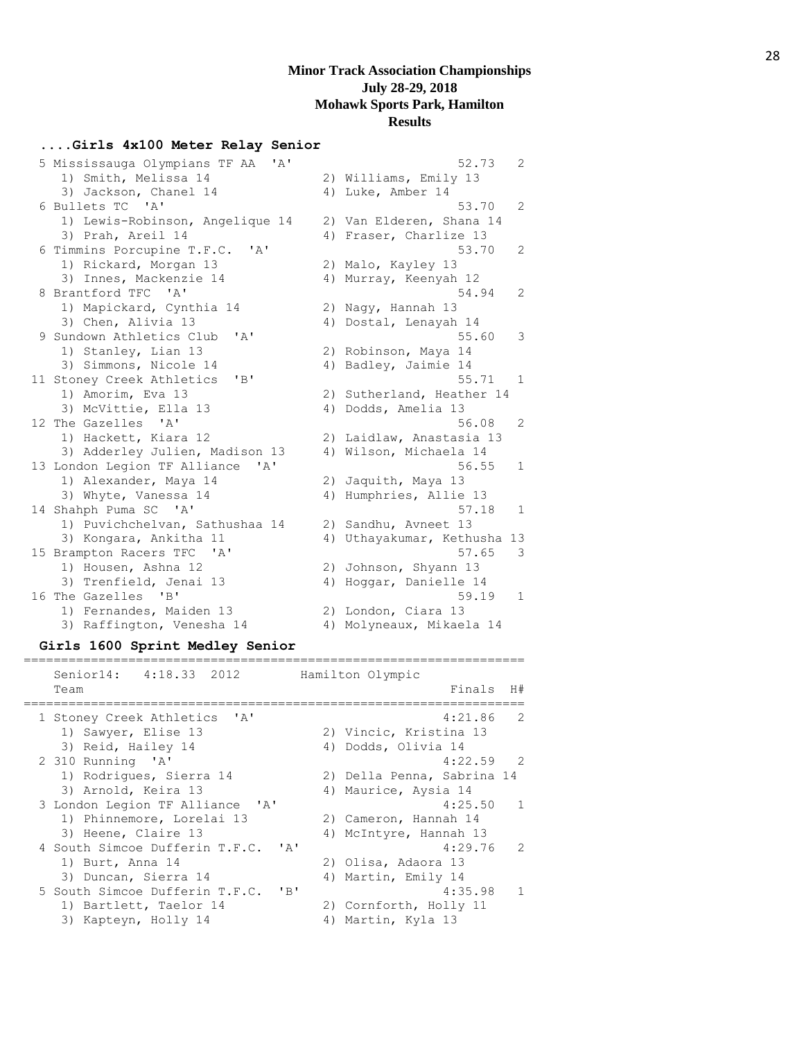#### **....Girls 4x100 Meter Relay Senior**

| 5 Mississauga Olympians TF AA<br>' A'                     |    | 52.73<br>2                |
|-----------------------------------------------------------|----|---------------------------|
| 1) Smith, Melissa 14                                      |    | 2) Williams, Emily 13     |
| 3) Jackson, Chanel 14                                     |    | 4) Luke, Amber 14         |
| 6 Bullets TC 'A'                                          |    | $\mathcal{L}$<br>53.70    |
| 1) Lewis-Robinson, Angelique 14                           |    | 2) Van Elderen, Shana 14  |
| 3) Prah, Areil 14                                         |    | 4) Fraser, Charlize 13    |
| 6 Timmins Porcupine T.F.C.<br>$\overline{A}$              |    | 2<br>53.70                |
| 1) Rickard, Morgan 13                                     |    | 2) Malo, Kayley 13        |
| 3) Innes, Mackenzie 14                                    |    | 4) Murray, Keenyah 12     |
| 8 Brantford TFC 'A'                                       |    | 54.94<br>2                |
| 1) Mapickard, Cynthia 14                                  |    | 2) Nagy, Hannah 13        |
| 3) Chen, Alivia 13                                        |    | 4) Dostal, Lenayah 14     |
| 9 Sundown Athletics Club<br>' A'                          |    | 55.60<br>3                |
| 1) Stanley, Lian 13                                       |    | 2) Robinson, Maya 14      |
| 3) Simmons, Nicole 14                                     |    | 4) Badley, Jaimie 14      |
| 11 Stoney Creek Athletics<br>"B"                          |    | 55.71<br>1                |
| 1) Amorim, Eva 13                                         |    | 2) Sutherland, Heather 14 |
| 3) McVittie, Ella 13                                      |    | 4) Dodds, Amelia 13       |
| 12 The Gazelles 'A'                                       |    | $\overline{2}$<br>56.08   |
| 1) Hackett, Kiara 12                                      |    | 2) Laidlaw, Anastasia 13  |
| 3) Adderley Julien, Madison 13                            |    | 4) Wilson, Michaela 14    |
| 13 London Legion TF Alliance<br>$^{\prime}$ A $^{\prime}$ |    | 56.55<br>$\mathbf{1}$     |
| 1) Alexander, Maya 14                                     | 2) | Jaquith, Maya 13          |
| 3) Whyte, Vanessa 14                                      |    | 4) Humphries, Allie 13    |
| 14 Shahph Puma SC 'A'                                     |    | 57.18<br>$\mathbf{1}$     |
| 1) Puvichchelvan, Sathushaa 14                            |    | 2) Sandhu, Avneet 13      |
| 3) Kongara, Ankitha 11                                    | 4) | Uthayakumar, Kethusha 13  |
| 15 Brampton Racers TFC<br>$^{\prime}$ A $^{\prime}$       |    | 57.65<br>3                |
| 1) Housen, Ashna 12                                       |    | 2) Johnson, Shyann 13     |
| 3) Trenfield, Jenai 13                                    |    | 4) Hoggar, Danielle 14    |
| 16 The Gazelles<br>"B"                                    |    | 59.19<br>1                |
| 1) Fernandes, Maiden 13                                   |    | 2) London, Ciara 13       |
| 3) Raffington, Venesha 14                                 |    | 4) Molyneaux, Mikaela 14  |

#### **Girls 1600 Sprint Medley Senior**

#### =================================================================== Senior14: 4:18.33 2012 Hamilton Olympic Team Finals H# =================================================================== 1 Stoney Creek Athletics 'A' 4:21.86 2 1) Sawyer, Elise 13 2) Vincic, Kristina 13 3) Reid, Hailey 14 (4) Dodds, Olivia 14 2 310 Running 'A' 4:22.59 2 110 Running<br>1) Rodrigues, Sierra 14 2) Della Penna, Sabrina 14 3) Arnold, Keira 13 4) Maurice, Aysia 14 3 London Legion TF Alliance 'A' 4:25.50 1 1) Phinnemore, Lorelai 13 2) Cameron, Hannah 14 3) Heene, Claire 13 4) McIntyre, Hannah 13 4 South Simcoe Dufferin T.F.C. 'A' 4:29.76 2 1) Burt, Anna 14 2) Olisa, Adaora 13 3) Duncan, Sierra 14 4) Martin, Emily 14 5 South Simcoe Dufferin T.F.C. 'B' 4:35.98 1 1) Bartlett, Taelor 14 2) Cornforth, Holly 11 3) Kapteyn, Holly 14 (4) Martin, Kyla 13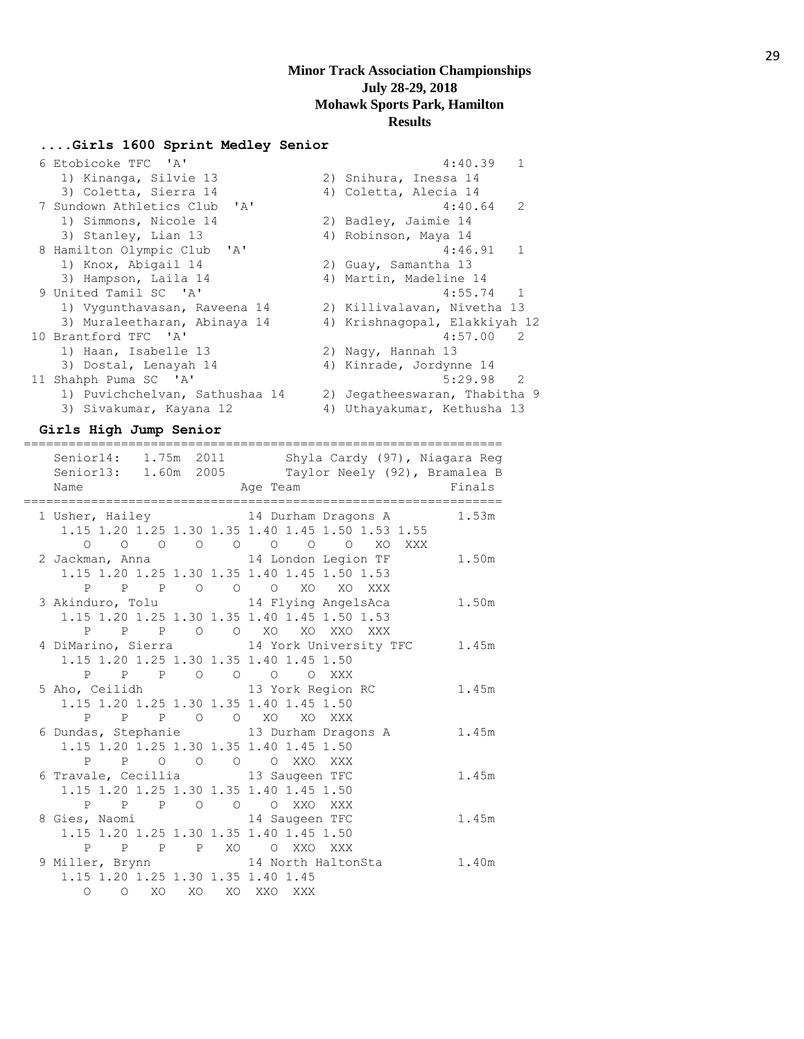#### **....Girls 1600 Sprint Medley Senior**

| 6 Etobicoke TFC 'A'            | 4:40.39                       |
|--------------------------------|-------------------------------|
| 1) Kinanga, Silvie 13          | 2) Snihura, Inessa 14         |
| 3) Coletta, Sierra 14          | 4) Coletta, Alecia 14         |
| 7 Sundown Athletics Club 'A'   | $\mathcal{L}$<br>4:40.64      |
| 1) Simmons, Nicole 14          | 2) Badley, Jaimie 14          |
| 3) Stanley, Lian 13            | 4) Robinson, Maya 14          |
| 8 Hamilton Olympic Club 'A'    | $\mathbf{1}$<br>4:46.91       |
| 1) Knox, Abigail 14            | 2) Guay, Samantha 13          |
| 3) Hampson, Laila 14           | 4) Martin, Madeline 14        |
| 9 United Tamil SC 'A'          | $4:55.74$ 1                   |
| 1) Vygunthavasan, Raveena 14   | 2) Killivalavan, Nivetha 13   |
| 3) Muraleetharan, Abinaya 14   | 4) Krishnaqopal, Elakkiyah 12 |
| 10 Brantford TFC 'A'           | 4:57.00 2                     |
| 1) Haan, Isabelle 13           | 2) Nagy, Hannah 13            |
| 3) Dostal, Lenayah 14          | 4) Kinrade, Jordynne 14       |
| 11 Shahph Puma SC 'A'          | -2<br>5:29.98                 |
| 1) Puvichchelvan, Sathushaa 14 | 2) Jegatheeswaran, Thabitha 9 |
| 3) Sivakumar, Kayana 12        | 4) Uthayakumar, Kethusha 13   |

**Girls High Jump Senior**

| ==============<br>Name<br>Age Team                             | Senior14: 1.75m 2011 Shyla Cardy (97), Niagara Reg<br>Senior13: 1.60m 2005 Taylor Neely (92), Bramalea B | Finals |
|----------------------------------------------------------------|----------------------------------------------------------------------------------------------------------|--------|
|                                                                | 1 Usher, Hailey 14 Durham Dragons A 1.53m<br>1.15 1.20 1.25 1.30 1.35 1.40 1.45 1.50 1.53 1.55           |        |
|                                                                | $\begin{matrix}0&0&0&0&0&0&0&0&0&0&\text{X0}&\text{XXX}\end{matrix}$                                     |        |
|                                                                | 2 Jackman, Anna 14 London Legion TF 1.50m                                                                |        |
| 1.15 1.20 1.25 1.30 1.35 1.40 1.45 1.50 1.53                   |                                                                                                          |        |
| P P P O O O XO XO XXX                                          |                                                                                                          |        |
|                                                                | 3 Akinduro, Tolu 14 Flying AngelsAca 1.50m                                                               |        |
| 1.15 1.20 1.25 1.30 1.35 1.40 1.45 1.50 1.53                   |                                                                                                          |        |
| P P P O O XO XO XXO XXX                                        |                                                                                                          |        |
|                                                                | 4 DiMarino, Sierra 14 York University TFC 1.45m                                                          |        |
| 1.15 1.20 1.25 1.30 1.35 1.40 1.45 1.50                        |                                                                                                          |        |
| P P P O O O O XXX                                              |                                                                                                          |        |
|                                                                | 5 Aho, Ceilidh                 13 York Region RC           1.45m                                         |        |
| 1.15 1.20 1.25 1.30 1.35 1.40 1.45 1.50<br>P P P O O XO XO XXX |                                                                                                          |        |
| 6 Dundas, Stephanie 13 Durham Dragons A                        | 1.45m                                                                                                    |        |
| 1.15 1.20 1.25 1.30 1.35 1.40 1.45 1.50                        |                                                                                                          |        |
| P P O O O O XXO XXX                                            |                                                                                                          |        |
| 6 Travale, Cecillia 13 Saugeen TFC                             |                                                                                                          | 1.45m  |
| 1.15 1.20 1.25 1.30 1.35 1.40 1.45 1.50                        |                                                                                                          |        |
| P P P O O O XXO XXX                                            |                                                                                                          |        |
| 8 Gies, Naomi 14 Saugeen TFC                                   |                                                                                                          | 1.45m  |
| 1.15 1.20 1.25 1.30 1.35 1.40 1.45 1.50                        |                                                                                                          |        |
| P P P P XO O XXO XXX                                           |                                                                                                          |        |
| 9 Miller, Brynn 14 North HaltonSta                             | 1.40m                                                                                                    |        |
| 1.15 1.20 1.25 1.30 1.35 1.40 1.45                             |                                                                                                          |        |
| O O XO XO XO XXO XXX                                           |                                                                                                          |        |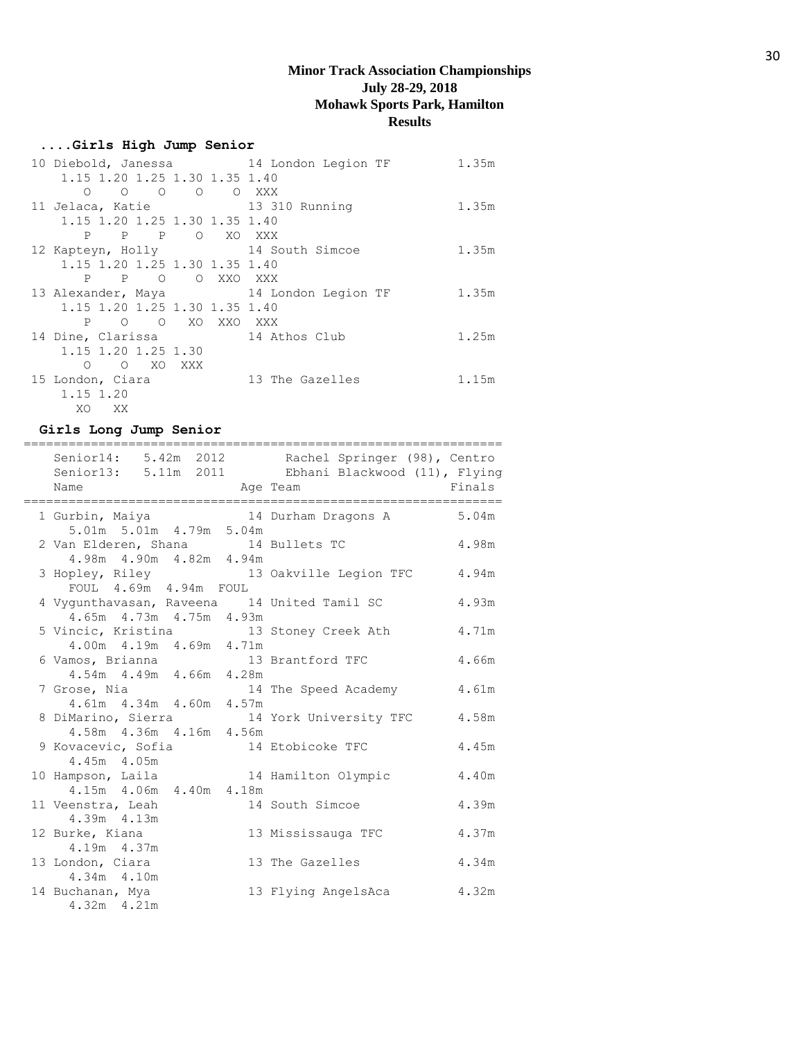## **....Girls High Jump Senior**

| 10 Diebold, Janessa 14 London Legion TF |                 | 1.35m |
|-----------------------------------------|-----------------|-------|
| 1.15 1.20 1.25 1.30 1.35 1.40           |                 |       |
| O O O O XXX<br>$\bigcirc$               |                 |       |
| 11 Jelaca, Katie 13 310 Running         |                 | 1.35m |
| 1.15 1.20 1.25 1.30 1.35 1.40           |                 |       |
| P P O XO XXX<br>P                       |                 |       |
| 12 Kapteyn, Holly 14 South Simcoe       |                 | 1.35m |
| 1.15 1.20 1.25 1.30 1.35 1.40           |                 |       |
| P P O O XXO XXX                         |                 |       |
| 13 Alexander, Maya 14 London Legion TF  |                 | 1.35m |
|                                         |                 |       |
| 1.15 1.20 1.25 1.30 1.35 1.40           |                 |       |
| P O O XO XXO XXX                        |                 |       |
| 14 Dine, Clarissa 14 Athos Club         |                 | 1.25m |
| 1.15 1.20 1.25 1.30                     |                 |       |
| O XO XXX<br>$\Omega$                    |                 |       |
| 15 London, Ciara                        | 13 The Gazelles | 1.15m |
| 1.15 1.20                               |                 |       |

## **Girls Long Jump Senior**

|                                             |          | Senior14: 5.42m 2012 Rachel Springer (98), Centro<br>Senior13: 5.11m 2011 Ebhani Blackwood (11), Flying |        |
|---------------------------------------------|----------|---------------------------------------------------------------------------------------------------------|--------|
| Name                                        | Age Team |                                                                                                         | Finals |
|                                             |          |                                                                                                         |        |
|                                             |          | 1 Gurbin, Maiya               14 Durham Dragons A         5.04m                                         |        |
| 5.01m 5.01m 4.79m 5.04m                     |          |                                                                                                         |        |
| 2 Van Elderen, Shana 14 Bullets TC          |          | 4.98m                                                                                                   |        |
| 4.98m  4.90m  4.82m  4.94m                  |          |                                                                                                         |        |
|                                             |          | 3 Hopley, Riley 13 Oakville Legion TFC 4.94m<br>FOUL 4.69m 4.94m FOUL                                   |        |
|                                             |          |                                                                                                         |        |
| 4 Vygunthavasan, Raveena 14 United Tamil SC |          |                                                                                                         | 4.93m  |
| 4.65m  4.73m  4.75m  4.93m                  |          |                                                                                                         |        |
| 5 Vincic, Kristina 13 Stoney Creek Ath      |          |                                                                                                         | 4.71m  |
| 4.00m  4.19m  4.69m  4.71m                  |          |                                                                                                         |        |
| 6 Vamos, Brianna 13 Brantford TFC           |          |                                                                                                         | 4.66m  |
| 4.54m  4.49m  4.66m  4.28m                  |          |                                                                                                         |        |
|                                             |          | 7 Grose, Nia 14 The Speed Academy<br>4.61m 4.34m 4.60m 4.57m                                            | 4.61m  |
|                                             |          |                                                                                                         |        |
|                                             |          | 8 DiMarino, Sierra 14 York University TFC 4.58m                                                         |        |
| 4.58m  4.36m  4.16m  4.56m                  |          |                                                                                                         |        |
| 9 Kovacevic, Sofia 14 Etobicoke TFC         |          |                                                                                                         | 4.45m  |
| 4.45m 4.05m                                 |          |                                                                                                         |        |
| 10 Hampson, Laila 14 Hamilton Olympic       |          |                                                                                                         | 4.40m  |
| $4.15m$ $4.06m$ $4.40m$ $4.18m$             |          |                                                                                                         |        |
| 11 Veenstra, Leah                           |          | 14 South Simcoe                                                                                         | 4.39m  |
| 4.39m  4.13m                                |          |                                                                                                         |        |
| 12 Burke, Kiana                             |          | 13 Mississauga TFC                                                                                      | 4.37m  |
| 4.19m 4.37m                                 |          |                                                                                                         |        |
| 13 London, Ciara                            |          | 13 The Gazelles                                                                                         | 4.34m  |
| 4.34m 4.10m                                 |          |                                                                                                         |        |
| 14 Buchanan, Mya                            |          | 13 Flying AngelsAca                                                                                     | 4.32m  |
| $4.32m$ $4.21m$                             |          |                                                                                                         |        |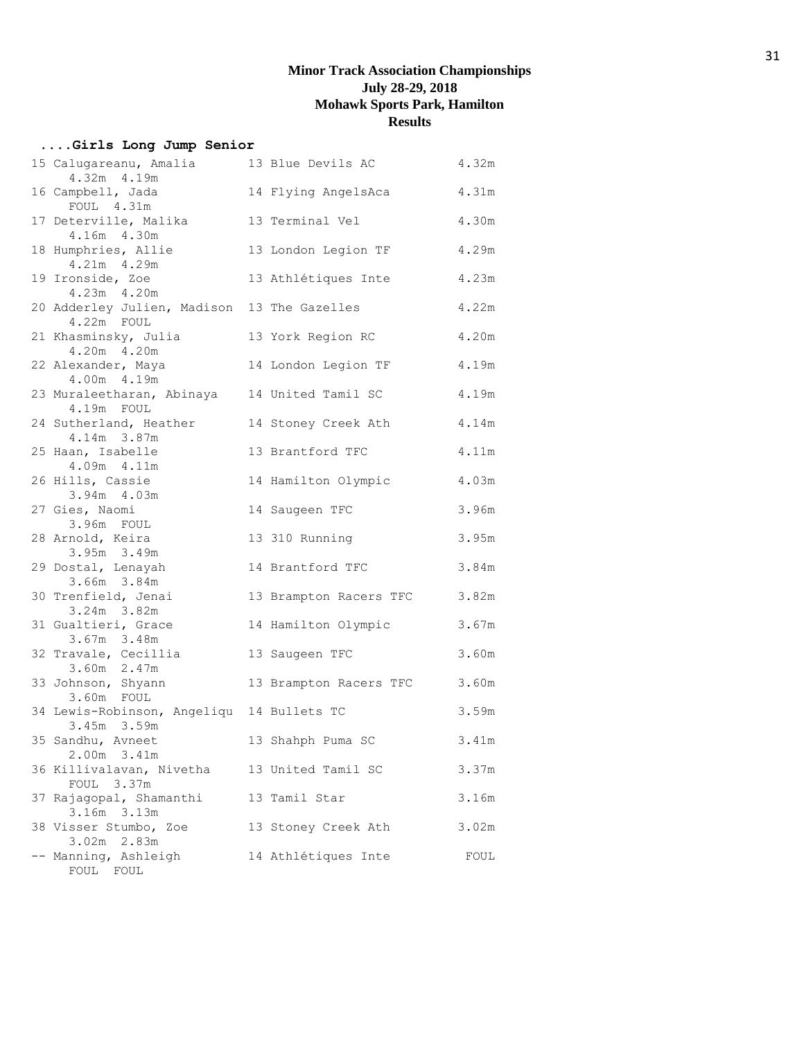# **....Girls Long Jump Senior**

| 15 Calugareanu, Amalia<br>4.32m 4.19m                      | 13 Blue Devils AC      | 4.32m |
|------------------------------------------------------------|------------------------|-------|
| 16 Campbell, Jada<br>FOUL 4.31m                            | 14 Flying AngelsAca    | 4.31m |
| 17 Deterville, Malika<br>4.16m 4.30m                       | 13 Terminal Vel        | 4.30m |
| 18 Humphries, Allie<br>4.21m 4.29m                         | 13 London Legion TF    | 4.29m |
| 19 Ironside, Zoe<br>4.23m 4.20m                            | 13 Athlétiques Inte    | 4.23m |
| 20 Adderley Julien, Madison 13 The Gazelles<br>4.22m FOUL  |                        | 4.22m |
| 21 Khasminsky, Julia<br>4.20m 4.20m                        | 13 York Region RC      | 4.20m |
| 22 Alexander, Maya<br>4.00m  4.19m                         | 14 London Legion TF    | 4.19m |
| 23 Muraleetharan, Abinaya 14 United Tamil SC<br>4.19m FOUL |                        | 4.19m |
| 24 Sutherland, Heather<br>4.14m 3.87m                      | 14 Stoney Creek Ath    | 4.14m |
| 25 Haan, Isabelle<br>4.09m 4.11m                           | 13 Brantford TFC       | 4.11m |
| 26 Hills, Cassie<br>3.94m 4.03m                            | 14 Hamilton Olympic    | 4.03m |
| 27 Gies, Naomi<br>3.96m FOUL                               | 14 Saugeen TFC         | 3.96m |
| 28 Arnold, Keira<br>3.95m 3.49m                            | 13 310 Running         | 3.95m |
| 29 Dostal, Lenayah<br>3.66m 3.84m                          | 14 Brantford TFC       | 3.84m |
| 30 Trenfield, Jenai<br>3.24m 3.82m                         | 13 Brampton Racers TFC | 3.82m |
| 31 Gualtieri, Grace<br>3.67m 3.48m                         | 14 Hamilton Olympic    | 3.67m |
| 32 Travale, Cecillia<br>3.60m 2.47m                        | 13 Saugeen TFC         | 3.60m |
| 33 Johnson, Shyann<br>3.60m FOUL                           | 13 Brampton Racers TFC | 3.60m |
| 34 Lewis-Robinson, Angeliqu 14 Bullets TC<br>3.45m 3.59m   |                        | 3.59m |
| 35 Sandhu, Avneet<br>2.00m 3.41m                           | 13 Shahph Puma SC      | 3.41m |
| 36 Killivalavan, Nivetha<br>FOUL 3.37m                     | 13 United Tamil SC     | 3.37m |
| 37 Rajagopal, Shamanthi<br>3.16m 3.13m                     | 13 Tamil Star          | 3.16m |
| 38 Visser Stumbo, Zoe<br>3.02m 2.83m                       | 13 Stoney Creek Ath    | 3.02m |
| -- Manning, Ashleigh<br>FOUL FOUL                          | 14 Athlétiques Inte    | FOUL  |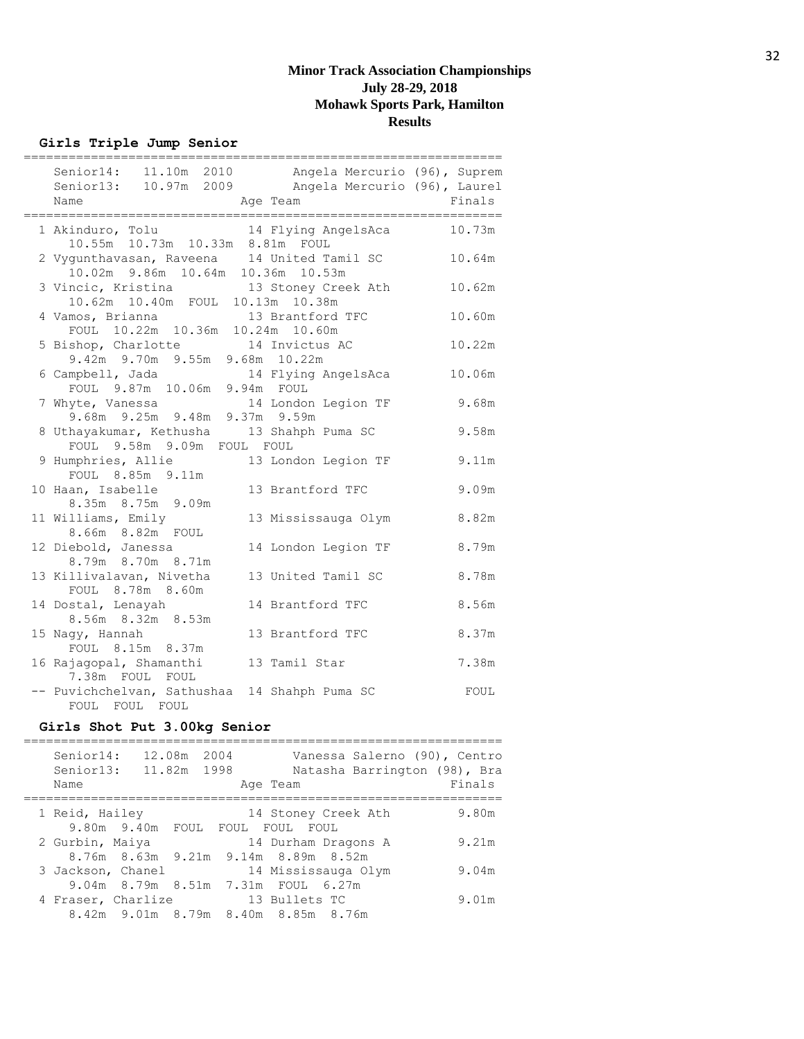**Girls Triple Jump Senior**

| ========<br>Senior14: 11.10m 2010 Angela Mercurio (96), Suprem<br>Senior13: 10.97m 2009 Angela Mercurio (96), Laurel<br>Name | Age Team            | =========<br>Finals |
|------------------------------------------------------------------------------------------------------------------------------|---------------------|---------------------|
|                                                                                                                              |                     |                     |
| 1 Akinduro, Tolu 14 Flying AngelsAca                                                                                         |                     | 10.73m              |
| 10.55m  10.73m  10.33m  8.81m  FOUL<br>2 Vygunthavasan, Raveena 14 United Tamil SC<br>10.02m 9.86m 10.64m 10.36m 10.53m      |                     | 10.64m              |
| 3 Vincic, Kristina 13 Stoney Creek Ath<br>10.62m 10.40m FOUL 10.13m 10.38m                                                   |                     | 10.62m              |
| 4 Vamos, Brianna 13 Brantford TFC<br>FOUL 10.22m 10.36m 10.24m 10.60m                                                        |                     | 10.60m              |
| 5 Bishop, Charlotte 14 Invictus AC<br>9.42m 9.70m 9.55m 9.68m 10.22m                                                         |                     | 10.22m              |
| 6 Campbell, Jada<br>mpbell, Jada 14 Flying AngelsAca<br>FOUL 9.87m 10.06m 9.94m FOUL                                         |                     | 10.06m              |
| 7 Whyte, Vanessa 14 London Legion TF<br>9.68m 9.25m 9.48m 9.37m 9.59m                                                        |                     | 9.68m               |
| 8 Uthayakumar, Kethusha 13 Shahph Puma SC<br>FOUL 9.58m 9.09m FOUL FOUL                                                      |                     | 9.58m               |
| 9 Humphries, Allie<br>FOUL 8.85m 9.11m                                                                                       | 13 London Legion TF | 9.11m               |
| 10 Haan, Isabelle<br>8.35m 8.75m 9.09m                                                                                       | 13 Brantford TFC    | 9.09m               |
| 11 Williams, Emily<br>8.66m 8.82m FOUL                                                                                       | 13 Mississauga Olym | 8.82m               |
| 12 Diebold, Janessa<br>8.79m 8.70m 8.71m                                                                                     | 14 London Legion TF | 8.79m               |
| 13 Killivalavan, Nivetha<br>FOUL 8.78m 8.60m                                                                                 | 13 United Tamil SC  | 8.78m               |
| 14 Dostal, Lenayah<br>8.56m 8.32m 8.53m                                                                                      | 14 Brantford TFC    | 8.56m               |
| 15 Nagy, Hannah<br>FOUL 8.15m 8.37m                                                                                          | 13 Brantford TFC    | 8.37m               |
| 16 Rajagopal, Shamanthi<br>7.38m FOUL FOUL                                                                                   | 13 Tamil Star       | 7.38m               |
| -- Puvichchelvan, Sathushaa 14 Shahph Puma SC<br>FOUL FOUL FOUL                                                              |                     | FOUL                |

# **Girls Shot Put 3.00kg Senior**

| Senior14:<br>Senior13:<br>Name | 12.08m 2004<br>11.82m 1998 | Age Team                            | Vanessa Salerno (90), Centro<br>Natasha Barrington (98), Bra<br>Finals |
|--------------------------------|----------------------------|-------------------------------------|------------------------------------------------------------------------|
| 1 Reid, Hailey                 |                            | 14 Stoney Creek Ath                 | 9.80m                                                                  |
|                                |                            | 9.80m 9.40m FOUL FOUL FOUL FOUL     |                                                                        |
| 2 Gurbin, Maiya                |                            | 14 Durham Dragons A                 | 9.21m                                                                  |
|                                |                            | 8.76m 8.63m 9.21m 9.14m 8.89m 8.52m |                                                                        |
| 3 Jackson, Chanel              |                            | 14 Mississauga Olym                 | 9.04m                                                                  |
|                                |                            | 9.04m 8.79m 8.51m 7.31m FOUL 6.27m  |                                                                        |
| 4 Fraser, Charlize             |                            | 13 Bullets TC                       | 9.01m                                                                  |
|                                |                            | 8.42m 9.01m 8.79m 8.40m 8.85m 8.76m |                                                                        |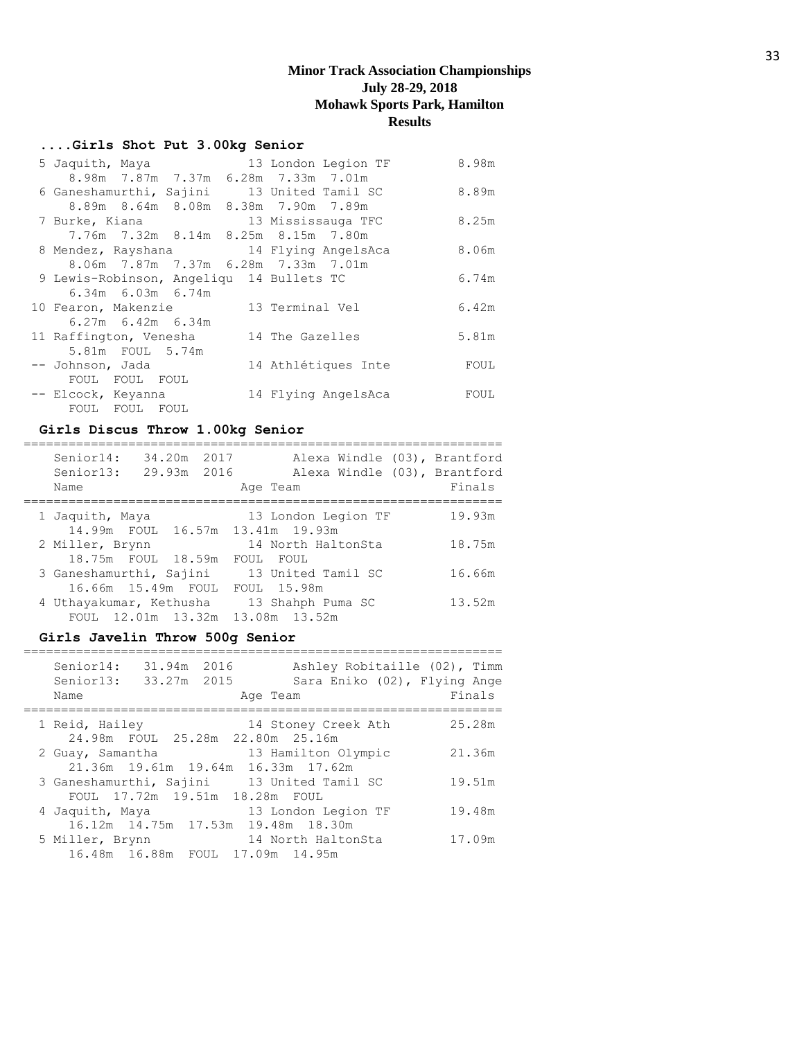## **....Girls Shot Put 3.00kg Senior**

| 5 Jaquith, Maya                            | 13 London Legion TF | 8.98m |
|--------------------------------------------|---------------------|-------|
| 8.98m 7.87m 7.37m 6.28m 7.33m 7.01m        |                     |       |
| 6 Ganeshamurthi, Sajini 13 United Tamil SC |                     | 8.89m |
| 8.89m 8.64m 8.08m 8.38m 7.90m 7.89m        |                     |       |
| 7 Burke, Kiana                             | 13 Mississauga TFC  | 8.25m |
| 7.76m 7.32m 8.14m 8.25m 8.15m 7.80m        |                     |       |
| 8 Mendez, Rayshana and 14 Flying AngelsAca |                     | 8.06m |
| 8.06m 7.87m 7.37m 6.28m 7.33m 7.01m        |                     |       |
| 9 Lewis-Robinson, Angeligu 14 Bullets TC   |                     | 6.74m |
| $6.34m$ $6.03m$ $6.74m$                    |                     |       |
| 10 Fearon, Makenzie                        | 13 Terminal Vel     | 6.42m |
| $6.27m$ $6.42m$ $6.34m$                    |                     |       |
| 11 Raffington, Venesha                     | 14 The Gazelles     | 5.81m |
| 5.81m FOUL 5.74m                           |                     |       |
| -- Johnson, Jada                           | 14 Athlétiques Inte | FOUL  |
| FOUL FOUL FOUL                             |                     |       |
| -- Elcock, Keyanna                         | 14 Flying AngelsAca | FOUL  |
| FOUL FOUL FOUL                             |                     |       |

## **Girls Discus Throw 1.00kg Senior**

| Senior14:<br>Senior13:<br>Name |                    | 34.20m 2017<br>29.93m 2016 | Age Team                         |  | Alexa Windle (03), Brantford<br>Alexa Windle (03), Brantford<br>Finals |
|--------------------------------|--------------------|----------------------------|----------------------------------|--|------------------------------------------------------------------------|
| 1 Jaquith, Maya                |                    |                            | 13 London Legion TF              |  | 19.93m                                                                 |
|                                |                    |                            | 14.99m FOUL 16.57m 13.41m 19.93m |  |                                                                        |
| 2 Miller, Brynn                |                    |                            | 14 North HaltonSta               |  | 18.75m                                                                 |
|                                | 18.75m FOUL 18.59m |                            | FOUL FOUL                        |  |                                                                        |
| 3 Ganeshamurthi, Sajini        |                    |                            | 13 United Tamil SC               |  | 16.66m                                                                 |
|                                | 16.66m 15.49m FOUL |                            | FOUL 15.98m                      |  |                                                                        |
| 4 Uthayakumar, Kethusha        |                    |                            | 13 Shahph Puma SC                |  | 13.52m                                                                 |
|                                |                    |                            | FOUL 12.01m 13.32m 13.08m 13.52m |  |                                                                        |
|                                |                    |                            |                                  |  |                                                                        |

## **Girls Javelin Throw 500g Senior**

| Senior14:<br>Senior13:<br>Name | 31.94m 2016<br>33.27m 2015     | Ashley Robitaille (02), Timm<br>Sara Eniko (02), Flying Ange<br>Age Team | Finals |
|--------------------------------|--------------------------------|--------------------------------------------------------------------------|--------|
| 1 Reid, Hailey                 |                                | 14 Stoney Creek Ath<br>24.98m FOUL 25.28m 22.80m 25.16m                  | 25.28m |
| 2 Guay, Samantha               |                                | 13 Hamilton Olympic<br>21.36m 19.61m 19.64m 16.33m 17.62m                | 21.36m |
| 3 Ganeshamurthi, Sajini        | FOUL 17.72m 19.51m 18.28m FOUL | 13 United Tamil SC                                                       | 19.51m |
| 4 Jaquith, Maya                |                                | 13 London Legion TF<br>16.12m 14.75m 17.53m 19.48m 18.30m                | 19.48m |
| 5 Miller, Brynn                |                                | 14 North HaltonSta<br>16.48m 16.88m FOUL 17.09m 14.95m                   | 17.09m |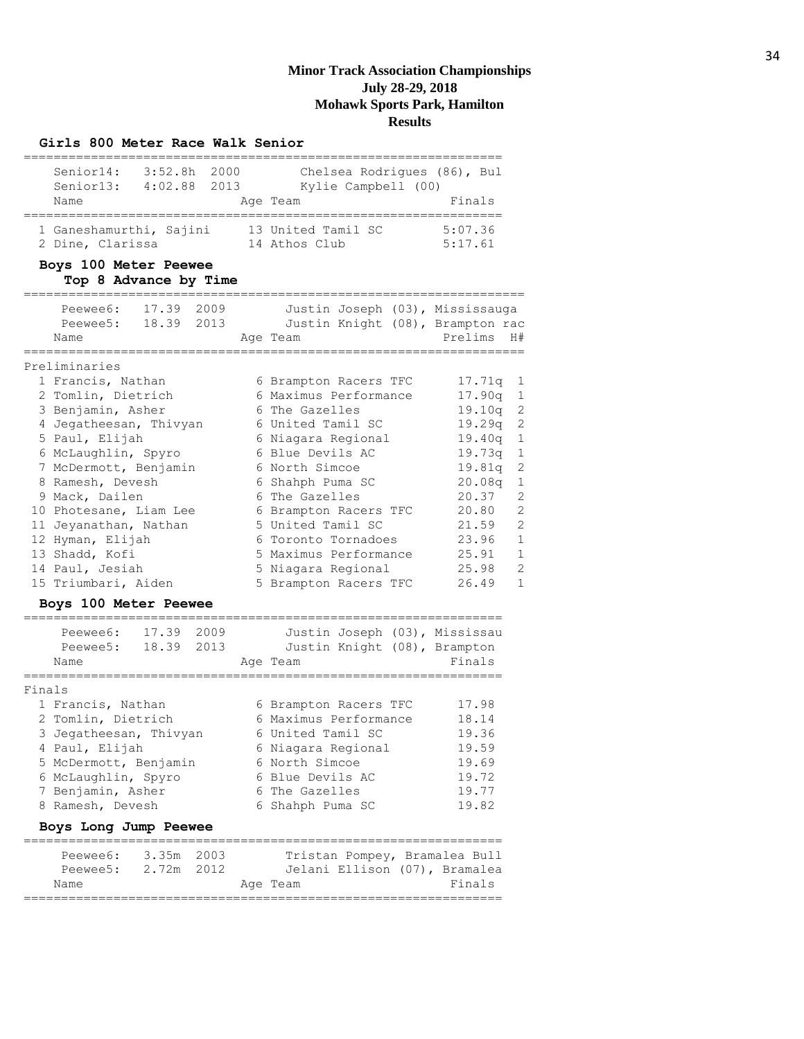#### **Girls 800 Meter Race Walk Senior**

| Senior14:<br>Senior13:                      | $3:52.8h$ 2000<br>4:02.88 2013 | Chelsea Rodriques (86), Bul<br>Kylie Campbell (00) |                    |
|---------------------------------------------|--------------------------------|----------------------------------------------------|--------------------|
| Name                                        |                                | Age Team                                           | Finals             |
| 1 Ganeshamurthi, Sajini<br>2 Dine, Clarissa |                                | 13 United Tamil SC<br>14 Athos Club                | 5:07.36<br>5:17.61 |

#### **Boys 100 Meter Peewee Top 8 Advance by Time**

|        | Peewee6: 17.39 2009<br>Peewee5: 18.39 2013 | Justin Joseph (03), Mississauga<br>Justin Knight (08), Brampton rac |                          |
|--------|--------------------------------------------|---------------------------------------------------------------------|--------------------------|
|        | Name                                       | Age Team                                                            | Prelims<br>H#            |
|        | ==========                                 |                                                                     | ,__________________      |
|        | Preliminaries                              |                                                                     |                          |
|        | 1 Francis, Nathan                          | 6 Brampton Racers TFC                                               | 17.71q<br>1              |
|        | 2 Tomlin, Dietrich                         | 6 Maximus Performance                                               | 17.90q<br>$\mathbf 1$    |
|        | 3 Benjamin, Asher                          | 6 The Gazelles                                                      | $\overline{c}$<br>19.10q |
|        | 4 Jegatheesan, Thivyan                     | 6 United Tamil SC                                                   | $\overline{c}$<br>19.29q |
|        | 5 Paul, Elijah                             | 6 Niagara Regional                                                  | $1\,$<br>19.40q          |
|        | 6 McLaughlin, Spyro                        | 6 Blue Devils AC                                                    | $\mathbf 1$<br>19.73q    |
|        | 7 McDermott, Benjamin                      | 6 North Simcoe                                                      | $\overline{c}$<br>19.81q |
|        | 8 Ramesh, Devesh                           | 6 Shahph Puma SC                                                    | $\mathbf 1$<br>20.08q    |
|        | 9 Mack, Dailen                             | 6 The Gazelles                                                      | $\overline{c}$<br>20.37  |
|        | 10 Photesane, Liam Lee                     | 6 Brampton Racers TFC                                               | $\overline{c}$<br>20.80  |
|        | 11 Jeyanathan, Nathan                      | 5 United Tamil SC                                                   | $\overline{c}$<br>21.59  |
|        | 12 Hyman, Elijah                           | 6 Toronto Tornadoes                                                 | $\mathbf{1}$<br>23.96    |
|        | 13 Shadd, Kofi                             | 5 Maximus Performance                                               | $\mathbf{1}$<br>25.91    |
|        | 14 Paul, Jesiah                            | 5 Niagara Regional                                                  | $\overline{c}$<br>25.98  |
|        | 15 Triumbari, Aiden                        | 5 Brampton Racers TFC                                               | $\mathbf{1}$<br>26.49    |
|        | Boys 100 Meter Peewee                      |                                                                     |                          |
|        | ===========                                | -----------------------------                                       |                          |
|        | Peewee6: 17.39 2009                        | Justin Joseph (03), Mississau                                       |                          |
|        | Peewee5: 18.39 2013                        | Justin Knight (08), Brampton                                        |                          |
|        | Name                                       | Age Team                                                            | Finals                   |
| Finals |                                            |                                                                     |                          |
|        | 1 Francis, Nathan                          | 6 Brampton Racers TFC                                               | 17.98                    |
|        | 2 Tomlin, Dietrich                         | 6 Maximus Performance                                               | 18.14                    |
|        | 3 Jegatheesan, Thivyan                     | 6 United Tamil SC                                                   | 19.36                    |
|        | 4 Paul, Elijah                             | 6 Niagara Regional                                                  | 19.59                    |
|        | 5 McDermott, Benjamin                      | 6 North Simcoe                                                      | 19.69                    |

#### 6 McLaughlin, Spyro 6 Blue Devils AC 19.72 7 Benjamin, Asher 6 The Gazelles 19.77

| 8 Ramesh, Devesh      |                          |  | 6 Shahph Puma SC |  | 19.82                                   |
|-----------------------|--------------------------|--|------------------|--|-----------------------------------------|
| Boys Long Jump Peewee |                          |  |                  |  |                                         |
| Peewee6:              | 3.35m 2003<br>2.72m 2012 |  |                  |  | Tristan Pompey, Bramalea Bull           |
| Peewee5:<br>Name      |                          |  | Age Team         |  | Jelani Ellison (07), Bramalea<br>Finals |
|                       |                          |  |                  |  |                                         |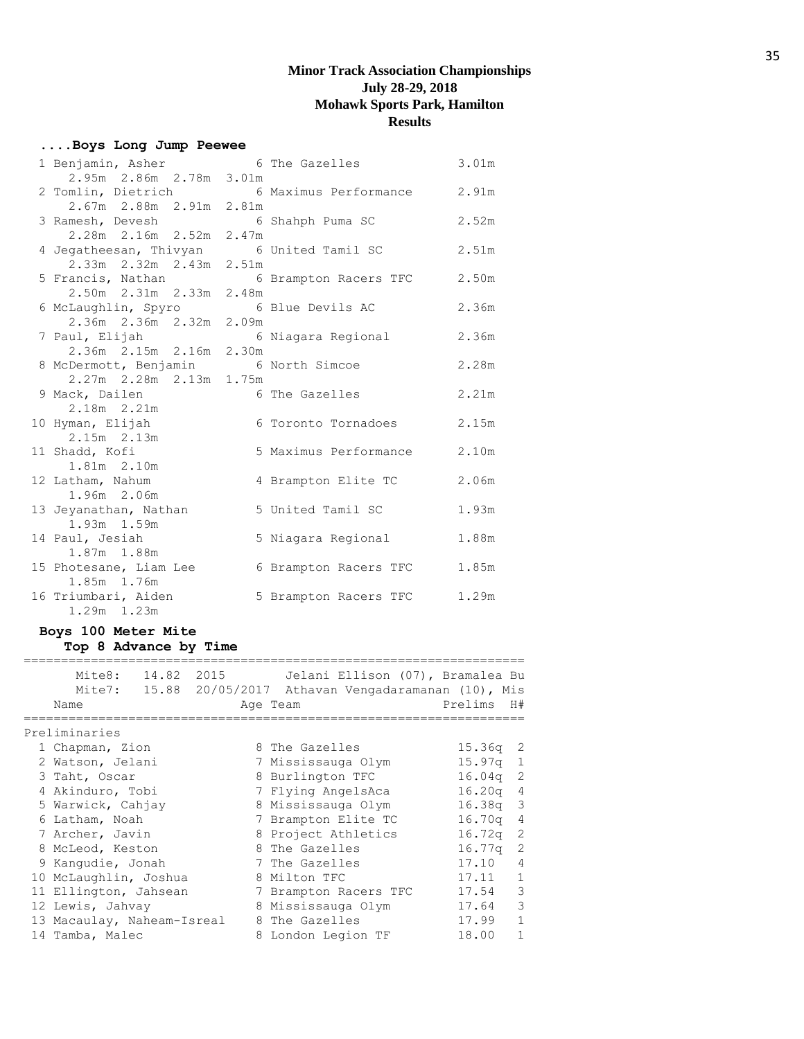## **....Boys Long Jump Peewee**

| 1 Benjamin, Asher                                                   |       | 6 The Gazelles        | 3.01m |
|---------------------------------------------------------------------|-------|-----------------------|-------|
| 2.95m 2.86m 2.78m 3.01m                                             |       |                       |       |
| 2 Tomlin, Dietrich 6 Maximus Performance<br>2.67m 2.88m 2.91m 2.81m |       |                       | 2.91m |
|                                                                     |       |                       |       |
| 3 Ramesh, Devesh 6 Shahph Puma SC                                   |       |                       | 2.52m |
| 2.28m 2.16m 2.52m                                                   | 2.47m |                       |       |
| 4 Jegatheesan, Thivyan 6 United Tamil SC                            |       |                       | 2.51m |
| 2.33m 2.32m 2.43m 2.51m                                             |       |                       |       |
| 5 Francis, Nathan                                                   |       | 6 Brampton Racers TFC | 2.50m |
| 2.50m  2.31m  2.33m                                                 | 2.48m |                       |       |
| 6 McLaughlin, Spyro 6 Blue Devils AC                                |       |                       | 2.36m |
| 2.36m 2.36m 2.32m                                                   | 2.09m |                       |       |
| 7 Paul, Elijah                                                      |       | 6 Niagara Regional    | 2.36m |
| 2.36m 2.15m 2.16m 2.30m                                             |       |                       |       |
| 8 McDermott, Benjamin 6 North Simcoe                                |       |                       | 2.28m |
| $2.27m$ $2.28m$ $2.13m$                                             | 1.75m |                       |       |
| 9 Mack, Dailen                                                      |       | 6 The Gazelles        | 2.21m |
| 2.18m 2.21m                                                         |       |                       |       |
| 10 Hyman, Elijah                                                    |       | 6 Toronto Tornadoes   | 2.15m |
| 2.15m 2.13m                                                         |       |                       |       |
| 11 Shadd, Kofi                                                      |       | 5 Maximus Performance | 2.10m |
| 1.81m 2.10m                                                         |       |                       |       |
| 12 Latham, Nahum                                                    |       | 4 Brampton Elite TC   | 2.06m |
| 1.96m 2.06m                                                         |       |                       |       |
| 13 Jeyanathan, Nathan                                               |       | 5 United Tamil SC     | 1.93m |
| 1.93m 1.59m                                                         |       |                       |       |
| 14 Paul, Jesiah                                                     |       | 5 Niagara Regional    | 1.88m |
| 1.87m 1.88m                                                         |       |                       |       |
| 15 Photesane, Liam Lee                                              |       | 6 Brampton Racers TFC | 1.85m |
| 1.85m 1.76m                                                         |       |                       |       |
| 16 Triumbari, Aiden                                                 |       | 5 Brampton Racers TFC | 1.29m |
| $1.29m$ $1.23m$                                                     |       |                       |       |

## **Boys 100 Meter Mite Top 8 Advance by Time**

| Mite8: 14.82 2015<br>Name  | Jelani Ellison (07), Bramalea Bu<br>Mite7: 15.88 20/05/2017 Athavan Vengadaramanan (10), Mis<br>Age Team | Prelims    | H#             |
|----------------------------|----------------------------------------------------------------------------------------------------------|------------|----------------|
| Preliminaries              |                                                                                                          |            |                |
| 1 Chapman, Zion            | 8 The Gazelles                                                                                           | 15.36q     | - 2            |
| 2 Watson, Jelani           | 7 Mississauga Olym                                                                                       | $15.97q$ 1 |                |
| 3 Taht, Oscar              | 8 Burlington TFC                                                                                         | $16.04q$ 2 |                |
| 4 Akinduro, Tobi           | 7 Flying AngelsAca                                                                                       | 16.20q     | $\overline{4}$ |
| 5 Warwick, Cahjay          | 8 Mississauga Olym                                                                                       | $16.38q$ 3 |                |
| 6 Latham, Noah             | 7 Brampton Elite TC                                                                                      | $16.70q$ 4 |                |
| 7 Archer, Javin            | 8 Project Athletics                                                                                      | $16.72q$ 2 |                |
| 8 McLeod, Keston           | 8 The Gazelles                                                                                           | $16.77q$ 2 |                |
| 9 Kangudie, Jonah          | 7 The Gazelles                                                                                           | 17.10      | $\overline{4}$ |
| 10 McLaughlin, Joshua      | 8 Milton TFC                                                                                             | 17.11      | $\mathbf{1}$   |
| 11 Ellington, Jahsean      | 7 Brampton Racers TFC                                                                                    | 17.54      | 3              |
| 12 Lewis, Jahvay           | 8 Mississauga Olym                                                                                       | 17.64      | 3              |
| 13 Macaulay, Naheam-Isreal | 8 The Gazelles                                                                                           | 17.99      | $\mathbf{1}$   |
| 14 Tamba, Malec            | 8 London Legion TF                                                                                       | 18.00      | $\mathbf{1}$   |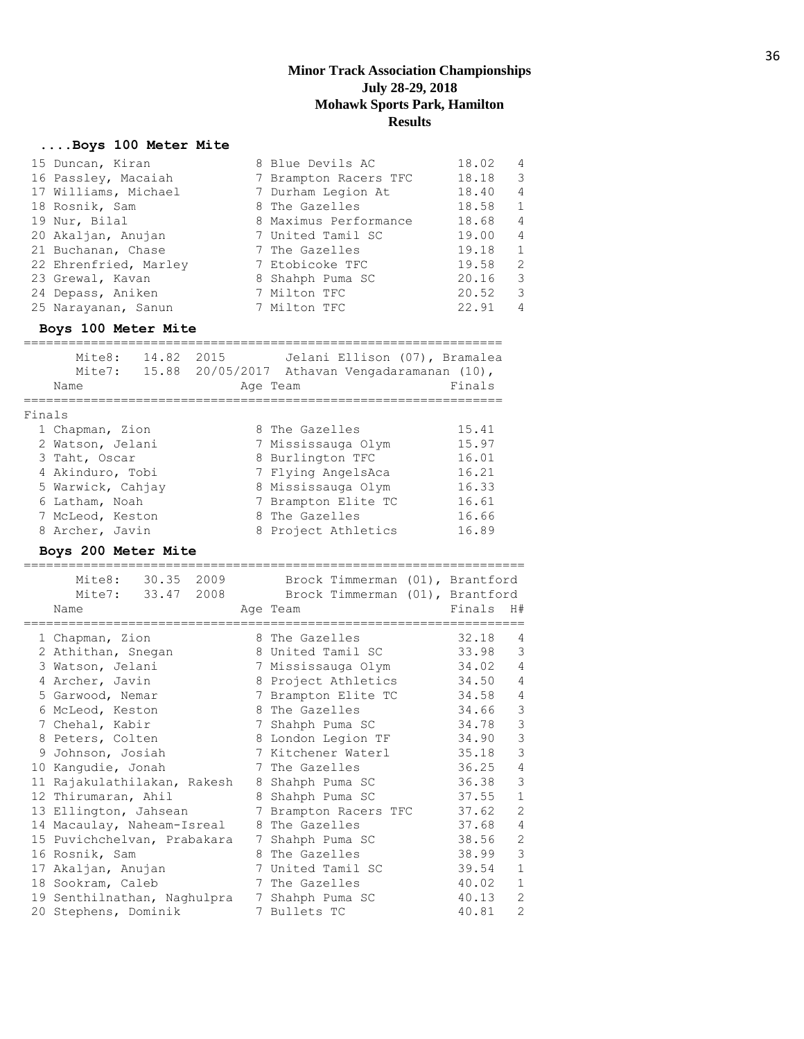## **....Boys 100 Meter Mite**

| 15 Duncan, Kiran      | 8 Blue Devils AC      | 18.02 | $\overline{4}$ |
|-----------------------|-----------------------|-------|----------------|
| 16 Passley, Macaiah   | 7 Brampton Racers TFC | 18.18 | 3              |
| 17 Williams, Michael  | 7 Durham Legion At    | 18.40 | $\overline{4}$ |
| 18 Rosnik, Sam        | 8 The Gazelles        | 18.58 | $\mathbf{1}$   |
| 19 Nur, Bilal         | 8 Maximus Performance | 18.68 | $\overline{4}$ |
| 20 Akaljan, Anujan    | 7 United Tamil SC     | 19.00 | $\overline{4}$ |
| 21 Buchanan, Chase    | 7 The Gazelles        | 19.18 | 1              |
| 22 Ehrenfried, Marley | 7 Etobicoke TFC       | 19.58 | 2              |
| 23 Grewal, Kavan      | 8 Shahph Puma SC      | 20.16 | 3              |
| 24 Depass, Aniken     | 7 Milton TFC          | 20.52 | 3              |
| 25 Narayanan, Sanun   | 7 Milton TFC          | 22.91 | $\overline{4}$ |

#### **Boys 100 Meter Mite**

|        | Mite8:<br>14.82<br>Mite7:<br>Name | Jelani Ellison (07), Bramalea<br>2015<br>15.88 20/05/2017 Athavan Vengadaramanan (10),<br>Age Team | Finals |
|--------|-----------------------------------|----------------------------------------------------------------------------------------------------|--------|
| Finals |                                   |                                                                                                    |        |
|        | 1 Chapman, Zion                   | 8 The Gazelles                                                                                     | 15.41  |
|        | 2 Watson, Jelani                  | 7 Mississauga Olym                                                                                 | 15.97  |
|        | 3 Taht, Oscar                     | 8 Burlington TFC                                                                                   | 16.01  |
|        | 4 Akinduro, Tobi                  | 7 Flying AngelsAca                                                                                 | 16.21  |
|        | 5 Warwick, Cahjay                 | 8 Mississauga Olym                                                                                 | 16.33  |
|        | 6 Latham, Noah                    | 7 Brampton Elite TC                                                                                | 16.61  |
|        | 7 McLeod, Keston                  | 8 The Gazelles                                                                                     | 16.66  |
|        | 8 Archer, Javin                   | 8 Project Athletics                                                                                | 16.89  |

#### **Boys 200 Meter Mite**

|   | 30.35 2009<br>Mite8:        |   | Brock Timmerman (01), Brantford |                       |                |
|---|-----------------------------|---|---------------------------------|-----------------------|----------------|
|   | Mite7: 33.47 2008           |   | Brock Timmerman (01), Brantford |                       |                |
|   | Name                        |   | Age Team                        | Finals<br>H#          |                |
|   | 1 Chapman, Zion             |   | 8 The Gazelles                  | 32.18                 | 4              |
|   | 2 Athithan, Snegan          |   | 8 United Tamil SC               | 33.98                 | 3              |
|   | 3 Watson, Jelani            |   | 7 Mississauga Olym              | 34.02                 | $\overline{4}$ |
|   | 4 Archer, Javin             |   | 8 Project Athletics             | 34.50                 | $\overline{4}$ |
|   | 5 Garwood, Nemar            | 7 | Brampton Elite TC               | 34.58                 | $\overline{4}$ |
|   | 6 McLeod, Keston            |   | 8 The Gazelles                  | 34.66                 | 3              |
|   | 7 Chehal, Kabir             | 7 | Shahph Puma SC                  | 34.78                 | 3              |
|   | 8 Peters, Colten            |   | 8 London Legion TF              | 34.90                 | 3              |
| 9 | Johnson, Josiah             |   | 7 Kitchener Waterl              | 35.18                 | 3              |
|   | 10 Kanqudie, Jonah          | 7 | The Gazelles                    | 36.25                 | 4              |
|   | 11 Rajakulathilakan, Rakesh | 8 | Shahph Puma SC                  | 36.38                 | 3              |
|   | 12 Thirumaran, Ahil         | 8 | Shahph Puma SC                  | $\mathbf{1}$<br>37.55 |                |
|   | 13 Ellington, Jahsean       | 7 | Brampton Racers TFC             | 37.62                 | $\overline{2}$ |
|   | 14 Macaulay, Naheam-Isreal  | 8 | The Gazelles                    | 37.68                 | $\overline{4}$ |
|   | 15 Puvichchelvan, Prabakara | 7 | Shahph Puma SC                  | 38.56                 | $\overline{2}$ |
|   | 16 Rosnik, Sam              |   | 8 The Gazelles                  | 38.99                 | 3              |
|   | 17 Akaljan, Anujan          | 7 | United Tamil SC                 | $\mathbf{1}$<br>39.54 |                |
|   | 18 Sookram, Caleb           | 7 | The Gazelles                    | $\mathbf{1}$<br>40.02 |                |
|   | 19 Senthilnathan, Naghulpra | 7 | Shahph Puma SC                  | 40.13                 | $\overline{2}$ |
|   | 20 Stephens, Dominik        |   | 7 Bullets TC                    | 40.81                 | $\overline{2}$ |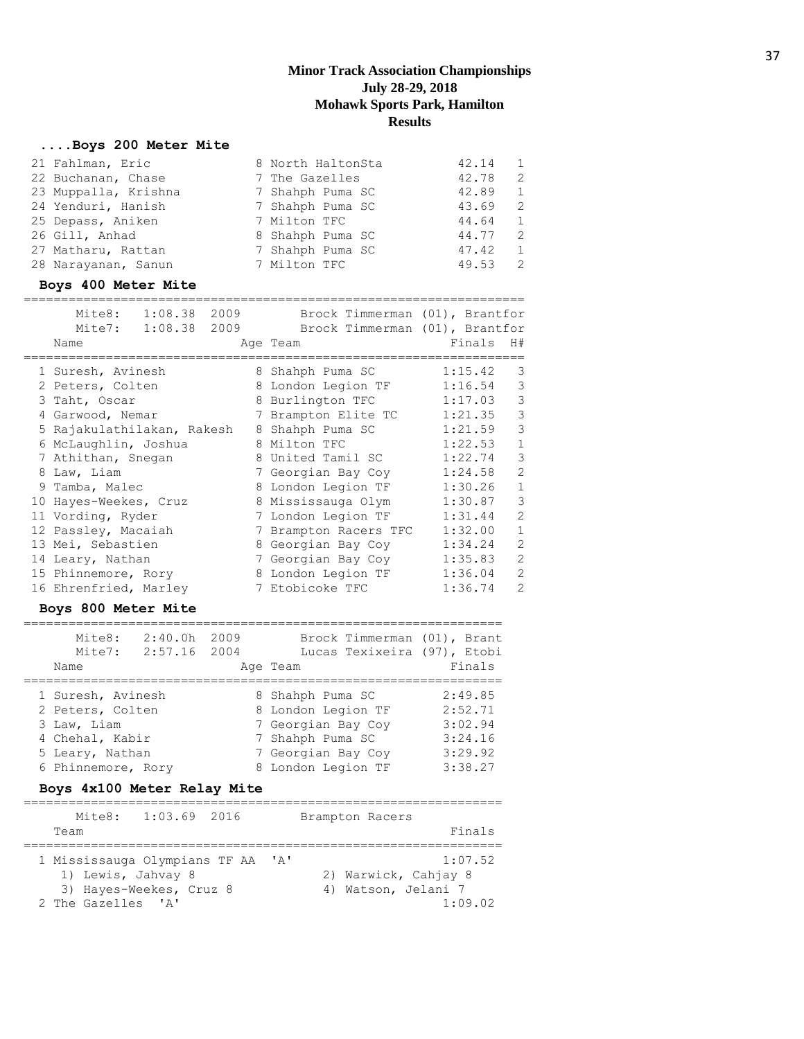#### **....Boys 200 Meter Mite**

| 21 Fahlman, Eric     | 8 North HaltonSta | 42.14 | $\mathbf{1}$ |
|----------------------|-------------------|-------|--------------|
| 22 Buchanan, Chase   | 7 The Gazelles    | 42.78 | 2            |
| 23 Muppalla, Krishna | 7 Shahph Puma SC  | 42.89 | 1            |
| 24 Yenduri, Hanish   | 7 Shahph Puma SC  | 43.69 | 2            |
| 25 Depass, Aniken    | 7 Milton TFC      | 44.64 | 1            |
| 26 Gill, Anhad       | 8 Shahph Puma SC  | 44.77 | 2            |
| 27 Matharu, Rattan   | 7 Shahph Puma SC  | 47.42 | 1            |
| 28 Narayanan, Sanun  | 7 Milton TFC      | 49.53 | 2            |

#### **Boys 400 Meter Mite**

|   | Mite8: 1:08.38 2009<br>Mite7: 1:08.38 2009<br>Name | Brock Timmerman (01), Brantfor<br>Brock Timmerman (01), Brantfor<br>Age Team | Finals  | H#             |
|---|----------------------------------------------------|------------------------------------------------------------------------------|---------|----------------|
|   | 1 Suresh, Avinesh                                  | 8 Shahph Puma SC                                                             | 1:15.42 | 3              |
|   | 2 Peters, Colten                                   | 8 London Legion TF                                                           | 1:16.54 | 3              |
|   | 3 Taht, Oscar                                      | 8 Burlington TFC                                                             | 1:17.03 | 3              |
|   | 4 Garwood, Nemar                                   | 7 Brampton Elite TC                                                          | 1:21.35 | 3              |
|   | 5 Rajakulathilakan, Rakesh                         | 8 Shahph Puma SC                                                             | 1:21.59 | 3              |
|   | 6 McLaughlin, Joshua                               | 8 Milton TFC                                                                 | 1:22.53 | $\mathbf{1}$   |
|   | 7 Athithan, Snegan                                 | 8 United Tamil SC                                                            | 1:22.74 | 3              |
| 8 | Law, Liam                                          | 7 Georgian Bay Coy                                                           | 1:24.58 | $\overline{2}$ |
|   | 9 Tamba, Malec                                     | 8 London Legion TF                                                           | 1:30.26 | $\mathbf{1}$   |
|   | 10 Hayes-Weekes, Cruz                              | 8 Mississauga Olym                                                           | 1:30.87 | 3              |
|   | 11 Vording, Ryder                                  | 7 London Legion TF                                                           | 1:31.44 | $\mathfrak{D}$ |
|   | 12 Passley, Macaiah                                | 7 Brampton Racers TFC                                                        | 1:32.00 | $\mathbf{1}$   |
|   | 13 Mei, Sebastien                                  | 8 Georgian Bay Coy                                                           | 1:34.24 | 2              |
|   | 14 Leary, Nathan                                   | 7 Georgian Bay Coy                                                           | 1:35.83 | $\overline{2}$ |
|   | 15 Phinnemore, Rory                                | 8 London Legion TF                                                           | 1:36.04 | 2              |
|   | 16 Ehrenfried, Marley                              | 7 Etobicoke TFC                                                              | 1:36.74 | $\overline{2}$ |

#### **Boys 800 Meter Mite**

================================================================

| Mite8:<br>Mite7:   | 2:40.0h<br>2:57.16 2004 | 2009 | Brock Timmerman (01), Brant<br>Lucas Texixeira (97), Etobi |         |
|--------------------|-------------------------|------|------------------------------------------------------------|---------|
| Name               |                         |      | Age Team                                                   | Finals  |
| 1 Suresh, Avinesh  |                         |      | 8 Shahph Puma SC                                           | 2:49.85 |
| 2 Peters, Colten   |                         |      | 8 London Legion TF                                         | 2:52.71 |
| 3 Law, Liam        |                         |      | 7 Georgian Bay Coy                                         | 3:02.94 |
| 4 Chehal, Kabir    |                         |      | 7 Shahph Puma SC                                           | 3:24.16 |
| 5 Leary, Nathan    |                         |      | 7 Georgian Bay Coy                                         | 3:29.92 |
| 6 Phinnemore, Rory |                         |      | 8 London Legion TF                                         | 3:38.27 |

## **Boys 4x100 Meter Relay Mite**

| Mite8:                                                                    | $1:03.69$ 2016          |                           | Brampton Racers |                                                                   |
|---------------------------------------------------------------------------|-------------------------|---------------------------|-----------------|-------------------------------------------------------------------|
| Team                                                                      |                         |                           |                 | Finals                                                            |
| 1 Mississauga Olympians TF AA<br>1) Lewis, Jahvay 8<br>2 The Gazelles 'A' | 3) Hayes-Weekes, Cruz 8 | $^{\prime}$ A $^{\prime}$ |                 | 1:07.52<br>2) Warwick, Cahjay 8<br>4) Watson, Jelani 7<br>1:09.02 |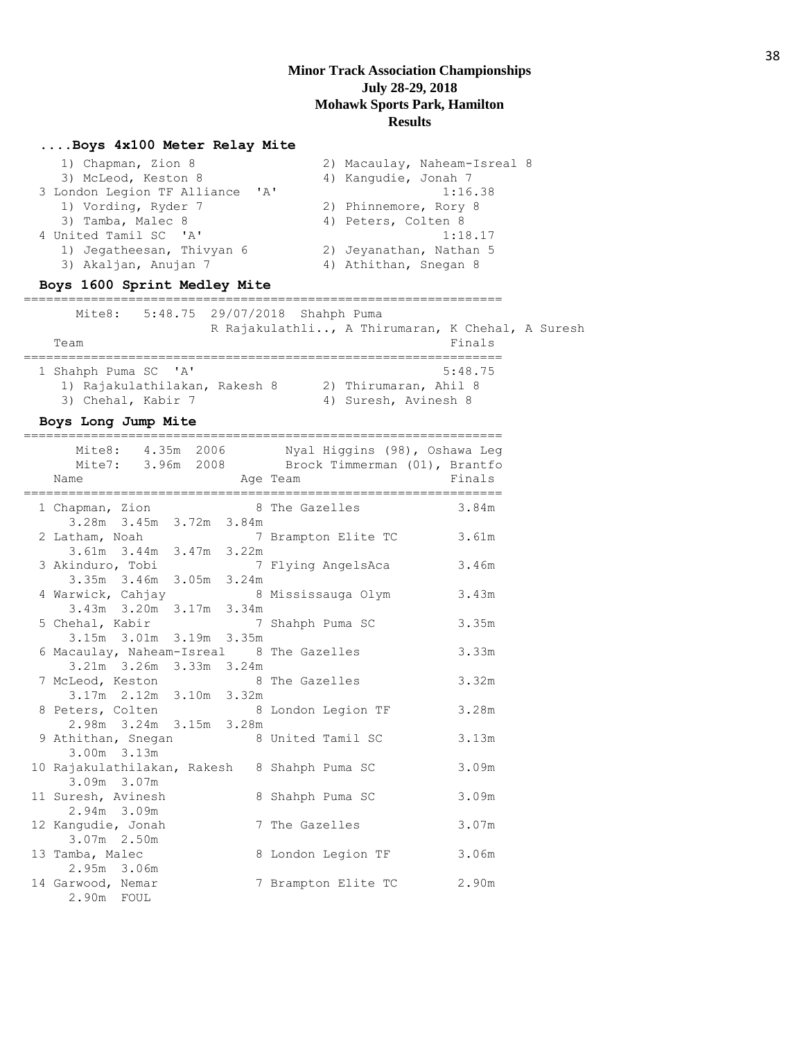#### **....Boys 4x100 Meter Relay Mite**

| 1) Chapman, Zion 8                          | 2) Macaulay, Naheam-Isreal 8 |
|---------------------------------------------|------------------------------|
| 3) McLeod, Keston 8                         | 4) Kangudie, Jonah 7         |
| 3 London Legion TF Alliance<br>$\mathsf{A}$ | 1:16.38                      |
| 1) Vording, Ryder 7                         | 2) Phinnemore, Rory 8        |
| 3) Tamba, Malec 8                           | 4) Peters, Colten 8          |
| 4 United Tamil SC 'A'                       | 1:18.17                      |
| 1) Jegatheesan, Thivyan 6                   | 2) Jeyanathan, Nathan 5      |
| 3) Akaljan, Anujan 7                        | 4) Athithan, Snegan 8        |
|                                             |                              |

#### **Boys 1600 Sprint Medley Mite**

================================================================ Mite8: 5:48.75 29/07/2018 Shahph Puma R Rajakulathli.., A Thirumaran, K Chehal, A Suresh Team Finals ================================================================ 1 Shahph Puma SC 'A' 5:48.75 1) Rajakulathilakan, Rakesh 8 2) Thirumaran, Ahil 8 3) Chehal, Kabir 7 4) Suresh, Avinesh 8

#### **Boys Long Jump Mite**

|                                                                 |          | Mite8: 4.35m 2006 Nyal Higgins (98), Oshawa Leg<br>Mite7: 3.96m 2008 Brock Timmerman (01), Brantfo | Finals |
|-----------------------------------------------------------------|----------|----------------------------------------------------------------------------------------------------|--------|
| Name                                                            | Age Team |                                                                                                    |        |
| 1 Chapman, Zion 8 The Gazelles                                  |          |                                                                                                    | 3.84m  |
| 3.28m 3.45m 3.72m 3.84m                                         |          |                                                                                                    |        |
| 2 Latham, Noah                                                  |          | 7 Brampton Elite TC 3.61m                                                                          |        |
| 3.61m 3.44m 3.47m 3.22m                                         |          |                                                                                                    |        |
|                                                                 |          | 3 Akinduro, Tobi 7 Flying AngelsAca<br>3.35m 3.46m 3.05m 3.24m                                     | 3.46m  |
|                                                                 |          |                                                                                                    |        |
| 4 Warwick, Cahjay 8 Mississauga Olym<br>3.43m 3.20m 3.17m 3.34m |          |                                                                                                    | 3.43m  |
|                                                                 |          |                                                                                                    |        |
| 5 Chehal, Kabir 7 Shahph Puma SC                                |          |                                                                                                    | 3.35m  |
| 3.15m 3.01m 3.19m 3.35m                                         |          |                                                                                                    |        |
| 6 Macaulay, Naheam-Isreal 8 The Gazelles                        |          |                                                                                                    | 3.33m  |
| 3.21m 3.26m 3.33m 3.24m                                         |          |                                                                                                    |        |
| 7 McLeod, Keston 8 The Gazelles<br>3.17m 2.12m 3.10m 3.32m      |          |                                                                                                    | 3.32m  |
|                                                                 |          |                                                                                                    |        |
| 8 Peters, Colten                                                |          | 8 London Legion TF                                                                                 | 3.28m  |
| 2.98m 3.24m 3.15m 3.28m                                         |          |                                                                                                    |        |
| 9 Athithan, Snegan 8 United Tamil SC<br>3.00m 3.13m             |          |                                                                                                    | 3.13m  |
| 10 Rajakulathilakan, Rakesh 8 Shahph Puma SC                    |          |                                                                                                    | 3.09m  |
| 3.09m 3.07m                                                     |          |                                                                                                    |        |
| 11 Suresh, Avinesh                                              |          | 8 Shahph Puma SC                                                                                   | 3.09m  |
| 2.94m 3.09m                                                     |          |                                                                                                    |        |
| 12 Kangudie, Jonah                                              |          | 7 The Gazelles                                                                                     | 3.07m  |
| 3.07m 2.50m                                                     |          |                                                                                                    |        |
| 13 Tamba, Malec                                                 |          | 8 London Legion TF                                                                                 | 3.06m  |
| 2.95m 3.06m                                                     |          |                                                                                                    |        |
| 14 Garwood, Nemar                                               |          | 7 Brampton Elite TC                                                                                | 2.90m  |
| 2.90m FOUL                                                      |          |                                                                                                    |        |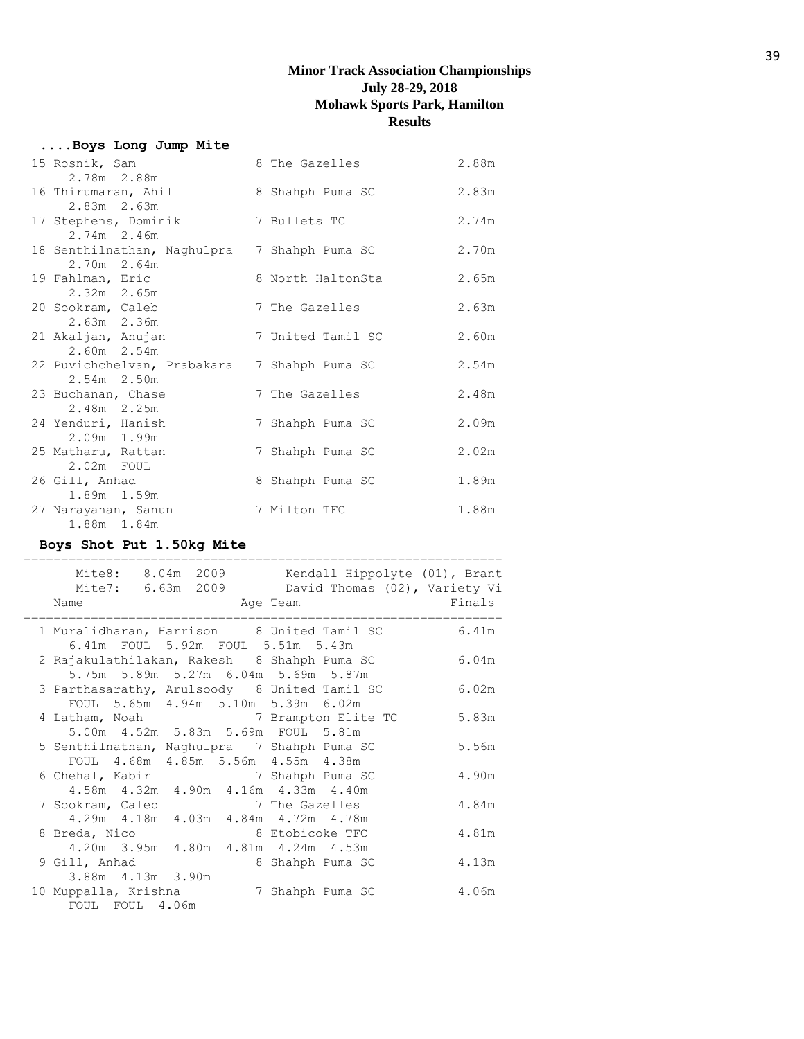# **....Boys Long Jump Mite**

| 15 Rosnik, Sam<br>2.78m 2.88m                | 8 The Gazelles    | 2.88m |
|----------------------------------------------|-------------------|-------|
| 16 Thirumaran, Ahil                          | 8 Shahph Puma SC  | 2.83m |
| $2.83m$ $2.63m$<br>17 Stephens, Dominik      | 7 Bullets TC      | 2.74m |
| $2.74m$ 2.46m<br>18 Senthilnathan, Naghulpra | 7 Shahph Puma SC  | 2.70m |
| 2.70m 2.64m                                  |                   |       |
| 19 Fahlman, Eric                             | 8 North HaltonSta | 2.65m |
| $2.32m$ $2.65m$<br>20 Sookram, Caleb         | 7 The Gazelles    | 2.63m |
| $2.63m$ $2.36m$                              |                   |       |
| 21 Akaljan, Anujan<br>2.60m 2.54m            | 7 United Tamil SC | 2.60m |
| 22 Puvichchelvan, Prabakara                  | 7 Shahph Puma SC  | 2.54m |
| 2.54m 2.50m<br>23 Buchanan, Chase            | 7 The Gazelles    | 2.48m |
| 2.48m 2.25m                                  |                   |       |
| 24 Yenduri, Hanish                           | 7 Shahph Puma SC  | 2.09m |
| 2.09m 1.99m                                  |                   |       |
| 25 Matharu, Rattan<br>$2.02m$ FOUL           | 7 Shahph Puma SC  | 2.02m |
| 26 Gill, Anhad                               | 8 Shahph Puma SC  | 1.89m |
| 1.89m 1.59m                                  |                   |       |
| 27 Narayanan, Sanun<br>1.88m 1.84m           | 7 Milton TFC      | 1.88m |

# **Boys Shot Put 1.50kg Mite**

| Mite8: 8.04m 2009 Kendall Hippolyte (01), Brant<br>Mite7: 6.63m 2009 David Thomas (02), Variety Vi<br>Name<br>and the Magnetic Preasurer and Team<br>____________________________                                                                                    |                     | Finals |
|----------------------------------------------------------------------------------------------------------------------------------------------------------------------------------------------------------------------------------------------------------------------|---------------------|--------|
| 1 Muralidharan, Harrison 8 United Tamil SC<br>6.41m FOUL 5.92m FOUL 5.51m 5.43m                                                                                                                                                                                      |                     | 6.41m  |
| 2 Rajakulathilakan, Rakesh 8 Shahph Puma SC<br>5.75m 5.89m 5.27m 6.04m 5.69m 5.87m                                                                                                                                                                                   |                     | 6.04m  |
| 3 Parthasarathy, Arulsoody 8 United Tamil SC<br>FOUL 5.65m 4.94m 5.10m 5.39m 6.02m                                                                                                                                                                                   |                     | 6.02m  |
| 4 Latham, Noah and the state of the state of the state of the state of the state of the state of the state of the state of the state of the state of the state of the state of the state of the state of the state of the stat<br>5.00m 4.52m 5.83m 5.69m FOUL 5.81m | 7 Brampton Elite TC | 5.83m  |
| 5 Senthilnathan, Naghulpra 7 Shahph Puma SC<br>FOUL 4.68m 4.85m 5.56m 4.55m 4.38m                                                                                                                                                                                    |                     | 5.56m  |
| 6 Chehal, Kabir<br>4.58m  4.32m  4.90m  4.16m  4.33m  4.40m                                                                                                                                                                                                          | 7 Shahph Puma SC    | 4.90m  |
| 7 Sookram, Caleb<br>4.29m  4.18m  4.03m  4.84m  4.72m  4.78m                                                                                                                                                                                                         | 7 The Gazelles      | 4.84m  |
| 8 Etobicoke TFC<br>8 Breda, Nico<br>4.20m 3.95m 4.80m 4.81m 4.24m 4.53m                                                                                                                                                                                              |                     | 4.81m  |
| 9 Gill, Anhad<br>3.88m 4.13m 3.90m                                                                                                                                                                                                                                   | 8 Shahph Puma SC    | 4.13m  |
| 10 Muppalla, Krishna<br>FOUL FOUL 4.06m                                                                                                                                                                                                                              | 7 Shahph Puma SC    | 4.06m  |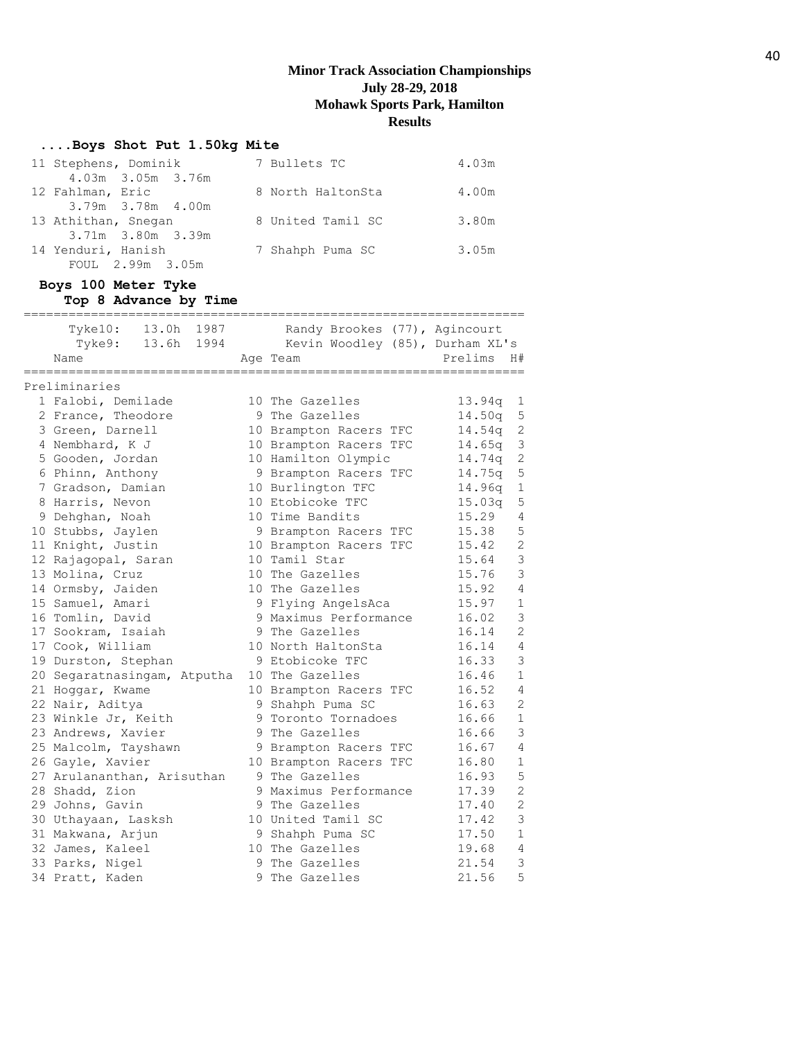## **....Boys Shot Put 1.50kg Mite**

| 11 Stephens, Dominik | 7 Bullets TC      | 4.03m |
|----------------------|-------------------|-------|
| 4.03m 3.05m 3.76m    |                   |       |
| 12 Fahlman, Eric     | 8 North HaltonSta | 4.00m |
| 3.79m 3.78m 4.00m    |                   |       |
| 13 Athithan, Snegan  | 8 United Tamil SC | 3.80m |
| 3.71m 3.80m 3.39m    |                   |       |
| 14 Yenduri, Hanish   | 7 Shahph Puma SC  | 3.05m |
| FOUL 2.99m 3.05m     |                   |       |

## **Boys 100 Meter Tyke Top 8 Advance by Time**

| Tyke10: 13.0h 1987                      |   | Randy Brookes (77), Agincourt<br>Tyke9: 13.6h 1994 Kevin Woodley (85), Durham XL's |                                      |
|-----------------------------------------|---|------------------------------------------------------------------------------------|--------------------------------------|
| Name<br>=============================== |   | Age Team                                                                           | Prelims<br>H#<br>=================== |
| Preliminaries                           |   |                                                                                    |                                      |
| 1 Falobi, Demilade                      |   | 10 The Gazelles                                                                    | 13.94q<br>$\mathbf 1$                |
| 2 France, Theodore                      |   | 9 The Gazelles                                                                     | 5<br>14.50q                          |
| 3 Green, Darnell                        |   | 10 Brampton Racers TFC                                                             | $\sqrt{2}$<br>14.54q                 |
| 4 Nembhard, K J                         |   | 10 Brampton Racers TFC                                                             | $\mathcal{S}$<br>14.65q              |
| 5 Gooden, Jordan                        |   | 10 Hamilton Olympic                                                                | $\mathbf{2}$<br>14.74q               |
| 6 Phinn, Anthony                        |   | 9 Brampton Racers TFC                                                              | 5<br>14.75q                          |
| 7 Gradson, Damian                       |   | 10 Burlington TFC                                                                  | $1\,$<br>14.96q                      |
| 8 Harris, Nevon                         |   | 10 Etobicoke TFC                                                                   | 5<br>15.03q                          |
| 9 Dehghan, Noah                         |   | 10 Time Bandits                                                                    | 15.29<br>$\overline{4}$              |
| 10 Stubbs, Jaylen                       |   | 9 Brampton Racers TFC                                                              | 5<br>15.38                           |
| 11 Knight, Justin                       |   | 10 Brampton Racers TFC                                                             | $\overline{c}$<br>15.42              |
| 12 Rajagopal, Saran                     |   | 10 Tamil Star                                                                      | $\mathcal{S}$<br>15.64               |
| 13 Molina, Cruz                         |   | 10 The Gazelles                                                                    | $\mathbf{3}$<br>15.76                |
| 14 Ormsby, Jaiden                       |   | 10 The Gazelles                                                                    | $\overline{4}$<br>15.92              |
| 15 Samuel, Amari                        |   | 9 Flying AngelsAca                                                                 | $\mathbf{1}$<br>15.97                |
| 16 Tomlin, David                        |   | 9 Maximus Performance                                                              | 3<br>16.02                           |
| 17 Sookram, Isaiah                      |   | 9 The Gazelles                                                                     | $\overline{c}$<br>16.14              |
| 17 Cook, William                        |   | 10 North HaltonSta                                                                 | $\overline{4}$<br>16.14              |
| 19 Durston, Stephan                     |   | 9 Etobicoke TFC                                                                    | 3<br>16.33                           |
| 20 Segaratnasingam, Atputha             |   | 10 The Gazelles                                                                    | $1\,$<br>16.46                       |
| 21 Hoggar, Kwame                        |   | 10 Brampton Racers TFC                                                             | 16.52<br>$\overline{4}$              |
| 22 Nair, Aditya                         |   | 9 Shahph Puma SC                                                                   | $\mathbf{2}$<br>16.63                |
| 23 Winkle Jr, Keith                     |   | 9 Toronto Tornadoes                                                                | $1\,$<br>16.66                       |
| 23 Andrews, Xavier                      |   | 9 The Gazelles                                                                     | 3<br>16.66                           |
| 25 Malcolm, Tayshawn                    |   | 9 Brampton Racers TFC                                                              | $\overline{4}$<br>16.67              |
| 26 Gayle, Xavier                        |   | 10 Brampton Racers TFC                                                             | $\mathbf{1}$<br>16.80                |
| 27 Arulananthan, Arisuthan              |   | 9 The Gazelles                                                                     | 5<br>16.93                           |
| 28 Shadd, Zion                          |   | 9 Maximus Performance                                                              | $\overline{c}$<br>17.39              |
| 29 Johns, Gavin                         |   | 9 The Gazelles                                                                     | $\overline{c}$<br>17.40              |
| 30 Uthayaan, Lasksh                     |   | 10 United Tamil SC                                                                 | 3<br>17.42                           |
| 31 Makwana, Arjun                       |   | 9 Shahph Puma SC                                                                   | $1\,$<br>17.50                       |
| 32 James, Kaleel                        |   | 10 The Gazelles                                                                    | $\overline{4}$<br>19.68              |
| 33 Parks, Nigel                         |   | 9 The Gazelles                                                                     | 3<br>21.54                           |
| 34 Pratt, Kaden                         | 9 | The Gazelles                                                                       | 5<br>21.56                           |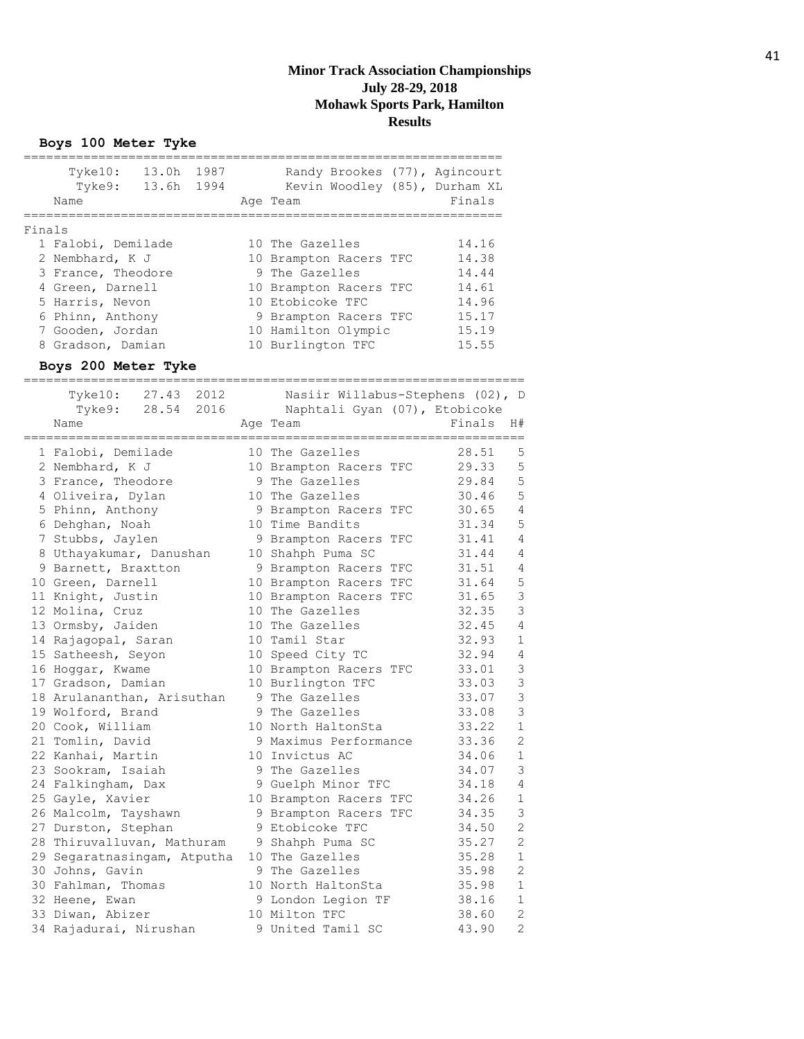**Boys 100 Meter Tyke**

| 13.0h<br>1987<br>Randy Brookes (77), Agincourt<br>Tyke10:<br>13.6h 1994<br>Kevin Woodley (85), Durham XL<br>Tyke9:<br>Name<br>Finals<br>Age Team<br>Finals<br>1 Falobi, Demilade<br>10 The Gazelles<br>14.16<br>2 Nembhard, K J<br>14.38<br>10 Brampton Racers TFC<br>9 The Gazelles<br>3 France, Theodore<br>14.44<br>4 Green, Darnell<br>14.61<br>10 Brampton Racers TFC<br>5 Harris, Nevon<br>10 Etobicoke TFC<br>14.96<br>15.17<br>6 Phinn, Anthony<br>9 Brampton Racers TFC<br>15.19<br>7 Gooden, Jordan<br>10 Hamilton Olympic<br>8 Gradson, Damian<br>10 Burlington TFC<br>15.55<br>Boys 200 Meter Tyke<br>Tyke10: 27.43<br>2012<br>Nasiir Willabus-Stephens (02), D<br>-<br>Tyke9: 28.54<br>2016<br>Naphtali Gyan (07), Etobicoke<br>Name<br>Finals<br>H#<br>Age Team<br>28.51<br>5<br>1 Falobi, Demilade<br>10 The Gazelles<br>5<br>29.33<br>2 Nembhard, K J<br>10 Brampton Racers TFC<br>5<br>29.84<br>3 France, Theodore<br>9 The Gazelles<br>5<br>4 Oliveira, Dylan<br>10 The Gazelles<br>30.46<br>$\sqrt{4}$<br>5 Phinn, Anthony<br>9 Brampton Racers TFC<br>30.65<br>5<br>31.34<br>6 Dehghan, Noah<br>10 Time Bandits<br>$\sqrt{4}$<br>7 Stubbs, Jaylen<br>31.41<br>9 Brampton Racers TFC<br>$\sqrt{4}$<br>31.44<br>8 Uthayakumar, Danushan<br>10 Shahph Puma SC<br>31.51<br>$\overline{4}$<br>9 Barnett, Braxtton<br>9 Brampton Racers TFC<br>5<br>10 Green, Darnell<br>10 Brampton Racers TFC<br>31.64<br>3<br>11 Knight, Justin<br>10 Brampton Racers TFC<br>31.65<br>3<br>32.35<br>12 Molina, Cruz<br>10 The Gazelles<br>$\overline{4}$<br>13 Ormsby, Jaiden<br>10 The Gazelles<br>32.45<br>$\mathbf 1$<br>14 Rajagopal, Saran<br>10 Tamil Star<br>32.93<br>32.94<br>$\overline{4}$<br>15 Satheesh, Seyon<br>10 Speed City TC<br>3<br>16 Hoggar, Kwame<br>10 Brampton Racers TFC<br>33.01<br>3<br>17 Gradson, Damian<br>10 Burlington TFC<br>33.03<br>3<br>18 Arulananthan, Arisuthan<br>9 The Gazelles<br>33.07<br>3<br>9 The Gazelles<br>19 Wolford, Brand<br>33.08<br>$\mathbf{1}$<br>20 Cook, William<br>10 North HaltonSta<br>33.22<br>$\mathbf{2}$<br>21 Tomlin, David<br>33.36<br>9 Maximus Performance<br>22 Kanhai, Martin<br>10 Invictus AC<br>34.06<br>1<br>23 Sookram, Isaiah<br>3<br>9 The Gazelles<br>34.07<br>24 Falkingham, Dax<br>9 Guelph Minor TFC<br>4<br>34.18<br>34.26<br>$\mathbf 1$<br>25 Gayle, Xavier<br>10 Brampton Racers TFC<br>3<br>26 Malcolm, Tayshawn<br>9 Brampton Racers TFC<br>34.35<br>$\overline{c}$<br>27 Durston, Stephan<br>9 Etobicoke TFC<br>34.50<br>$\mathbf{2}$<br>28 Thiruvalluvan, Mathuram<br>35.27<br>9 Shahph Puma SC<br>10 The Gazelles<br>35.28<br>$\mathbf 1$<br>29 Segaratnasingam, Atputha<br>$\mathbf{2}$<br>30 Johns, Gavin<br>9 The Gazelles<br>35.98<br>$\mathbf 1$<br>30 Fahlman, Thomas<br>10 North HaltonSta<br>35.98<br>32 Heene, Ewan<br>9 London Legion TF<br>38.16<br>1<br>$\mathbf{2}$<br>33 Diwan, Abizer<br>10 Milton TFC<br>38.60<br>34 Rajadurai, Nirushan<br>$\mathbf{2}$<br>9 United Tamil SC<br>43.90 |  |  |  |
|----------------------------------------------------------------------------------------------------------------------------------------------------------------------------------------------------------------------------------------------------------------------------------------------------------------------------------------------------------------------------------------------------------------------------------------------------------------------------------------------------------------------------------------------------------------------------------------------------------------------------------------------------------------------------------------------------------------------------------------------------------------------------------------------------------------------------------------------------------------------------------------------------------------------------------------------------------------------------------------------------------------------------------------------------------------------------------------------------------------------------------------------------------------------------------------------------------------------------------------------------------------------------------------------------------------------------------------------------------------------------------------------------------------------------------------------------------------------------------------------------------------------------------------------------------------------------------------------------------------------------------------------------------------------------------------------------------------------------------------------------------------------------------------------------------------------------------------------------------------------------------------------------------------------------------------------------------------------------------------------------------------------------------------------------------------------------------------------------------------------------------------------------------------------------------------------------------------------------------------------------------------------------------------------------------------------------------------------------------------------------------------------------------------------------------------------------------------------------------------------------------------------------------------------------------------------------------------------------------------------------------------------------------------------------------------------------------------------------------------------------------------------------------------------------------------------------------------------------------------------------------------------------------------------------------------------------------------------------------------------------|--|--|--|
|                                                                                                                                                                                                                                                                                                                                                                                                                                                                                                                                                                                                                                                                                                                                                                                                                                                                                                                                                                                                                                                                                                                                                                                                                                                                                                                                                                                                                                                                                                                                                                                                                                                                                                                                                                                                                                                                                                                                                                                                                                                                                                                                                                                                                                                                                                                                                                                                                                                                                                                                                                                                                                                                                                                                                                                                                                                                                                                                                                                                    |  |  |  |
|                                                                                                                                                                                                                                                                                                                                                                                                                                                                                                                                                                                                                                                                                                                                                                                                                                                                                                                                                                                                                                                                                                                                                                                                                                                                                                                                                                                                                                                                                                                                                                                                                                                                                                                                                                                                                                                                                                                                                                                                                                                                                                                                                                                                                                                                                                                                                                                                                                                                                                                                                                                                                                                                                                                                                                                                                                                                                                                                                                                                    |  |  |  |
|                                                                                                                                                                                                                                                                                                                                                                                                                                                                                                                                                                                                                                                                                                                                                                                                                                                                                                                                                                                                                                                                                                                                                                                                                                                                                                                                                                                                                                                                                                                                                                                                                                                                                                                                                                                                                                                                                                                                                                                                                                                                                                                                                                                                                                                                                                                                                                                                                                                                                                                                                                                                                                                                                                                                                                                                                                                                                                                                                                                                    |  |  |  |
|                                                                                                                                                                                                                                                                                                                                                                                                                                                                                                                                                                                                                                                                                                                                                                                                                                                                                                                                                                                                                                                                                                                                                                                                                                                                                                                                                                                                                                                                                                                                                                                                                                                                                                                                                                                                                                                                                                                                                                                                                                                                                                                                                                                                                                                                                                                                                                                                                                                                                                                                                                                                                                                                                                                                                                                                                                                                                                                                                                                                    |  |  |  |
|                                                                                                                                                                                                                                                                                                                                                                                                                                                                                                                                                                                                                                                                                                                                                                                                                                                                                                                                                                                                                                                                                                                                                                                                                                                                                                                                                                                                                                                                                                                                                                                                                                                                                                                                                                                                                                                                                                                                                                                                                                                                                                                                                                                                                                                                                                                                                                                                                                                                                                                                                                                                                                                                                                                                                                                                                                                                                                                                                                                                    |  |  |  |
|                                                                                                                                                                                                                                                                                                                                                                                                                                                                                                                                                                                                                                                                                                                                                                                                                                                                                                                                                                                                                                                                                                                                                                                                                                                                                                                                                                                                                                                                                                                                                                                                                                                                                                                                                                                                                                                                                                                                                                                                                                                                                                                                                                                                                                                                                                                                                                                                                                                                                                                                                                                                                                                                                                                                                                                                                                                                                                                                                                                                    |  |  |  |
|                                                                                                                                                                                                                                                                                                                                                                                                                                                                                                                                                                                                                                                                                                                                                                                                                                                                                                                                                                                                                                                                                                                                                                                                                                                                                                                                                                                                                                                                                                                                                                                                                                                                                                                                                                                                                                                                                                                                                                                                                                                                                                                                                                                                                                                                                                                                                                                                                                                                                                                                                                                                                                                                                                                                                                                                                                                                                                                                                                                                    |  |  |  |
|                                                                                                                                                                                                                                                                                                                                                                                                                                                                                                                                                                                                                                                                                                                                                                                                                                                                                                                                                                                                                                                                                                                                                                                                                                                                                                                                                                                                                                                                                                                                                                                                                                                                                                                                                                                                                                                                                                                                                                                                                                                                                                                                                                                                                                                                                                                                                                                                                                                                                                                                                                                                                                                                                                                                                                                                                                                                                                                                                                                                    |  |  |  |
|                                                                                                                                                                                                                                                                                                                                                                                                                                                                                                                                                                                                                                                                                                                                                                                                                                                                                                                                                                                                                                                                                                                                                                                                                                                                                                                                                                                                                                                                                                                                                                                                                                                                                                                                                                                                                                                                                                                                                                                                                                                                                                                                                                                                                                                                                                                                                                                                                                                                                                                                                                                                                                                                                                                                                                                                                                                                                                                                                                                                    |  |  |  |
|                                                                                                                                                                                                                                                                                                                                                                                                                                                                                                                                                                                                                                                                                                                                                                                                                                                                                                                                                                                                                                                                                                                                                                                                                                                                                                                                                                                                                                                                                                                                                                                                                                                                                                                                                                                                                                                                                                                                                                                                                                                                                                                                                                                                                                                                                                                                                                                                                                                                                                                                                                                                                                                                                                                                                                                                                                                                                                                                                                                                    |  |  |  |
|                                                                                                                                                                                                                                                                                                                                                                                                                                                                                                                                                                                                                                                                                                                                                                                                                                                                                                                                                                                                                                                                                                                                                                                                                                                                                                                                                                                                                                                                                                                                                                                                                                                                                                                                                                                                                                                                                                                                                                                                                                                                                                                                                                                                                                                                                                                                                                                                                                                                                                                                                                                                                                                                                                                                                                                                                                                                                                                                                                                                    |  |  |  |
|                                                                                                                                                                                                                                                                                                                                                                                                                                                                                                                                                                                                                                                                                                                                                                                                                                                                                                                                                                                                                                                                                                                                                                                                                                                                                                                                                                                                                                                                                                                                                                                                                                                                                                                                                                                                                                                                                                                                                                                                                                                                                                                                                                                                                                                                                                                                                                                                                                                                                                                                                                                                                                                                                                                                                                                                                                                                                                                                                                                                    |  |  |  |
|                                                                                                                                                                                                                                                                                                                                                                                                                                                                                                                                                                                                                                                                                                                                                                                                                                                                                                                                                                                                                                                                                                                                                                                                                                                                                                                                                                                                                                                                                                                                                                                                                                                                                                                                                                                                                                                                                                                                                                                                                                                                                                                                                                                                                                                                                                                                                                                                                                                                                                                                                                                                                                                                                                                                                                                                                                                                                                                                                                                                    |  |  |  |
|                                                                                                                                                                                                                                                                                                                                                                                                                                                                                                                                                                                                                                                                                                                                                                                                                                                                                                                                                                                                                                                                                                                                                                                                                                                                                                                                                                                                                                                                                                                                                                                                                                                                                                                                                                                                                                                                                                                                                                                                                                                                                                                                                                                                                                                                                                                                                                                                                                                                                                                                                                                                                                                                                                                                                                                                                                                                                                                                                                                                    |  |  |  |
|                                                                                                                                                                                                                                                                                                                                                                                                                                                                                                                                                                                                                                                                                                                                                                                                                                                                                                                                                                                                                                                                                                                                                                                                                                                                                                                                                                                                                                                                                                                                                                                                                                                                                                                                                                                                                                                                                                                                                                                                                                                                                                                                                                                                                                                                                                                                                                                                                                                                                                                                                                                                                                                                                                                                                                                                                                                                                                                                                                                                    |  |  |  |
|                                                                                                                                                                                                                                                                                                                                                                                                                                                                                                                                                                                                                                                                                                                                                                                                                                                                                                                                                                                                                                                                                                                                                                                                                                                                                                                                                                                                                                                                                                                                                                                                                                                                                                                                                                                                                                                                                                                                                                                                                                                                                                                                                                                                                                                                                                                                                                                                                                                                                                                                                                                                                                                                                                                                                                                                                                                                                                                                                                                                    |  |  |  |
|                                                                                                                                                                                                                                                                                                                                                                                                                                                                                                                                                                                                                                                                                                                                                                                                                                                                                                                                                                                                                                                                                                                                                                                                                                                                                                                                                                                                                                                                                                                                                                                                                                                                                                                                                                                                                                                                                                                                                                                                                                                                                                                                                                                                                                                                                                                                                                                                                                                                                                                                                                                                                                                                                                                                                                                                                                                                                                                                                                                                    |  |  |  |
|                                                                                                                                                                                                                                                                                                                                                                                                                                                                                                                                                                                                                                                                                                                                                                                                                                                                                                                                                                                                                                                                                                                                                                                                                                                                                                                                                                                                                                                                                                                                                                                                                                                                                                                                                                                                                                                                                                                                                                                                                                                                                                                                                                                                                                                                                                                                                                                                                                                                                                                                                                                                                                                                                                                                                                                                                                                                                                                                                                                                    |  |  |  |
|                                                                                                                                                                                                                                                                                                                                                                                                                                                                                                                                                                                                                                                                                                                                                                                                                                                                                                                                                                                                                                                                                                                                                                                                                                                                                                                                                                                                                                                                                                                                                                                                                                                                                                                                                                                                                                                                                                                                                                                                                                                                                                                                                                                                                                                                                                                                                                                                                                                                                                                                                                                                                                                                                                                                                                                                                                                                                                                                                                                                    |  |  |  |
|                                                                                                                                                                                                                                                                                                                                                                                                                                                                                                                                                                                                                                                                                                                                                                                                                                                                                                                                                                                                                                                                                                                                                                                                                                                                                                                                                                                                                                                                                                                                                                                                                                                                                                                                                                                                                                                                                                                                                                                                                                                                                                                                                                                                                                                                                                                                                                                                                                                                                                                                                                                                                                                                                                                                                                                                                                                                                                                                                                                                    |  |  |  |
|                                                                                                                                                                                                                                                                                                                                                                                                                                                                                                                                                                                                                                                                                                                                                                                                                                                                                                                                                                                                                                                                                                                                                                                                                                                                                                                                                                                                                                                                                                                                                                                                                                                                                                                                                                                                                                                                                                                                                                                                                                                                                                                                                                                                                                                                                                                                                                                                                                                                                                                                                                                                                                                                                                                                                                                                                                                                                                                                                                                                    |  |  |  |
|                                                                                                                                                                                                                                                                                                                                                                                                                                                                                                                                                                                                                                                                                                                                                                                                                                                                                                                                                                                                                                                                                                                                                                                                                                                                                                                                                                                                                                                                                                                                                                                                                                                                                                                                                                                                                                                                                                                                                                                                                                                                                                                                                                                                                                                                                                                                                                                                                                                                                                                                                                                                                                                                                                                                                                                                                                                                                                                                                                                                    |  |  |  |
|                                                                                                                                                                                                                                                                                                                                                                                                                                                                                                                                                                                                                                                                                                                                                                                                                                                                                                                                                                                                                                                                                                                                                                                                                                                                                                                                                                                                                                                                                                                                                                                                                                                                                                                                                                                                                                                                                                                                                                                                                                                                                                                                                                                                                                                                                                                                                                                                                                                                                                                                                                                                                                                                                                                                                                                                                                                                                                                                                                                                    |  |  |  |
|                                                                                                                                                                                                                                                                                                                                                                                                                                                                                                                                                                                                                                                                                                                                                                                                                                                                                                                                                                                                                                                                                                                                                                                                                                                                                                                                                                                                                                                                                                                                                                                                                                                                                                                                                                                                                                                                                                                                                                                                                                                                                                                                                                                                                                                                                                                                                                                                                                                                                                                                                                                                                                                                                                                                                                                                                                                                                                                                                                                                    |  |  |  |
|                                                                                                                                                                                                                                                                                                                                                                                                                                                                                                                                                                                                                                                                                                                                                                                                                                                                                                                                                                                                                                                                                                                                                                                                                                                                                                                                                                                                                                                                                                                                                                                                                                                                                                                                                                                                                                                                                                                                                                                                                                                                                                                                                                                                                                                                                                                                                                                                                                                                                                                                                                                                                                                                                                                                                                                                                                                                                                                                                                                                    |  |  |  |
|                                                                                                                                                                                                                                                                                                                                                                                                                                                                                                                                                                                                                                                                                                                                                                                                                                                                                                                                                                                                                                                                                                                                                                                                                                                                                                                                                                                                                                                                                                                                                                                                                                                                                                                                                                                                                                                                                                                                                                                                                                                                                                                                                                                                                                                                                                                                                                                                                                                                                                                                                                                                                                                                                                                                                                                                                                                                                                                                                                                                    |  |  |  |
|                                                                                                                                                                                                                                                                                                                                                                                                                                                                                                                                                                                                                                                                                                                                                                                                                                                                                                                                                                                                                                                                                                                                                                                                                                                                                                                                                                                                                                                                                                                                                                                                                                                                                                                                                                                                                                                                                                                                                                                                                                                                                                                                                                                                                                                                                                                                                                                                                                                                                                                                                                                                                                                                                                                                                                                                                                                                                                                                                                                                    |  |  |  |
|                                                                                                                                                                                                                                                                                                                                                                                                                                                                                                                                                                                                                                                                                                                                                                                                                                                                                                                                                                                                                                                                                                                                                                                                                                                                                                                                                                                                                                                                                                                                                                                                                                                                                                                                                                                                                                                                                                                                                                                                                                                                                                                                                                                                                                                                                                                                                                                                                                                                                                                                                                                                                                                                                                                                                                                                                                                                                                                                                                                                    |  |  |  |
|                                                                                                                                                                                                                                                                                                                                                                                                                                                                                                                                                                                                                                                                                                                                                                                                                                                                                                                                                                                                                                                                                                                                                                                                                                                                                                                                                                                                                                                                                                                                                                                                                                                                                                                                                                                                                                                                                                                                                                                                                                                                                                                                                                                                                                                                                                                                                                                                                                                                                                                                                                                                                                                                                                                                                                                                                                                                                                                                                                                                    |  |  |  |
|                                                                                                                                                                                                                                                                                                                                                                                                                                                                                                                                                                                                                                                                                                                                                                                                                                                                                                                                                                                                                                                                                                                                                                                                                                                                                                                                                                                                                                                                                                                                                                                                                                                                                                                                                                                                                                                                                                                                                                                                                                                                                                                                                                                                                                                                                                                                                                                                                                                                                                                                                                                                                                                                                                                                                                                                                                                                                                                                                                                                    |  |  |  |
|                                                                                                                                                                                                                                                                                                                                                                                                                                                                                                                                                                                                                                                                                                                                                                                                                                                                                                                                                                                                                                                                                                                                                                                                                                                                                                                                                                                                                                                                                                                                                                                                                                                                                                                                                                                                                                                                                                                                                                                                                                                                                                                                                                                                                                                                                                                                                                                                                                                                                                                                                                                                                                                                                                                                                                                                                                                                                                                                                                                                    |  |  |  |
|                                                                                                                                                                                                                                                                                                                                                                                                                                                                                                                                                                                                                                                                                                                                                                                                                                                                                                                                                                                                                                                                                                                                                                                                                                                                                                                                                                                                                                                                                                                                                                                                                                                                                                                                                                                                                                                                                                                                                                                                                                                                                                                                                                                                                                                                                                                                                                                                                                                                                                                                                                                                                                                                                                                                                                                                                                                                                                                                                                                                    |  |  |  |
|                                                                                                                                                                                                                                                                                                                                                                                                                                                                                                                                                                                                                                                                                                                                                                                                                                                                                                                                                                                                                                                                                                                                                                                                                                                                                                                                                                                                                                                                                                                                                                                                                                                                                                                                                                                                                                                                                                                                                                                                                                                                                                                                                                                                                                                                                                                                                                                                                                                                                                                                                                                                                                                                                                                                                                                                                                                                                                                                                                                                    |  |  |  |
|                                                                                                                                                                                                                                                                                                                                                                                                                                                                                                                                                                                                                                                                                                                                                                                                                                                                                                                                                                                                                                                                                                                                                                                                                                                                                                                                                                                                                                                                                                                                                                                                                                                                                                                                                                                                                                                                                                                                                                                                                                                                                                                                                                                                                                                                                                                                                                                                                                                                                                                                                                                                                                                                                                                                                                                                                                                                                                                                                                                                    |  |  |  |
|                                                                                                                                                                                                                                                                                                                                                                                                                                                                                                                                                                                                                                                                                                                                                                                                                                                                                                                                                                                                                                                                                                                                                                                                                                                                                                                                                                                                                                                                                                                                                                                                                                                                                                                                                                                                                                                                                                                                                                                                                                                                                                                                                                                                                                                                                                                                                                                                                                                                                                                                                                                                                                                                                                                                                                                                                                                                                                                                                                                                    |  |  |  |
|                                                                                                                                                                                                                                                                                                                                                                                                                                                                                                                                                                                                                                                                                                                                                                                                                                                                                                                                                                                                                                                                                                                                                                                                                                                                                                                                                                                                                                                                                                                                                                                                                                                                                                                                                                                                                                                                                                                                                                                                                                                                                                                                                                                                                                                                                                                                                                                                                                                                                                                                                                                                                                                                                                                                                                                                                                                                                                                                                                                                    |  |  |  |
|                                                                                                                                                                                                                                                                                                                                                                                                                                                                                                                                                                                                                                                                                                                                                                                                                                                                                                                                                                                                                                                                                                                                                                                                                                                                                                                                                                                                                                                                                                                                                                                                                                                                                                                                                                                                                                                                                                                                                                                                                                                                                                                                                                                                                                                                                                                                                                                                                                                                                                                                                                                                                                                                                                                                                                                                                                                                                                                                                                                                    |  |  |  |
|                                                                                                                                                                                                                                                                                                                                                                                                                                                                                                                                                                                                                                                                                                                                                                                                                                                                                                                                                                                                                                                                                                                                                                                                                                                                                                                                                                                                                                                                                                                                                                                                                                                                                                                                                                                                                                                                                                                                                                                                                                                                                                                                                                                                                                                                                                                                                                                                                                                                                                                                                                                                                                                                                                                                                                                                                                                                                                                                                                                                    |  |  |  |
|                                                                                                                                                                                                                                                                                                                                                                                                                                                                                                                                                                                                                                                                                                                                                                                                                                                                                                                                                                                                                                                                                                                                                                                                                                                                                                                                                                                                                                                                                                                                                                                                                                                                                                                                                                                                                                                                                                                                                                                                                                                                                                                                                                                                                                                                                                                                                                                                                                                                                                                                                                                                                                                                                                                                                                                                                                                                                                                                                                                                    |  |  |  |
|                                                                                                                                                                                                                                                                                                                                                                                                                                                                                                                                                                                                                                                                                                                                                                                                                                                                                                                                                                                                                                                                                                                                                                                                                                                                                                                                                                                                                                                                                                                                                                                                                                                                                                                                                                                                                                                                                                                                                                                                                                                                                                                                                                                                                                                                                                                                                                                                                                                                                                                                                                                                                                                                                                                                                                                                                                                                                                                                                                                                    |  |  |  |
|                                                                                                                                                                                                                                                                                                                                                                                                                                                                                                                                                                                                                                                                                                                                                                                                                                                                                                                                                                                                                                                                                                                                                                                                                                                                                                                                                                                                                                                                                                                                                                                                                                                                                                                                                                                                                                                                                                                                                                                                                                                                                                                                                                                                                                                                                                                                                                                                                                                                                                                                                                                                                                                                                                                                                                                                                                                                                                                                                                                                    |  |  |  |
|                                                                                                                                                                                                                                                                                                                                                                                                                                                                                                                                                                                                                                                                                                                                                                                                                                                                                                                                                                                                                                                                                                                                                                                                                                                                                                                                                                                                                                                                                                                                                                                                                                                                                                                                                                                                                                                                                                                                                                                                                                                                                                                                                                                                                                                                                                                                                                                                                                                                                                                                                                                                                                                                                                                                                                                                                                                                                                                                                                                                    |  |  |  |
|                                                                                                                                                                                                                                                                                                                                                                                                                                                                                                                                                                                                                                                                                                                                                                                                                                                                                                                                                                                                                                                                                                                                                                                                                                                                                                                                                                                                                                                                                                                                                                                                                                                                                                                                                                                                                                                                                                                                                                                                                                                                                                                                                                                                                                                                                                                                                                                                                                                                                                                                                                                                                                                                                                                                                                                                                                                                                                                                                                                                    |  |  |  |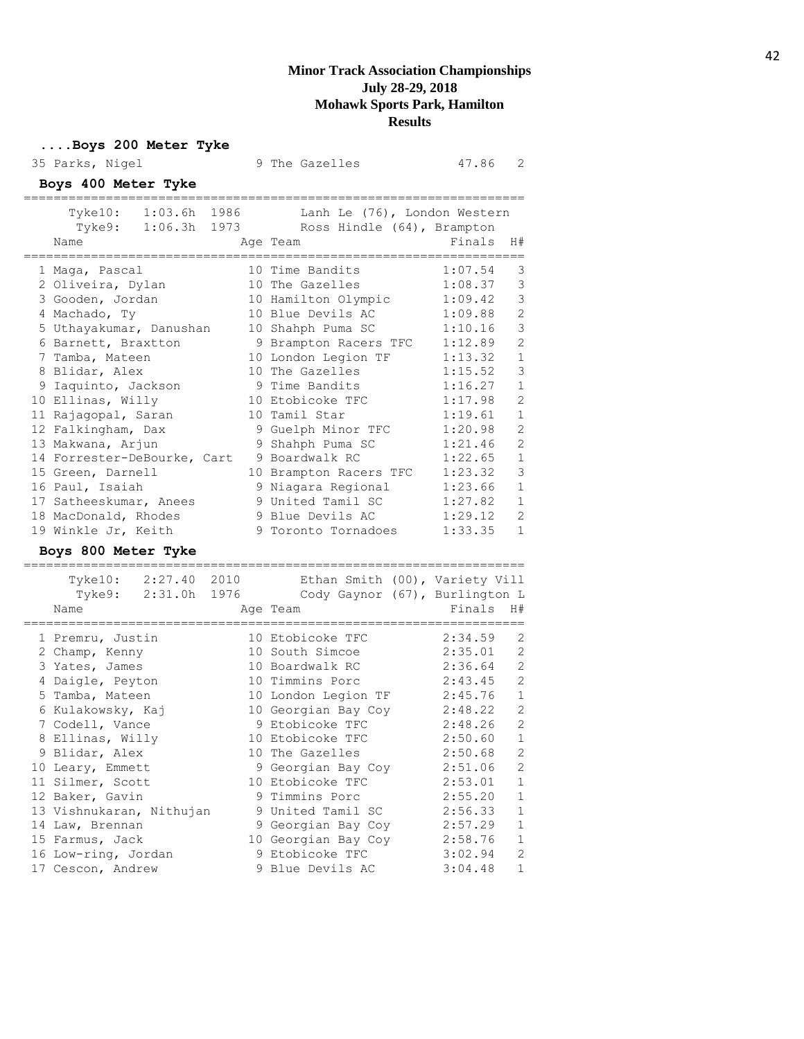#### **....Boys 200 Meter Tyke** 35 Parks, Nigel 9 The Gazelles 47.86 2 **Boys 400 Meter Tyke** =================================================================== Tyke10: 1:03.6h 1986 Lanh Le (76), London Western Tyke9: 1:06.3h 1973 Ross Hindle (64), Brampton Name Ream Age Team Rinals H# =================================================================== 1 Maga, Pascal 10 Time Bandits 1:07.54 3 2 Oliveira, Dylan 10 The Gazelles 1:08.37 3 3 Gooden, Jordan 10 Hamilton Olympic 1:09.42 3 4 Machado, Ty 10 Blue Devils AC 1:09.88 2 5 Uthayakumar, Danushan 10 Shahph Puma SC 1:10.16 3 6 Barnett, Braxtton 9 Brampton Racers TFC 1:12.89 2 7 Tamba, Mateen 10 London Legion TF 1:13.32 1 8 Blidar, Alex 10 The Gazelles 1:15.52 3 9 Iaquinto, Jackson 9 Time Bandits 1:16.27 1 10 Ellinas, Willy 10 Etobicoke TFC 1:17.98 2 11 Rajagopal, Saran 10 Tamil Star 1:19.61 1 12 Falkingham, Dax 9 Guelph Minor TFC 1:20.98 2 13 Makwana, Arjun 9 Shahph Puma SC 1:21.46 2 14 Forrester-DeBourke, Cart 9 Boardwalk RC 1:22.65 1 15 Green, Darnell 10 Brampton Racers TFC 1:23.32 3 16 Paul, Isaiah 9 Niagara Regional 1:23.66 1 17 Satheeskumar, Anees 9 United Tamil SC 1:27.82 1 18 MacDonald, Rhodes 9 Blue Devils AC 1:29.12 2

# **Boys 800 Meter Tyke**

=================================================================== Tyke10: 2:27.40 2010 Ethan Smith (00), Variety Vill Tyke9: 2:31.0h 1976 Cody Gaynor (67), Burlington L Name **Age Team** Age Team Finals H# =================================================================== 1 Premru, Justin 10 Etobicoke TFC 2:34.59 2 2 Champ, Kenny 10 South Simcoe 2:35.01 2 3 Yates, James 10 Boardwalk RC 2:36.64 2 4 Daigle, Peyton 10 Timmins Porc 2:43.45 2 5 Tamba, Mateen 10 London Legion TF 2:45.76 1 6 Kulakowsky, Kaj 10 Georgian Bay Coy 2:48.22 2 7 Codell, Vance 9 Etobicoke TFC 2:48.26 2 8 Ellinas, Willy 10 Etobicoke TFC 2:50.60 1 9 Blidar, Alex 10 The Gazelles 2:50.68 2 10 Leary, Emmett 9 Georgian Bay Coy 2:51.06 2 11 Silmer, Scott 10 Etobicoke TFC 2:53.01 1 12 Baker, Gavin 9 Timmins Porc 2:55.20 1 13 Vishnukaran, Nithujan 9 United Tamil SC 2:56.33 1 14 Law, Brennan 9 Georgian Bay Coy 2:57.29 1 15 Farmus, Jack 10 Georgian Bay Coy 2:58.76 1 16 Low-ring, Jordan 9 Etobicoke TFC 3:02.94 2 17 Cescon, Andrew 9 Blue Devils AC 3:04.48 1

19 Winkle Jr, Keith 9 Toronto Tornadoes 1:33.35 1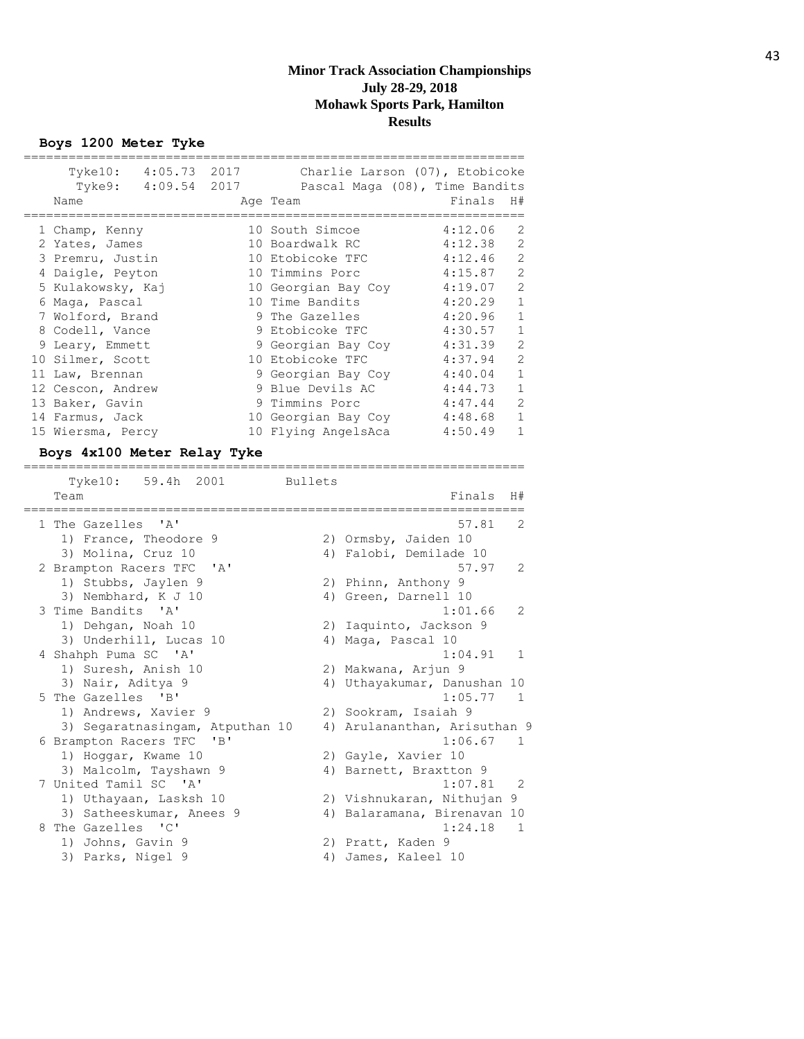**Boys 1200 Meter Tyke**

|   | 4:05.73<br>Tyke10:<br>Tyke9: 4:09.54 2017<br>Name | 2017 | Charlie Larson (07), Etobicoke<br>Pascal Maga (08), Time Bandits<br>Age Team | Finals  | H#             |
|---|---------------------------------------------------|------|------------------------------------------------------------------------------|---------|----------------|
|   | 1 Champ, Kenny                                    |      | 10 South Simcoe                                                              | 4:12.06 | 2              |
|   | 2 Yates, James                                    |      | 10 Boardwalk RC                                                              | 4:12.38 | $\overline{2}$ |
|   | 3 Premru, Justin                                  |      | 10 Etobicoke TFC                                                             | 4:12.46 | $\overline{2}$ |
|   | 4 Daigle, Peyton                                  |      | 10 Timmins Porc                                                              | 4:15.87 | $\mathfrak{D}$ |
|   | 5 Kulakowsky, Kaj                                 |      | 10 Georgian Bay Coy                                                          | 4:19.07 | $\overline{2}$ |
| 6 | Maga, Pascal                                      |      | 10 Time Bandits                                                              | 4:20.29 | 1              |
|   | 7 Wolford, Brand                                  |      | 9 The Gazelles                                                               | 4:20.96 | 1              |
|   | 8 Codell, Vance                                   |      | 9 Etobicoke TFC                                                              | 4:30.57 | 1              |
|   | 9 Leary, Emmett                                   |      | 9 Georgian Bay Coy                                                           | 4:31.39 | $\overline{2}$ |
|   | 10 Silmer, Scott                                  |      | 10 Etobicoke TFC                                                             | 4:37.94 | $\overline{2}$ |
|   | 11 Law, Brennan                                   |      | 9 Georgian Bay Coy                                                           | 4:40.04 | $\mathbf{1}$   |
|   | 12 Cescon, Andrew                                 |      | 9 Blue Devils AC                                                             | 4:44.73 | 1              |
|   | 13 Baker, Gavin                                   |      | 9 Timmins Porc                                                               | 4:47.44 | $\mathfrak{D}$ |
|   | 14 Farmus, Jack                                   |      | 10 Georgian Bay Coy                                                          | 4:48.68 | 1              |
|   | 15 Wiersma, Percy                                 |      | 10 Flying AngelsAca                                                          | 4:50.49 | 1              |

#### **Boys 4x100 Meter Relay Tyke**

| Tyke10: 59.4h 2001        |                                                                                                                                                                                         |                                            |
|---------------------------|-----------------------------------------------------------------------------------------------------------------------------------------------------------------------------------------|--------------------------------------------|
| Team                      |                                                                                                                                                                                         | Finals<br>H#                               |
|                           |                                                                                                                                                                                         | $\mathcal{L}$<br>57.81                     |
| 1) France, Theodore 9     |                                                                                                                                                                                         | 2) Ormsby, Jaiden 10                       |
| 3) Molina, Cruz 10        |                                                                                                                                                                                         | 4) Falobi, Demilade 10                     |
| $^{\prime}$ A $^{\prime}$ |                                                                                                                                                                                         | $\mathcal{L}$<br>57.97                     |
| 1) Stubbs, Jaylen 9       |                                                                                                                                                                                         | 2) Phinn, Anthony 9                        |
| 3) Nembhard, K J 10       |                                                                                                                                                                                         | 4) Green, Darnell 10                       |
|                           |                                                                                                                                                                                         | $\mathcal{L}$<br>1:01.66                   |
| 1) Dehgan, Noah 10        |                                                                                                                                                                                         | 2) Iaquinto, Jackson 9                     |
| 3) Underhill, Lucas 10    |                                                                                                                                                                                         | 4) Maga, Pascal 10                         |
|                           |                                                                                                                                                                                         | 1:04.91<br>1                               |
| 1) Suresh, Anish 10       |                                                                                                                                                                                         | 2) Makwana, Arjun 9                        |
| 3) Nair, Aditya 9         |                                                                                                                                                                                         | 4) Uthayakumar, Danushan 10                |
|                           |                                                                                                                                                                                         | 1:05.77<br>$\overline{1}$                  |
| 1) Andrews, Xavier 9      |                                                                                                                                                                                         | 2) Sookram, Isaiah 9                       |
|                           |                                                                                                                                                                                         | 4) Arulananthan, Arisuthan 9               |
| "B"                       |                                                                                                                                                                                         | 1:06.67<br>1                               |
| 1) Hoggar, Kwame 10       |                                                                                                                                                                                         | 2) Gayle, Xavier 10                        |
| 3) Malcolm, Tayshawn 9    |                                                                                                                                                                                         | 4) Barnett, Braxtton 9                     |
|                           |                                                                                                                                                                                         | 1:07.81<br>- 2                             |
| 1) Uthayaan, Lasksh 10    |                                                                                                                                                                                         | 2) Vishnukaran, Nithujan 9                 |
| 3) Satheeskumar, Anees 9  |                                                                                                                                                                                         | 4) Balaramana, Birenavan 10                |
|                           |                                                                                                                                                                                         | 1:24.18<br>$\overline{1}$                  |
| 1) Johns, Gavin 9         |                                                                                                                                                                                         | 2) Pratt, Kaden 9                          |
| 3) Parks, Nigel 9         | 4)                                                                                                                                                                                      | James, Kaleel 10                           |
|                           | 1 The Gazelles 'A'<br>2 Brampton Racers TFC<br>3 Time Bandits 'A'<br>4 Shahph Puma SC 'A'<br>5 The Gazelles 'B'<br>6 Brampton Racers TFC<br>7 United Tamil SC 'A'<br>8 The Gazelles 'C' | Bullets<br>3) Segaratnasingam, Atputhan 10 |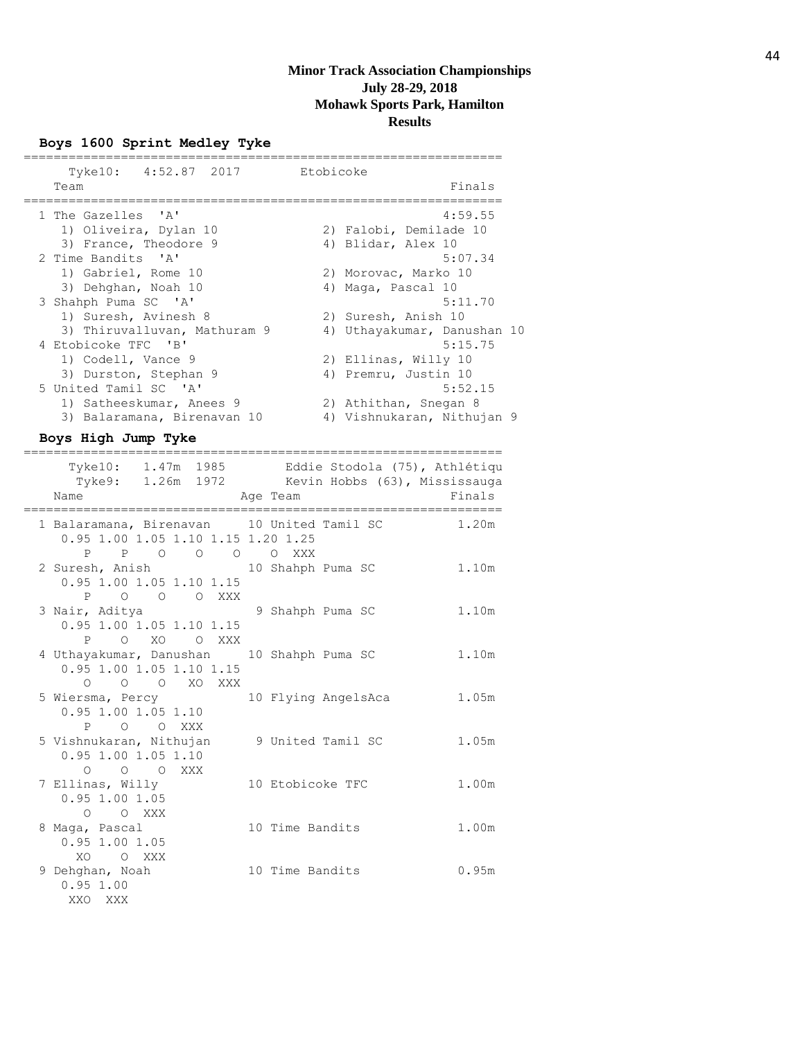================================================================

## **Boys 1600 Sprint Medley Tyke**

| Tyke10: 4:52.87 2017         | Etobicoke |                             |
|------------------------------|-----------|-----------------------------|
| Team                         |           | Finals                      |
| 1 The Gazelles 'A'           |           | 4:59.55                     |
| 1) Oliveira, Dylan 10        |           | 2) Falobi, Demilade 10      |
| 3) France, Theodore 9        |           | 4) Blidar, Alex 10          |
| 2 Time Bandits 'A'           |           | 5:07.34                     |
| 1) Gabriel, Rome 10          |           | 2) Morovac, Marko 10        |
| 3) Dehghan, Noah 10          |           | 4) Maga, Pascal 10          |
| 3 Shahph Puma SC 'A'         |           | 5:11.70                     |
| 1) Suresh, Avinesh 8         |           | 2) Suresh, Anish 10         |
| 3) Thiruvalluvan, Mathuram 9 |           | 4) Uthayakumar, Danushan 10 |
| 4 Etobicoke TFC 'B'          |           | 5:15.75                     |
| 1) Codell, Vance 9           |           | 2) Ellinas, Willy 10        |
| 3) Durston, Stephan 9        |           | 4) Premru, Justin 10        |
| 5 United Tamil SC 'A'        |           | 5:52.15                     |
| 1) Satheeskumar, Anees 9     |           | 2) Athithan, Snegan 8       |
| 3) Balaramana, Birenavan 10  |           | 4) Vishnukaran, Nithujan 9  |

# **Boys High Jump Tyke**

|  | ,,,,,,,,,,,,,,,,,,,,,,,,,,,,,,,,,,                                                    | ======================                                                                                          |        |
|--|---------------------------------------------------------------------------------------|-----------------------------------------------------------------------------------------------------------------|--------|
|  | Name                                                                                  | Tyke10: 1.47m 1985 Eddie Stodola (75), Athlétiqu<br>Tyke9: 1.26m 1972 Kevin Hobbs (63), Mississauga<br>Age Team | Finals |
|  | 0.95 1.00 1.05 1.10 1.15 1.20 1.25<br>P P O O O O XXX                                 | 1 Balaramana, Birenavan 10 United Tamil SC 1.20m                                                                |        |
|  | 2 Suresh, Anish 10 Shahph Puma SC<br>0.95 1.00 1.05 1.10 1.15<br>P O O O XXX          |                                                                                                                 | 1.10m  |
|  | 3 Nair, Aditya<br>0.95 1.00 1.05 1.10 1.15<br>P O XO O XXX                            | 9 Shahph Puma SC                                                                                                | 1.10m  |
|  | 4 Uthayakumar, Danushan 10 Shahph Puma SC<br>0.95 1.00 1.05 1.10 1.15<br>O O O XO XXX |                                                                                                                 | 1.10m  |
|  | 5 Wiersma, Percy<br>$0.95$ 1.00 1.05 1.10<br>P O O XXX                                | 10 Flying AngelsAca                                                                                             | 1.05m  |
|  | 5 Vishnukaran, Nithujan 9 United Tamil SC<br>$0.95$ 1.00 1.05 1.10<br>O O O XXX       |                                                                                                                 | 1.05m  |
|  | 7 Ellinas, Willy<br>$0.95$ 1.00 1.05<br>O O XXX                                       | 10 Etobicoke TFC                                                                                                | 1.00m  |
|  | 8 Maga, Pascal<br>$0.95$ 1.00 1.05<br>XO O XXX                                        | 10 Time Bandits                                                                                                 | 1.00m  |
|  | 9 Dehghan, Noah<br>0.951.00<br>XXO XXX                                                | 10 Time Bandits                                                                                                 | 0.95m  |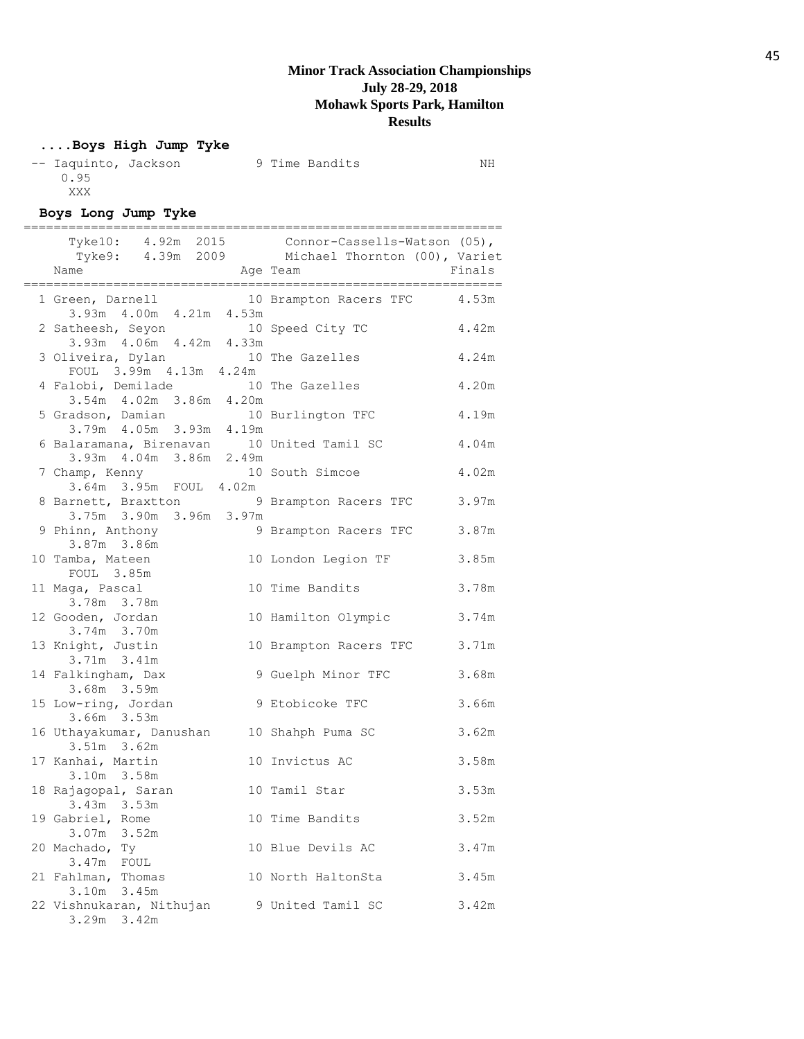# **....Boys High Jump Tyke**

| -- Iaquinto, Jackson |  | 9 Time Bandits | ΝH |
|----------------------|--|----------------|----|
| 0.95                 |  |                |    |
| XXX                  |  |                |    |

# **Boys Long Jump Tyke**

|                                                                               |          | Tyke10: 4.92m 2015 Connor-Cassells-Watson (05),<br>Tyke9: 4.39m 2009 Michael Thornton (00), Variet |        |
|-------------------------------------------------------------------------------|----------|----------------------------------------------------------------------------------------------------|--------|
| Name                                                                          | Age Team |                                                                                                    | Finals |
| 1 Green, Darnell<br>3.93m 4.00m 4.21m 4.53m                                   |          | 10 Brampton Racers TFC                                                                             | 4.53m  |
| 2 Satheesh, Seyon<br>3.93m  4.06m  4.42m  4.33m                               |          | 10 Speed City TC                                                                                   | 4.42m  |
| 3 Oliveira, Dylan<br>FOUL 3.99m 4.13m 4.24m                                   |          | 10 The Gazelles                                                                                    | 4.24m  |
| 4 Falobi, Demilade                                                            |          | 10 The Gazelles                                                                                    | 4.20m  |
| 3.54m  4.02m  3.86m  4.20m<br>5 Gradson, Damian<br>3.79m  4.05m  3.93m  4.19m |          | 10 Burlington TFC                                                                                  | 4.19m  |
| 6 Balaramana, Birenavan 10 United Tamil SC<br>3.93m  4.04m  3.86m  2.49m      |          |                                                                                                    | 4.04m  |
| 7 Champ, Kenny 10 South Simcoe<br>3.64m 3.95m FOUL 4.02m                      |          |                                                                                                    | 4.02m  |
| 8 Barnett, Braxtton 9 Brampton Racers TFC<br>3.75m 3.90m 3.96m 3.97m          |          |                                                                                                    | 3.97m  |
| 9 Phinn, Anthony<br>3.87m 3.86m                                               |          | 9 Brampton Racers TFC                                                                              | 3.87m  |
| 10 Tamba, Mateen<br>FOUL 3.85m                                                |          | 10 London Legion TF                                                                                | 3.85m  |
| 11 Maga, Pascal<br>3.78m 3.78m                                                |          | 10 Time Bandits                                                                                    | 3.78m  |
| 12 Gooden, Jordan<br>3.74m 3.70m                                              |          | 10 Hamilton Olympic                                                                                | 3.74m  |
| 13 Knight, Justin<br>3.71m 3.41m                                              |          | 10 Brampton Racers TFC                                                                             | 3.71m  |
| 14 Falkingham, Dax<br>3.68m 3.59m                                             |          | 9 Guelph Minor TFC                                                                                 | 3.68m  |
| 15 Low-ring, Jordan<br>3.66m 3.53m                                            |          | 9 Etobicoke TFC                                                                                    | 3.66m  |
| 16 Uthayakumar, Danushan 10 Shahph Puma SC<br>3.51m 3.62m                     |          |                                                                                                    | 3.62m  |
| 17 Kanhai, Martin<br>3.10m 3.58m                                              |          | 10 Invictus AC                                                                                     | 3.58m  |
| 18 Rajagopal, Saran<br>$3.43m$ $3.53m$                                        |          | 10 Tamil Star                                                                                      | 3.53m  |
| 19 Gabriel, Rome<br>3.07m<br>3.52m                                            |          | 10 Time Bandits                                                                                    | 3.52m  |
| 20 Machado, Ty<br>3.47m<br>FOUL                                               |          | 10 Blue Devils AC                                                                                  | 3.47m  |
| 21 Fahlman, Thomas<br>3.10m 3.45m                                             |          | 10 North HaltonSta                                                                                 | 3.45m  |
| 22 Vishnukaran, Nithujan<br>$3.29m$ $3.42m$                                   |          | 9 United Tamil SC                                                                                  | 3.42m  |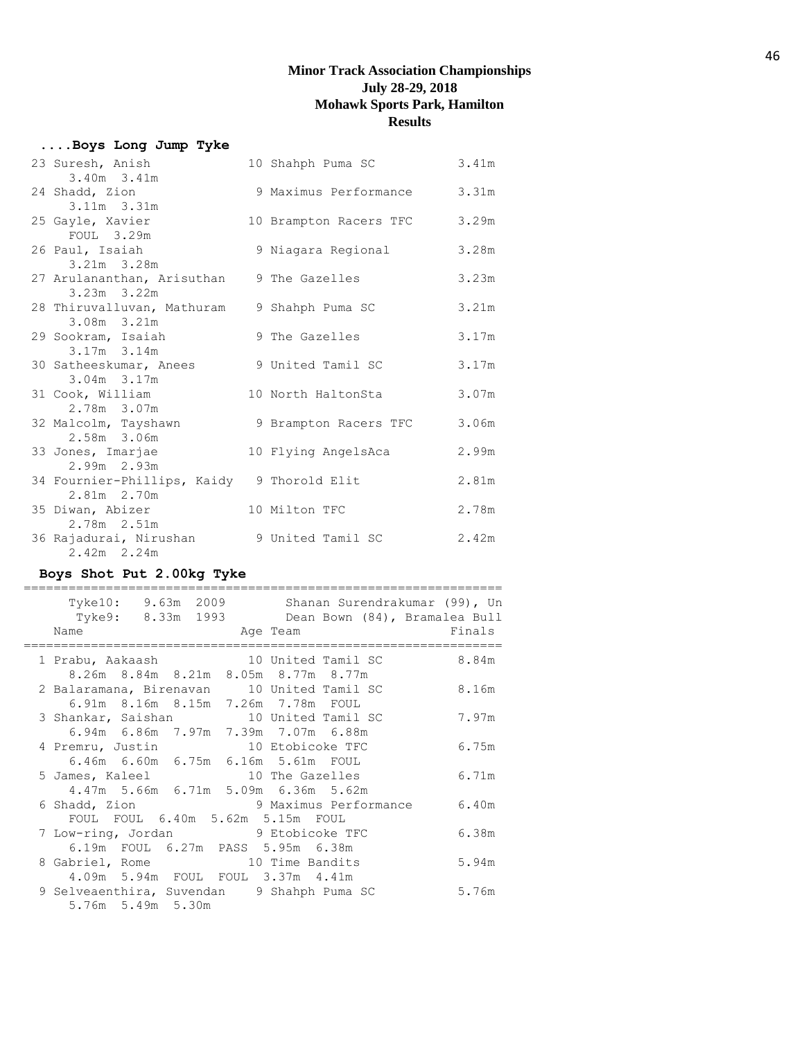## **....Boys Long Jump Tyke**

| 23 Suresh, Anish<br>3.40m 3.41m                           | 10 Shahph Puma SC      | 3.41m |
|-----------------------------------------------------------|------------------------|-------|
| 24 Shadd, Zion                                            | 9 Maximus Performance  | 3.31m |
| 3.11m 3.31m<br>25 Gayle, Xavier                           | 10 Brampton Racers TFC | 3.29m |
| FOUL 3.29m                                                |                        |       |
| 26 Paul, Isaiah<br>3.21m 3.28m                            | 9 Niagara Regional     | 3.28m |
| 27 Arulananthan, Arisuthan<br>$3.23m$ $3.22m$             | 9 The Gazelles         | 3.23m |
| 28 Thiruvalluvan, Mathuram<br>$3.08m$ $3.21m$             | 9 Shahph Puma SC       | 3.21m |
| 29 Sookram, Isaiah<br>3.17m 3.14m                         | 9 The Gazelles         | 3.17m |
| 30 Satheeskumar, Anees<br>$3.04m$ $3.17m$                 | 9 United Tamil SC      | 3.17m |
| 31 Cook, William<br>2.78m 3.07m                           | 10 North HaltonSta     | 3.07m |
| 32 Malcolm, Tayshawn<br>2.58m 3.06m                       | 9 Brampton Racers TFC  | 3.06m |
| 33 Jones, Imarjae<br>2.99m 2.93m                          | 10 Flying AngelsAca    | 2.99m |
| 34 Fournier-Phillips, Kaidy 9 Thorold Elit<br>2.81m 2.70m |                        | 2.81m |
| 35 Diwan, Abizer<br>2.78m 2.51m                           | 10 Milton TFC          | 2.78m |
| 36 Rajadurai, Nirushan<br>$2.42m$ 2.24m                   | 9 United Tamil SC      | 2.42m |

# **Boys Shot Put 2.00kg Tyke**

| 9.63m 2009 Shanan Surendrakumar (99), Un<br>Tyke10:<br>Tyke9: 8.33m 1993 Dean Bown (84), Bramalea Bull<br>Name<br>Age Team | Finals |
|----------------------------------------------------------------------------------------------------------------------------|--------|
| 1 Prabu, Aakaash 10 United Tamil SC<br>8.26m 8.84m 8.21m 8.05m 8.77m 8.77m                                                 | 8.84m  |
| 2 Balaramana, Birenavan 10 United Tamil SC<br>6.91m 8.16m 8.15m 7.26m 7.78m FOUL                                           | 8.16m  |
| 3 Shankar, Saishan 10 United Tamil SC<br>6.94m 6.86m 7.97m 7.39m 7.07m 6.88m                                               | 7.97m  |
| 4 Premru, Justin 10 Etobicoke TFC<br>6.46m 6.60m 6.75m 6.16m 5.61m FOUL                                                    | 6.75m  |
| 5 James, Kaleel 10 The Gazelles<br>4,47m 5,66m 6,71m 5,09m 6,36m 5,62m                                                     | 6.71m  |
| 6 Shadd, Zion 3 9 Maximus Performance<br>FOUL FOUL 6.40m 5.62m 5.15m FOUL                                                  | 6.40m  |
| 7 Low-ring, Jordan 9 Etobicoke TFC<br>6.19m FOUL 6.27m PASS 5.95m 6.38m                                                    | 6.38m  |
| 8 Gabriel, Rome 10 Time Bandits<br>4.09m 5.94m FOUL FOUL 3.37m 4.41m                                                       | 5.94m  |
| 9 Selveaenthira, Suvendan 9 Shahph Puma SC<br>5.76m 5.49m 5.30m                                                            | 5.76m  |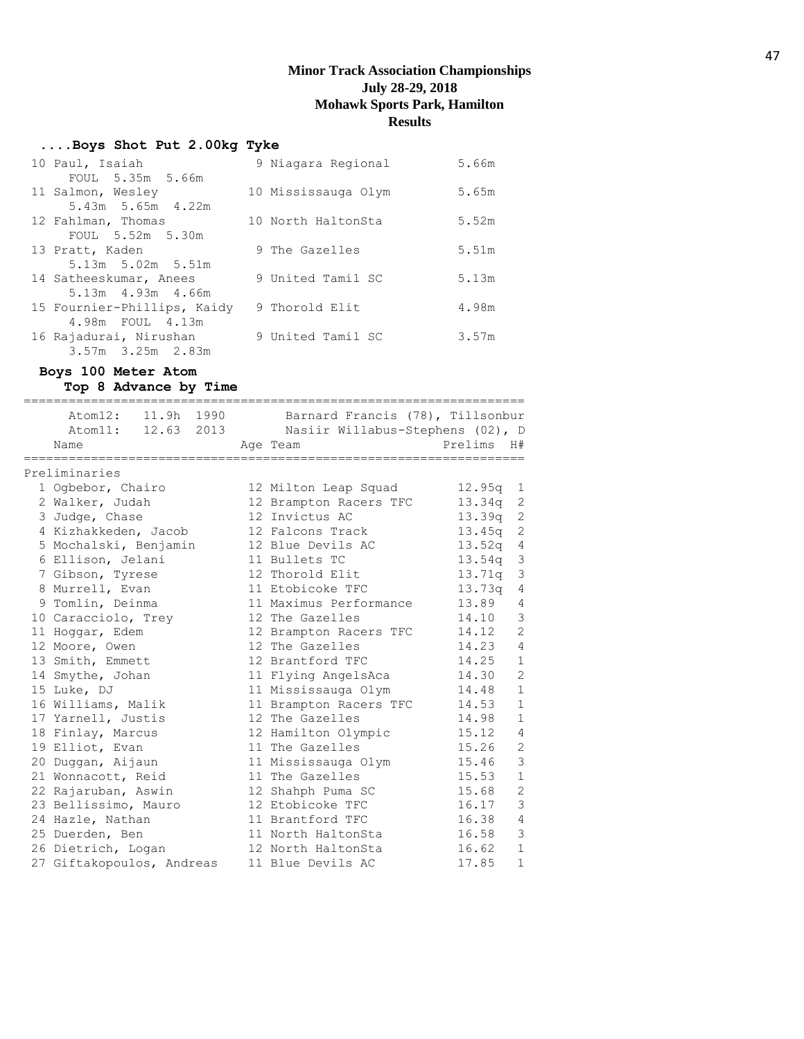#### **....Boys Shot Put 2.00kg Tyke**

| 10 Paul, Isaiah             | 9 Niagara Regional  | 5.66m |
|-----------------------------|---------------------|-------|
| FOUL 5.35m 5.66m            |                     |       |
| 11 Salmon, Wesley           | 10 Mississauga Olym | 5.65m |
| 5.43m 5.65m 4.22m           |                     |       |
| 12 Fahlman, Thomas          | 10 North HaltonSta  | 5.52m |
| FOUL 5.52m 5.30m            |                     |       |
| 13 Pratt, Kaden             | 9 The Gazelles      | 5.51m |
| 5.13m 5.02m 5.51m           |                     |       |
| 14 Satheeskumar, Anees      | 9 United Tamil SC   | 5.13m |
| 5.13m 4.93m 4.66m           |                     |       |
| 15 Fournier-Phillips, Kaidy | 9 Thorold Elit      | 4.98m |
| 4.98m FOUL 4.13m            |                     |       |
| 16 Rajadurai, Nirushan      | 9 United Tamil SC   | 3.57m |
| $3.57m$ $3.25m$ $2.83m$     |                     |       |

# **Boys 100 Meter Atom**

**Top 8 Advance by Time** =================================================================== Atom12: 11.9h 1990 Barnard Francis (78), Tillsonbur Atom11: 12.63 2013 Nasiir Willabus-Stephens (02), D Name **Age Team Age Team** Prelims H# =================================================================== Preliminaries 1 Ogbebor, Chairo 12 Milton Leap Squad 12.95q 1 2 Walker, Judah 12 Brampton Racers TFC 13.34q 2 3 Judge, Chase 12 Invictus AC 13.39q 2 4 Kizhakkeden, Jacob 12 Falcons Track 13.45q 2 5 Mochalski, Benjamin 12 Blue Devils AC 13.52q 4 6 Ellison, Jelani 11 Bullets TC 13.54q 3 7 Gibson, Tyrese 12 Thorold Elit 13.71q 3 8 Murrell, Evan 11 Etobicoke TFC 13.73q 4 9 Tomlin, Deinma 11 Maximus Performance 13.89 4 10 Caracciolo, Trey 12 The Gazelles 14.10 3 11 Hoggar, Edem 12 Brampton Racers TFC 14.12 2 12 Moore, Owen 12 The Gazelles 14.23 4 13 Smith, Emmett 12 Brantford TFC 14.25 1 14 Smythe, Johan 11 Flying AngelsAca 14.30 2 15 Luke, DJ 11 Mississauga Olym 14.48 1 16 Williams, Malik 11 Brampton Racers TFC 14.53 1 17 Yarnell, Justis 12 The Gazelles 14.98 1 18 Finlay, Marcus 12 Hamilton Olympic 15.12 4 19 Elliot, Evan 11 The Gazelles 15.26 2 20 Duggan, Aijaun 11 Mississauga Olym 15.46 3 21 Wonnacott, Reid 11 The Gazelles 15.53 1 22 Rajaruban, Aswin 12 Shahph Puma SC 15.68 2 23 Bellissimo, Mauro 12 Etobicoke TFC 16.17 3 24 Hazle, Nathan 11 Brantford TFC 16.38 4 25 Duerden, Ben 11 North HaltonSta 16.58 3 26 Dietrich, Logan 12 North HaltonSta 16.62 1 27 Giftakopoulos, Andreas 11 Blue Devils AC 17.85 1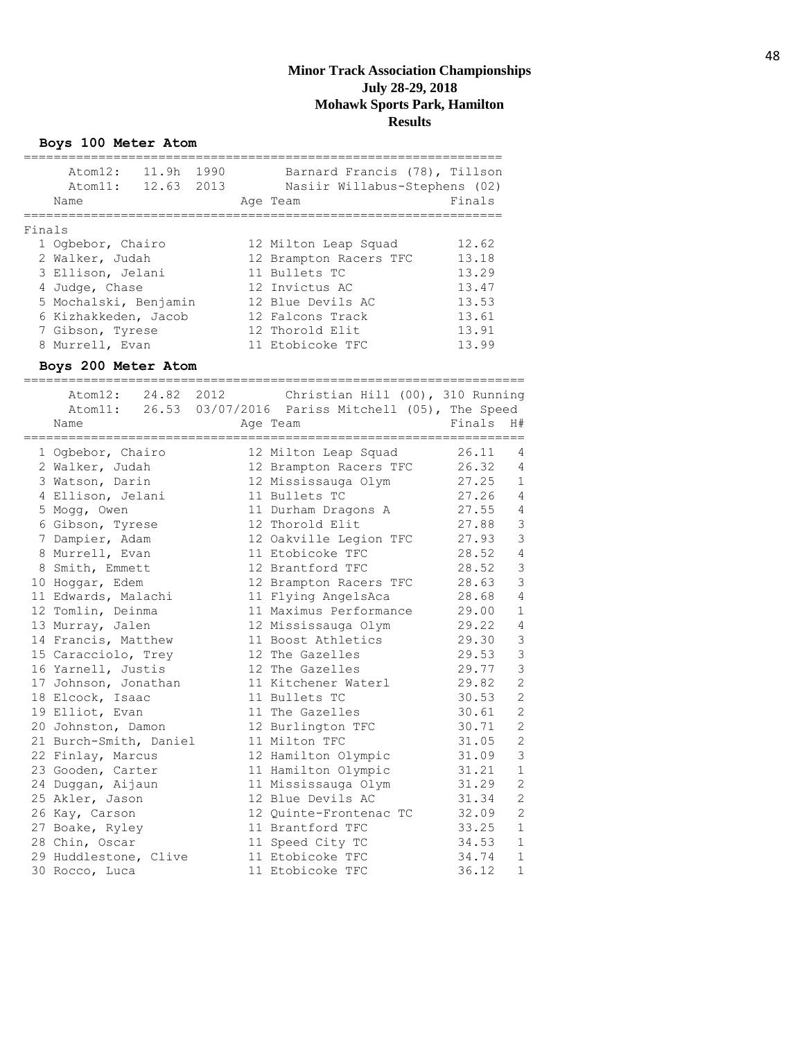#### **Boys 100 Meter Atom**

|        | 11.9h 1990<br>Atom12:<br>Atom11:<br>Name                                                                                                                            | 12.63 2013 | Barnard Francis (78), Tillson<br>Nasiir Willabus-Stephens (02)<br>Age Team                                                                                        | Finals                                                               |
|--------|---------------------------------------------------------------------------------------------------------------------------------------------------------------------|------------|-------------------------------------------------------------------------------------------------------------------------------------------------------------------|----------------------------------------------------------------------|
|        |                                                                                                                                                                     |            |                                                                                                                                                                   |                                                                      |
| Finals | 1 Ogbebor, Chairo<br>2 Walker, Judah<br>3 Ellison, Jelani<br>4 Judge, Chase<br>5 Mochalski, Benjamin<br>6 Kizhakkeden, Jacob<br>7 Gibson, Tyrese<br>8 Murrell, Evan |            | 12 Milton Leap Squad<br>12 Brampton Racers TFC<br>11 Bullets TC<br>12 Invictus AC<br>12 Blue Devils AC<br>12 Falcons Track<br>12 Thorold Elit<br>11 Etobicoke TFC | 12.62<br>13.18<br>13.29<br>13.47<br>13.53<br>13.61<br>13.91<br>13.99 |
|        | Boys 200 Meter Atom                                                                                                                                                 |            |                                                                                                                                                                   |                                                                      |
|        | 24.82<br>Atom12:<br>Name                                                                                                                                            | 2012       | Christian Hill (00), 310 Running<br>Atom11: 26.53 03/07/2016 Pariss Mitchell (05), The Speed<br>Age Team                                                          | Finals<br>H#                                                         |
|        | 1 Ogbebor, Chairo                                                                                                                                                   |            | 12 Milton Leap Squad                                                                                                                                              | 26.11<br>4                                                           |
|        | 2 Walker, Judah                                                                                                                                                     |            | 12 Brampton Racers TFC                                                                                                                                            | 26.32<br>$\overline{4}$                                              |
|        | 3 Watson, Darin                                                                                                                                                     |            | 12 Mississauga Olym                                                                                                                                               | 27.25<br>$\mathbf{1}$                                                |
|        | 4 Ellison, Jelani                                                                                                                                                   |            | 11 Bullets TC                                                                                                                                                     | 27.26<br>$\overline{4}$                                              |
|        | 5 Mogg, Owen                                                                                                                                                        |            | 11 Durham Dragons A                                                                                                                                               | $\sqrt{4}$<br>27.55                                                  |
|        | 6 Gibson, Tyrese                                                                                                                                                    |            | 12 Thorold Elit                                                                                                                                                   | $\mathcal{S}$<br>27.88                                               |
|        | 7 Dampier, Adam                                                                                                                                                     |            | 12 Oakville Legion TFC                                                                                                                                            | $\mathcal{S}$<br>27.93                                               |
|        | 8 Murrell, Evan                                                                                                                                                     |            | 11 Etobicoke TFC                                                                                                                                                  | $\overline{4}$<br>28.52                                              |
|        | 8 Smith, Emmett                                                                                                                                                     |            | 12 Brantford TFC                                                                                                                                                  | $\mathcal{S}$<br>28.52                                               |
|        | 10 Hoggar, Edem                                                                                                                                                     |            | 12 Brampton Racers TFC                                                                                                                                            | 3<br>28.63                                                           |
|        | 11 Edwards, Malachi                                                                                                                                                 |            | 11 Flying AngelsAca                                                                                                                                               | $\overline{4}$<br>28.68                                              |
|        | 12 Tomlin, Deinma                                                                                                                                                   |            | 11 Maximus Performance                                                                                                                                            | $\mathbf 1$<br>29.00                                                 |
|        | 13 Murray, Jalen                                                                                                                                                    |            | 12 Mississauga Olym                                                                                                                                               | $\sqrt{4}$<br>29.22                                                  |
|        | 14 Francis, Matthew                                                                                                                                                 |            | 11 Boost Athletics                                                                                                                                                | $\mathcal{S}$<br>29.30                                               |
|        | 15 Caracciolo, Trey                                                                                                                                                 |            | 12 The Gazelles                                                                                                                                                   | 3<br>29.53                                                           |
|        | 16 Yarnell, Justis                                                                                                                                                  |            | 12 The Gazelles                                                                                                                                                   | 3<br>29.77                                                           |
|        | 17 Johnson, Jonathan                                                                                                                                                |            | 11 Kitchener Waterl                                                                                                                                               | $\mathbf{2}$<br>29.82                                                |
|        | 18 Elcock, Isaac                                                                                                                                                    |            | 11 Bullets TC                                                                                                                                                     | $\mathbf{2}$<br>30.53                                                |
|        | 19 Elliot, Evan                                                                                                                                                     |            | 11 The Gazelles                                                                                                                                                   | $\overline{c}$<br>30.61                                              |
|        | 20 Johnston, Damon                                                                                                                                                  |            | 12 Burlington TFC                                                                                                                                                 | $\mathbf{2}$<br>30.71                                                |
|        | 21 Burch-Smith, Daniel                                                                                                                                              |            | 11 Milton TFC                                                                                                                                                     | $\sqrt{2}$<br>31.05                                                  |
|        | 22 Finlay, Marcus                                                                                                                                                   |            | 12 Hamilton Olympic                                                                                                                                               | 3<br>31.09                                                           |
|        | 23 Gooden, Carter                                                                                                                                                   |            | 11 Hamilton Olympic                                                                                                                                               | 31.21<br>1                                                           |
|        | 24 Duggan, Aijaun                                                                                                                                                   |            | 11 Mississauga Olym                                                                                                                                               | $\mathbf 2$<br>31.29                                                 |
|        | 25 Akler, Jason                                                                                                                                                     |            | 12 Blue Devils AC                                                                                                                                                 | $\sqrt{2}$<br>31.34                                                  |
|        | 26 Kay, Carson                                                                                                                                                      |            | 12 Quinte-Frontenac TC                                                                                                                                            | $\mathbf{2}$<br>32.09                                                |
|        | 27 Boake, Ryley                                                                                                                                                     |            | 11 Brantford TFC                                                                                                                                                  | 33.25<br>$1\,$                                                       |
|        | 28 Chin, Oscar                                                                                                                                                      |            | 11 Speed City TC                                                                                                                                                  | 34.53<br>1                                                           |
|        | 29 Huddlestone, Clive                                                                                                                                               |            | 11 Etobicoke TFC                                                                                                                                                  | 34.74<br>1                                                           |
|        | 30 Rocco, Luca                                                                                                                                                      |            | 11 Etobicoke TFC                                                                                                                                                  | 36.12<br>1                                                           |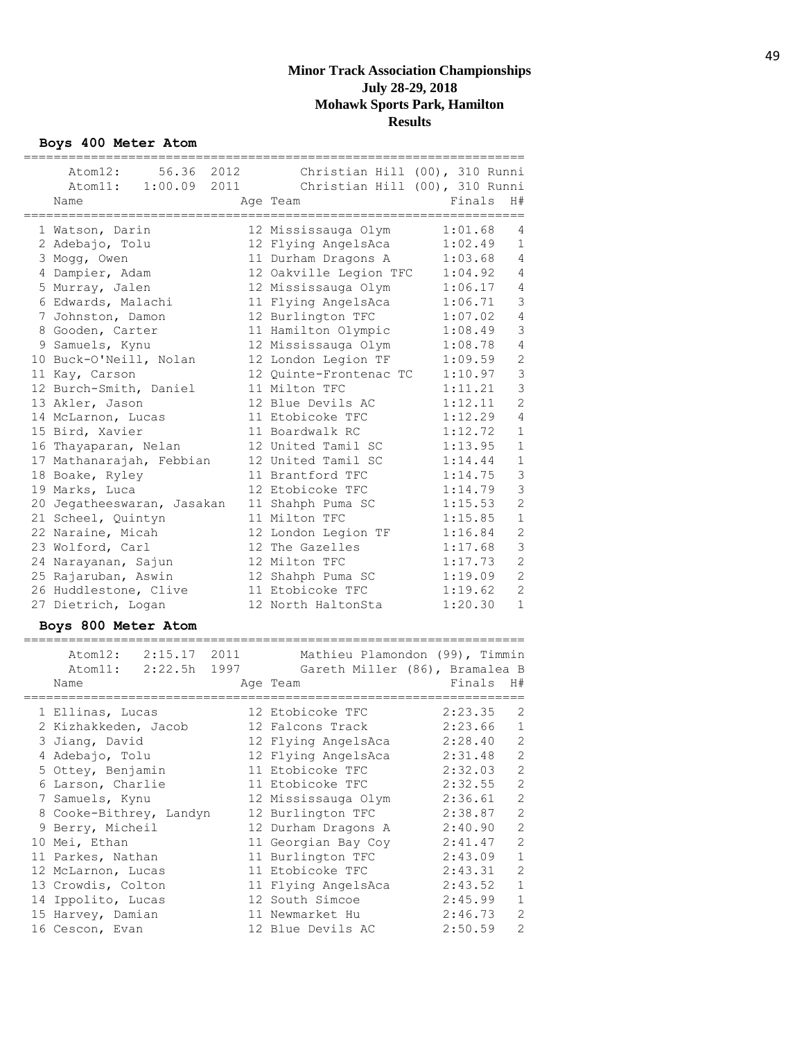**Boys 400 Meter Atom**

|                                     |                                                     | ========= |                |
|-------------------------------------|-----------------------------------------------------|-----------|----------------|
| Atom12:                             | 56.36 2012 Christian Hill (00), 310 Runni           |           |                |
|                                     | Atom11: 1:00.09 2011 Christian Hill (00), 310 Runni |           |                |
| Name                                | Age Team                                            | Finals    | H#             |
|                                     | ============================                        |           |                |
| 1 Watson, Darin                     | 12 Mississauga Olym                                 | 1:01.68   | 4              |
| 2 Adebajo, Tolu                     | 12 Flying AngelsAca                                 | 1:02.49   | $\mathbf{1}$   |
| 3 Mogg, Owen                        | 11 Durham Dragons A                                 | 1:03.68   | 4              |
| 4 Dampier, Adam                     | 12 Oakville Legion TFC                              | 1:04.92   | $\overline{4}$ |
| 5 Murray, Jalen                     | 12 Mississauga Olym                                 | 1:06.17   | $\overline{4}$ |
| 6 Edwards, Malachi                  | 11 Flying AngelsAca                                 | 1:06.71   | $\mathcal{S}$  |
| 7 Johnston, Damon                   | 12 Burlington TFC                                   | 1:07.02   | $\overline{4}$ |
| 8 Gooden, Carter                    | 11 Hamilton Olympic                                 | 1:08.49   | 3              |
| 9 Samuels, Kynu                     | 12 Mississauga Olym                                 | 1:08.78   | $\overline{4}$ |
| 10 Buck-O'Neill, Nolan              | 12 London Legion TF                                 | 1:09.59   | $\overline{c}$ |
| 11 Kay, Carson                      | 12 Ouinte-Frontenac TC                              | 1:10.97   | 3              |
| 12 Burch-Smith, Daniel              | 11 Milton TFC                                       | 1:11.21   | 3              |
| 13 Akler, Jason                     | 12 Blue Devils AC                                   | 1:12.11   | $\overline{2}$ |
| 14 McLarnon, Lucas                  | 11 Etobicoke TFC                                    | 1:12.29   | $\overline{4}$ |
| 15 Bird, Xavier                     | 11 Boardwalk RC                                     | 1:12.72   | $1\,$          |
| 16 Thayaparan, Nelan                | 12 United Tamil SC                                  | 1:13.95   | $1\,$          |
| 17 Mathanarajah, Febbian            | 12 United Tamil SC                                  | 1:14.44   | $1\,$          |
| 18 Boake, Ryley                     | 11 Brantford TFC                                    | 1:14.75   | 3              |
| 19 Marks, Luca                      | 12 Etobicoke TFC                                    | 1:14.79   | 3              |
| 20 Jegatheeswaran, Jasakan          | 11 Shahph Puma SC                                   | 1:15.53   | $\overline{c}$ |
| 21 Scheel, Quintyn                  | 11 Milton TFC                                       | 1:15.85   | $\mathbf 1$    |
| 22 Naraine, Micah                   | 12 London Legion TF                                 | 1:16.84   | $\overline{c}$ |
| 23 Wolford, Carl                    | 12 The Gazelles                                     | 1:17.68   | 3              |
| 24 Narayanan, Sajun                 | 12 Milton TFC                                       | 1:17.73   | $\overline{2}$ |
| 25 Rajaruban, Aswin                 | 12 Shahph Puma SC                                   | 1:19.09   | $\overline{2}$ |
| 26 Huddlestone, Clive               | 11 Etobicoke TFC                                    | 1:19.62   | $\overline{2}$ |
| 27 Dietrich, Logan                  | 12 North HaltonSta                                  | 1:20.30   | $\mathbf{1}$   |
| Boys 800 Meter Atom                 |                                                     |           |                |
| ================<br>:============== | --------------------------------                    |           |                |
| Atom12: 2:15.17 2011                | Mathieu Plamondon (99), Timmin                      |           |                |
| Atom11: 2:22.5h 1997                | Gareth Miller (86), Bramalea B                      |           |                |
| Name                                | Age Team                                            | Finals    | H#             |

| Atom11: 2:22.5h 1997    |                     | Gareth Miller (86), Bramalea B |
|-------------------------|---------------------|--------------------------------|
| Name                    | Age Team            | Finals<br>H#                   |
| 1 Ellinas, Lucas        | 12 Etobicoke TFC    | 2<br>2:23.35                   |
| 2 Kizhakkeden, Jacob    | 12 Falcons Track    | 2:23.66<br>$\mathbf 1$         |
| 3 Jianq, David          | 12 Flying AngelsAca | 2<br>2:28.40                   |
| 4 Adebajo, Tolu         | 12 Flying AngelsAca | $\mathbf{2}$<br>2:31.48        |
| 5 Ottey, Benjamin       | 11 Etobicoke TFC    | $\mathbf{2}$<br>2:32.03        |
| 6 Larson, Charlie       | 11 Etobicoke TFC    | 2<br>2:32.55                   |
| 7 Samuels, Kynu         | 12 Mississauga Olym | 2<br>2:36.61                   |
| 8 Cooke-Bithrey, Landyn | 12 Burlington TFC   | 2<br>2:38.87                   |
| 9 Berry, Micheil        | 12 Durham Dragons A | 2<br>2:40.90                   |
| 10 Mei, Ethan           | 11 Georgian Bay Coy | 2<br>2:41.47                   |
| 11 Parkes, Nathan       | 11 Burlington TFC   | $\mathbf{1}$<br>2:43.09        |
| 12 McLarnon, Lucas      | 11 Etobicoke TFC    | 2<br>2:43.31                   |
| 13 Crowdis, Colton      | 11 Flying AngelsAca | 2:43.52<br>$\mathbf{1}$        |
| 14 Ippolito, Lucas      | 12 South Simcoe     | 2:45.99<br>$\mathbf 1$         |
| 15 Harvey, Damian       | 11 Newmarket Hu     | 2<br>2:46.73                   |
| 16 Cescon, Evan         | 12 Blue Devils AC   | $\overline{2}$<br>2:50.59      |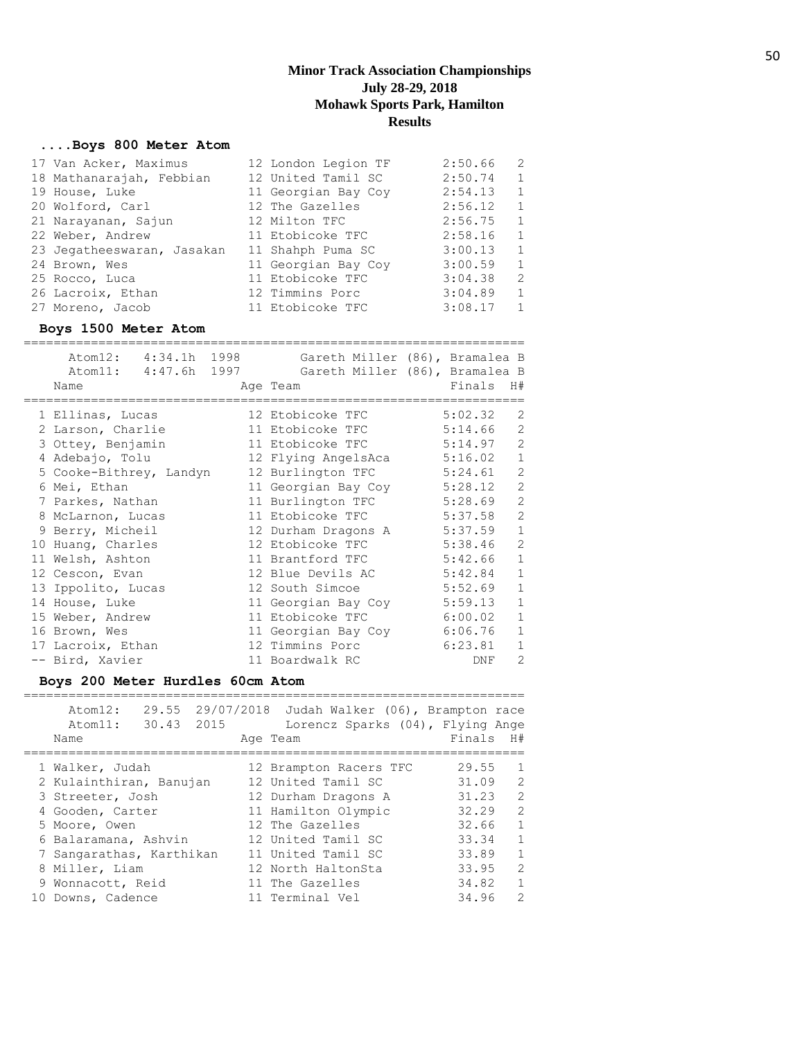## **....Boys 800 Meter Atom**

| 17 Van Acker, Maximus      | 12 London Legion TF | 2:50.66 | 2              |
|----------------------------|---------------------|---------|----------------|
| 18 Mathanarajah, Febbian   | 12 United Tamil SC  | 2:50.74 | $\mathbf{1}$   |
| 19 House, Luke             | 11 Georgian Bay Coy | 2:54.13 | 1              |
| 20 Wolford, Carl           | 12 The Gazelles     | 2:56.12 | $\mathbf{1}$   |
| 21 Narayanan, Sajun        | 12 Milton TFC       | 2:56.75 | 1              |
| 22 Weber, Andrew           | 11 Etobicoke TFC    | 2:58.16 | 1              |
| 23 Jegatheeswaran, Jasakan | 11 Shahph Puma SC   | 3:00.13 | $\mathbf{1}$   |
| 24 Brown, Wes              | 11 Georgian Bay Coy | 3:00.59 | $\mathbf{1}$   |
| 25 Rocco, Luca             | 11 Etobicoke TFC    | 3:04.38 | 2              |
| 26 Lacroix, Ethan          | 12 Timmins Porc     | 3:04.89 | 1              |
| 27 Moreno, Jacob           | 11 Etobicoke TFC    | 3:08.17 | $\overline{1}$ |

#### **Boys 1500 Meter Atom**

| Atom12: 4:34.1h 1998<br>Atom11: 4:47.6h 1997 |  |                     | Gareth Miller (86), Bramalea B<br>Gareth Miller (86), Bramalea B |                |
|----------------------------------------------|--|---------------------|------------------------------------------------------------------|----------------|
| Name                                         |  | Age Team            | Finals                                                           | H#             |
| 1 Ellinas, Lucas                             |  | 12 Etobicoke TFC    | 5:02.32                                                          | 2              |
| 2 Larson, Charlie                            |  | 11 Etobicoke TFC    | 5:14.66                                                          | $\overline{2}$ |
| 3 Ottey, Benjamin                            |  | 11 Etobicoke TFC    | 5:14.97                                                          | $\overline{2}$ |
| 4 Adebajo, Tolu                              |  | 12 Flying AngelsAca | 5:16.02                                                          | $\mathbf{1}$   |
| 5 Cooke-Bithrey, Landyn                      |  | 12 Burlington TFC   | 5:24.61                                                          | $\overline{2}$ |
| 6 Mei, Ethan                                 |  | 11 Georgian Bay Coy | 5:28.12                                                          | $\overline{2}$ |
| 7 Parkes, Nathan                             |  | 11 Burlington TFC   | 5:28.69                                                          | $\overline{2}$ |
| 8 McLarnon, Lucas                            |  | 11 Etobicoke TFC    | 5:37.58                                                          | $\overline{2}$ |
| 9 Berry, Micheil                             |  | 12 Durham Dragons A | 5:37.59                                                          | $\mathbf{1}$   |
| 10 Huang, Charles                            |  | 12 Etobicoke TFC    | 5:38.46                                                          | $\overline{2}$ |
| 11 Welsh, Ashton                             |  | 11 Brantford TFC    | 5:42.66                                                          | $\mathbf{1}$   |
| 12 Cescon, Evan                              |  | 12 Blue Devils AC   | 5:42.84                                                          | $\mathbf{1}$   |
| 13 Ippolito, Lucas                           |  | 12 South Simcoe     | 5:52.69                                                          | $\mathbf{1}$   |
| 14 House, Luke                               |  | 11 Georgian Bay Coy | 5:59.13                                                          | $\mathbf{1}$   |
| 15 Weber, Andrew                             |  | 11 Etobicoke TFC    | 6:00.02                                                          | 1              |
| 16 Brown, Wes                                |  | 11 Georgian Bay Coy | 6:06.76                                                          | $\mathbf{1}$   |
| 17 Lacroix, Ethan                            |  | 12 Timmins Porc     | 6:23.81                                                          | $\mathbf{1}$   |
| -- Bird, Xavier                              |  | 11 Boardwalk RC     | DNF                                                              | $\overline{2}$ |

## **Boys 200 Meter Hurdles 60cm Atom**

| Atom12:<br>30.43 2015<br>Atom11:<br>Name | 29.55 29/07/2018 Judah Walker (06), Brampton race<br>Lorencz Sparks (04), Flying Ange<br>Age Team | Finals<br>H#            |               |
|------------------------------------------|---------------------------------------------------------------------------------------------------|-------------------------|---------------|
| 1 Walker, Judah                          | 12 Brampton Racers TFC                                                                            | 29.55<br>$\overline{1}$ |               |
| 2 Kulainthiran, Banujan                  | 12 United Tamil SC                                                                                | 31.09                   | 2             |
| 3 Streeter, Josh                         | 12 Durham Dragons A                                                                               | 31.23                   | 2             |
| 4 Gooden, Carter                         | 11 Hamilton Olympic                                                                               | 32.29                   | 2             |
| 5 Moore, Owen                            | 12 The Gazelles                                                                                   | 32.66                   | 1             |
| 6 Balaramana, Ashvin                     | 12 United Tamil SC                                                                                | 33.34                   | $\mathbf{1}$  |
| 7 Sangarathas, Karthikan                 | 11 United Tamil SC                                                                                | 33.89                   | $\mathbf{1}$  |
| 8 Miller, Liam                           | 12 North HaltonSta                                                                                | 33.95                   | $\mathcal{L}$ |

| 9 Wonnacott, Reid | 11 The Gazelles | 34.82 |  |
|-------------------|-----------------|-------|--|
| 10 Downs, Cadence | 11 Terminal Vel | 34.96 |  |

50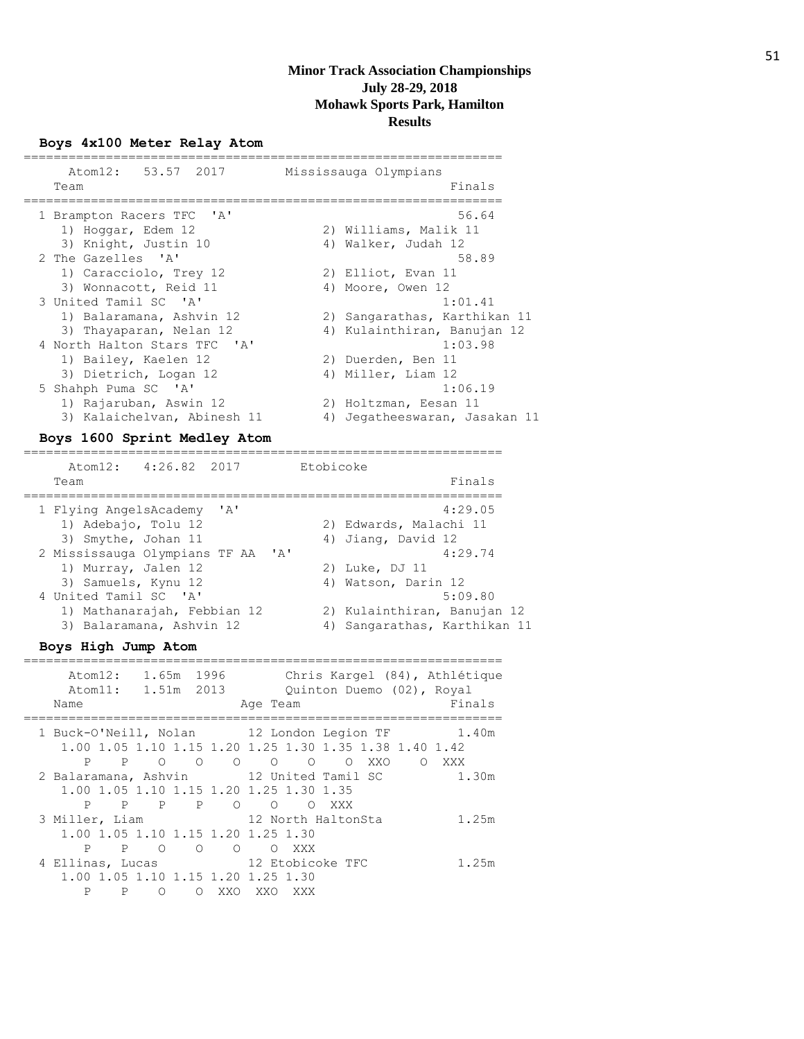#### **Boys 4x100 Meter Relay Atom**

| Atom12: 53.57 2017           |    | Mississauga Olympians        |
|------------------------------|----|------------------------------|
| Team                         |    | Finals                       |
| 1 Brampton Racers TFC 'A'    |    | 56.64                        |
| 1) Hoggar, Edem 12           |    | 2) Williams, Malik 11        |
| 3) Knight, Justin 10         |    | 4) Walker, Judah 12          |
| 2 The Gazelles 'A'           |    | 58.89                        |
| 1) Caracciolo, Trey 12       |    | 2) Elliot, Evan 11           |
| 3) Wonnacott, Reid 11        |    | 4) Moore, Owen 12            |
| 3 United Tamil SC 'A'        |    | 1:01.41                      |
| 1) Balaramana, Ashvin 12     |    | 2) Sangarathas, Karthikan 11 |
| 3) Thayaparan, Nelan 12      |    | 4) Kulainthiran, Banujan 12  |
| 4 North Halton Stars TFC 'A' |    | 1:03.98                      |
| 1) Bailey, Kaelen 12         |    | 2) Duerden, Ben 11           |
| 3) Dietrich, Logan 12        |    | 4) Miller, Liam 12           |
| 5 Shahph Puma SC 'A'         |    | 1:06.19                      |
| 1) Rajaruban, Aswin 12       |    | 2) Holtzman, Eesan 11        |
| 3) Kalaichelvan, Abinesh 11  | 4) | Jegatheeswaran, Jasakan 11   |
|                              |    |                              |

#### **Boys 1600 Sprint Medley Atom**

================================================================ Atom12: 4:26.82 2017 Etobicoke Team Finals ================================================================ 1 Flying AngelsAcademy 'A' 4:29.05 1) Adebajo, Tolu 12 2) Edwards, Malachi 11 3) Smythe, Johan 11 4) Jiang, David 12 2 Mississauga Olympians TF AA 'A' 4:29.74 1) Murray, Jalen 12 2) Luke, DJ 11 3) Samuels, Kynu 12 4) Watson, Darin 12 4 United Tamil SC 'A' 5:09.80 1) Mathanarajah, Febbian 12 2) Kulainthiran, Banujan 12 3) Balaramana, Ashvin 12 4) Sangarathas, Karthikan 11

#### **Boys High Jump Atom**

| Atom12:<br>Atom11:<br>Name | 1.65m<br>1.51m 2013        | 1996              | Chris Kargel (84), Athlétique<br>Ouinton Duemo (02), Royal<br>Finals<br>Age Team                             |
|----------------------------|----------------------------|-------------------|--------------------------------------------------------------------------------------------------------------|
|                            |                            |                   | 1 Buck-O'Neill, Nolan 12 London Legion TF<br>1.40m<br>1.00 1.05 1.10 1.15 1.20 1.25 1.30 1.35 1.38 1.40 1.42 |
|                            | P P O O                    |                   | $\begin{array}{ccccccccc}\n0 & 0 & 0 & 0\n\end{array}$<br>XXO<br>O XXX<br>$\overline{\phantom{0}}$           |
|                            |                            |                   | 2 Balaramana, Ashvin 12 United Tamil SC<br>1.30m                                                             |
| P                          | P P P                      |                   | 1.00 1.05 1.10 1.15 1.20 1.25 1.30 1.35<br>$O$ $O$<br>$\Omega$<br>XXX                                        |
| 3 Miller, Liam             |                            |                   | 12 North HaltonSta<br>1.25m                                                                                  |
|                            |                            |                   | 1,00 1,05 1,10 1,15 1,20 1,25 1,30                                                                           |
| P                          | $\overline{O}$<br>$P \cap$ | $\overline{O}$    | O XXX                                                                                                        |
| 4 Ellinas, Lucas           |                            |                   | 12 Etobicoke TFC<br>1.25m                                                                                    |
| P<br>P                     | $\Omega$                   | XXO<br>$\bigcirc$ | 1.00 1.05 1.10 1.15 1.20 1.25 1.30<br>XXO<br>XXX                                                             |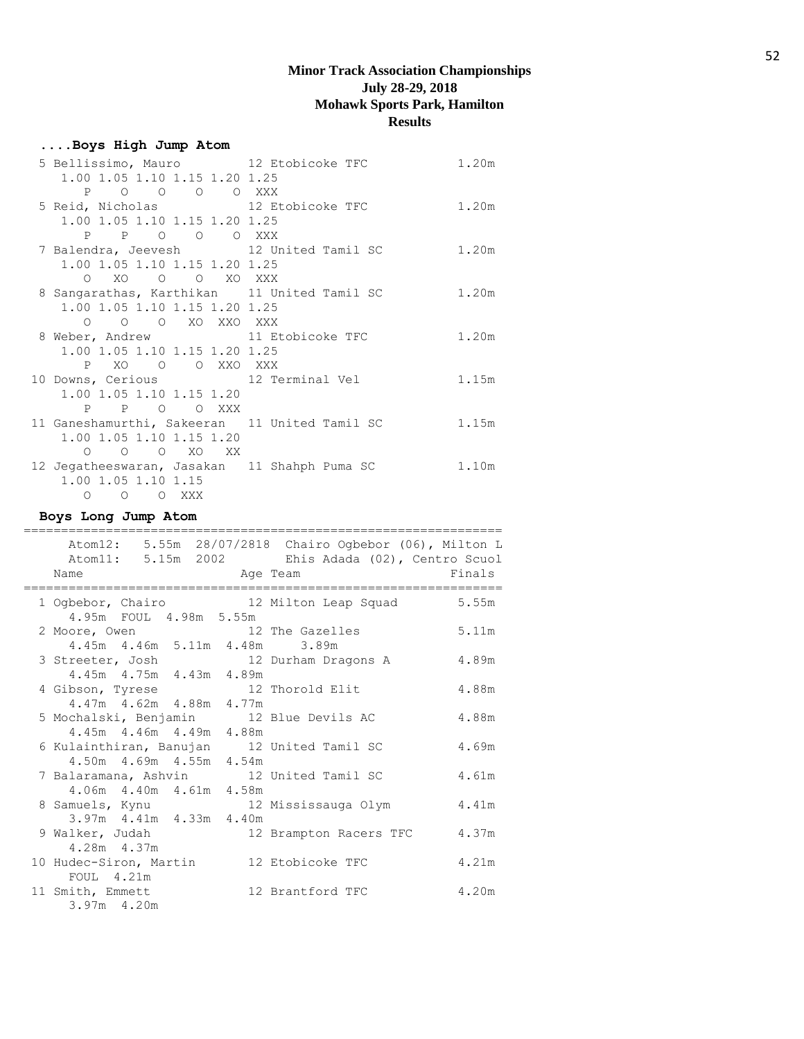## **....Boys High Jump Atom**

| 5 Bellissimo, Mauro 12 Etobicoke TFC          | 1.20m |
|-----------------------------------------------|-------|
| 1.00 1.05 1.10 1.15 1.20 1.25                 |       |
| P O O O O XXX                                 |       |
| 5 Reid, Nicholas 12 Etobicoke TFC             | 1.20m |
| 1.00 1.05 1.10 1.15 1.20 1.25                 |       |
| P P O O O XXX                                 |       |
| 7 Balendra, Jeevesh 12 United Tamil SC        | 1.20m |
| 1.00 1.05 1.10 1.15 1.20 1.25                 |       |
| O XO O O XO XXX                               |       |
| 8 Sangarathas, Karthikan 11 United Tamil SC   | 1.20m |
| 1.00 1.05 1.10 1.15 1.20 1.25                 |       |
| 0 0 0 XO XXO XXX                              |       |
| 8 Weber, Andrew 11 Etobicoke TFC              | 1.20m |
| 1.00 1.05 1.10 1.15 1.20 1.25                 |       |
| P XO O O XXO XXX                              |       |
|                                               |       |
| 10 Downs, Cerious 12 Terminal Vel             | 1.15m |
| 1.00 1.05 1.10 1.15 1.20                      |       |
| P P O O XXX                                   |       |
| 11 Ganeshamurthi, Sakeeran 11 United Tamil SC | 1.15m |
| 1.00 1.05 1.10 1.15 1.20                      |       |
| $O$ $O$ $O$ $XO$ $XX$                         |       |
| 12 Jegatheeswaran, Jasakan 11 Shahph Puma SC  | 1.10m |
| 1.00 1.05 1.10 1.15<br>O O O XXX              |       |

## **Boys Long Jump Atom**

|                                                                                                                         | Atom12: 5.55m 28/07/2818 Chairo Ogbebor (06), Milton L<br>Atom11: 5.15m 2002 Ehis Adada (02), Centro Scuol |        |
|-------------------------------------------------------------------------------------------------------------------------|------------------------------------------------------------------------------------------------------------|--------|
| and the state of the state of the state of the state of the state of the state of the state of the state of the<br>Name |                                                                                                            | Finals |
| 4.95m FOUL 4.98m 5.55m                                                                                                  | 1 Ogbebor, Chairo 12 Milton Leap Squad 5.55m                                                               |        |
| 2 Moore, Owen 12 The Gazelles                                                                                           |                                                                                                            | 5.11m  |
| 4.45m 4.46m 5.11m 4.48m 3.89m                                                                                           |                                                                                                            |        |
|                                                                                                                         | 3 Streeter, Josh 12 Durham Dragons A 4.89m                                                                 |        |
| 4.45m 4.75m 4.43m 4.89m                                                                                                 |                                                                                                            |        |
| 4 Gibson, Tyrese 12 Thorold Elit                                                                                        |                                                                                                            | 4.88m  |
| 4.47m 4.62m 4.88m 4.77m                                                                                                 |                                                                                                            |        |
| 5 Mochalski, Benjamin 12 Blue Devils AC                                                                                 |                                                                                                            | 4.88m  |
| 4.45m 4.46m 4.49m 4.88m                                                                                                 |                                                                                                            |        |
| 6 Kulainthiran, Banujan 12 United Tamil SC                                                                              |                                                                                                            | 4.69m  |
| 4.50m  4.69m  4.55m  4.54m                                                                                              |                                                                                                            |        |
| 7 Balaramana, Ashvin 12 United Tamil SC                                                                                 |                                                                                                            | 4.61m  |
| 4.06m 4.40m 4.61m 4.58m                                                                                                 |                                                                                                            |        |
| 3.97m 4.41m 4.33m 4.40m                                                                                                 | 8 Samuels, Kynu                             12 Mississauga Olym                                            | 4.41m  |
| 9 Walker, Judah                                                                                                         | 12 Brampton Racers TFC                                                                                     | 4.37m  |
| 4.28m 4.37m                                                                                                             |                                                                                                            |        |
| 10 Hudec-Siron, Martin 12 Etobicoke TFC                                                                                 |                                                                                                            | 4.21m  |
| FOUL 4.21m                                                                                                              |                                                                                                            |        |
| 11 Smith, Emmett 12 Brantford TFC                                                                                       |                                                                                                            | 4.20m  |
| $3.97m$ 4.20m                                                                                                           |                                                                                                            |        |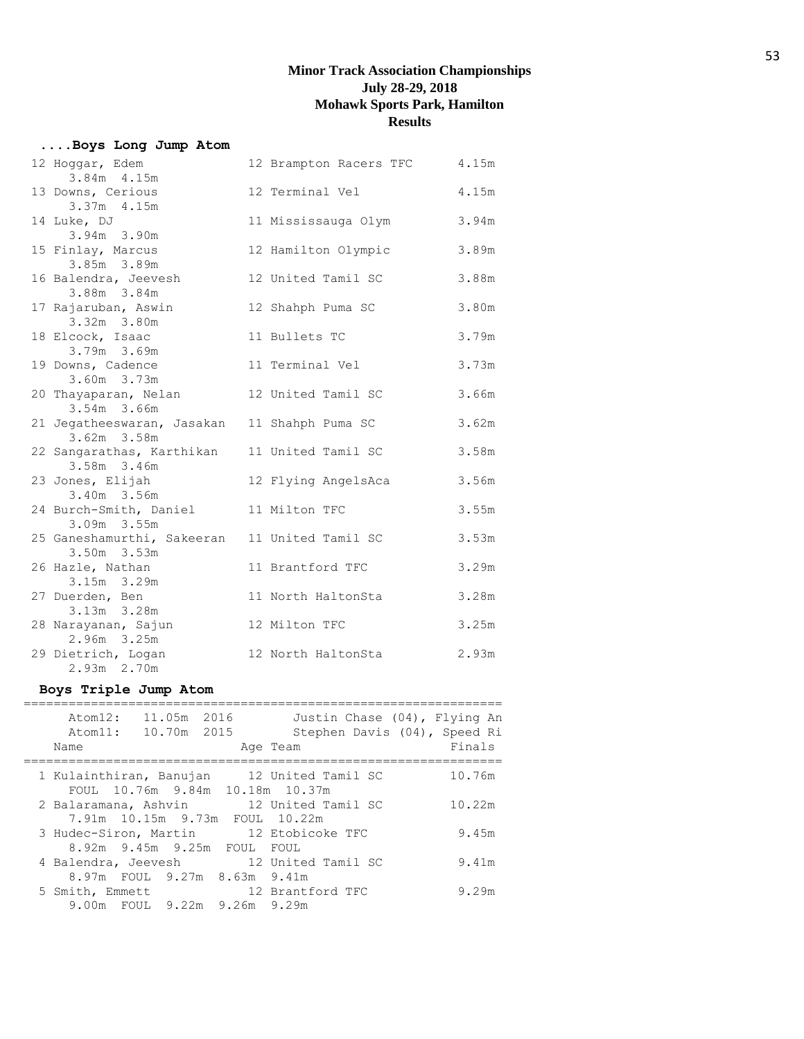## **....Boys Long Jump Atom**

| 12 Hoggar, Edem<br>3.84m 4.15m                               | 12 Brampton Racers TFC | 4.15m |
|--------------------------------------------------------------|------------------------|-------|
| 13 Downs, Cerious<br>3.37m 4.15m                             | 12 Terminal Vel        | 4.15m |
| 14 Luke, DJ<br>3.94m 3.90m                                   | 11 Mississauga Olym    | 3.94m |
| 15 Finlay, Marcus<br>3.85m 3.89m                             | 12 Hamilton Olympic    | 3.89m |
| 16 Balendra, Jeevesh<br>3.88m 3.84m                          | 12 United Tamil SC     | 3.88m |
| 17 Rajaruban, Aswin<br>3.32m 3.80m                           | 12 Shahph Puma SC      | 3.80m |
| 18 Elcock, Isaac<br>3.79m 3.69m                              | 11 Bullets TC          | 3.79m |
| 19 Downs, Cadence<br>3.60m 3.73m                             | 11 Terminal Vel        | 3.73m |
| 20 Thayaparan, Nelan<br>3.54m 3.66m                          | 12 United Tamil SC     | 3.66m |
| 21 Jegatheeswaran, Jasakan 11 Shahph Puma SC<br>3.62m 3.58m  |                        | 3.62m |
| 22 Sangarathas, Karthikan<br>3.58m 3.46m                     | 11 United Tamil SC     | 3.58m |
| 23 Jones, Elijah<br>3.40m 3.56m                              | 12 Flying AngelsAca    | 3.56m |
| 24 Burch-Smith, Daniel<br>3.09m 3.55m                        | 11 Milton TFC          | 3.55m |
| 25 Ganeshamurthi, Sakeeran 11 United Tamil SC<br>3.50m 3.53m |                        | 3.53m |
| 26 Hazle, Nathan<br>3.15m 3.29m                              | 11 Brantford TFC       | 3.29m |
| 27 Duerden, Ben<br>3.13m 3.28m                               | 11 North HaltonSta     | 3.28m |
| 28 Narayanan, Sajun<br>2.96m 3.25m                           | 12 Milton TFC          | 3.25m |
| 29 Dietrich, Logan<br>2.93m 2.70m                            | 12 North HaltonSta     | 2.93m |

## **Boys Triple Jump Atom**

| 11.05m 2016<br>Atom12:<br>Justin Chase (04), Flying An<br>Stephen Davis (04), Speed Ri<br>10.70m 2015<br>Atom11:<br>Finals<br>Name<br>Age Team<br>1 Kulainthiran, Banujan 12 United Tamil SC<br>10.76m<br>FOUL 10.76m 9.84m 10.18m 10.37m<br>2 Balaramana, Ashvin 12 United Tamil SC<br>10.22m<br>7.91m 10.15m 9.73m FOUL 10.22m<br>12 Etobicoke TFC<br>9.45m<br>3 Hudec-Siron, Martin<br>8.92m 9.45m 9.25m FOUL FOUL<br>4 Balendra, Jeevesh 12 United Tamil SC<br>9.41m<br>8.97m FOUL 9.27m 8.63m 9.41m<br>12 Brantford TFC<br>5 Smith, Emmett<br>9.29m<br>9.00m FOUL 9.22m 9.26m 9.29m |  |  |  |  |
|------------------------------------------------------------------------------------------------------------------------------------------------------------------------------------------------------------------------------------------------------------------------------------------------------------------------------------------------------------------------------------------------------------------------------------------------------------------------------------------------------------------------------------------------------------------------------------------|--|--|--|--|
|                                                                                                                                                                                                                                                                                                                                                                                                                                                                                                                                                                                          |  |  |  |  |
|                                                                                                                                                                                                                                                                                                                                                                                                                                                                                                                                                                                          |  |  |  |  |
|                                                                                                                                                                                                                                                                                                                                                                                                                                                                                                                                                                                          |  |  |  |  |
|                                                                                                                                                                                                                                                                                                                                                                                                                                                                                                                                                                                          |  |  |  |  |
|                                                                                                                                                                                                                                                                                                                                                                                                                                                                                                                                                                                          |  |  |  |  |
|                                                                                                                                                                                                                                                                                                                                                                                                                                                                                                                                                                                          |  |  |  |  |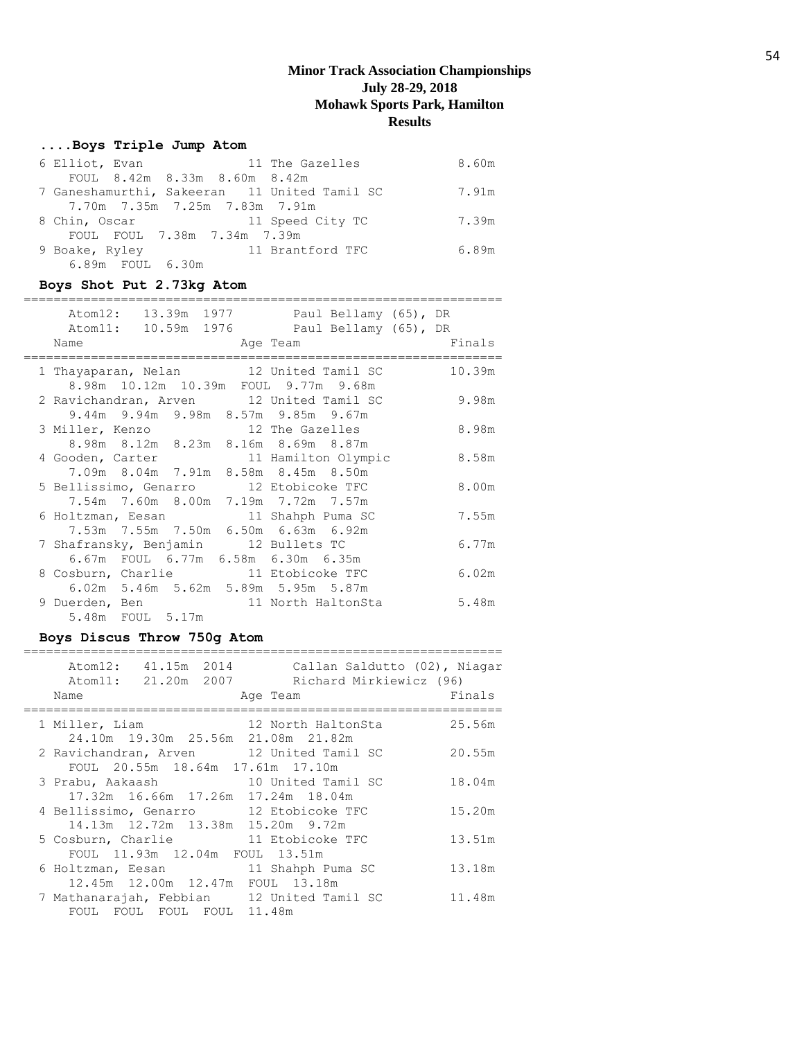## **....Boys Triple Jump Atom**

| 6 Elliot, Evan   | 11 The Gazelles               |                                              | 8.60m |
|------------------|-------------------------------|----------------------------------------------|-------|
|                  | FOUL 8.42m 8.33m 8.60m 8.42m  |                                              |       |
|                  |                               | 7 Ganeshamurthi, Sakeeran 11 United Tamil SC | 7.91m |
|                  | 7.70m 7.35m 7.25m 7.83m 7.91m |                                              |       |
| 8 Chin, Oscar    | 11 Speed City TC              |                                              | 7.39m |
|                  | FOUL FOUL 7.38m 7.34m 7.39m   |                                              |       |
| 9 Boake, Ryley   |                               | 11 Brantford TFC                             | 6.89m |
| 6.89m FOUL 6.30m |                               |                                              |       |

## **Boys Shot Put 2.73kg Atom**

| Atom12:<br>Name                                                            | 13.39m 1977 Paul Bellamy (65), DR<br>Atom11: 10.59m 1976 Paul Bellamy (65), DR<br>Age Team | Finals |
|----------------------------------------------------------------------------|--------------------------------------------------------------------------------------------|--------|
|                                                                            | 1 Thayaparan, Nelan 12 United Tamil SC<br>8.98m 10.12m 10.39m FOUL 9.77m 9.68m             | 10.39m |
|                                                                            | 2 Ravichandran, Arven 12 United Tamil SC<br>9.44m 9.94m 9.98m 8.57m 9.85m 9.67m            | 9.98m  |
| 3 Miller, Kenzo 12 The Gazelles                                            | 8.98m 8.12m 8.23m 8.16m 8.69m 8.87m                                                        | 8.98m  |
|                                                                            | 4 Gooden, Carter 11 Hamilton Olympic<br>7.09m 8.04m 7.91m 8.58m 8.45m 8.50m                | 8.58m  |
| 5 Bellissimo, Genarro 12 Etobicoke TFC                                     | 7.54m 7.60m 8.00m 7.19m 7.72m 7.57m                                                        | 8.00m  |
| 6 Holtzman, Eesan 11 Shahph Puma SC                                        | 7.53m 7.55m 7.50m 6.50m 6.63m 6.92m                                                        | 7.55m  |
| 7 Shafransky, Benjamin 12 Bullets TC<br>6.67m FOUL 6.77m 6.58m 6.30m 6.35m |                                                                                            | 6.77m  |
| 8 Cosburn, Charlie 11 Etobicoke TFC                                        | 6.02m 5.46m 5.62m 5.89m 5.95m 5.87m                                                        | 6.02m  |
| 9 Duerden, Ben<br>5.48m FOUL 5.17m                                         | 11 North HaltonSta                                                                         | 5.48m  |

# **Boys Discus Throw 750g Atom**

| Atom12: 41.15m 2014<br>Atom11: 21.20m 2007<br>Name                           | Callan Saldutto (02), Niagar<br>Richard Mirkiewicz (96)<br>Age Team | Finals |
|------------------------------------------------------------------------------|---------------------------------------------------------------------|--------|
| 1 Miller, Liam<br>24.10m 19.30m 25.56m 21.08m 21.82m                         | 12 North HaltonSta                                                  | 25.56m |
| 2 Ravichandran, Arven 12 United Tamil SC<br>FOUL 20.55m 18.64m 17.61m 17.10m |                                                                     | 20.55m |
| 3 Prabu, Aakaash<br>17.32m 16.66m 17.26m 17.24m 18.04m                       | 10 United Tamil SC                                                  | 18.04m |
| 4 Bellissimo, Genarro 12 Etobicoke TFC<br>14.13m 12.72m 13.38m 15.20m 9.72m  |                                                                     | 15.20m |
| 5 Cosburn, Charlie 11 Etobicoke TFC<br>FOUL 11.93m 12.04m FOUL 13.51m        |                                                                     | 13.51m |
| 6 Holtzman, Eesan<br>12.45m 12.00m 12.47m FOUL 13.18m                        | 11 Shahph Puma SC                                                   | 13.18m |
| 7 Mathanarajah, Febbian 12 United Tamil SC<br>FOUL FOUL FOUL FOUL 11.48m     |                                                                     | 11.48m |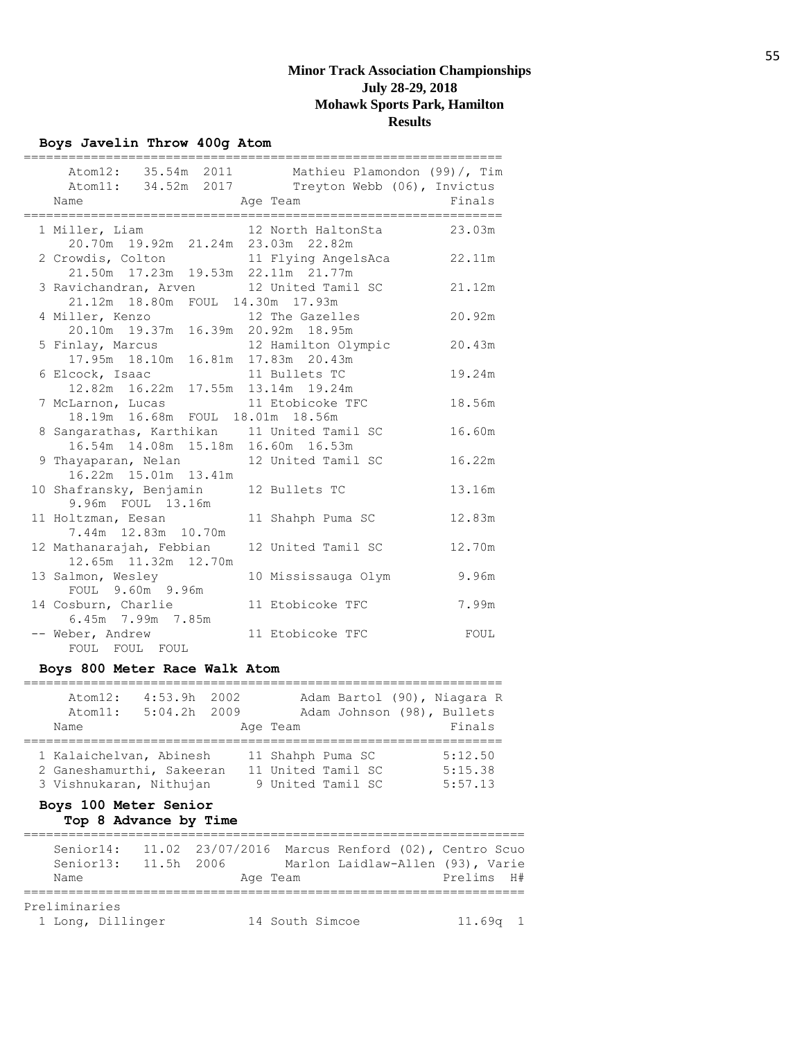## **Boys Javelin Throw 400g Atom**

|                                                                       | Atom12: 35.54m 2011 Mathieu Plamondon (99)/, Tim                           |        |
|-----------------------------------------------------------------------|----------------------------------------------------------------------------|--------|
|                                                                       | Atom11: 34.52m 2017 Treyton Webb (06), Invictus                            |        |
| Name                                                                  | Age Team                                                                   | Finals |
| 1 Miller, Liam                                                        | 12 North HaltonSta 23.03m                                                  |        |
| 20.70m 19.92m 21.24m 23.03m 22.82m                                    |                                                                            |        |
|                                                                       |                                                                            | 22.11m |
|                                                                       | 2 Crowdis, Colton 11 Flying AngelsAca 21.50m 17.23m 19.53m 22.11m 21.77m   |        |
|                                                                       | 3 Ravichandran, Arven 12 United Tamil SC                                   | 21.12m |
| 21.12m 18.80m FOUL 14.30m 17.93m                                      |                                                                            |        |
| 4 Miller, Kenzo 12 The Gazelles<br>20.10m 19.37m 16.39m 20.92m 18.95m |                                                                            | 20.92m |
|                                                                       |                                                                            |        |
|                                                                       | 5 Finlay, Marcus 12 Hamilton Olympic<br>17.95m 18.10m 16.81m 17.83m 20.43m | 20.43m |
|                                                                       |                                                                            |        |
| 6 Elcock, Isaac 11 Bullets TC                                         |                                                                            | 19.24m |
| 12.82m  16.22m  17.55m  13.14m  19.24m                                |                                                                            |        |
|                                                                       | 7 McLarnon, Lucas and 11 Etobicoke TFC                                     | 18.56m |
| 18.19m  16.68m  FOUL  18.01m  18.56m                                  |                                                                            |        |
|                                                                       | 8 Sangarathas, Karthikan 11 United Tamil SC                                | 16.60m |
| 16.54m  14.08m  15.18m  16.60m  16.53m                                |                                                                            |        |
| 9 Thayaparan, Nelan 12 United Tamil SC                                |                                                                            | 16.22m |
| 16.22m  15.01m  13.41m                                                |                                                                            |        |
| 10 Shafransky, Benjamin 12 Bullets TC                                 |                                                                            | 13.16m |
| 9.96m FOUL 13.16m                                                     |                                                                            |        |
| 11 Holtzman, Eesan                                                    | 11 Shahph Puma SC                                                          | 12.83m |
| 7.44m 12.83m 10.70m                                                   |                                                                            |        |
| 12 Mathanarajah, Febbian                                              | 12 United Tamil SC                                                         | 12.70m |
| 12.65m  11.32m  12.70m                                                |                                                                            |        |
| 13 Salmon, Wesley                                                     | 10 Mississauga Olym                                                        | 9.96m  |
| FOUL 9.60m 9.96m                                                      |                                                                            |        |
| 14 Cosburn, Charlie                                                   | 11 Etobicoke TFC                                                           | 7.99m  |
| 6.45m 7.99m 7.85m                                                     |                                                                            |        |
| -- Weber, Andrew                                                      | 11 Etobicoke TFC                                                           | FOUL   |
| FOUL FOUL FOUL                                                        |                                                                            |        |

## **Boys 800 Meter Race Walk Atom**

| At. cm12:<br>Atom11:<br>Name                                                    | $4:53.9h$ 2002<br>$5:04.2h$ 2009 | Age Team                                                     | Adam Johnson (98), Bullets | Adam Bartol (90), Niagara R<br>Finals |
|---------------------------------------------------------------------------------|----------------------------------|--------------------------------------------------------------|----------------------------|---------------------------------------|
| 1 Kalaichelvan, Abinesh<br>2 Ganeshamurthi, Sakeeran<br>3 Vishnukaran, Nithujan |                                  | 11 Shahph Puma SC<br>11 United Tamil SC<br>9 United Tamil SC |                            | 5:12.50<br>5:15.38<br>5:57.13         |

## **Boys 100 Meter Senior Top 8 Advance by Time**

| Senior14:     |                      | 11.02 23/07/2016 Marcus Renford (02), Centro Scuo |          |                 |                                  |            |  |
|---------------|----------------------|---------------------------------------------------|----------|-----------------|----------------------------------|------------|--|
|               | Senior13: 11.5h 2006 |                                                   |          |                 | Marlon Laidlaw-Allen (93), Varie |            |  |
| Name          |                      |                                                   | Age Team |                 |                                  | Prelims H# |  |
| Preliminaries |                      |                                                   |          |                 |                                  |            |  |
|               | 1 Long, Dillinger    |                                                   |          | 14 South Simcoe |                                  | $11.69q$ 1 |  |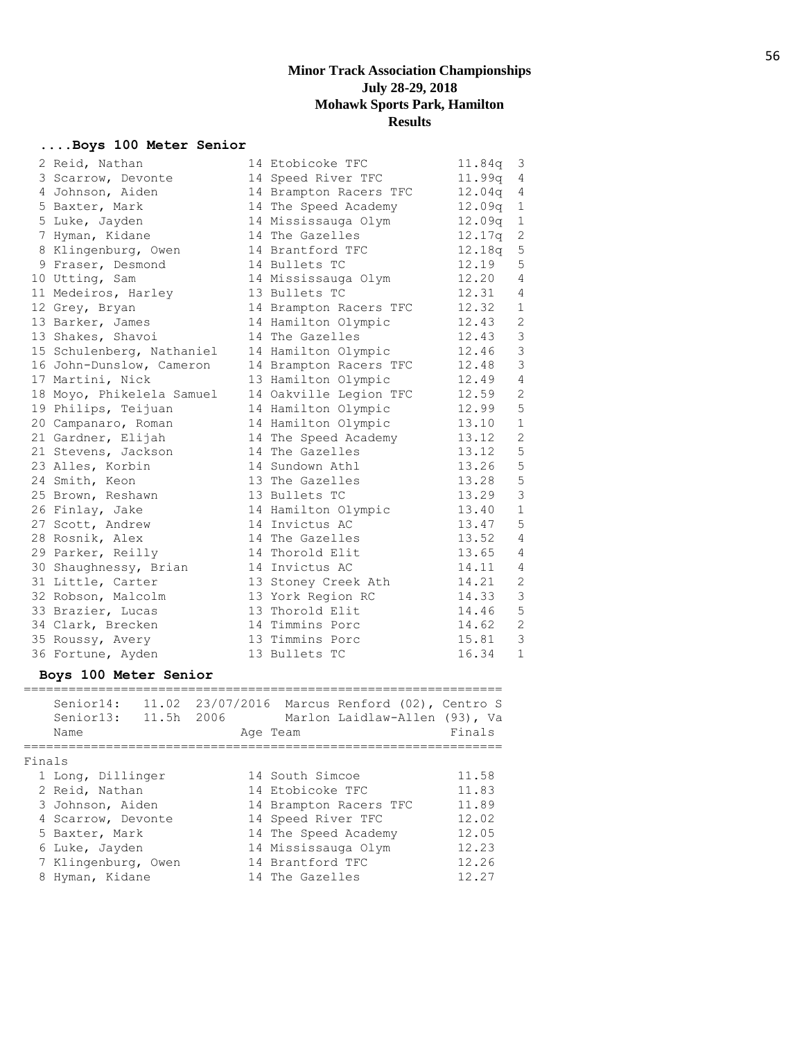================================================================

## **....Boys 100 Meter Senior**

| 2 Reid, Nathan            | 14 Etobicoke TFC       | 11.84q | 3              |
|---------------------------|------------------------|--------|----------------|
| 3 Scarrow, Devonte        | 14 Speed River TFC     | 11.99q | 4              |
| 4 Johnson, Aiden          | 14 Brampton Racers TFC | 12.04q | 4              |
| 5 Baxter, Mark            | 14 The Speed Academy   | 12.09q | $\mathbf{1}$   |
| 5 Luke, Jayden            | 14 Mississauga Olym    | 12.09q | $\,1\,$        |
| 7 Hyman, Kidane           | 14 The Gazelles        | 12.17q | $\sqrt{2}$     |
| 8 Klingenburg, Owen       | 14 Brantford TFC       | 12.18q | 5              |
| 9 Fraser, Desmond         | 14 Bullets TC          | 12.19  | 5              |
| 10 Utting, Sam            | 14 Mississauga Olym    | 12.20  | $\overline{4}$ |
| 11 Medeiros, Harley       | 13 Bullets TC          | 12.31  | 4              |
| 12 Grey, Bryan            | 14 Brampton Racers TFC | 12.32  | $\mathbf{1}$   |
| 13 Barker, James          | 14 Hamilton Olympic    | 12.43  | $\mathbf{2}$   |
| 13 Shakes, Shavoi         | 14 The Gazelles        | 12.43  | $\mathcal{S}$  |
| 15 Schulenberg, Nathaniel | 14 Hamilton Olympic    | 12.46  | $\mathsf 3$    |
| 16 John-Dunslow, Cameron  | 14 Brampton Racers TFC | 12.48  | $\mathsf 3$    |
| 17 Martini, Nick          | 13 Hamilton Olympic    | 12.49  | $\overline{4}$ |
| 18 Moyo, Phikelela Samuel | 14 Oakville Legion TFC | 12.59  | $\sqrt{2}$     |
| 19 Philips, Teijuan       | 14 Hamilton Olympic    | 12.99  | $\mathsf S$    |
| 20 Campanaro, Roman       | 14 Hamilton Olympic    | 13.10  | $\mathbf 1$    |
| 21 Gardner, Elijah        | 14 The Speed Academy   | 13.12  | $\mathbf{2}$   |
| 21 Stevens, Jackson       | 14 The Gazelles        | 13.12  | 5              |
| 23 Alles, Korbin          | 14 Sundown Athl        | 13.26  | 5              |
| 24 Smith, Keon            | 13 The Gazelles        | 13.28  | 5              |
| 25 Brown, Reshawn         | 13 Bullets TC          | 13.29  | $\mathcal{S}$  |
| 26 Finlay, Jake           | 14 Hamilton Olympic    | 13.40  | $\mathbf 1$    |
| 27 Scott, Andrew          | 14 Invictus AC         | 13.47  | 5              |
| 28 Rosnik, Alex           | 14 The Gazelles        | 13.52  | $\overline{4}$ |
| 29 Parker, Reilly         | 14 Thorold Elit        | 13.65  | $\overline{4}$ |
| 30 Shaughnessy, Brian     | 14 Invictus AC         | 14.11  | $\overline{4}$ |
| 31 Little, Carter         | 13 Stoney Creek Ath    | 14.21  | 2              |
| 32 Robson, Malcolm        | 13 York Region RC      | 14.33  | $\mathfrak{Z}$ |
| 33 Brazier, Lucas         | 13 Thorold Elit        | 14.46  | $\mathsf S$    |
| 34 Clark, Brecken         | 14 Timmins Porc        | 14.62  | $\mathbf{2}$   |
| 35 Roussy, Avery          | 13 Timmins Porc        | 15.81  | $\mathfrak{Z}$ |
| 36 Fortune, Ayden         | 13 Bullets TC          | 16.34  | $\mathbf 1$    |

## **Boys 100 Meter Senior**

|        | Senior14:<br>Senior13:<br>Name | 11.5h 2006 | 11.02 23/07/2016 Marcus Renford (02), Centro S<br>Marlon Laidlaw-Allen (93), Va<br>Age Team | Finals |
|--------|--------------------------------|------------|---------------------------------------------------------------------------------------------|--------|
| Finals |                                |            |                                                                                             |        |
|        | 1 Long, Dillinger              |            | 14 South Simcoe                                                                             | 11.58  |
|        | 2 Reid, Nathan                 |            | 14 Etobicoke TFC                                                                            | 11.83  |
|        | 3 Johnson, Aiden               |            | 14 Brampton Racers TFC                                                                      | 11.89  |
|        | 4 Scarrow, Devonte             |            | 14 Speed River TFC                                                                          | 12.02  |
|        | 5 Baxter, Mark                 |            | 14 The Speed Academy                                                                        | 12.05  |
|        | 6 Luke, Jayden                 |            | 14 Mississauga Olym                                                                         | 12.23  |
|        | 7 Klingenburg, Owen            |            | 14 Brantford TFC                                                                            | 12.26  |
|        | 8 Hyman, Kidane                |            | 14 The Gazelles                                                                             | 12.27  |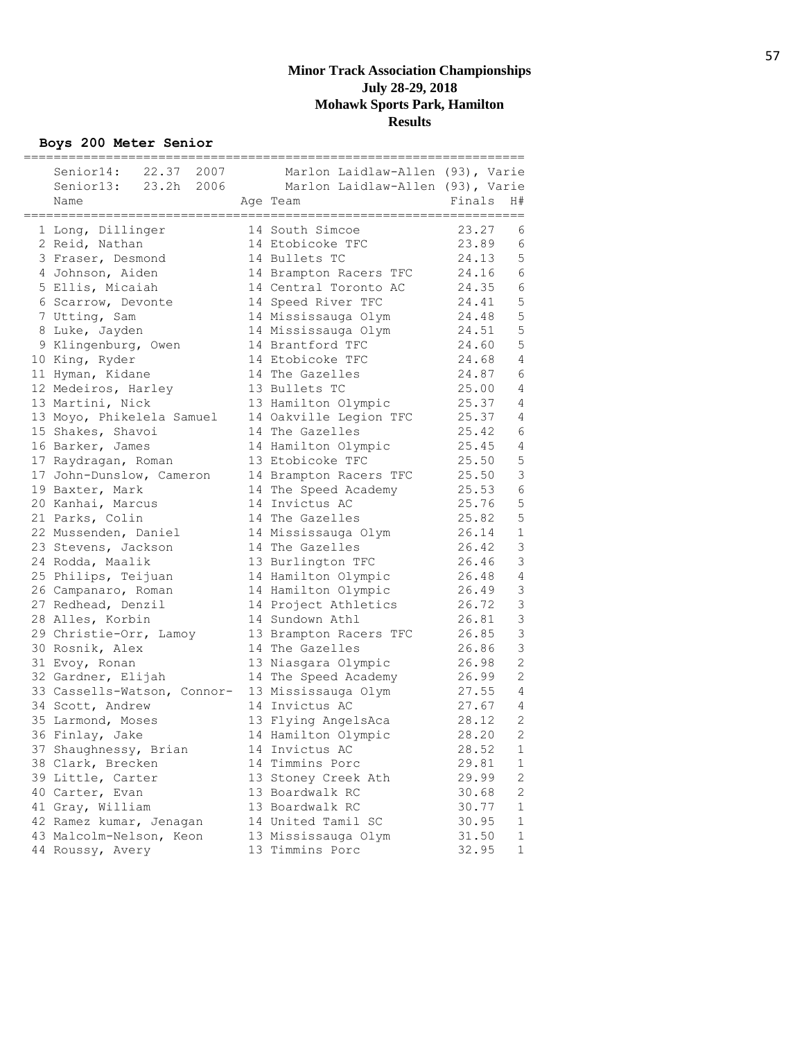**Boys 200 Meter Senior**

| 22.37 2007<br>Senior14:     | Marlon Laidlaw-Allen (93), Varie |        |                |
|-----------------------------|----------------------------------|--------|----------------|
| Senior13: 23.2h 2006        | Marlon Laidlaw-Allen (93), Varie |        |                |
| Name                        | Age Team                         | Finals | H#             |
|                             |                                  |        |                |
| 1 Long, Dillinger           | 14 South Simcoe                  | 23.27  | 6              |
| 2 Reid, Nathan              | 14 Etobicoke TFC                 | 23.89  | 6              |
| 3 Fraser, Desmond           | 14 Bullets TC                    | 24.13  | 5              |
| 4 Johnson, Aiden            | 14 Brampton Racers TFC           | 24.16  | 6              |
| 5 Ellis, Micaiah            | 14 Central Toronto AC            | 24.35  | 6              |
| 6 Scarrow, Devonte          | 14 Speed River TFC               | 24.41  | 5              |
| 7 Utting, Sam               | 14 Mississauga Olym              | 24.48  | 5              |
| 8 Luke, Jayden              | 14 Mississauga Olym              | 24.51  | 5<br>5         |
| 9 Klingenburg, Owen         | 14 Brantford TFC                 | 24.60  |                |
| 10 King, Ryder              | 14 Etobicoke TFC                 | 24.68  | 4              |
| 11 Hyman, Kidane            | 14 The Gazelles                  | 24.87  | 6              |
| 12 Medeiros, Harley         | 13 Bullets TC                    | 25.00  | 4              |
| 13 Martini, Nick            | 13 Hamilton Olympic              | 25.37  | 4              |
| 13 Moyo, Phikelela Samuel   | 14 Oakville Legion TFC           | 25.37  | 4              |
| 15 Shakes, Shavoi           | 14 The Gazelles                  | 25.42  | 6              |
| 16 Barker, James            | 14 Hamilton Olympic              | 25.45  | 4              |
| 17 Raydragan, Roman         | 13 Etobicoke TFC                 | 25.50  | 5              |
| 17 John-Dunslow, Cameron    | 14 Brampton Racers TFC           | 25.50  | 3              |
| 19 Baxter, Mark             | 14 The Speed Academy             | 25.53  | $\epsilon$     |
| 20 Kanhai, Marcus           | 14 Invictus AC                   | 25.76  | 5              |
| 21 Parks, Colin             | 14 The Gazelles                  | 25.82  | 5              |
| 22 Mussenden, Daniel        | 14 Mississauga Olym              | 26.14  | $\mathbf 1$    |
| 23 Stevens, Jackson         | 14 The Gazelles                  | 26.42  | $\mathfrak{Z}$ |
| 24 Rodda, Maalik            | 13 Burlington TFC                | 26.46  | 3              |
| 25 Philips, Teijuan         | 14 Hamilton Olympic              | 26.48  | $\sqrt{4}$     |
| 26 Campanaro, Roman         | 14 Hamilton Olympic              | 26.49  | $\mathcal{S}$  |
| 27 Redhead, Denzil          | 14 Project Athletics             | 26.72  | 3              |
| 28 Alles, Korbin            | 14 Sundown Athl                  | 26.81  | 3              |
| 29 Christie-Orr, Lamoy      | 13 Brampton Racers TFC           | 26.85  | 3              |
| 30 Rosnik, Alex             | 14 The Gazelles                  | 26.86  | 3              |
| 31 Evoy, Ronan              | 13 Niasgara Olympic              | 26.98  | 2              |
| 32 Gardner, Elijah          | 14 The Speed Academy             | 26.99  | 2              |
| 33 Cassells-Watson, Connor- | 13 Mississauga Olym              | 27.55  | 4              |
| 34 Scott, Andrew            | 14 Invictus AC                   | 27.67  | 4              |
| 35 Larmond, Moses           | 13 Flying AngelsAca              | 28.12  | 2              |
| 36 Finlay, Jake             | 14 Hamilton Olympic              | 28.20  | $\overline{2}$ |
| 37 Shaughnessy, Brian       | 14 Invictus AC                   | 28.52  | 1              |
| 38 Clark, Brecken           | 14 Timmins Porc                  | 29.81  | 1              |
| 39 Little, Carter           | 13 Stoney Creek Ath              | 29.99  | 2              |
| 40 Carter, Evan             | 13 Boardwalk RC                  | 30.68  | 2              |
| 41 Gray, William            | 13 Boardwalk RC                  | 30.77  | 1              |
| 42 Ramez kumar, Jenagan     | 14 United Tamil SC               | 30.95  | 1              |
| 43 Malcolm-Nelson, Keon     | 13 Mississauga Olym              | 31.50  | 1              |
| 44 Roussy, Avery            | 13 Timmins Porc                  | 32.95  | $\mathbf 1$    |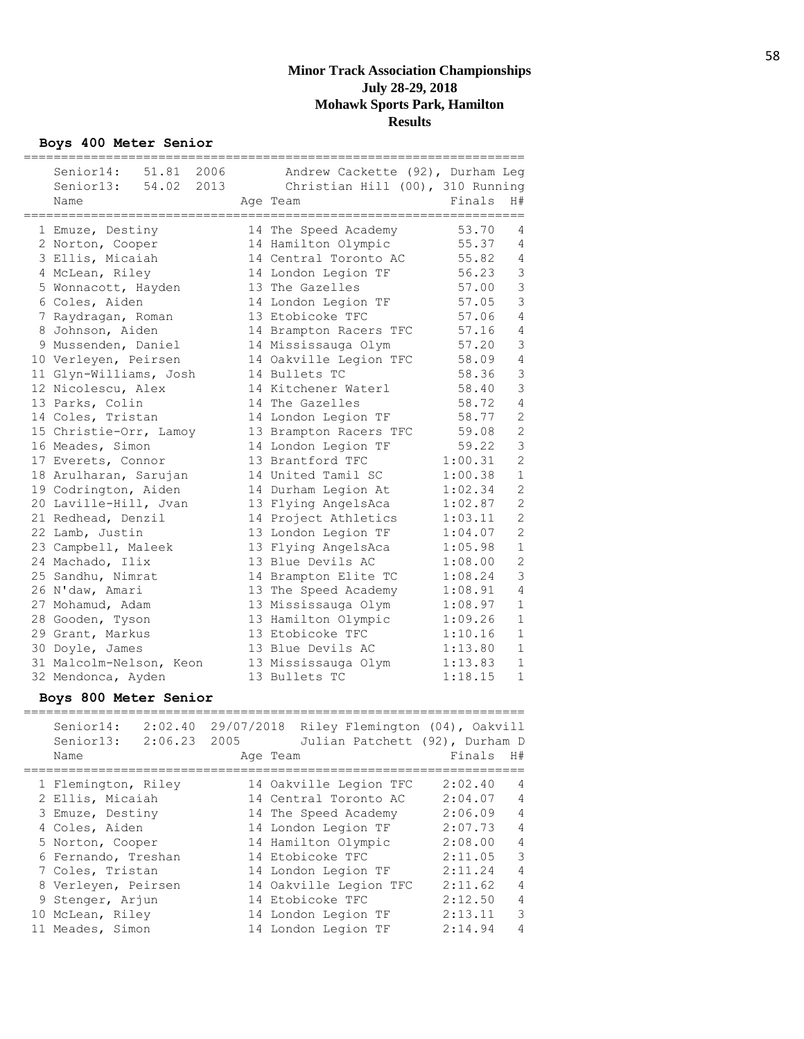**Boys 400 Meter Senior**

|                         | ========================         |         |                |
|-------------------------|----------------------------------|---------|----------------|
| Senior14: 51.81 2006    | Andrew Cackette (92), Durham Leg |         |                |
| Senior13: 54.02 2013    | Christian Hill (00), 310 Running |         |                |
| Name                    | Age Team                         | Finals  | H#             |
|                         |                                  |         |                |
| 1 Emuze, Destiny        | 14 The Speed Academy             | 53.70   | 4              |
| 2 Norton, Cooper        | 14 Hamilton Olympic              | 55.37   | 4              |
| 3 Ellis, Micaiah        | 14 Central Toronto AC            | 55.82   | $\overline{4}$ |
| 4 McLean, Riley         | 14 London Legion TF              | 56.23   | $\mathfrak{Z}$ |
| 5 Wonnacott, Hayden     | 13 The Gazelles                  | 57.00   | 3              |
| 6 Coles, Aiden          | 14 London Legion TF              | 57.05   | 3              |
| 7 Raydragan, Roman      | 13 Etobicoke TFC                 | 57.06   | $\overline{4}$ |
| 8 Johnson, Aiden        | 14 Brampton Racers TFC           | 57.16   | 4              |
| 9 Mussenden, Daniel     | 14 Mississauga Olym              | 57.20   | 3              |
| 10 Verleyen, Peirsen    | 14 Oakville Legion TFC           | 58.09   | $\overline{4}$ |
| 11 Glyn-Williams, Josh  | 14 Bullets TC                    | 58.36   | 3              |
| 12 Nicolescu, Alex      | 14 Kitchener Waterl              | 58.40   | 3              |
| 13 Parks, Colin         | 14 The Gazelles                  | 58.72   | $\overline{4}$ |
| 14 Coles, Tristan       | 14 London Legion TF              | 58.77   | $\overline{2}$ |
| 15 Christie-Orr, Lamoy  | 13 Brampton Racers TFC           | 59.08   | $\mathbf{2}$   |
| 16 Meades, Simon        | 14 London Legion TF              | 59.22   | 3              |
| 17 Everets, Connor      | 13 Brantford TFC                 | 1:00.31 | $\overline{2}$ |
| 18 Arulharan, Sarujan   | 14 United Tamil SC               | 1:00.38 | $1\,$          |
| 19 Codrington, Aiden    | 14 Durham Legion At              | 1:02.34 | $\overline{2}$ |
| 20 Laville-Hill, Jvan   | 13 Flying AngelsAca              | 1:02.87 | $\mathbf{2}$   |
| 21 Redhead, Denzil      | 14 Project Athletics             | 1:03.11 | $\mathbf{2}$   |
| 22 Lamb, Justin         | 13 London Legion TF              | 1:04.07 | $\overline{2}$ |
| 23 Campbell, Maleek     | 13 Flying AngelsAca              | 1:05.98 | $\mathbf 1$    |
| 24 Machado, Ilix        | 13 Blue Devils AC                | 1:08.00 | $\mathbf{2}$   |
| 25 Sandhu, Nimrat       | 14 Brampton Elite TC             | 1:08.24 | 3              |
| 26 N'daw, Amari         | 13 The Speed Academy             | 1:08.91 | $\overline{4}$ |
| 27 Mohamud, Adam        | 13 Mississauga Olym              | 1:08.97 | $\mathbf 1$    |
| 28 Gooden, Tyson        | 13 Hamilton Olympic              | 1:09.26 | $\mathbf 1$    |
| 29 Grant, Markus        | 13 Etobicoke TFC                 | 1:10.16 | $\mathbf 1$    |
| 30 Doyle, James         | 13 Blue Devils AC                | 1:13.80 | $\mathbf 1$    |
| 31 Malcolm-Nelson, Keon | 13 Mississauga Olym              | 1:13.83 | $\mathbf{1}$   |
| 32 Mendonca, Ayden      | 13 Bullets TC                    | 1:18.15 | $\mathbf 1$    |

# **Boys 800 Meter Senior**

| Senior14:<br>2:02.40<br>Senior13:<br>2:06.23<br>Name | 29/07/2018<br>2005<br>Age Team | Riley Flemington (04), Oakvill<br>Julian Patchett (92), Durham D | Finals  | H#             |
|------------------------------------------------------|--------------------------------|------------------------------------------------------------------|---------|----------------|
| 1 Flemington, Riley                                  |                                | 14 Oakville Legion TFC                                           | 2:02.40 | 4              |
| 2 Ellis, Micaiah                                     |                                | 14 Central Toronto AC                                            | 2:04.07 | 4              |
| 3 Emuze, Destiny                                     |                                | 14 The Speed Academy                                             | 2:06.09 | $\overline{4}$ |
| 4 Coles, Aiden                                       |                                | 14 London Legion TF                                              | 2:07.73 | $\overline{4}$ |
| 5 Norton, Cooper                                     |                                | 14 Hamilton Olympic                                              | 2:08.00 | $\overline{4}$ |
| 6 Fernando, Treshan                                  |                                | 14 Etobicoke TFC                                                 | 2:11.05 | 3              |
| 7 Coles, Tristan                                     |                                | 14 London Legion TF                                              | 2:11.24 | $\overline{4}$ |
| 8 Verleyen, Peirsen                                  |                                | 14 Oakville Legion TFC                                           | 2:11.62 | $\overline{4}$ |
| 9 Stenger, Arjun                                     |                                | 14 Etobicoke TFC                                                 | 2:12.50 | $\overline{4}$ |
| 10 McLean, Riley                                     |                                | 14 London Legion TF                                              | 2:13.11 | 3              |
| 11 Meades, Simon                                     |                                | 14 London Legion TF                                              | 2:14.94 | 4              |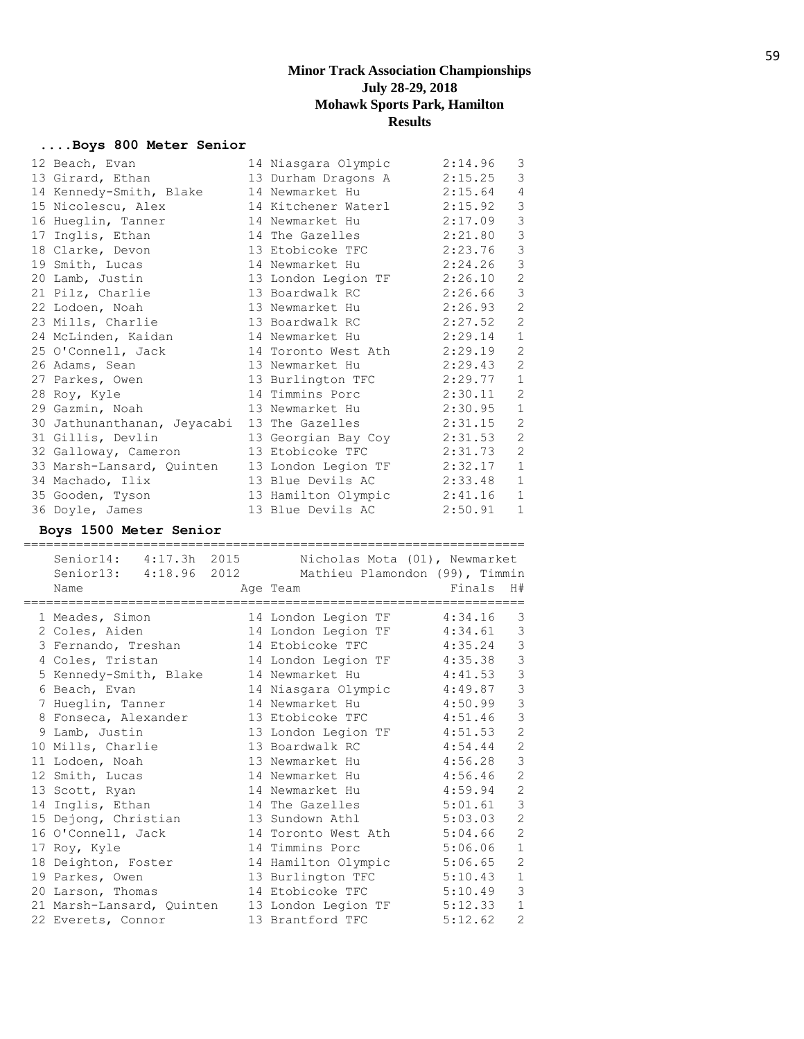## **....Boys 800 Meter Senior**

|    | 12 Beach, Evan              | 14 Niasgara Olympic | 2:14.96 | 3             |
|----|-----------------------------|---------------------|---------|---------------|
|    | 13 Girard, Ethan            | 13 Durham Dragons A | 2:15.25 | 3             |
|    | 14 Kennedy-Smith, Blake     | 14 Newmarket Hu     | 2:15.64 | 4             |
|    | 15 Nicolescu, Alex          | 14 Kitchener Waterl | 2:15.92 | $\mathsf 3$   |
|    | 16 Hueglin, Tanner          | 14 Newmarket Hu     | 2:17.09 | $\mathsf 3$   |
| 17 | Inglis, Ethan               | 14 The Gazelles     | 2:21.80 | 3             |
|    | 18 Clarke, Devon            | 13 Etobicoke TFC    | 2:23.76 | $\mathcal{S}$ |
|    | 19 Smith, Lucas             | 14 Newmarket Hu     | 2:24.26 | 3             |
|    | 20 Lamb, Justin             | 13 London Legion TF | 2:26.10 | $\mathbf{2}$  |
|    | 21 Pilz, Charlie            | 13 Boardwalk RC     | 2:26.66 | $\mathcal{S}$ |
|    | 22 Lodoen, Noah             | 13 Newmarket Hu     | 2:26.93 | $\mathbf{2}$  |
|    | 23 Mills, Charlie           | 13 Boardwalk RC     | 2:27.52 | 2             |
|    | 24 McLinden, Kaidan         | 14 Newmarket Hu     | 2:29.14 | $\mathbf 1$   |
|    | 25 O'Connell, Jack          | 14 Toronto West Ath | 2:29.19 | 2             |
|    | 26 Adams, Sean              | 13 Newmarket Hu     | 2:29.43 | 2             |
|    | 27 Parkes, Owen             | 13 Burlington TFC   | 2:29.77 | $\mathbf{1}$  |
|    | 28 Roy, Kyle                | 14 Timmins Porc     | 2:30.11 | 2             |
|    | 29 Gazmin, Noah             | 13 Newmarket Hu     | 2:30.95 | $\mathbf{1}$  |
|    | 30 Jathunanthanan, Jeyacabi | 13 The Gazelles     | 2:31.15 | 2             |
|    | 31 Gillis, Devlin           | 13 Georgian Bay Coy | 2:31.53 | 2             |
|    | 32 Galloway, Cameron        | 13 Etobicoke TFC    | 2:31.73 | $\mathbf{2}$  |
|    | 33 Marsh-Lansard, Quinten   | 13 London Legion TF | 2:32.17 | $\mathbf{1}$  |
|    | 34 Machado, Ilix            | 13 Blue Devils AC   | 2:33.48 | $\mathbf 1$   |
|    | 35 Gooden, Tyson            | 13 Hamilton Olympic | 2:41.16 | $\mathbf 1$   |
|    | 36 Doyle, James             | 13 Blue Devils AC   | 2:50.91 | $\mathbf{1}$  |

## **Boys 1500 Meter Senior**

=================================================================== Senior14: 4:17.3h 2015 Nicholas Mota (01), Newmarket

|  | Senioria: 4:17.30 ZUIJ    | Nicholas Mota (UI), Newmarket  |         |                |
|--|---------------------------|--------------------------------|---------|----------------|
|  | Senior13: 4:18.96 2012    | Mathieu Plamondon (99), Timmin |         |                |
|  | Name                      | Age Team                       | Finals  | H#             |
|  | 1 Meades, Simon           | 14 London Legion TF            | 4:34.16 | 3              |
|  | 2 Coles, Aiden            | 14 London Legion TF            | 4:34.61 | $\mathcal{S}$  |
|  | 3 Fernando, Treshan       | 14 Etobicoke TFC               | 4:35.24 | $\mathcal{S}$  |
|  | 4 Coles, Tristan          | 14 London Legion TF            | 4:35.38 | 3              |
|  | 5 Kennedy-Smith, Blake    | 14 Newmarket Hu                | 4:41.53 | $\mathcal{S}$  |
|  | 6 Beach, Evan             | 14 Niasgara Olympic            | 4:49.87 | $\mathcal{S}$  |
|  | 7 Hueglin, Tanner         | 14 Newmarket Hu                | 4:50.99 | $\mathfrak{Z}$ |
|  | 8 Fonseca, Alexander      | 13 Etobicoke TFC               | 4:51.46 | 3              |
|  | 9 Lamb, Justin            | 13 London Legion TF            | 4:51.53 | $\mathbf{2}$   |
|  | 10 Mills, Charlie         | 13 Boardwalk RC                | 4:54.44 | $\mathbf{2}$   |
|  | 11 Lodoen, Noah           | 13 Newmarket Hu                | 4:56.28 | $\mathsf 3$    |
|  | 12 Smith, Lucas           | 14 Newmarket Hu                | 4:56.46 | $\overline{c}$ |
|  | 13 Scott, Ryan            | 14 Newmarket Hu                | 4:59.94 | $\overline{2}$ |
|  | 14 Inglis, Ethan          | 14 The Gazelles                | 5:01.61 | 3              |
|  | 15 Dejong, Christian      | 13 Sundown Athl                | 5:03.03 | $\mathbf{2}$   |
|  | 16 O'Connell, Jack        | 14 Toronto West Ath            | 5:04.66 | $\overline{c}$ |
|  | 17 Roy, Kyle              | 14 Timmins Porc                | 5:06.06 | $\mathbf{1}$   |
|  | 18 Deighton, Foster       | 14 Hamilton Olympic            | 5:06.65 | $\mathbf{2}$   |
|  | 19 Parkes, Owen           | 13 Burlington TFC              | 5:10.43 | $1\,$          |
|  | 20 Larson, Thomas         | 14 Etobicoke TFC               | 5:10.49 | 3              |
|  | 21 Marsh-Lansard, Quinten | 13 London Legion TF            | 5:12.33 | $\mathbf{1}$   |
|  | 22 Everets, Connor        | 13 Brantford TFC               | 5:12.62 | $\mathbf{2}$   |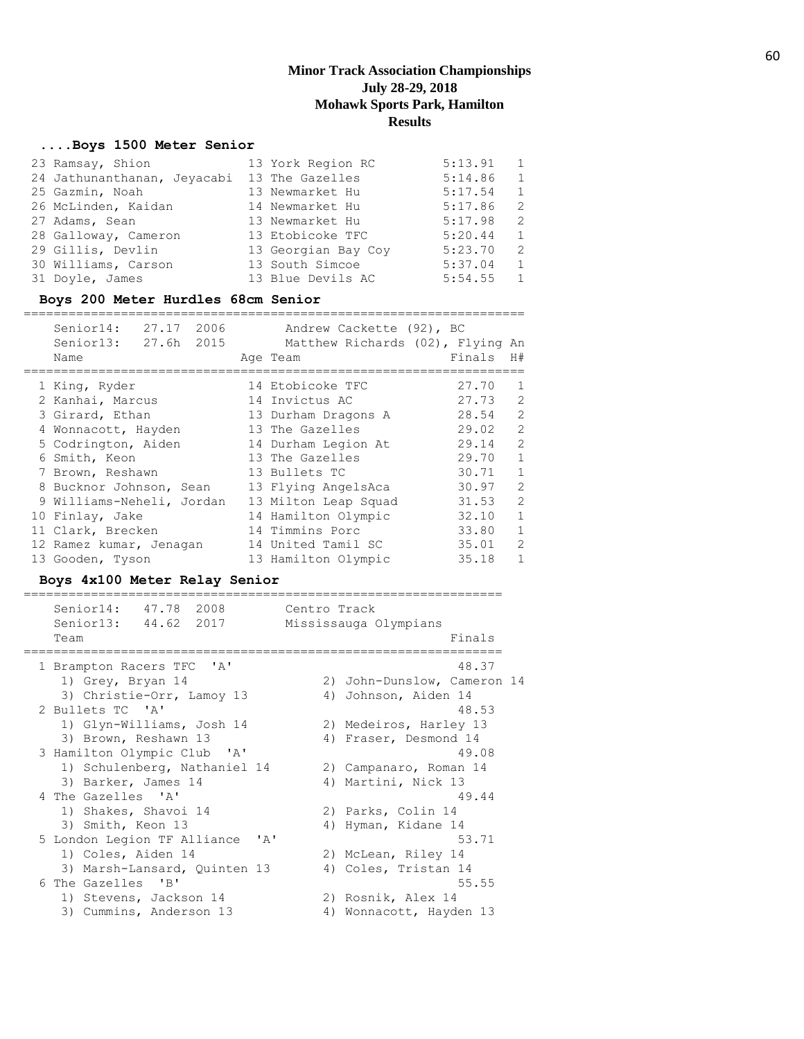## **....Boys 1500 Meter Senior**

| 23 Ramsay, Shion            | 13 York Region RC   | 5:13.91 | 1              |
|-----------------------------|---------------------|---------|----------------|
| 24 Jathunanthanan, Jeyacabi | 13 The Gazelles     | 5:14.86 | 1              |
| 25 Gazmin, Noah             | 13 Newmarket Hu     | 5:17.54 | 1              |
| 26 McLinden, Kaidan         | 14 Newmarket Hu     | 5:17.86 | 2              |
| 27 Adams, Sean              | 13 Newmarket Hu     | 5:17.98 | 2              |
| 28 Galloway, Cameron        | 13 Etobicoke TFC    | 5:20.44 | 1              |
| 29 Gillis, Devlin           | 13 Georgian Bay Coy | 5:23.70 | 2              |
| 30 Williams, Carson         | 13 South Simcoe     | 5:37.04 | 1              |
| 31 Doyle, James             | 13 Blue Devils AC   | 5:54.55 | $\overline{1}$ |

## **Boys 200 Meter Hurdles 68cm Senior**

| Senior14: 27.17 2006<br>Senior13: 27.6h 2015<br>Name | Andrew Cackette (92), BC<br>Matthew Richards (02), Flying An<br>Age Team | Finals | H#             |
|------------------------------------------------------|--------------------------------------------------------------------------|--------|----------------|
| 1 King, Ryder                                        | 14 Etobicoke TFC                                                         | 27.70  | $\mathbf{1}$   |
| 2 Kanhai, Marcus                                     | 14 Invictus AC                                                           | 27.73  | 2              |
| 3 Girard, Ethan                                      | 13 Durham Dragons A                                                      | 28.54  | $\overline{2}$ |
| 4 Wonnacott, Hayden                                  | 13 The Gazelles                                                          | 29.02  | $\overline{2}$ |
| 5 Codrington, Aiden                                  | 14 Durham Legion At                                                      | 29.14  | $\overline{2}$ |
| 6 Smith, Keon                                        | 13 The Gazelles                                                          | 29.70  | $\mathbf{1}$   |
| 7 Brown, Reshawn                                     | 13 Bullets TC                                                            | 30.71  | 1              |
| 8 Bucknor Johnson, Sean                              | 13 Flying AngelsAca                                                      | 30.97  | 2              |
| 9 Williams-Neheli, Jordan                            | 13 Milton Leap Squad                                                     | 31.53  | 2              |
| 10 Finlay, Jake                                      | 14 Hamilton Olympic                                                      | 32.10  | $\mathbf{1}$   |
| 11 Clark, Brecken                                    | 14 Timmins Porc                                                          | 33.80  | $\mathbf{1}$   |
| 12 Ramez kumar, Jenagan                              | 14 United Tamil SC                                                       | 35.01  | $\mathcal{L}$  |
| 13 Gooden, Tyson                                     | 13 Hamilton Olympic                                                      | 35.18  | 1              |

## **Boys 4x100 Meter Relay Senior**

| Senior14: 47.78 2008<br>Senior13: 44.62 2017<br>Team          | Centro Track<br>Mississauga Olympians<br>Finals |
|---------------------------------------------------------------|-------------------------------------------------|
|                                                               |                                                 |
| 1 Brampton Racers TFC 'A'                                     | 48.37                                           |
| 1) Grey, Bryan 14                                             | 2) John-Dunslow, Cameron 14                     |
| 3) Christie-Orr, Lamoy 13                                     | 4) Johnson, Aiden 14                            |
| 2 Bullets TC 'A'                                              | 48.53                                           |
| 1) Glyn-Williams, Josh 14                                     | 2) Medeiros, Harley 13                          |
| 3) Brown, Reshawn 13                                          | 4) Fraser, Desmond 14                           |
| 3 Hamilton Olympic Club 'A'                                   | 49.08                                           |
| 1) Schulenberg, Nathaniel 14                                  | 2) Campanaro, Roman 14                          |
| 3) Barker, James 14                                           | 4) Martini, Nick 13                             |
| 4 The Gazelles 'A'                                            | 49.44                                           |
| 1) Shakes, Shavoi 14                                          | 2) Parks, Colin 14                              |
| 3) Smith, Keon 13                                             | 4) Hyman, Kidane 14                             |
| 5 London Legion TF Alliance<br>$\mathsf{I} \wedge \mathsf{I}$ | 53.71                                           |
| 1) Coles, Aiden 14                                            | 2) McLean, Riley 14                             |
| 3) Marsh-Lansard, Quinten 13                                  | 4) Coles, Tristan 14                            |
| 6 The Gazelles 'B'                                            | 55.55                                           |
| 1) Stevens, Jackson 14                                        | 2) Rosnik, Alex 14                              |
| 3) Cummins, Anderson 13                                       | Wonnacott, Hayden 13<br>4)                      |
|                                                               |                                                 |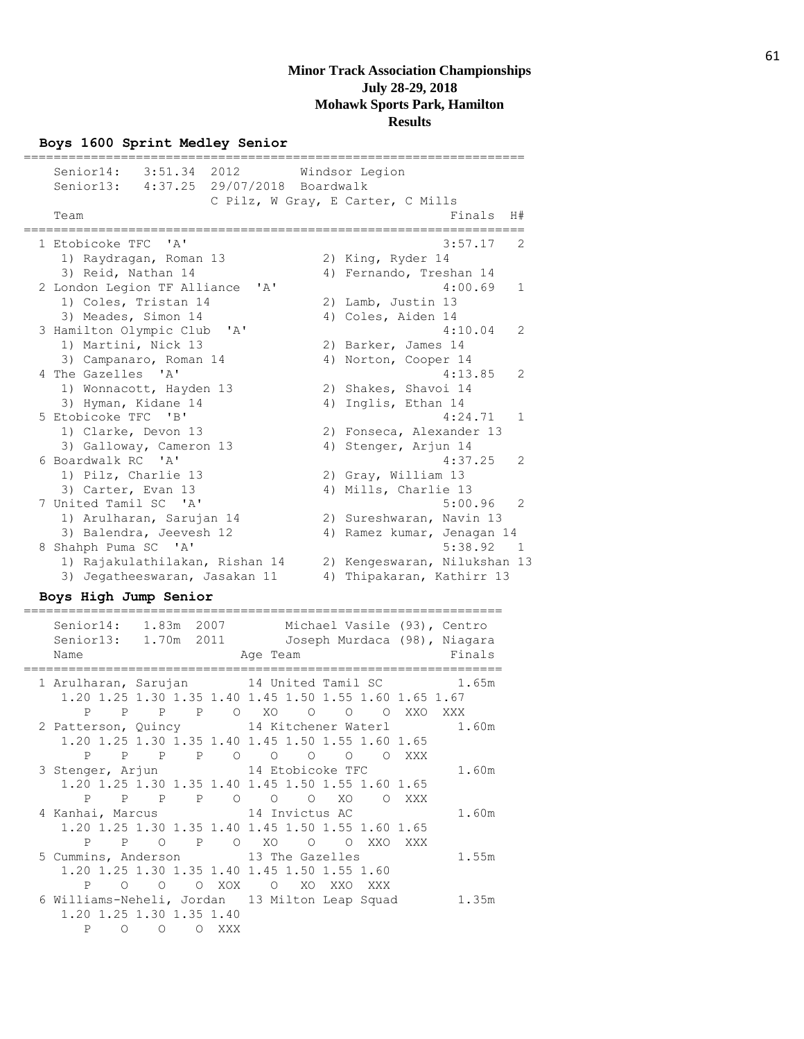#### **Boys 1600 Sprint Medley Senior**

=================================================================== Senior14: 3:51.34 2012 Windsor Legion Senior13: 4:37.25 29/07/2018 Boardwalk C Pilz, W Gray, E Carter, C Mills Team Finals H# =================================================================== 1 Etobicoke TFC 'A' 3:57.17 2 1) Raydragan, Roman 13 2) King, Ryder 14 3) Reid, Nathan 14 4) Fernando, Treshan 14 2 London Legion TF Alliance 'A' 4:00.69 1 1) Coles, Tristan 14 2) Lamb, Justin 13<br>3) Meades Simon 14 4) Coles Aiden 14 3) Meades, Simon 14 4) Coles, Aiden 14 3 Hamilton Olympic Club 'A' 4:10.04 2 1) Martini, Nick 13 2) Barker, James 14 3) Campanaro, Roman 14 4) Norton, Cooper 14 4 The Gazelles 'A' 4:13.85 2 1) Wonnacott, Hayden 13 2) Shakes, Shavoi 14 3) Hyman, Kidane 14 4) Inglis, Ethan 14 5 Etobicoke TFC 'B' 4:24.71 1 1) Clarke, Devon 13 2) Fonseca, Alexander 13 3) Galloway, Cameron 13 4) Stenger, Arjun 14 6 Boardwalk RC 'A' 4:37.25 2 1) Pilz, Charlie 13 2) Gray, William 13 3) Carter, Evan 13 4) Mills, Charlie 13 7 United Tamil SC 'A' 5:00.96 2 1) Arulharan, Sarujan 14 2) Sureshwaran, Navin 13 3) Balendra, Jeevesh 12 4) Ramez kumar, Jenagan 14 8 Shahph Puma SC 'A' 5:38.92 1 1) Rajakulathilakan, Rishan 14 2) Kengeswaran, Nilukshan 13 3) Jegatheeswaran, Jasakan 11 4) Thipakaran, Kathirr 13

#### **Boys High Jump Senior** ================================================================

 Senior14: 1.83m 2007 Michael Vasile (93), Centro Senior13: 1.70m 2011 Joseph Murdaca (98), Niagara Name Age Team Age Team Finals ================================================================ 1 Arulharan, Sarujan 14 United Tamil SC 1.65m 1.20 1.25 1.30 1.35 1.40 1.45 1.50 1.55 1.60 1.65 1.67 P P P P O XO O O O XXO XXX 2 Patterson, Quincy 14 Kitchener Waterl 1.60m 1.20 1.25 1.30 1.35 1.40 1.45 1.50 1.55 1.60 1.65 P P P P O O O O O XXX 3 Stenger, Arjun 14 Etobicoke TFC 1.60m 1.20 1.25 1.30 1.35 1.40 1.45 1.50 1.55 1.60 1.65 P P P P O O O XO O XXX 4 Kanhai, Marcus 14 Invictus AC 1.60m 1.20 1.25 1.30 1.35 1.40 1.45 1.50 1.55 1.60 1.65 P P O P O XO O O XXO XXX 5 Cummins, Anderson 13 The Gazelles 1.55m 1.20 1.25 1.30 1.35 1.40 1.45 1.50 1.55 1.60 P O O O XOX O XO XXO XXX 6 Williams-Neheli, Jordan 13 Milton Leap Squad 1.35m 1.20 1.25 1.30 1.35 1.40 P O O O XXX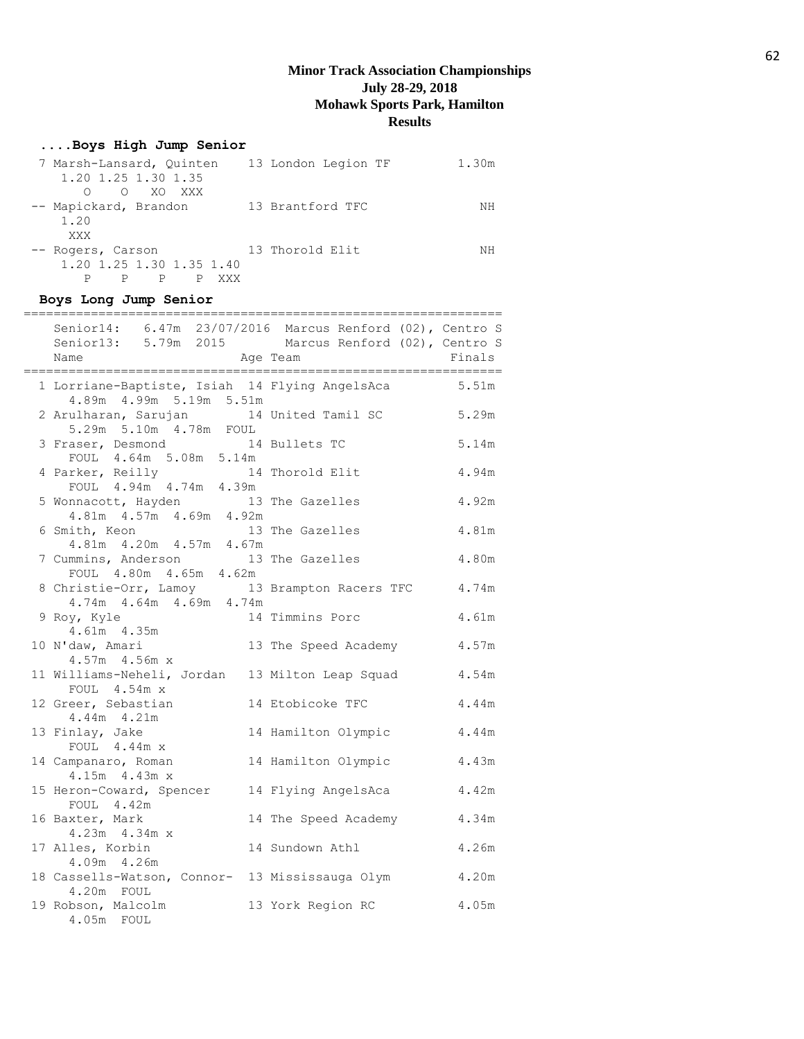## **....Boys High Jump Senior**

| 7 Marsh-Lansard, Ouinten<br>1.20 1.25 1.30 1.35<br>O XO XXX<br>∩ | 13 London Legion TF | 1.30m |
|------------------------------------------------------------------|---------------------|-------|
| -- Mapickard, Brandon<br>1.20<br>XXX                             | 13 Brantford TFC    | NΗ    |
| -- Rogers, Carson<br>1.20 1.25 1.30 1.35 1.40<br>P               | 13 Thorold Elit     | NΗ    |

# **Boys Long Jump Senior**

| Senior14: 6.47m 23/07/2016 Marcus Renford (02), Centro S<br>Senior13: 5.79m 2015 Marcus Renford (02), Centro S<br>Age Team<br>Name<br>============================== | ------------------------- | Finals |
|----------------------------------------------------------------------------------------------------------------------------------------------------------------------|---------------------------|--------|
| 1 Lorriane-Baptiste, Isiah 14 Flying AngelsAca<br>4.89m  4.99m  5.19m  5.51m                                                                                         |                           | 5.51m  |
| 2 Arulharan, Sarujan 14 United Tamil SC<br>5.29m 5.10m 4.78m FOUL                                                                                                    |                           | 5.29m  |
| 3 Fraser, Desmond 14 Bullets TC<br>FOUL 4.64m 5.08m 5.14m                                                                                                            |                           | 5.14m  |
| 4 Parker, Reilly 14<br>FOUL 4.94m 4.74m 4.39m                                                                                                                        | 14 Thorold Elit           | 4.94m  |
| 5 Wonnacott, Hayden<br>$4.81m$ $4.57m$ $4.69m$ $4.92m$                                                                                                               | 13 The Gazelles           | 4.92m  |
| 6 Smith, Keon<br>4.81m  4.20m  4.57m  4.67m                                                                                                                          | 13 The Gazelles           | 4.81m  |
| 7 Cummins, Anderson 13 The Gazelles<br>FOUL 4.80m 4.65m 4.62m                                                                                                        |                           | 4.80m  |
| 8 Christie-Orr, Lamoy 13 Brampton Racers TFC<br>4.74m  4.64m  4.69m  4.74m                                                                                           |                           | 4.74m  |
| 9 Roy, Kyle<br>4.61m  4.35m                                                                                                                                          | 14 Timmins Porc           | 4.61m  |
| 10 N'daw, Amari<br>4.57m 4.56m x                                                                                                                                     | 13 The Speed Academy      | 4.57m  |
| 11 Williams-Neheli, Jordan 13 Milton Leap Squad<br>FOUL 4.54m x                                                                                                      |                           | 4.54m  |
| 12 Greer, Sebastian<br>4.44m 4.21m                                                                                                                                   | 14 Etobicoke TFC          | 4.44m  |
| 13 Finlay, Jake<br>FOUL 4.44m x                                                                                                                                      | 14 Hamilton Olympic       | 4.44m  |
| 14 Campanaro, Roman<br>4.15m 4.43m x                                                                                                                                 | 14 Hamilton Olympic       | 4.43m  |
| 15 Heron-Coward, Spencer 14 Flying AngelsAca<br>FOUL 4.42m                                                                                                           |                           | 4.42m  |
| 16 Baxter, Mark<br>4.23m 4.34m x                                                                                                                                     | 14 The Speed Academy      | 4.34m  |
| 17 Alles, Korbin<br>4.09m  4.26m                                                                                                                                     | 14 Sundown Athl           | 4.26m  |
| 18 Cassells-Watson, Connor- 13 Mississauga Olym<br>4.20m FOUL                                                                                                        |                           | 4.20m  |
| 19 Robson, Malcolm<br>4.05m FOUL                                                                                                                                     | 13 York Region RC         | 4.05m  |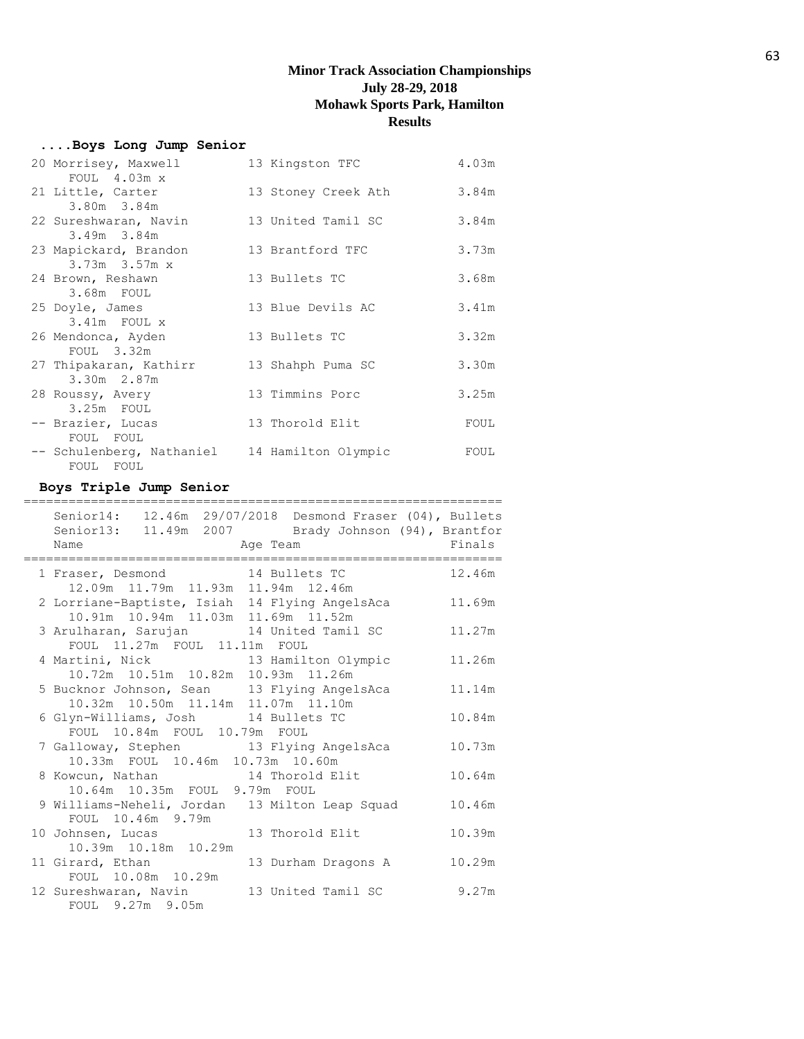# **....Boys Long Jump Senior**

| 20 Morrisey, Maxwell      | 13 Kingston TFC     | 4.03m |
|---------------------------|---------------------|-------|
| FOUL $4.03m \times$       |                     |       |
| 21 Little, Carter         | 13 Stoney Creek Ath | 3.84m |
| 3.80m 3.84m               |                     |       |
| 22 Sureshwaran, Navin     | 13 United Tamil SC  | 3.84m |
| $3.49m$ $3.84m$           |                     |       |
| 23 Mapickard, Brandon     | 13 Brantford TFC    | 3.73m |
| $3.73m$ $3.57m$ x         |                     |       |
| 24 Brown, Reshawn         | 13 Bullets TC       | 3.68m |
| 3.68m FOUL                |                     |       |
| 25 Doyle, James           | 13 Blue Devils AC   | 3.41m |
| 3.41m FOUL x              |                     |       |
| 26 Mendonca, Ayden        | 13 Bullets TC       | 3.32m |
| FOUL 3.32m                |                     |       |
| 27 Thipakaran, Kathirr    | 13 Shahph Puma SC   | 3.30m |
| 3.30m 2.87m               |                     |       |
| 28 Roussy, Avery          | 13 Timmins Porc     | 3.25m |
| 3.25m FOUL                |                     |       |
|                           |                     |       |
| -- Brazier, Lucas         | 13 Thorold Elit     | FOUL  |
| FOUL FOUL                 |                     |       |
| -- Schulenberg, Nathaniel | 14 Hamilton Olympic | FOUL  |
| FOUL FOUL                 |                     |       |

## **Boys Triple Jump Senior**

| ___________________________<br>_____________________                          |        |
|-------------------------------------------------------------------------------|--------|
| Senior14: 12.46m 29/07/2018 Desmond Fraser (04), Bullets                      |        |
| Senior13: 11.49m 2007 Brady Johnson (94), Brantfor<br>Age Team Finals<br>Name |        |
|                                                                               |        |
| 1 Fraser, Desmond 14 Bullets TC                                               | 12.46m |
| 12.09m  11.79m  11.93m  11.94m  12.46m                                        |        |
| 2 Lorriane-Baptiste, Isiah 14 Flying AngelsAca                                | 11.69m |
| 10.91m  10.94m  11.03m  11.69m  11.52m                                        |        |
| 3 Arulharan, Sarujan 14 United Tamil SC                                       | 11.27m |
| FOUL 11.27m FOUL 11.11m FOUL                                                  |        |
| 4 Martini, Nick and 13 Hamilton Olympic                                       | 11.26m |
| 10.72m  10.51m  10.82m  10.93m  11.26m                                        |        |
| 5 Bucknor Johnson, Sean 13 Flying AngelsAca                                   | 11.14m |
| 10.32m 10.50m 11.14m 11.07m 11.10m                                            |        |
| 6 Glyn-Williams, Josh 14 Bullets TC                                           | 10.84m |
| FOUL 10.84m FOUL 10.79m FOUL                                                  |        |
| 7 Galloway, Stephen 13 Flying AngelsAca                                       | 10.73m |
| 10.33m FOUL 10.46m 10.73m 10.60m                                              |        |
| 8 Kowcun, Nathan 14 Thorold Elit                                              | 10.64m |
| 10.64m 10.35m FOUL 9.79m FOUL                                                 |        |
| 9 Williams-Neheli, Jordan 13 Milton Leap Squad                                | 10.46m |
| FOUL 10.46m 9.79m                                                             |        |
| 10 Johnsen, Lucas 13 Thorold Elit                                             | 10.39m |
| 10.39m  10.18m  10.29m                                                        |        |
| 11 Girard, Ethan<br>13 Durham Dragons A                                       | 10.29m |
| FOUL 10.08m 10.29m                                                            |        |
| 12 Sureshwaran, Navin 13 United Tamil SC                                      | 9.27m  |
| FOUL 9.27m 9.05m                                                              |        |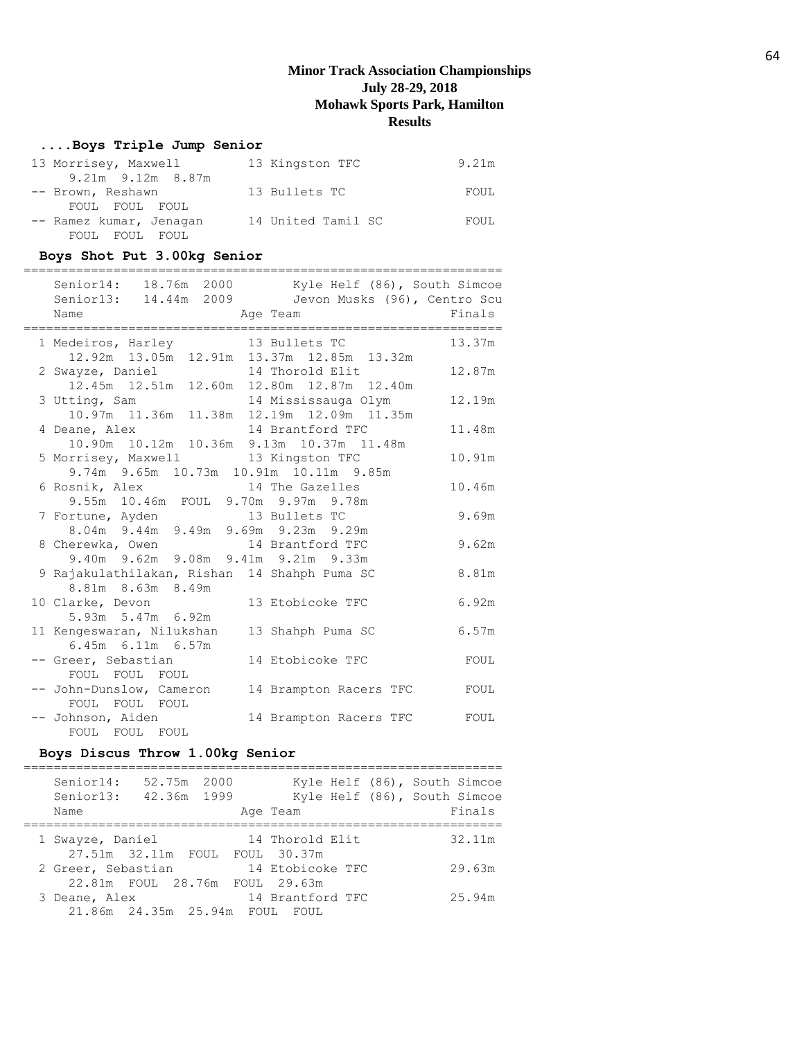## **....Boys Triple Jump Senior**

| 13 Morrisey, Maxwell    | 13 Kingston TFC    | 9.21m |
|-------------------------|--------------------|-------|
| $9.21m$ $9.12m$ $8.87m$ |                    |       |
| -- Brown, Reshawn       | 13 Bullets TC      | FOUL  |
| FOUL FOUL FOUL          |                    |       |
| -- Ramez kumar, Jenagan | 14 United Tamil SC | FOUL  |
| FOUL FOUL FOUL          |                    |       |

## **Boys Shot Put 3.00kg Senior**

| Senior14: 18.76m 2000<br>Kyle Helf (86), South Simcoe<br>Senior13: 14.44m 2009<br>Jevon Musks (96), Centro Scu<br>Name<br>Age Team   | Finals |
|--------------------------------------------------------------------------------------------------------------------------------------|--------|
| 1 Medeiros, Harley 13 Bullets TC                                                                                                     | 13.37m |
| 12.92m  13.05m  12.91m  13.37m  12.85m  13.32m<br>2 Swayze, Daniel 14 Thorold Elit<br>12.45m  12.51m  12.60m  12.80m  12.87m  12.40m | 12.87m |
| 3 Utting, Sam 14 Mississauga Olym 10.97m 11.36m 11.38m 12.19m 12.09m 11.35m                                                          | 12.19m |
| 14 Brantford TFC<br>4 Deane, Alex<br>10.90m  10.12m  10.36m  9.13m  10.37m  11.48m                                                   | 11.48m |
| 5 Morrisey, Maxwell 13 Kingston TFC<br>9.74m 9.65m 10.73m 10.91m 10.11m 9.85m                                                        | 10.91m |
| 6 Rosnik, Alex 14 The Gazelles<br>9.55m 10.46m FOUL 9.70m 9.97m 9.78m                                                                | 10.46m |
| 7 Fortune, Ayden<br>8.04m 9.44m 9.49m 9.69m 9.23m 9.29m                                                                              | 9.69m  |
| 8 Cherewka, Owen 14 Brantford TFC<br>9.40m 9.62m 9.08m 9.41m 9.21m 9.33m                                                             | 9.62m  |
| 9 Rajakulathilakan, Rishan 14 Shahph Puma SC<br>8.81m 8.63m 8.49m                                                                    | 8.81m  |
| 10 Clarke, Devon<br>13 Etobicoke TFC<br>5.93m 5.47m 6.92m                                                                            | 6.92m  |
| 11 Kengeswaran, Nilukshan<br>13 Shahph Puma SC<br>6.45m 6.11m 6.57m                                                                  | 6.57m  |
| 14 Etobicoke TFC<br>-- Greer, Sebastian<br>FOUL FOUL FOUL                                                                            | FOUL   |
| -- John-Dunslow, Cameron<br>14 Brampton Racers TFC<br>FOUL FOUL FOUL                                                                 | FOUL   |
| -- Johnson, Aiden<br>14 Brampton Racers TFC<br>FOUL FOUL FOUL                                                                        | FOUL   |

## **Boys Discus Throw 1.00kg Senior**

| Senior14:<br>Senior13: | 52.75m 2000<br>42.36m 1999     |                  | Kyle Helf (86), South Simcoe<br>Kyle Helf (86), South Simcoe |
|------------------------|--------------------------------|------------------|--------------------------------------------------------------|
| Name                   |                                | Age Team         | Finals                                                       |
|                        |                                |                  |                                                              |
| 1 Swayze, Daniel       |                                | 14 Thorold Elit  | 32.11m                                                       |
|                        | 27.51m 32.11m FOUL FOUL 30.37m |                  |                                                              |
| 2 Greer, Sebastian     |                                | 14 Etobicoke TFC | 29.63m                                                       |
|                        | 22.81m FOUL 28.76m FOUL 29.63m |                  |                                                              |
| 3 Deane, Alex          |                                | 14 Brantford TFC | 25.94m                                                       |
|                        | 21.86m  24.35m  25.94m  FOUL   | FOUL.            |                                                              |
|                        |                                |                  |                                                              |